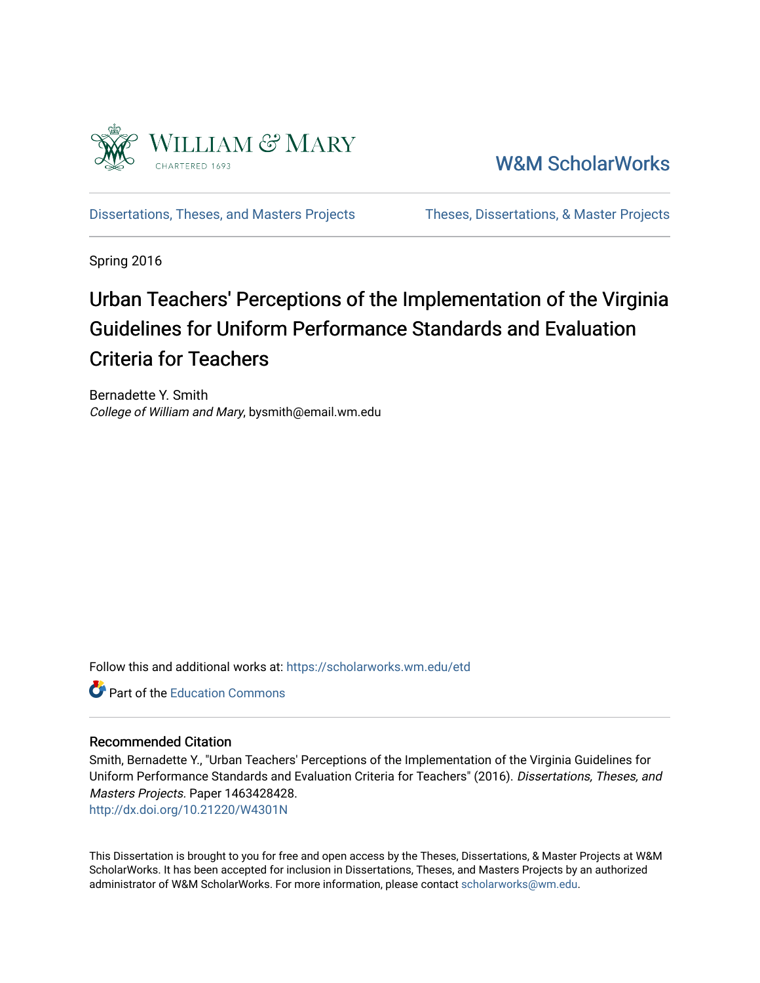

[W&M ScholarWorks](https://scholarworks.wm.edu/) 

[Dissertations, Theses, and Masters Projects](https://scholarworks.wm.edu/etd) Theses, Dissertations, & Master Projects

Spring 2016

# Urban Teachers' Perceptions of the Implementation of the Virginia Guidelines for Uniform Performance Standards and Evaluation Criteria for Teachers

Bernadette Y. Smith College of William and Mary, bysmith@email.wm.edu

Follow this and additional works at: [https://scholarworks.wm.edu/etd](https://scholarworks.wm.edu/etd?utm_source=scholarworks.wm.edu%2Fetd%2F1463428428&utm_medium=PDF&utm_campaign=PDFCoverPages)

**C** Part of the [Education Commons](http://network.bepress.com/hgg/discipline/784?utm_source=scholarworks.wm.edu%2Fetd%2F1463428428&utm_medium=PDF&utm_campaign=PDFCoverPages)

#### Recommended Citation

Smith, Bernadette Y., "Urban Teachers' Perceptions of the Implementation of the Virginia Guidelines for Uniform Performance Standards and Evaluation Criteria for Teachers" (2016). Dissertations, Theses, and Masters Projects. Paper 1463428428.

<http://dx.doi.org/10.21220/W4301N>

This Dissertation is brought to you for free and open access by the Theses, Dissertations, & Master Projects at W&M ScholarWorks. It has been accepted for inclusion in Dissertations, Theses, and Masters Projects by an authorized administrator of W&M ScholarWorks. For more information, please contact [scholarworks@wm.edu.](mailto:scholarworks@wm.edu)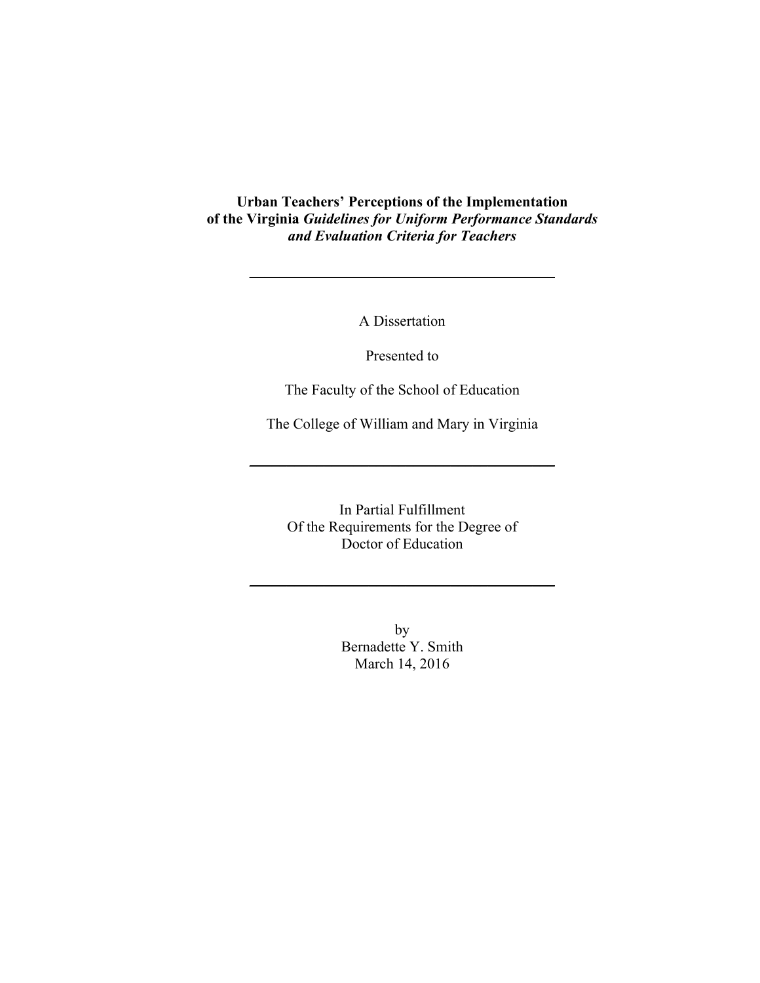**Urban Teachers' Perceptions of the Implementation of the Virginia** *Guidelines for Uniform Performance Standards and Evaluation Criteria for Teachers*

A Dissertation

\_\_\_\_\_\_\_\_\_\_\_\_\_\_\_\_\_\_\_\_\_\_\_\_\_\_\_\_\_\_\_\_\_\_\_\_\_\_\_\_\_

Presented to

The Faculty of the School of Education

The College of William and Mary in Virginia

 $\overline{\phantom{a}}$  , which is a set of the set of the set of the set of the set of the set of the set of the set of the set of the set of the set of the set of the set of the set of the set of the set of the set of the set of th

In Partial Fulfillment Of the Requirements for the Degree of Doctor of Education

 $\overline{\phantom{a}}$  , which is a set of the set of the set of the set of the set of the set of the set of the set of the set of the set of the set of the set of the set of the set of the set of the set of the set of the set of th

by Bernadette Y. Smith March 14, 2016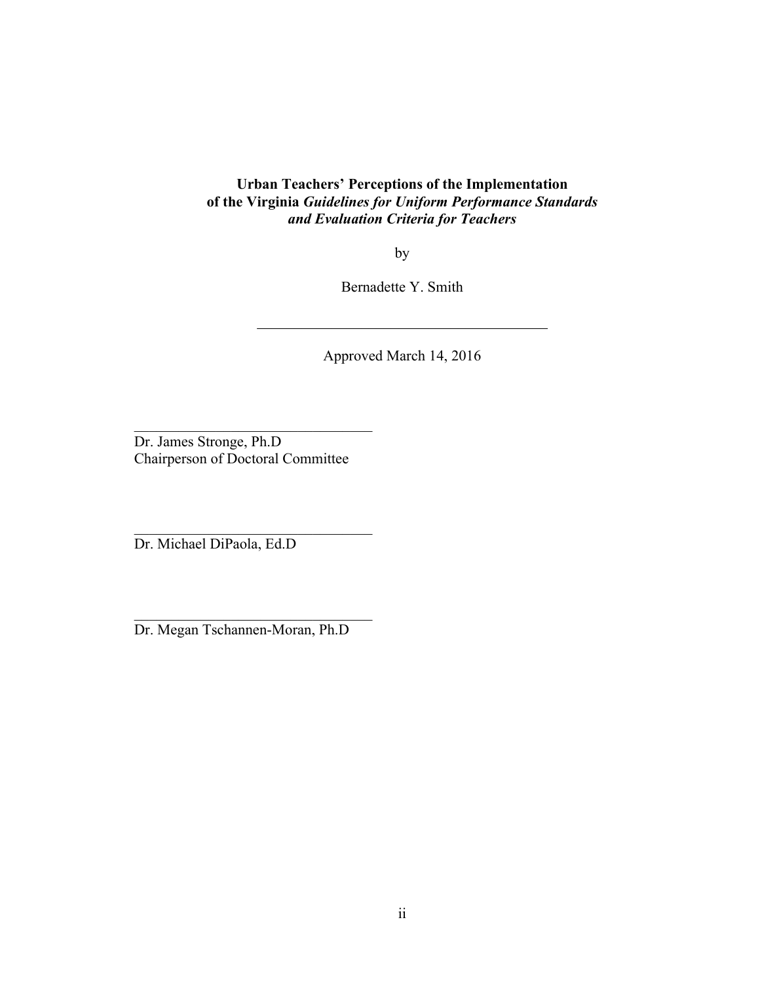### **Urban Teachers' Perceptions of the Implementation of the Virginia** *Guidelines for Uniform Performance Standards and Evaluation Criteria for Teachers*

by

Bernadette Y. Smith

\_\_\_\_\_\_\_\_\_\_\_\_\_\_\_\_\_\_\_\_\_\_\_\_\_\_\_\_\_\_\_\_\_\_\_\_\_\_\_

Approved March 14, 2016

Dr. James Stronge, Ph.D Chairperson of Doctoral Committee

\_\_\_\_\_\_\_\_\_\_\_\_\_\_\_\_\_\_\_\_\_\_\_\_\_\_\_\_\_\_\_\_

 $\mathcal{L}_\text{max}$ 

Dr. Michael DiPaola, Ed.D

Dr. Megan Tschannen-Moran, Ph.D

\_\_\_\_\_\_\_\_\_\_\_\_\_\_\_\_\_\_\_\_\_\_\_\_\_\_\_\_\_\_\_\_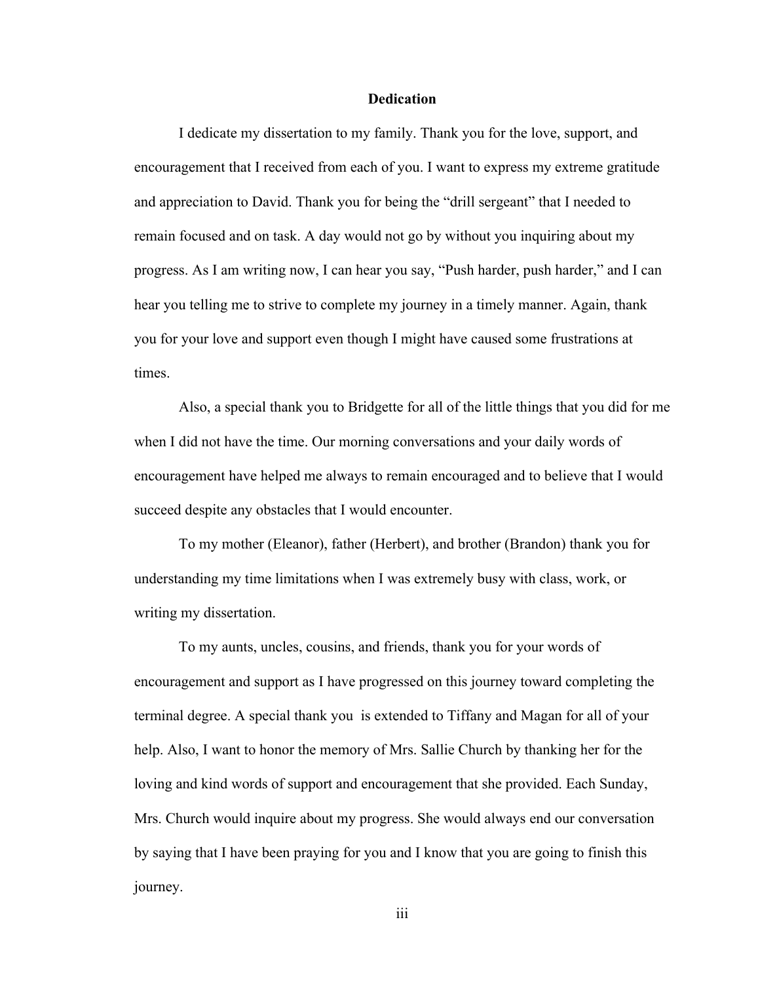#### **Dedication**

I dedicate my dissertation to my family. Thank you for the love, support, and encouragement that I received from each of you. I want to express my extreme gratitude and appreciation to David. Thank you for being the "drill sergeant" that I needed to remain focused and on task. A day would not go by without you inquiring about my progress. As I am writing now, I can hear you say, "Push harder, push harder," and I can hear you telling me to strive to complete my journey in a timely manner. Again, thank you for your love and support even though I might have caused some frustrations at times.

Also, a special thank you to Bridgette for all of the little things that you did for me when I did not have the time. Our morning conversations and your daily words of encouragement have helped me always to remain encouraged and to believe that I would succeed despite any obstacles that I would encounter.

To my mother (Eleanor), father (Herbert), and brother (Brandon) thank you for understanding my time limitations when I was extremely busy with class, work, or writing my dissertation.

To my aunts, uncles, cousins, and friends, thank you for your words of encouragement and support as I have progressed on this journey toward completing the terminal degree. A special thank you is extended to Tiffany and Magan for all of your help. Also, I want to honor the memory of Mrs. Sallie Church by thanking her for the loving and kind words of support and encouragement that she provided. Each Sunday, Mrs. Church would inquire about my progress. She would always end our conversation by saying that I have been praying for you and I know that you are going to finish this journey.

iii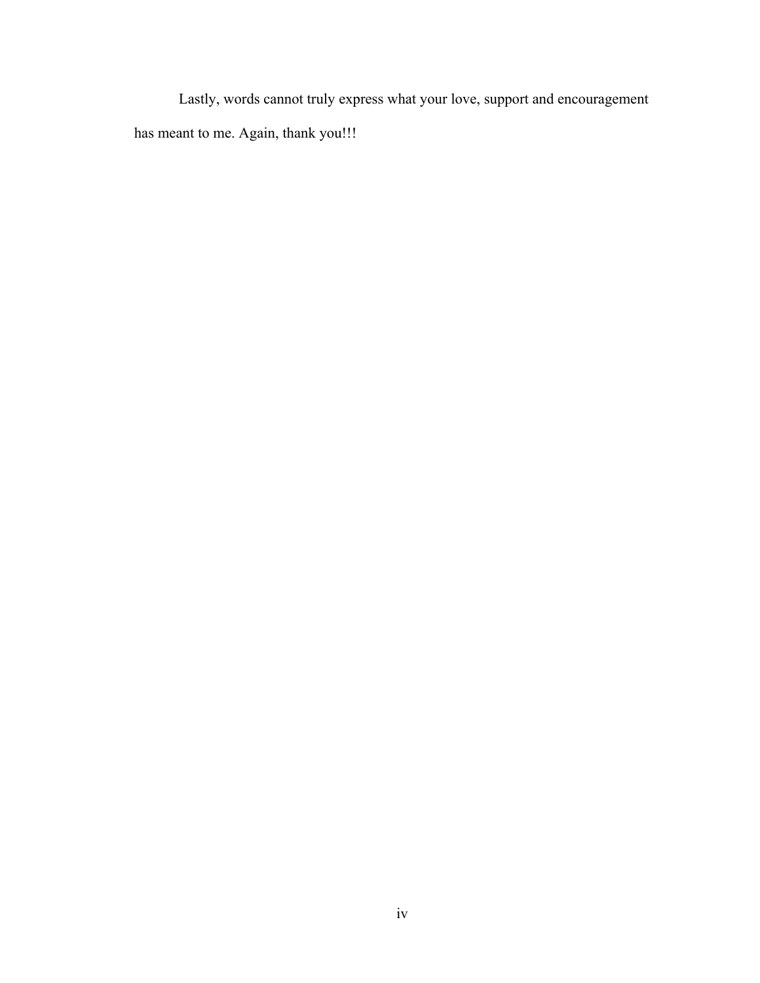Lastly, words cannot truly express what your love, support and encouragement has meant to me. Again, thank you!!!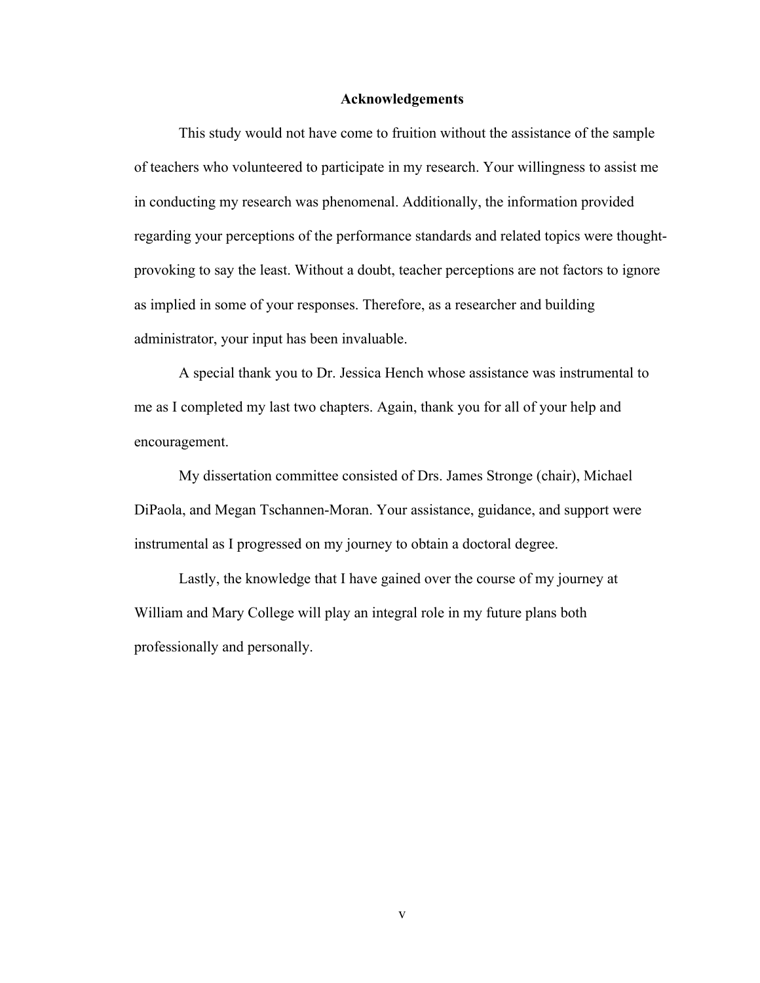#### **Acknowledgements**

This study would not have come to fruition without the assistance of the sample of teachers who volunteered to participate in my research. Your willingness to assist me in conducting my research was phenomenal. Additionally, the information provided regarding your perceptions of the performance standards and related topics were thoughtprovoking to say the least. Without a doubt, teacher perceptions are not factors to ignore as implied in some of your responses. Therefore, as a researcher and building administrator, your input has been invaluable.

A special thank you to Dr. Jessica Hench whose assistance was instrumental to me as I completed my last two chapters. Again, thank you for all of your help and encouragement.

My dissertation committee consisted of Drs. James Stronge (chair), Michael DiPaola, and Megan Tschannen-Moran. Your assistance, guidance, and support were instrumental as I progressed on my journey to obtain a doctoral degree.

Lastly, the knowledge that I have gained over the course of my journey at William and Mary College will play an integral role in my future plans both professionally and personally.

v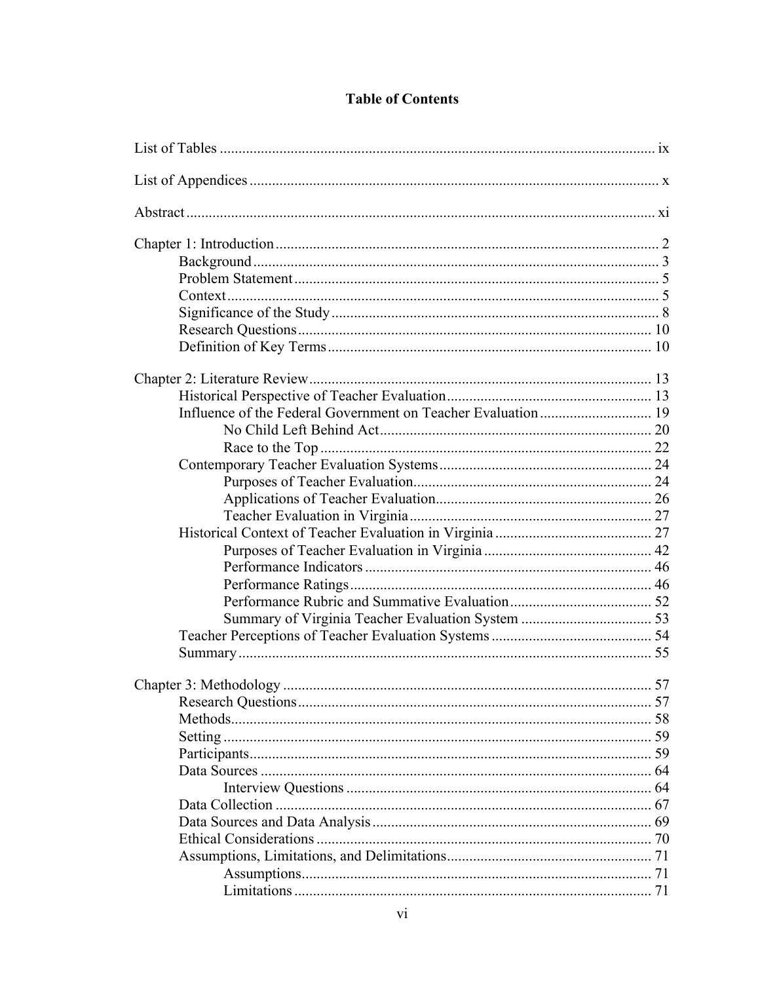### **Table of Contents**

| Setting. |    |
|----------|----|
|          |    |
|          |    |
|          |    |
|          |    |
|          |    |
|          |    |
|          | 71 |
|          |    |
|          |    |
|          |    |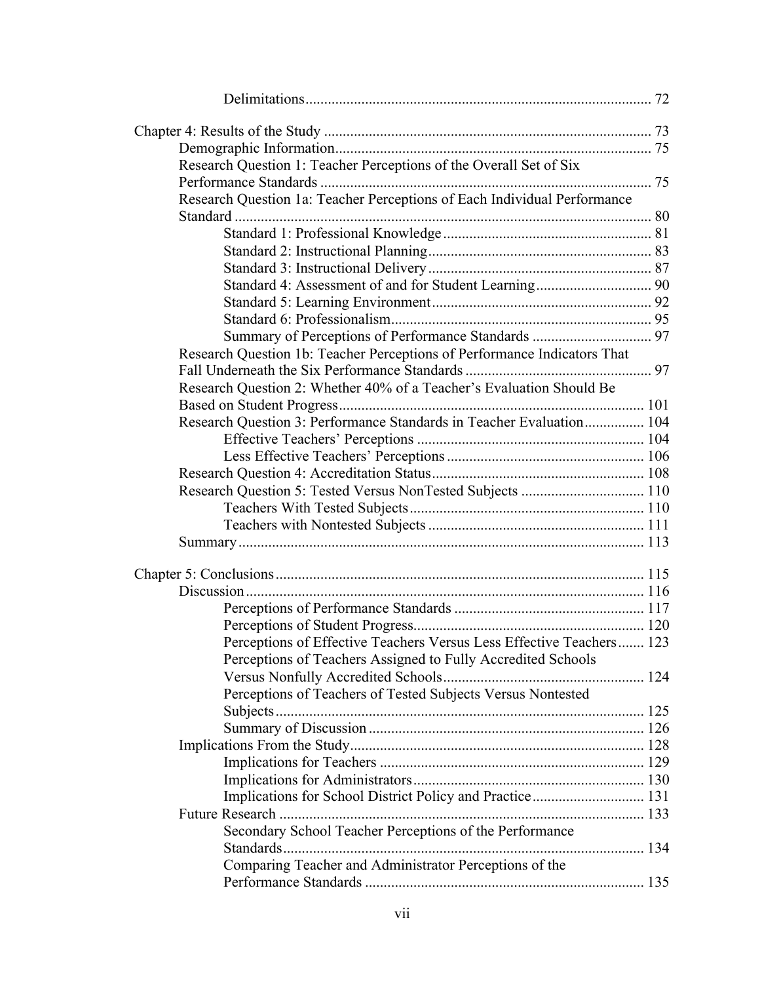| Research Question 1: Teacher Perceptions of the Overall Set of Six       |  |
|--------------------------------------------------------------------------|--|
|                                                                          |  |
| Research Question 1a: Teacher Perceptions of Each Individual Performance |  |
|                                                                          |  |
|                                                                          |  |
|                                                                          |  |
|                                                                          |  |
|                                                                          |  |
|                                                                          |  |
|                                                                          |  |
|                                                                          |  |
| Research Question 1b: Teacher Perceptions of Performance Indicators That |  |
|                                                                          |  |
| Research Question 2: Whether 40% of a Teacher's Evaluation Should Be     |  |
|                                                                          |  |
| Research Question 3: Performance Standards in Teacher Evaluation 104     |  |
|                                                                          |  |
|                                                                          |  |
|                                                                          |  |
| Research Question 5: Tested Versus NonTested Subjects  110               |  |
|                                                                          |  |
|                                                                          |  |
|                                                                          |  |
|                                                                          |  |
|                                                                          |  |
|                                                                          |  |
|                                                                          |  |
|                                                                          |  |
| Perceptions of Effective Teachers Versus Less Effective Teachers 123     |  |
| Perceptions of Teachers Assigned to Fully Accredited Schools             |  |
|                                                                          |  |
| Perceptions of Teachers of Tested Subjects Versus Nontested              |  |
|                                                                          |  |
|                                                                          |  |
|                                                                          |  |
|                                                                          |  |
|                                                                          |  |
| Implications for School District Policy and Practice 131                 |  |
|                                                                          |  |
| Secondary School Teacher Perceptions of the Performance                  |  |
|                                                                          |  |
| Comparing Teacher and Administrator Perceptions of the                   |  |
|                                                                          |  |
|                                                                          |  |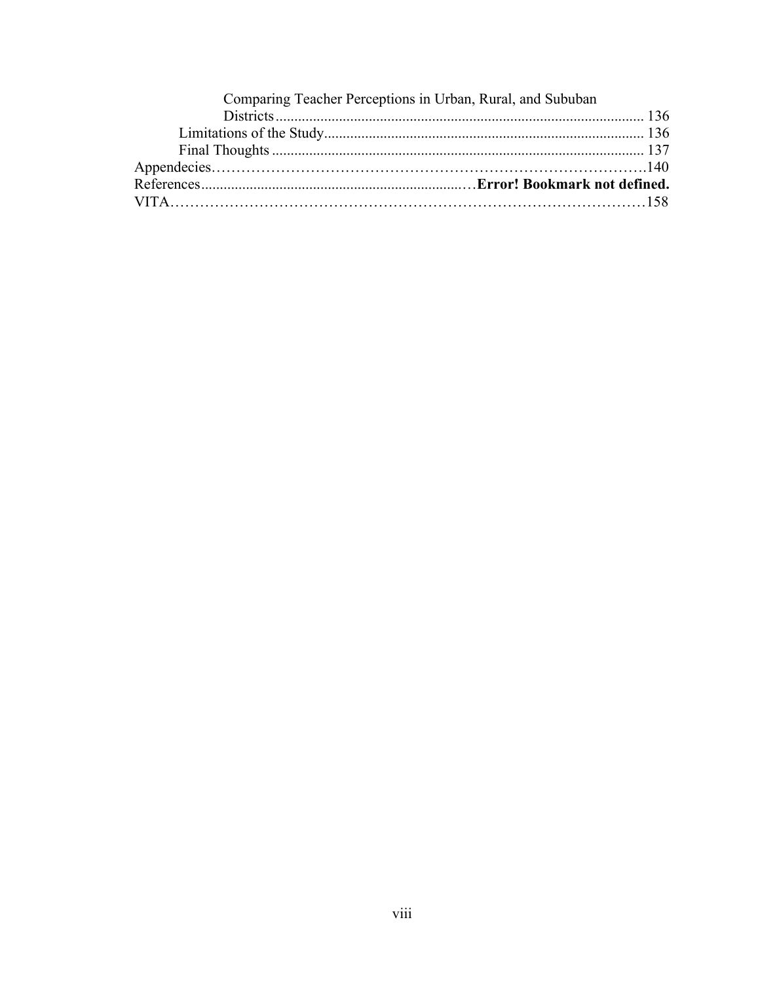| Comparing Teacher Perceptions in Urban, Rural, and Sububan |  |
|------------------------------------------------------------|--|
|                                                            |  |
|                                                            |  |
|                                                            |  |
|                                                            |  |
|                                                            |  |
|                                                            |  |
|                                                            |  |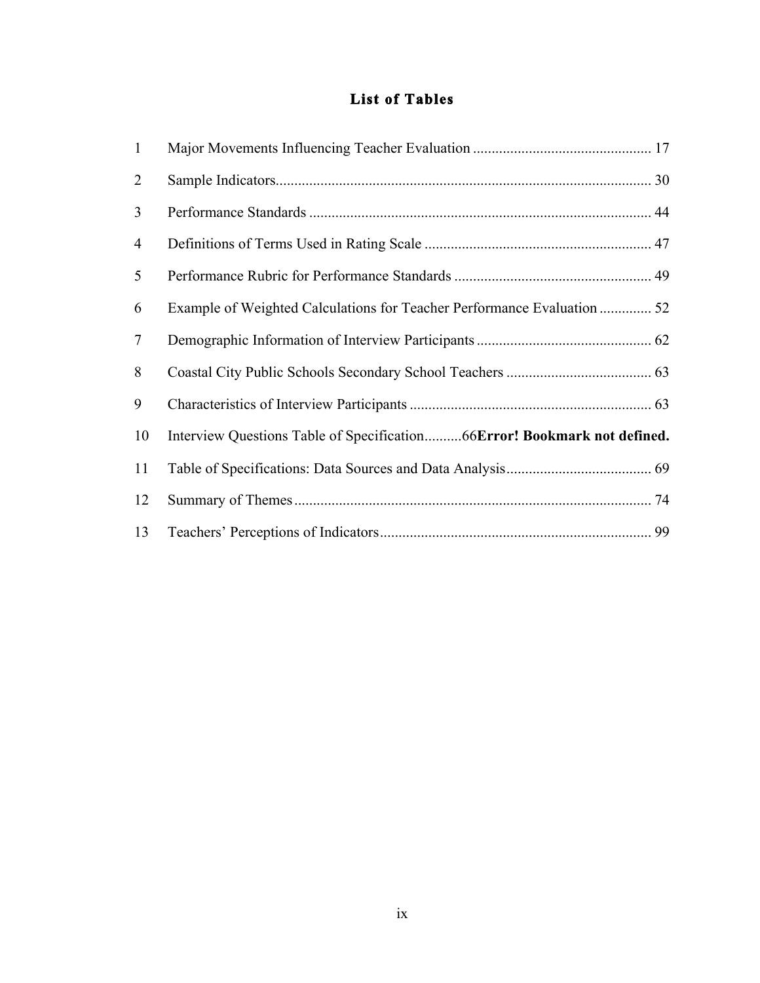### **List of Tables**

| $\mathbf{1}$ |                                                                          |  |
|--------------|--------------------------------------------------------------------------|--|
| 2            |                                                                          |  |
| 3            |                                                                          |  |
| 4            |                                                                          |  |
| 5            |                                                                          |  |
| 6            | Example of Weighted Calculations for Teacher Performance Evaluation  52  |  |
| $\tau$       |                                                                          |  |
| 8            |                                                                          |  |
| 9            |                                                                          |  |
| 10           | Interview Questions Table of Specification66Error! Bookmark not defined. |  |
| 11           |                                                                          |  |
| 12           |                                                                          |  |
| 13           |                                                                          |  |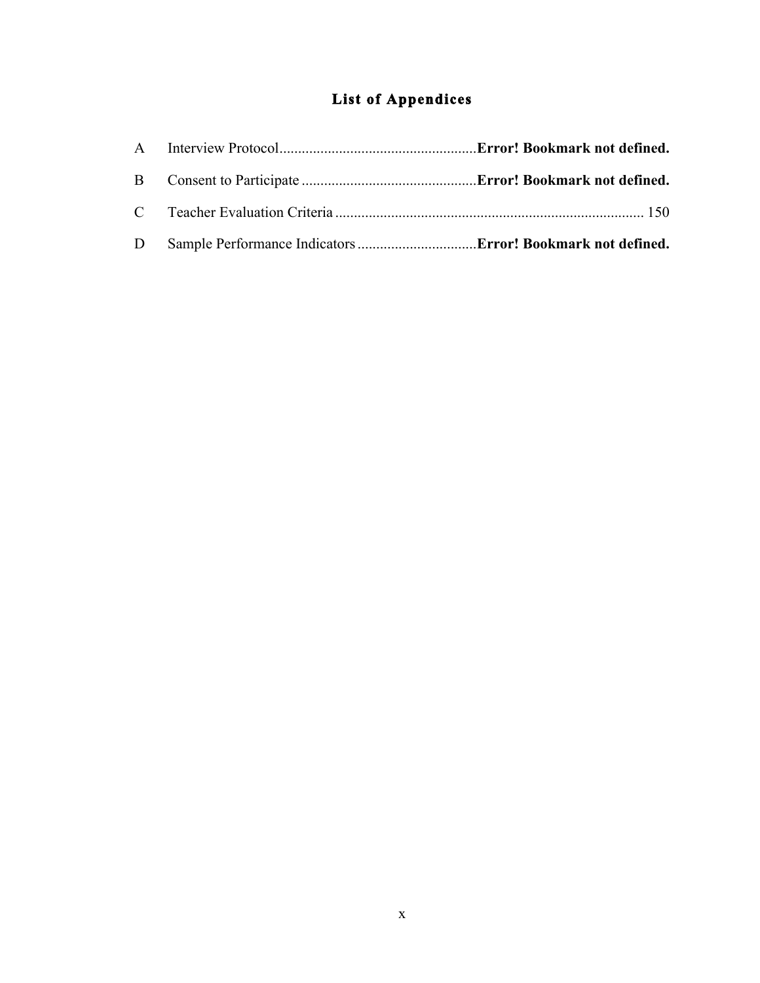## **List of Appendices**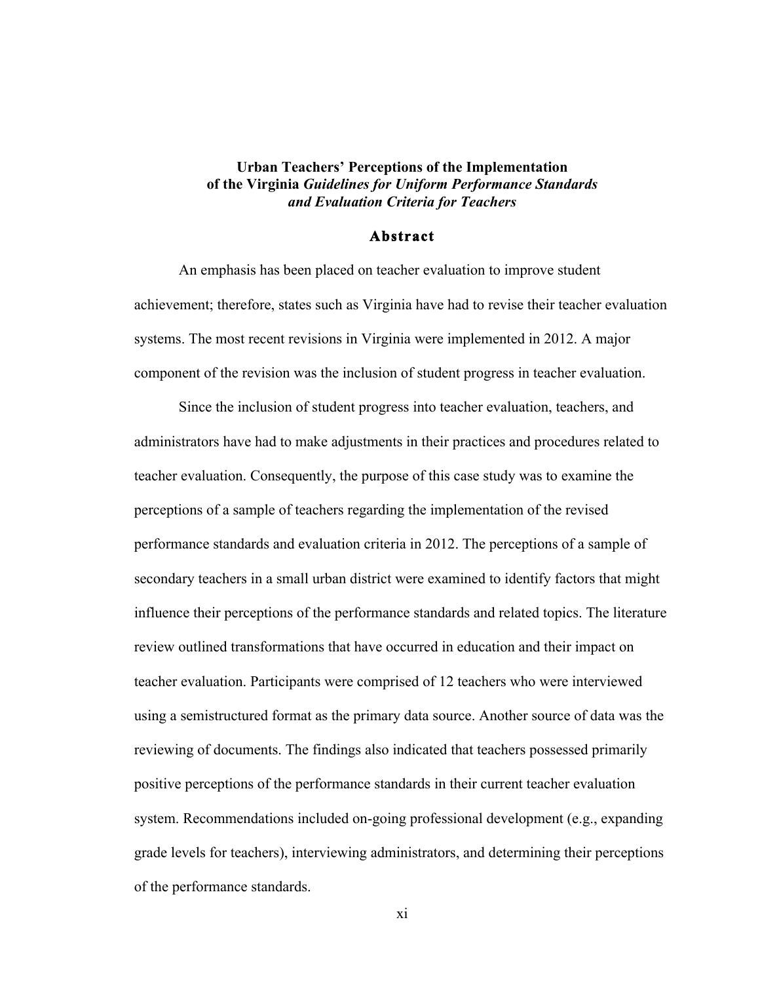#### **Urban Teachers' Perceptions of the Implementation of the Virginia** *Guidelines for Uniform Performance Standards and Evaluation Criteria for Teachers*

#### **Abstract**

An emphasis has been placed on teacher evaluation to improve student achievement; therefore, states such as Virginia have had to revise their teacher evaluation systems. The most recent revisions in Virginia were implemented in 2012. A major component of the revision was the inclusion of student progress in teacher evaluation.

Since the inclusion of student progress into teacher evaluation, teachers, and administrators have had to make adjustments in their practices and procedures related to teacher evaluation. Consequently, the purpose of this case study was to examine the perceptions of a sample of teachers regarding the implementation of the revised performance standards and evaluation criteria in 2012. The perceptions of a sample of secondary teachers in a small urban district were examined to identify factors that might influence their perceptions of the performance standards and related topics. The literature review outlined transformations that have occurred in education and their impact on teacher evaluation. Participants were comprised of 12 teachers who were interviewed using a semistructured format as the primary data source. Another source of data was the reviewing of documents. The findings also indicated that teachers possessed primarily positive perceptions of the performance standards in their current teacher evaluation system. Recommendations included on-going professional development (e.g., expanding grade levels for teachers), interviewing administrators, and determining their perceptions of the performance standards.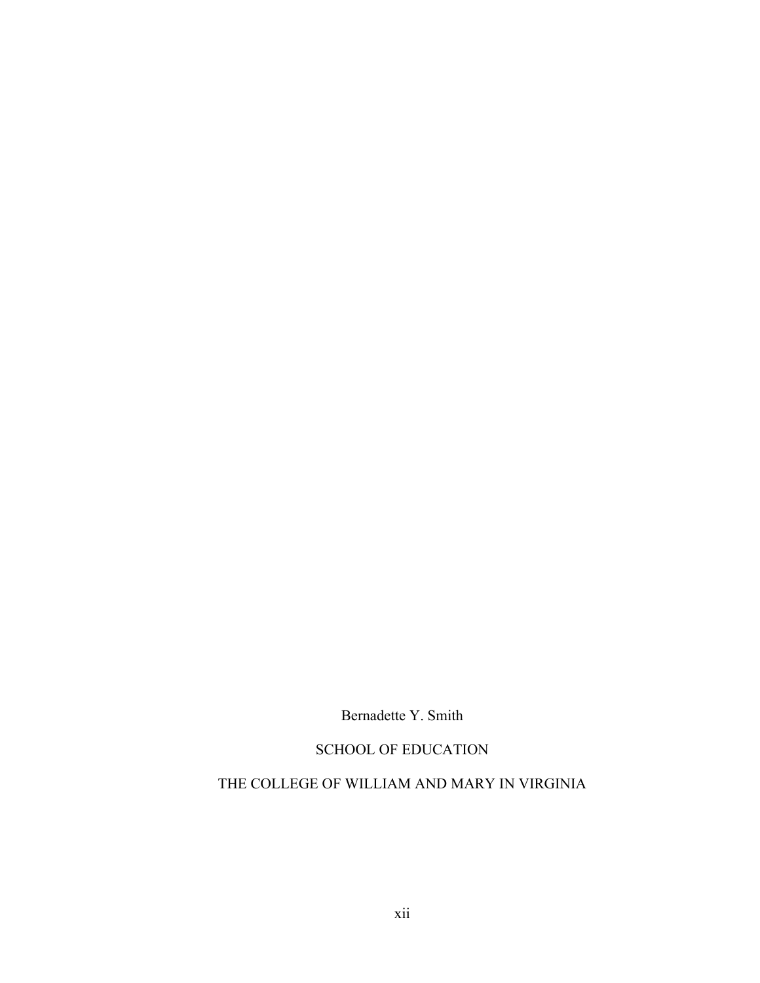Bernadette Y. Smith

### SCHOOL OF EDUCATION

### THE COLLEGE OF WILLIAM AND MARY IN VIRGINIA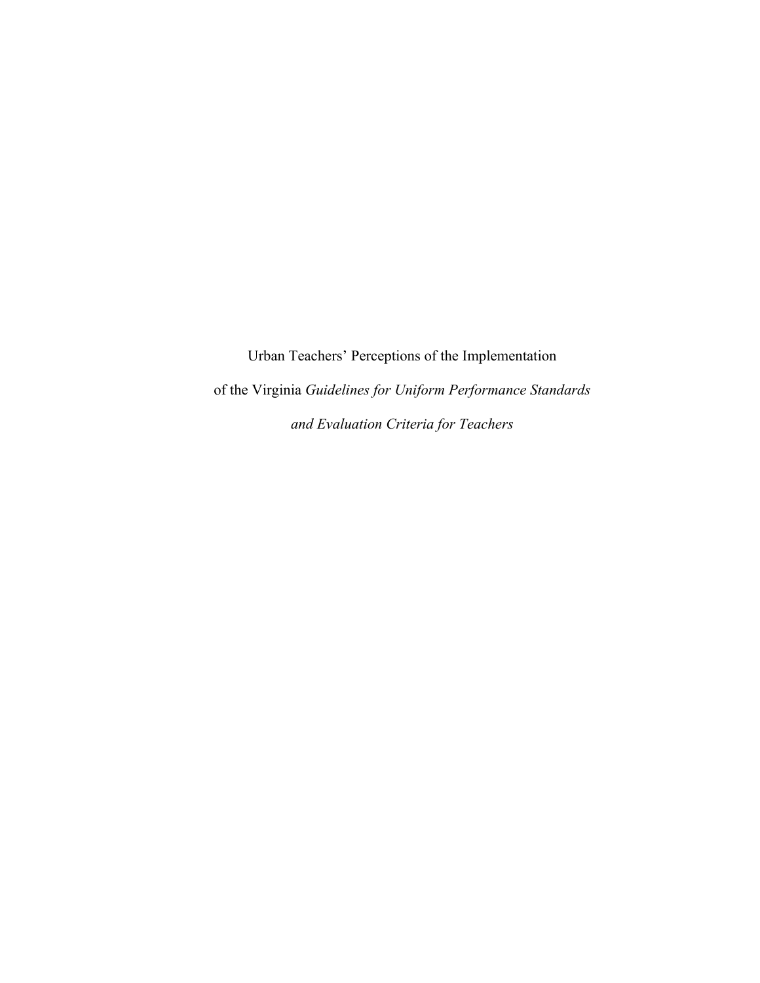Urban Teachers' Perceptions of the Implementation of the Virginia *Guidelines for Uniform Performance Standards and Evaluation Criteria for Teachers*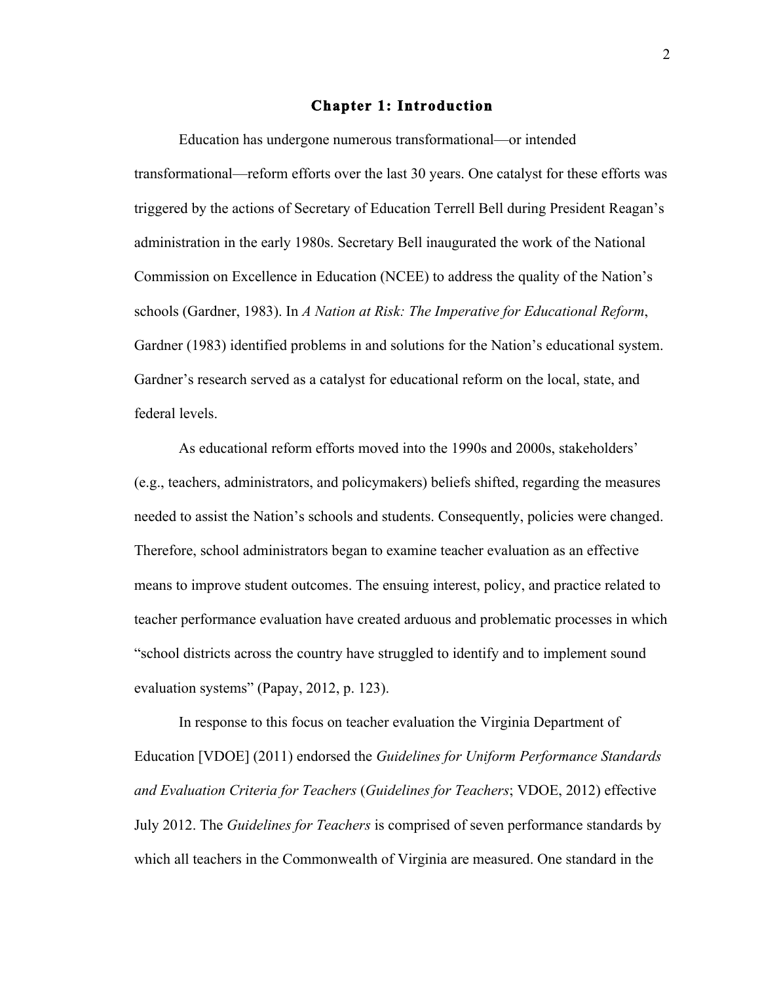#### **Chapter 1: Introduction**

Education has undergone numerous transformational—or intended transformational—reform efforts over the last 30 years. One catalyst for these efforts was triggered by the actions of Secretary of Education Terrell Bell during President Reagan's administration in the early 1980s. Secretary Bell inaugurated the work of the National Commission on Excellence in Education (NCEE) to address the quality of the Nation's schools (Gardner, 1983). In *A Nation at Risk: The Imperative for Educational Reform*, Gardner (1983) identified problems in and solutions for the Nation's educational system. Gardner's research served as a catalyst for educational reform on the local, state, and federal levels.

As educational reform efforts moved into the 1990s and 2000s, stakeholders' (e.g., teachers, administrators, and policymakers) beliefs shifted, regarding the measures needed to assist the Nation's schools and students. Consequently, policies were changed. Therefore, school administrators began to examine teacher evaluation as an effective means to improve student outcomes. The ensuing interest, policy, and practice related to teacher performance evaluation have created arduous and problematic processes in which "school districts across the country have struggled to identify and to implement sound evaluation systems" (Papay, 2012, p. 123).

In response to this focus on teacher evaluation the Virginia Department of Education [VDOE] (2011) endorsed the *Guidelines for Uniform Performance Standards and Evaluation Criteria for Teachers* (*Guidelines for Teachers*; VDOE, 2012) effective July 2012. The *Guidelines for Teachers* is comprised of seven performance standards by which all teachers in the Commonwealth of Virginia are measured. One standard in the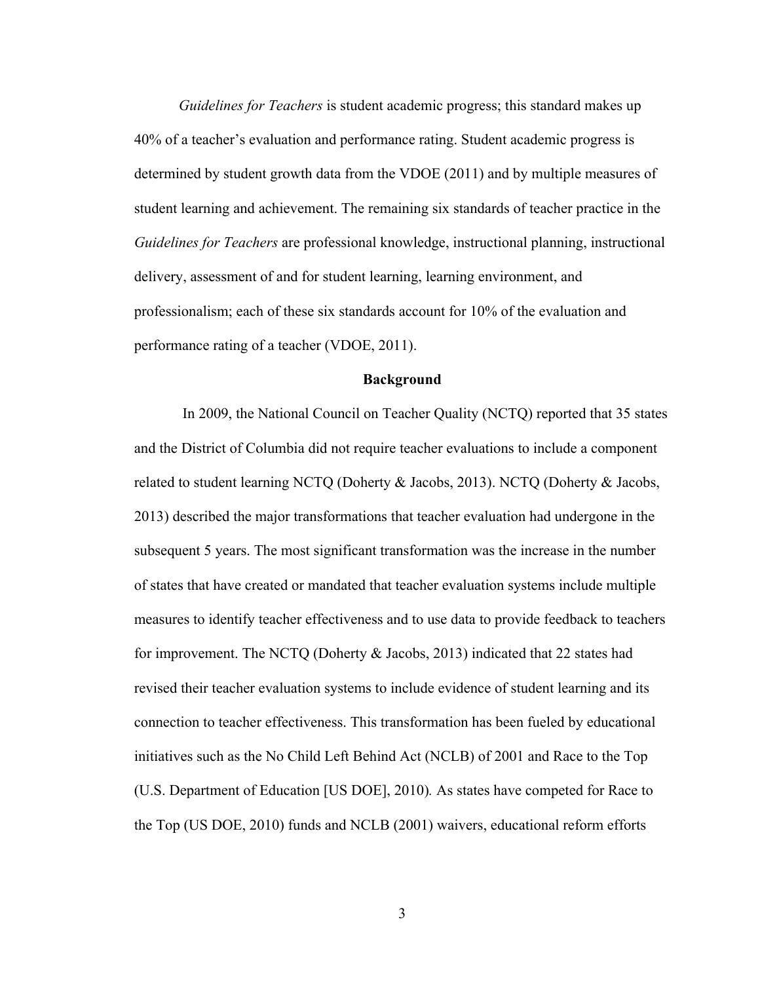*Guidelines for Teachers* is student academic progress; this standard makes up 40% of a teacher's evaluation and performance rating. Student academic progress is determined by student growth data from the VDOE (2011) and by multiple measures of student learning and achievement. The remaining six standards of teacher practice in the *Guidelines for Teachers* are professional knowledge, instructional planning, instructional delivery, assessment of and for student learning, learning environment, and professionalism; each of these six standards account for 10% of the evaluation and performance rating of a teacher (VDOE, 2011).

#### **Background**

In 2009, the National Council on Teacher Quality (NCTQ) reported that 35 states and the District of Columbia did not require teacher evaluations to include a component related to student learning NCTQ (Doherty & Jacobs, 2013). NCTQ (Doherty & Jacobs, 2013) described the major transformations that teacher evaluation had undergone in the subsequent 5 years. The most significant transformation was the increase in the number of states that have created or mandated that teacher evaluation systems include multiple measures to identify teacher effectiveness and to use data to provide feedback to teachers for improvement. The NCTQ (Doherty & Jacobs, 2013) indicated that 22 states had revised their teacher evaluation systems to include evidence of student learning and its connection to teacher effectiveness. This transformation has been fueled by educational initiatives such as the No Child Left Behind Act (NCLB) of 2001 and Race to the Top (U.S. Department of Education [US DOE], 2010)*.* As states have competed for Race to the Top (US DOE, 2010) funds and NCLB (2001) waivers, educational reform efforts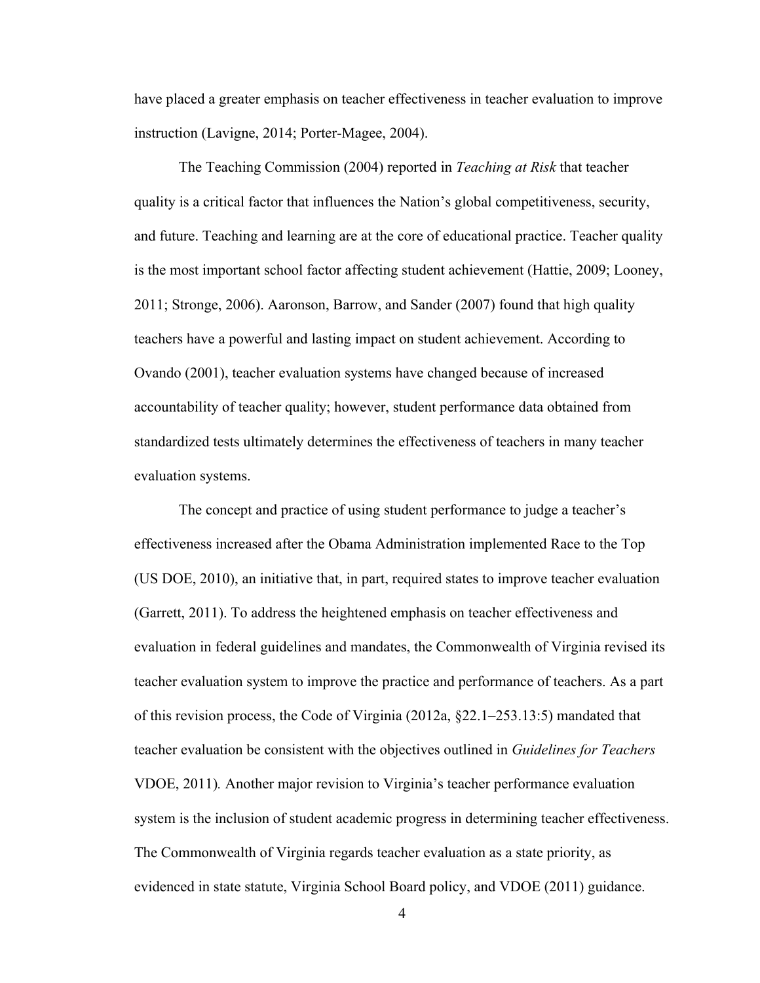have placed a greater emphasis on teacher effectiveness in teacher evaluation to improve instruction (Lavigne, 2014; Porter-Magee, 2004).

The Teaching Commission (2004) reported in *Teaching at Risk* that teacher quality is a critical factor that influences the Nation's global competitiveness, security, and future. Teaching and learning are at the core of educational practice. Teacher quality is the most important school factor affecting student achievement (Hattie, 2009; Looney, 2011; Stronge, 2006). Aaronson, Barrow, and Sander (2007) found that high quality teachers have a powerful and lasting impact on student achievement. According to Ovando (2001), teacher evaluation systems have changed because of increased accountability of teacher quality; however, student performance data obtained from standardized tests ultimately determines the effectiveness of teachers in many teacher evaluation systems.

The concept and practice of using student performance to judge a teacher's effectiveness increased after the Obama Administration implemented Race to the Top (US DOE, 2010), an initiative that, in part, required states to improve teacher evaluation (Garrett, 2011). To address the heightened emphasis on teacher effectiveness and evaluation in federal guidelines and mandates, the Commonwealth of Virginia revised its teacher evaluation system to improve the practice and performance of teachers. As a part of this revision process, the Code of Virginia (2012a, §22.1–253.13:5) mandated that teacher evaluation be consistent with the objectives outlined in *Guidelines for Teachers*  VDOE, 2011)*.* Another major revision to Virginia's teacher performance evaluation system is the inclusion of student academic progress in determining teacher effectiveness. The Commonwealth of Virginia regards teacher evaluation as a state priority, as evidenced in state statute, Virginia School Board policy, and VDOE (2011) guidance.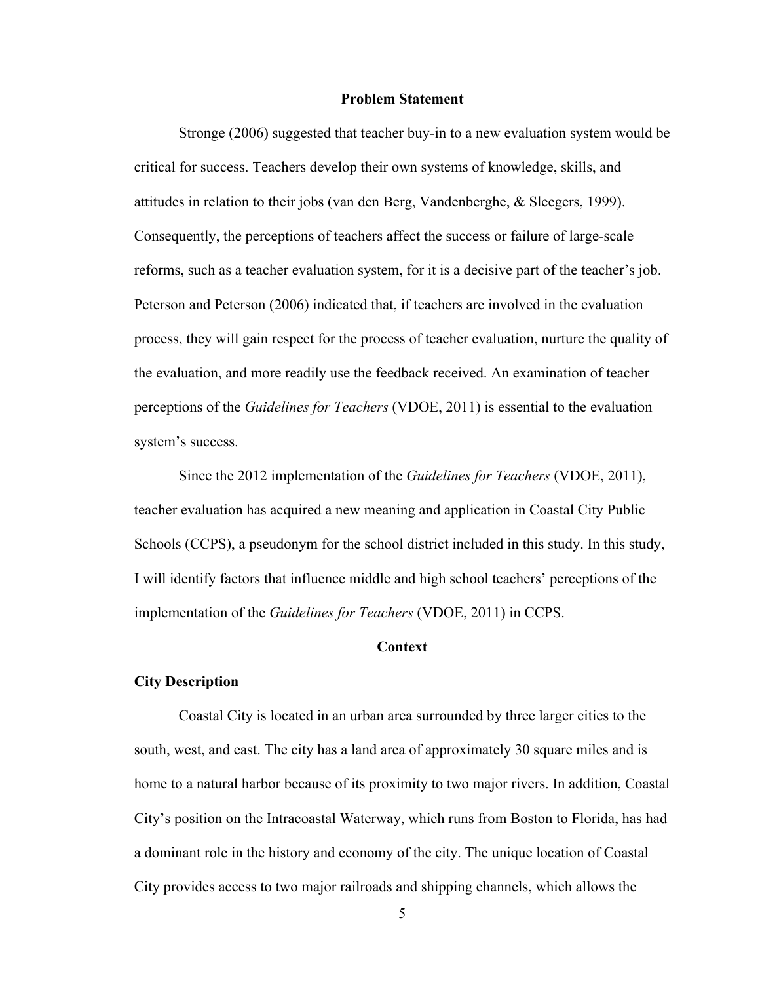#### **Problem Statement**

Stronge (2006) suggested that teacher buy-in to a new evaluation system would be critical for success. Teachers develop their own systems of knowledge, skills, and attitudes in relation to their jobs (van den Berg, Vandenberghe, & Sleegers, 1999). Consequently, the perceptions of teachers affect the success or failure of large-scale reforms, such as a teacher evaluation system, for it is a decisive part of the teacher's job. Peterson and Peterson (2006) indicated that, if teachers are involved in the evaluation process, they will gain respect for the process of teacher evaluation, nurture the quality of the evaluation, and more readily use the feedback received. An examination of teacher perceptions of the *Guidelines for Teachers* (VDOE, 2011) is essential to the evaluation system's success.

Since the 2012 implementation of the *Guidelines for Teachers* (VDOE, 2011), teacher evaluation has acquired a new meaning and application in Coastal City Public Schools (CCPS), a pseudonym for the school district included in this study. In this study, I will identify factors that influence middle and high school teachers' perceptions of the implementation of the *Guidelines for Teachers* (VDOE, 2011) in CCPS.

#### **Context**

#### **City Description**

Coastal City is located in an urban area surrounded by three larger cities to the south, west, and east. The city has a land area of approximately 30 square miles and is home to a natural harbor because of its proximity to two major rivers. In addition, Coastal City's position on the Intracoastal Waterway, which runs from Boston to Florida, has had a dominant role in the history and economy of the city. The unique location of Coastal City provides access to two major railroads and shipping channels, which allows the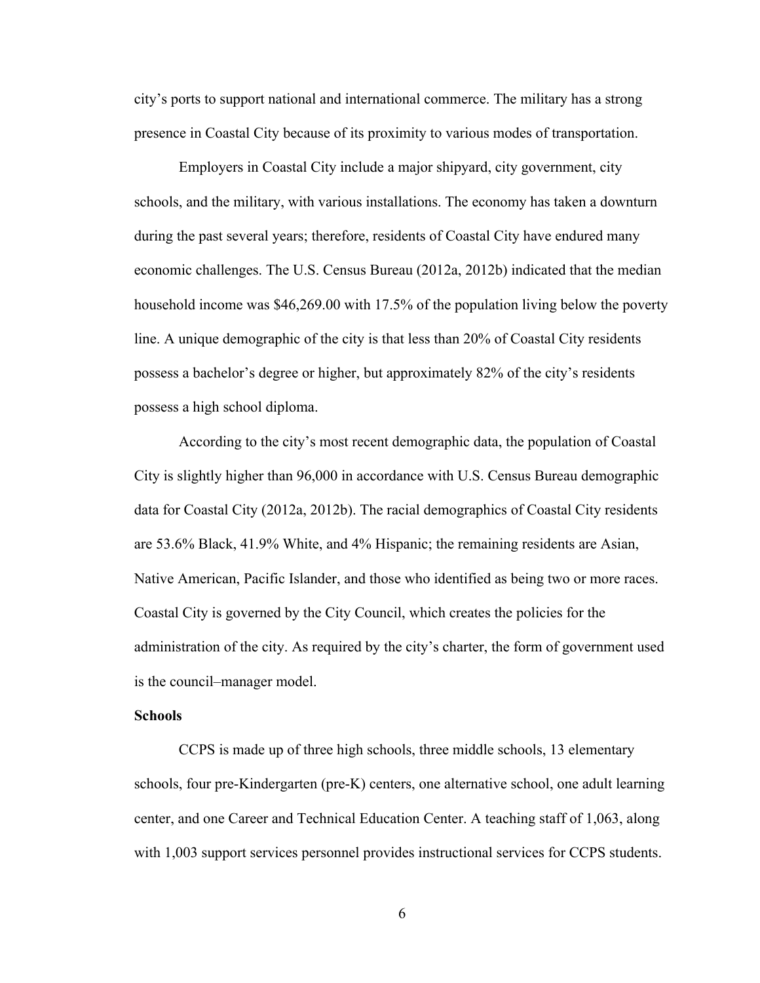city's ports to support national and international commerce. The military has a strong presence in Coastal City because of its proximity to various modes of transportation.

Employers in Coastal City include a major shipyard, city government, city schools, and the military, with various installations. The economy has taken a downturn during the past several years; therefore, residents of Coastal City have endured many economic challenges. The U.S. Census Bureau (2012a, 2012b) indicated that the median household income was \$46,269.00 with 17.5% of the population living below the poverty line. A unique demographic of the city is that less than 20% of Coastal City residents possess a bachelor's degree or higher, but approximately 82% of the city's residents possess a high school diploma.

According to the city's most recent demographic data, the population of Coastal City is slightly higher than 96,000 in accordance with U.S. Census Bureau demographic data for Coastal City (2012a, 2012b). The racial demographics of Coastal City residents are 53.6% Black, 41.9% White, and 4% Hispanic; the remaining residents are Asian, Native American, Pacific Islander, and those who identified as being two or more races. Coastal City is governed by the City Council, which creates the policies for the administration of the city. As required by the city's charter, the form of government used is the council–manager model.

#### **Schools**

CCPS is made up of three high schools, three middle schools, 13 elementary schools, four pre-Kindergarten (pre-K) centers, one alternative school, one adult learning center, and one Career and Technical Education Center. A teaching staff of 1,063, along with 1,003 support services personnel provides instructional services for CCPS students.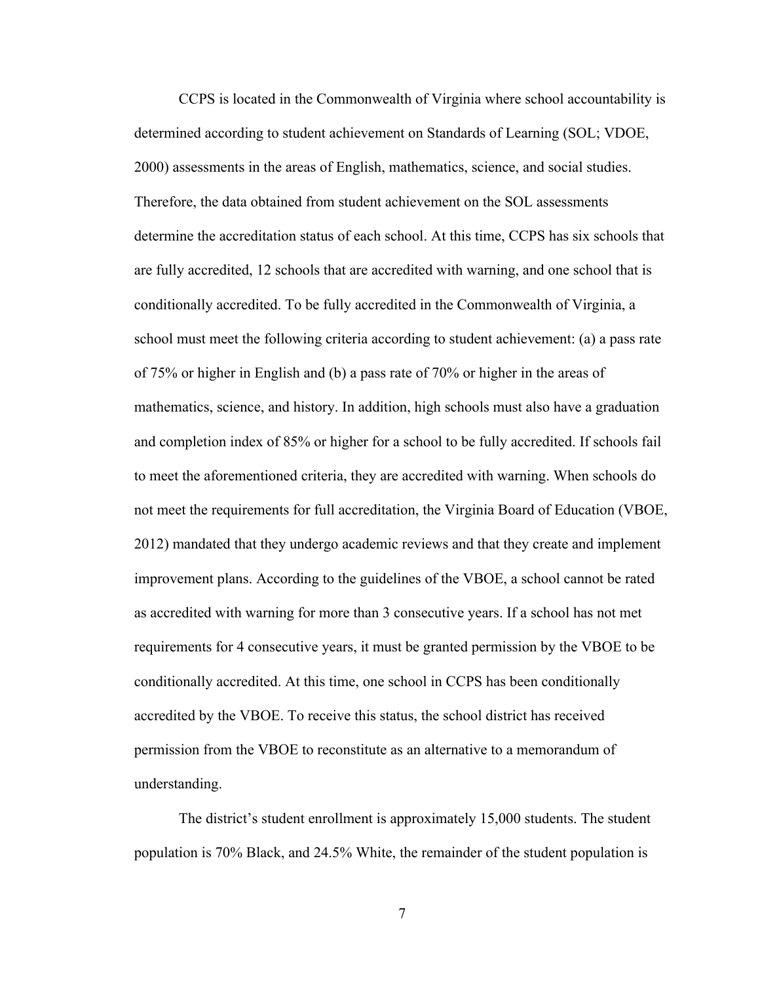CCPS is located in the Commonwealth of Virginia where school accountability is determined according to student achievement on Standards of Learning (SOL; VDOE, 2000) assessments in the areas of English, mathematics, science, and social studies. Therefore, the data obtained from student achievement on the SOL assessments determine the accreditation status of each school. At this time, CCPS has six schools that are fully accredited, 12 schools that are accredited with warning, and one school that is conditionally accredited. To be fully accredited in the Commonwealth of Virginia, a school must meet the following criteria according to student achievement: (a) a pass rate of 75% or higher in English and (b) a pass rate of 70% or higher in the areas of mathematics, science, and history. In addition, high schools must also have a graduation and completion index of 85% or higher for a school to be fully accredited. If schools fail to meet the aforementioned criteria, they are accredited with warning. When schools do not meet the requirements for full accreditation, the Virginia Board of Education (VBOE, 2012) mandated that they undergo academic reviews and that they create and implement improvement plans. According to the guidelines of the VBOE, a school cannot be rated as accredited with warning for more than 3 consecutive years. If a school has not met requirements for 4 consecutive years, it must be granted permission by the VBOE to be conditionally accredited. At this time, one school in CCPS has been conditionally accredited by the VBOE. To receive this status, the school district has received permission from the VBOE to reconstitute as an alternative to a memorandum of understanding.

The district's student enrollment is approximately 15,000 students. The student population is 70% Black, and 24.5% White, the remainder of the student population is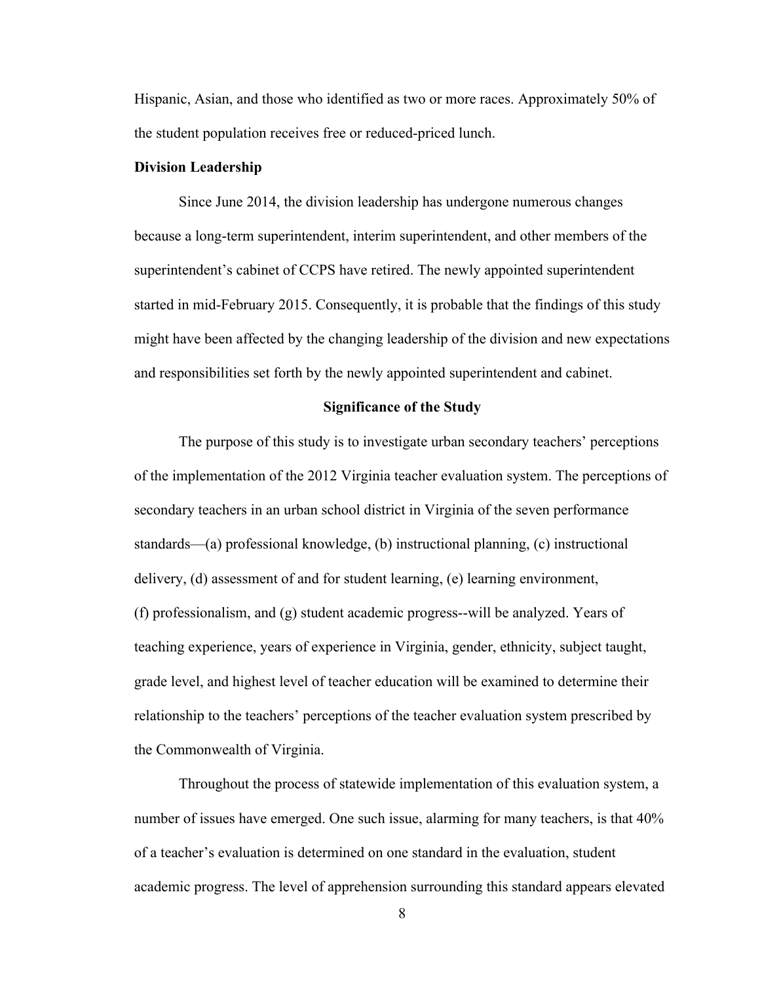Hispanic, Asian, and those who identified as two or more races. Approximately 50% of the student population receives free or reduced-priced lunch.

#### **Division Leadership**

Since June 2014, the division leadership has undergone numerous changes because a long-term superintendent, interim superintendent, and other members of the superintendent's cabinet of CCPS have retired. The newly appointed superintendent started in mid-February 2015. Consequently, it is probable that the findings of this study might have been affected by the changing leadership of the division and new expectations and responsibilities set forth by the newly appointed superintendent and cabinet.

#### **Significance of the Study**

The purpose of this study is to investigate urban secondary teachers' perceptions of the implementation of the 2012 Virginia teacher evaluation system. The perceptions of secondary teachers in an urban school district in Virginia of the seven performance standards—(a) professional knowledge, (b) instructional planning, (c) instructional delivery, (d) assessment of and for student learning, (e) learning environment, (f) professionalism, and (g) student academic progress--will be analyzed. Years of teaching experience, years of experience in Virginia, gender, ethnicity, subject taught, grade level, and highest level of teacher education will be examined to determine their relationship to the teachers' perceptions of the teacher evaluation system prescribed by the Commonwealth of Virginia.

Throughout the process of statewide implementation of this evaluation system, a number of issues have emerged. One such issue, alarming for many teachers, is that 40% of a teacher's evaluation is determined on one standard in the evaluation, student academic progress. The level of apprehension surrounding this standard appears elevated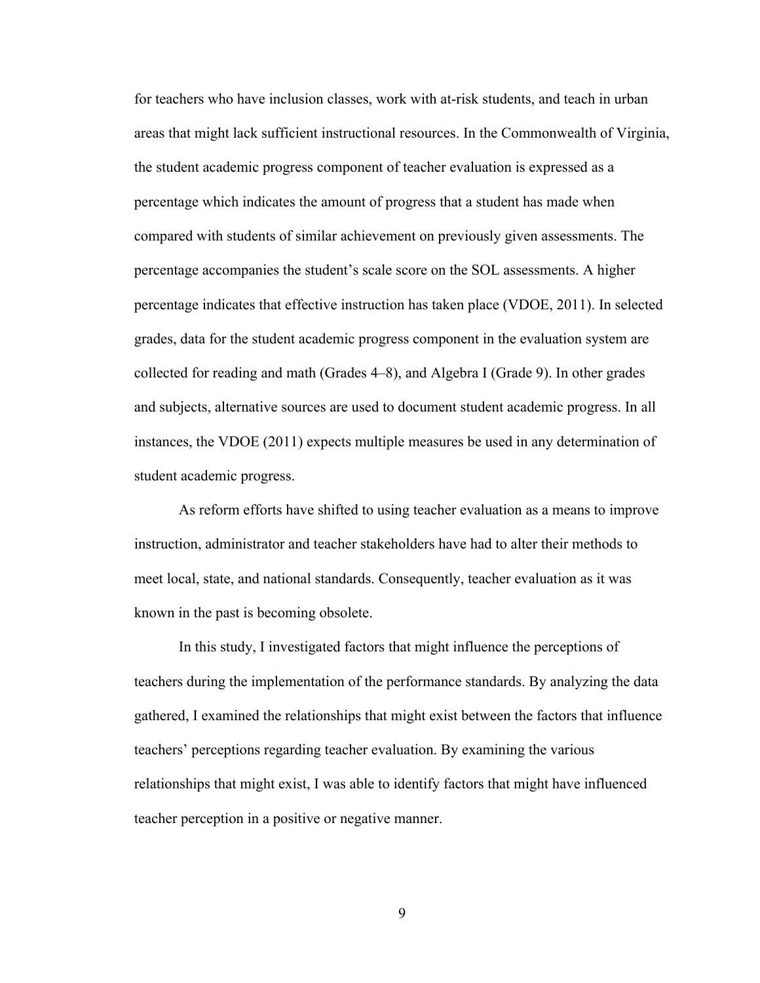for teachers who have inclusion classes, work with at-risk students, and teach in urban areas that might lack sufficient instructional resources. In the Commonwealth of Virginia, the student academic progress component of teacher evaluation is expressed as a percentage which indicates the amount of progress that a student has made when compared with students of similar achievement on previously given assessments. The percentage accompanies the student's scale score on the SOL assessments. A higher percentage indicates that effective instruction has taken place (VDOE, 2011). In selected grades, data for the student academic progress component in the evaluation system are collected for reading and math (Grades 4–8), and Algebra I (Grade 9). In other grades and subjects, alternative sources are used to document student academic progress. In all instances, the VDOE (2011) expects multiple measures be used in any determination of student academic progress.

As reform efforts have shifted to using teacher evaluation as a means to improve instruction, administrator and teacher stakeholders have had to alter their methods to meet local, state, and national standards. Consequently, teacher evaluation as it was known in the past is becoming obsolete.

In this study, I investigated factors that might influence the perceptions of teachers during the implementation of the performance standards. By analyzing the data gathered, I examined the relationships that might exist between the factors that influence teachers' perceptions regarding teacher evaluation. By examining the various relationships that might exist, I was able to identify factors that might have influenced teacher perception in a positive or negative manner.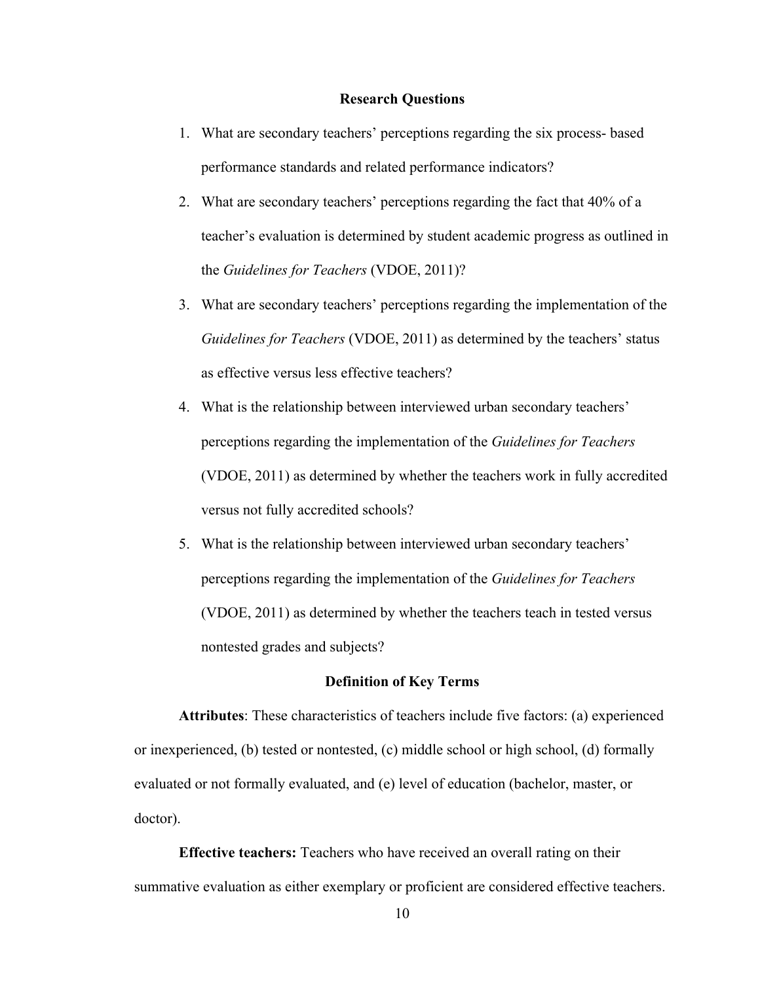#### **Research Questions**

- 1. What are secondary teachers' perceptions regarding the six process- based performance standards and related performance indicators?
- 2. What are secondary teachers' perceptions regarding the fact that 40% of a teacher's evaluation is determined by student academic progress as outlined in the *Guidelines for Teachers* (VDOE, 2011)?
- 3. What are secondary teachers' perceptions regarding the implementation of the *Guidelines for Teachers* (VDOE, 2011) as determined by the teachers' status as effective versus less effective teachers?
- 4. What is the relationship between interviewed urban secondary teachers' perceptions regarding the implementation of the *Guidelines for Teachers* (VDOE, 2011) as determined by whether the teachers work in fully accredited versus not fully accredited schools?
- 5. What is the relationship between interviewed urban secondary teachers' perceptions regarding the implementation of the *Guidelines for Teachers* (VDOE, 2011) as determined by whether the teachers teach in tested versus nontested grades and subjects?

#### **Definition of Key Terms**

**Attributes**: These characteristics of teachers include five factors: (a) experienced or inexperienced, (b) tested or nontested, (c) middle school or high school, (d) formally evaluated or not formally evaluated, and (e) level of education (bachelor, master, or doctor).

**Effective teachers:** Teachers who have received an overall rating on their summative evaluation as either exemplary or proficient are considered effective teachers.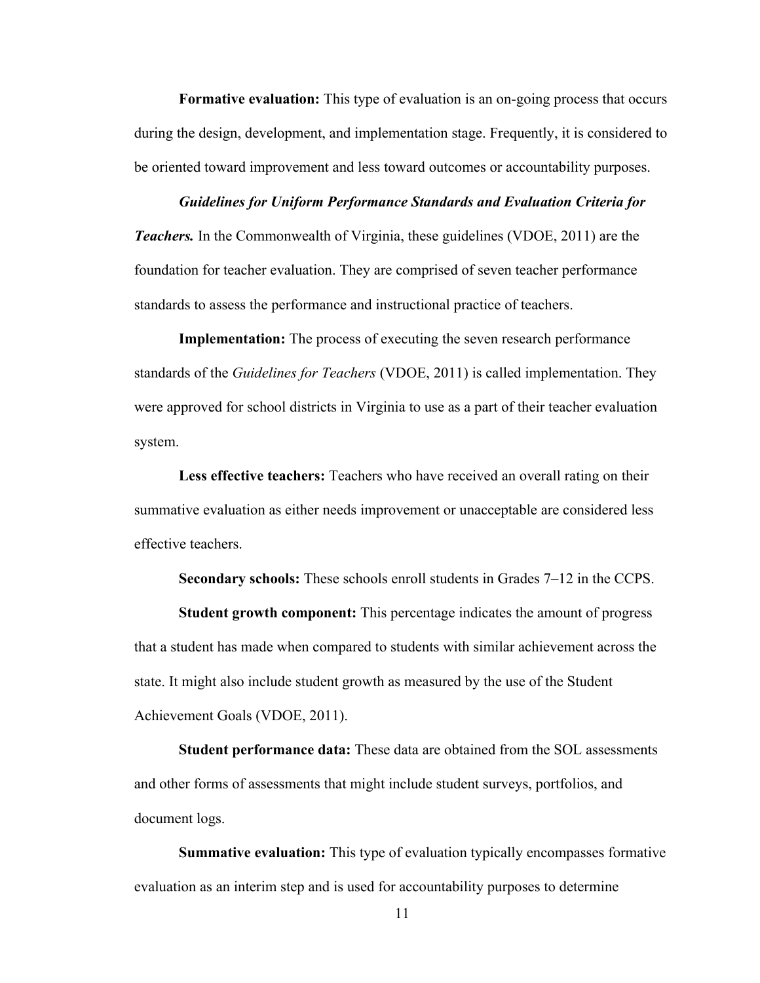**Formative evaluation:** This type of evaluation is an on-going process that occurs during the design, development, and implementation stage. Frequently, it is considered to be oriented toward improvement and less toward outcomes or accountability purposes.

*Guidelines for Uniform Performance Standards and Evaluation Criteria for Teachers.* In the Commonwealth of Virginia, these guidelines (VDOE, 2011) are the foundation for teacher evaluation. They are comprised of seven teacher performance standards to assess the performance and instructional practice of teachers.

**Implementation:** The process of executing the seven research performance standards of the *Guidelines for Teachers* (VDOE, 2011) is called implementation. They were approved for school districts in Virginia to use as a part of their teacher evaluation system.

**Less effective teachers:** Teachers who have received an overall rating on their summative evaluation as either needs improvement or unacceptable are considered less effective teachers.

**Secondary schools:** These schools enroll students in Grades 7–12 in the CCPS.

**Student growth component:** This percentage indicates the amount of progress that a student has made when compared to students with similar achievement across the state. It might also include student growth as measured by the use of the Student Achievement Goals (VDOE, 2011).

**Student performance data:** These data are obtained from the SOL assessments and other forms of assessments that might include student surveys, portfolios, and document logs.

**Summative evaluation:** This type of evaluation typically encompasses formative evaluation as an interim step and is used for accountability purposes to determine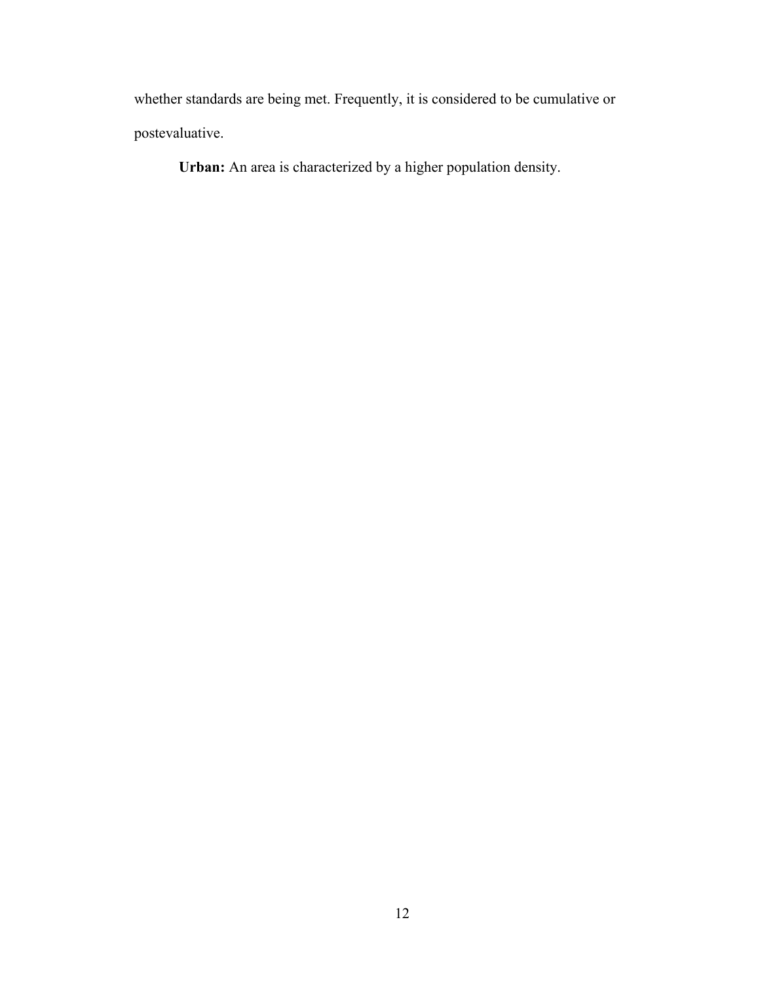whether standards are being met. Frequently, it is considered to be cumulative or postevaluative.

**Urban:** An area is characterized by a higher population density.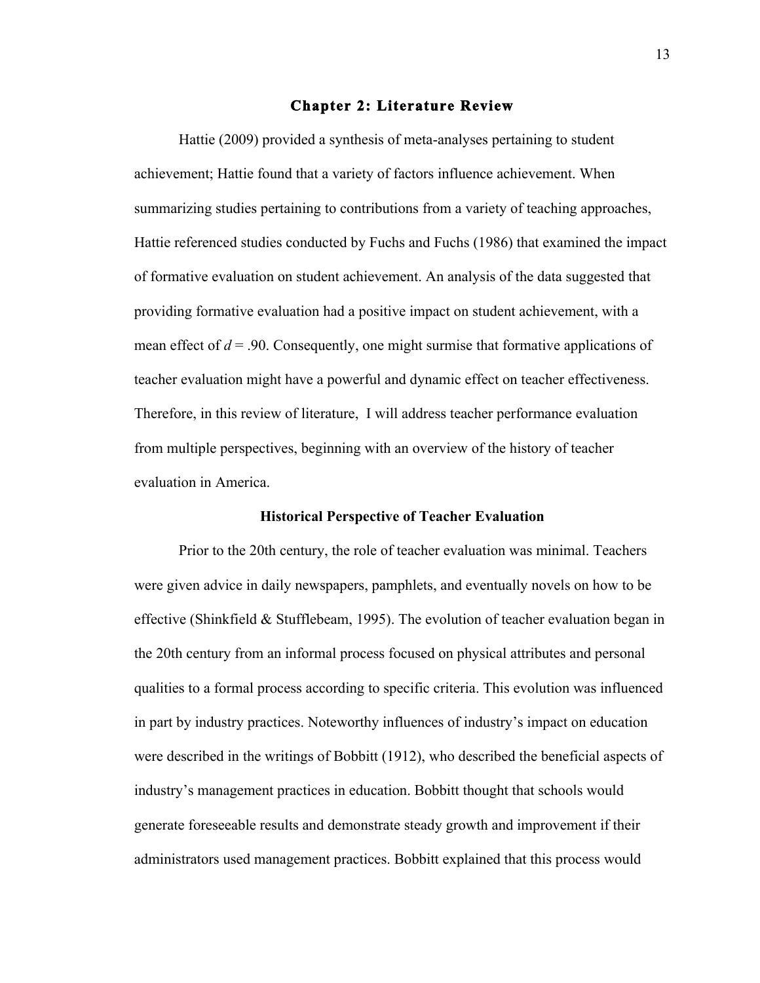#### **Chapter 2: Literature Review**

Hattie (2009) provided a synthesis of meta-analyses pertaining to student achievement; Hattie found that a variety of factors influence achievement. When summarizing studies pertaining to contributions from a variety of teaching approaches, Hattie referenced studies conducted by Fuchs and Fuchs (1986) that examined the impact of formative evaluation on student achievement. An analysis of the data suggested that providing formative evaluation had a positive impact on student achievement, with a mean effect of  $d = 0.90$ . Consequently, one might surmise that formative applications of teacher evaluation might have a powerful and dynamic effect on teacher effectiveness. Therefore, in this review of literature, I will address teacher performance evaluation from multiple perspectives, beginning with an overview of the history of teacher evaluation in America.

#### **Historical Perspective of Teacher Evaluation**

Prior to the 20th century, the role of teacher evaluation was minimal. Teachers were given advice in daily newspapers, pamphlets, and eventually novels on how to be effective (Shinkfield & Stufflebeam, 1995). The evolution of teacher evaluation began in the 20th century from an informal process focused on physical attributes and personal qualities to a formal process according to specific criteria. This evolution was influenced in part by industry practices. Noteworthy influences of industry's impact on education were described in the writings of Bobbitt (1912), who described the beneficial aspects of industry's management practices in education. Bobbitt thought that schools would generate foreseeable results and demonstrate steady growth and improvement if their administrators used management practices. Bobbitt explained that this process would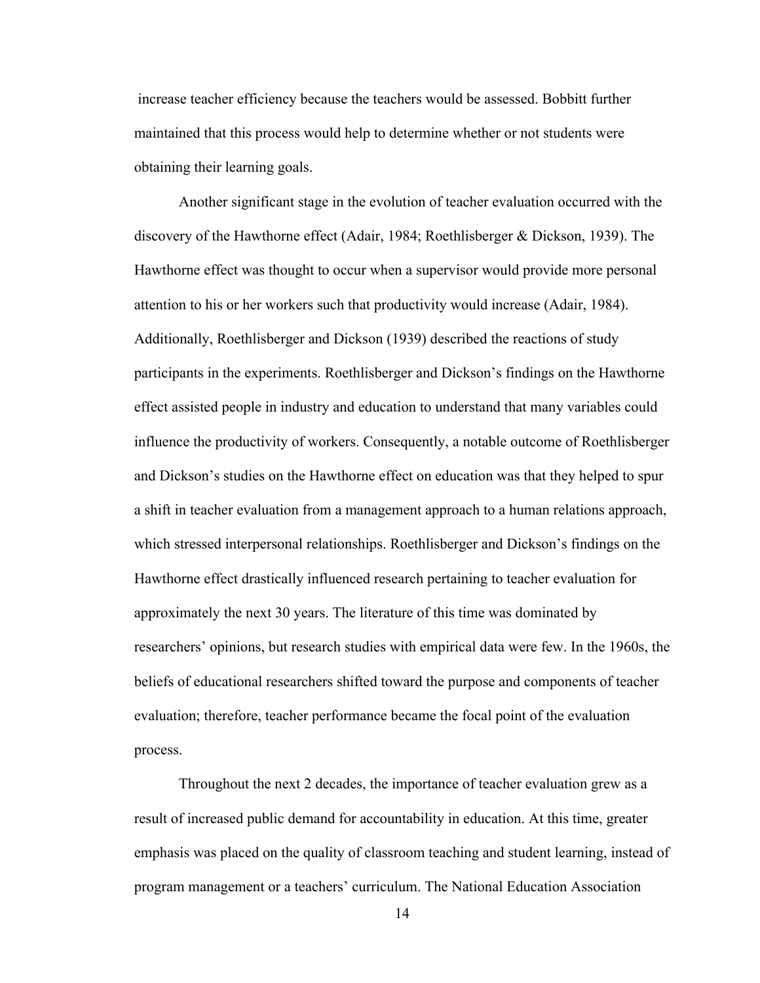increase teacher efficiency because the teachers would be assessed. Bobbitt further maintained that this process would help to determine whether or not students were obtaining their learning goals.

Another significant stage in the evolution of teacher evaluation occurred with the discovery of the Hawthorne effect (Adair, 1984; Roethlisberger & Dickson, 1939). The Hawthorne effect was thought to occur when a supervisor would provide more personal attention to his or her workers such that productivity would increase (Adair, 1984). Additionally, Roethlisberger and Dickson (1939) described the reactions of study participants in the experiments. Roethlisberger and Dickson's findings on the Hawthorne effect assisted people in industry and education to understand that many variables could influence the productivity of workers. Consequently, a notable outcome of Roethlisberger and Dickson's studies on the Hawthorne effect on education was that they helped to spur a shift in teacher evaluation from a management approach to a human relations approach, which stressed interpersonal relationships. Roethlisberger and Dickson's findings on the Hawthorne effect drastically influenced research pertaining to teacher evaluation for approximately the next 30 years. The literature of this time was dominated by researchers' opinions, but research studies with empirical data were few. In the 1960s, the beliefs of educational researchers shifted toward the purpose and components of teacher evaluation; therefore, teacher performance became the focal point of the evaluation process.

Throughout the next 2 decades, the importance of teacher evaluation grew as a result of increased public demand for accountability in education. At this time, greater emphasis was placed on the quality of classroom teaching and student learning, instead of program management or a teachers' curriculum. The National Education Association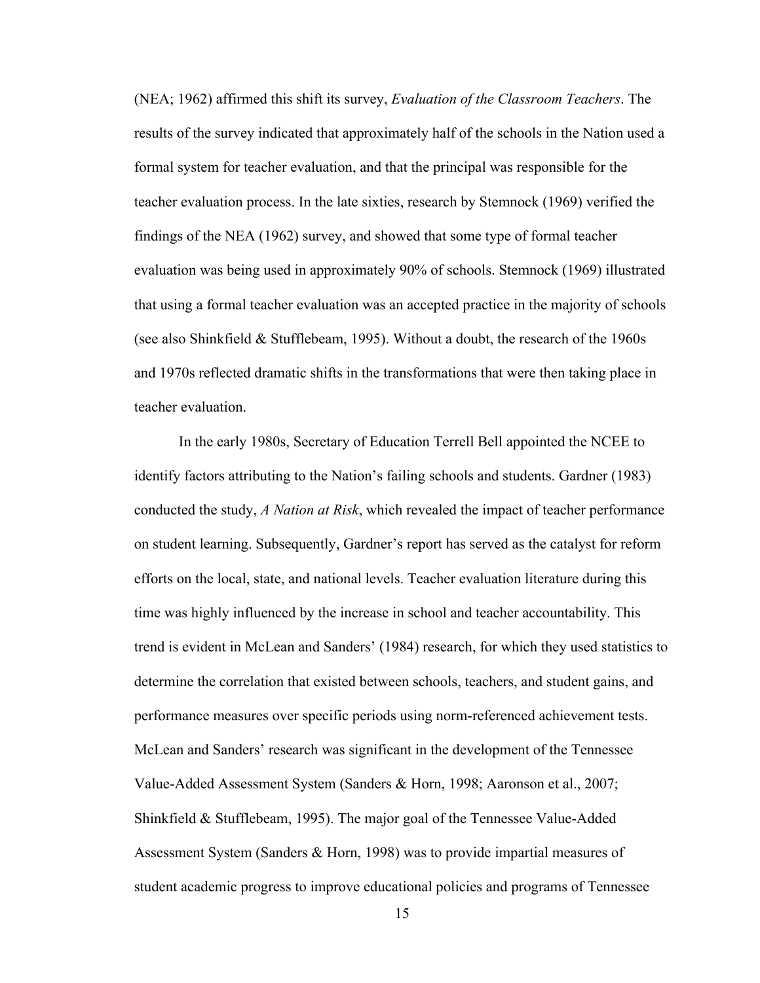(NEA; 1962) affirmed this shift its survey, *Evaluation of the Classroom Teachers*. The results of the survey indicated that approximately half of the schools in the Nation used a formal system for teacher evaluation, and that the principal was responsible for the teacher evaluation process. In the late sixties, research by Stemnock (1969) verified the findings of the NEA (1962) survey, and showed that some type of formal teacher evaluation was being used in approximately 90% of schools. Stemnock (1969) illustrated that using a formal teacher evaluation was an accepted practice in the majority of schools (see also Shinkfield & Stufflebeam, 1995). Without a doubt, the research of the 1960s and 1970s reflected dramatic shifts in the transformations that were then taking place in teacher evaluation.

In the early 1980s, Secretary of Education Terrell Bell appointed the NCEE to identify factors attributing to the Nation's failing schools and students. Gardner (1983) conducted the study, *A Nation at Risk*, which revealed the impact of teacher performance on student learning. Subsequently, Gardner's report has served as the catalyst for reform efforts on the local, state, and national levels. Teacher evaluation literature during this time was highly influenced by the increase in school and teacher accountability. This trend is evident in McLean and Sanders' (1984) research, for which they used statistics to determine the correlation that existed between schools, teachers, and student gains, and performance measures over specific periods using norm-referenced achievement tests. McLean and Sanders' research was significant in the development of the Tennessee Value-Added Assessment System (Sanders & Horn, 1998; Aaronson et al., 2007; Shinkfield & Stufflebeam, 1995). The major goal of the Tennessee Value-Added Assessment System (Sanders & Horn, 1998) was to provide impartial measures of student academic progress to improve educational policies and programs of Tennessee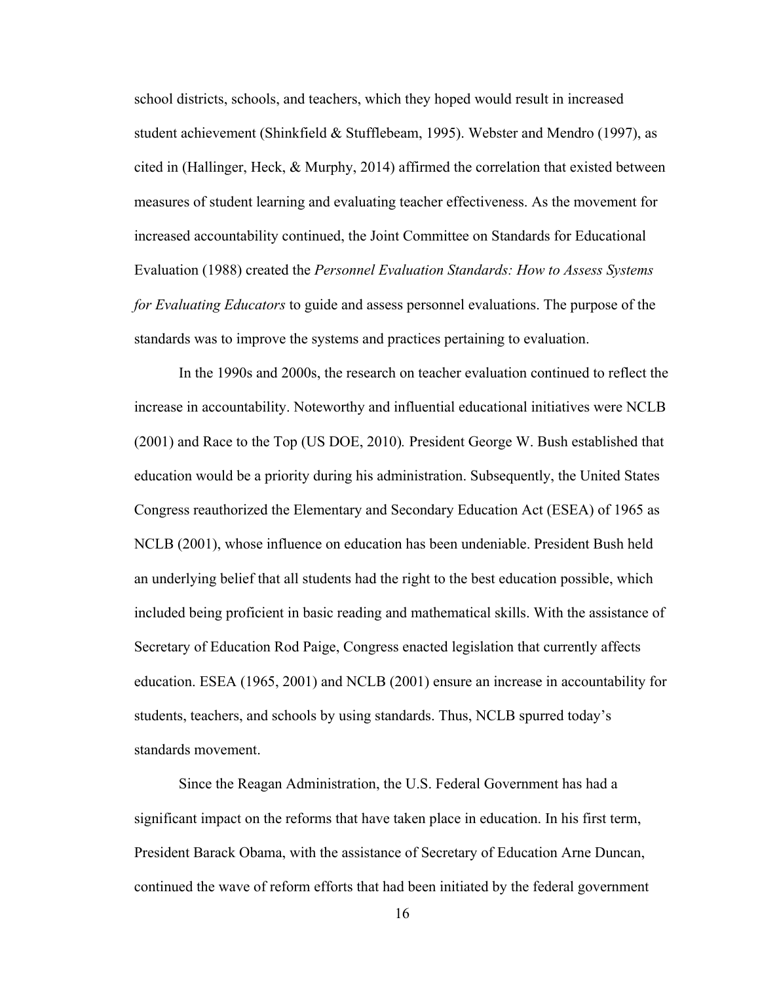school districts, schools, and teachers, which they hoped would result in increased student achievement (Shinkfield & Stufflebeam, 1995). Webster and Mendro (1997), as cited in (Hallinger, Heck, & Murphy, 2014) affirmed the correlation that existed between measures of student learning and evaluating teacher effectiveness. As the movement for increased accountability continued, the Joint Committee on Standards for Educational Evaluation (1988) created the *Personnel Evaluation Standards: How to Assess Systems for Evaluating Educators* to guide and assess personnel evaluations. The purpose of the standards was to improve the systems and practices pertaining to evaluation.

In the 1990s and 2000s, the research on teacher evaluation continued to reflect the increase in accountability. Noteworthy and influential educational initiatives were NCLB (2001) and Race to the Top (US DOE, 2010)*.* President George W. Bush established that education would be a priority during his administration. Subsequently, the United States Congress reauthorized the Elementary and Secondary Education Act (ESEA) of 1965 as NCLB (2001), whose influence on education has been undeniable. President Bush held an underlying belief that all students had the right to the best education possible, which included being proficient in basic reading and mathematical skills. With the assistance of Secretary of Education Rod Paige, Congress enacted legislation that currently affects education. ESEA (1965, 2001) and NCLB (2001) ensure an increase in accountability for students, teachers, and schools by using standards. Thus, NCLB spurred today's standards movement.

Since the Reagan Administration, the U.S. Federal Government has had a significant impact on the reforms that have taken place in education. In his first term, President Barack Obama, with the assistance of Secretary of Education Arne Duncan, continued the wave of reform efforts that had been initiated by the federal government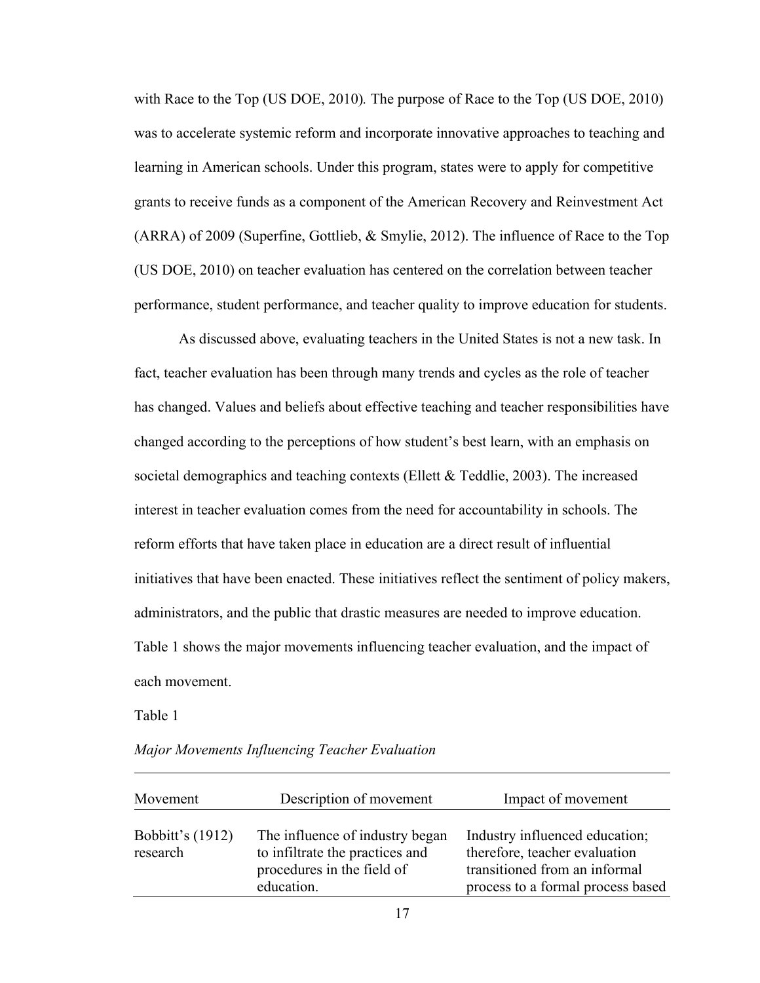with Race to the Top (US DOE, 2010)*.* The purpose of Race to the Top (US DOE, 2010) was to accelerate systemic reform and incorporate innovative approaches to teaching and learning in American schools. Under this program, states were to apply for competitive grants to receive funds as a component of the American Recovery and Reinvestment Act (ARRA) of 2009 (Superfine, Gottlieb, & Smylie, 2012). The influence of Race to the Top (US DOE, 2010) on teacher evaluation has centered on the correlation between teacher performance, student performance, and teacher quality to improve education for students.

As discussed above, evaluating teachers in the United States is not a new task. In fact, teacher evaluation has been through many trends and cycles as the role of teacher has changed. Values and beliefs about effective teaching and teacher responsibilities have changed according to the perceptions of how student's best learn, with an emphasis on societal demographics and teaching contexts (Ellett & Teddlie, 2003). The increased interest in teacher evaluation comes from the need for accountability in schools. The reform efforts that have taken place in education are a direct result of influential initiatives that have been enacted. These initiatives reflect the sentiment of policy makers, administrators, and the public that drastic measures are needed to improve education. Table 1 shows the major movements influencing teacher evaluation, and the impact of each movement.

Table 1

| Movement                            | Description of movement                                                                                        | Impact of movement                                                                                                                    |
|-------------------------------------|----------------------------------------------------------------------------------------------------------------|---------------------------------------------------------------------------------------------------------------------------------------|
| <b>Bobbitt's (1912)</b><br>research | The influence of industry began<br>to infiltrate the practices and<br>procedures in the field of<br>education. | Industry influenced education;<br>therefore, teacher evaluation<br>transitioned from an informal<br>process to a formal process based |

*Major Movements Influencing Teacher Evaluation*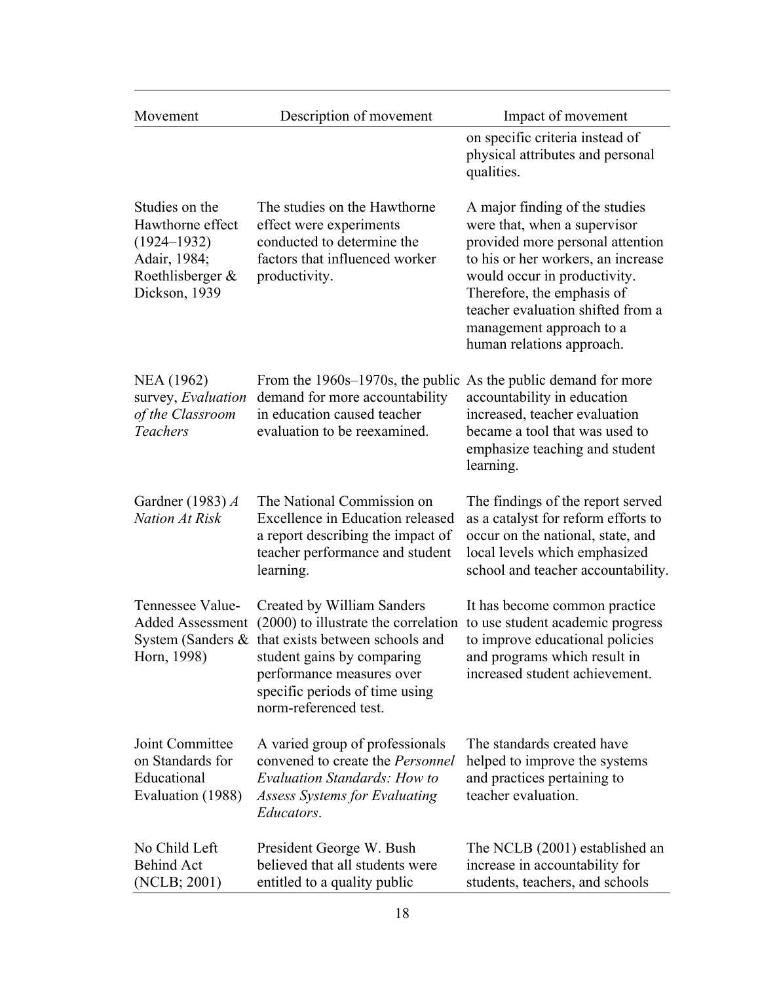| Movement                                                                                                      | Description of movement                                                                                                                                                                                                                       | Impact of movement                                                                                                                                                                                                                                                                                   |
|---------------------------------------------------------------------------------------------------------------|-----------------------------------------------------------------------------------------------------------------------------------------------------------------------------------------------------------------------------------------------|------------------------------------------------------------------------------------------------------------------------------------------------------------------------------------------------------------------------------------------------------------------------------------------------------|
|                                                                                                               |                                                                                                                                                                                                                                               | on specific criteria instead of<br>physical attributes and personal<br>qualities.                                                                                                                                                                                                                    |
| Studies on the<br>Hawthorne effect<br>$(1924 - 1932)$<br>Adair, 1984;<br>Roethlisberger $\&$<br>Dickson, 1939 | The studies on the Hawthorne<br>effect were experiments<br>conducted to determine the<br>factors that influenced worker<br>productivity.                                                                                                      | A major finding of the studies<br>were that, when a supervisor<br>provided more personal attention<br>to his or her workers, an increase<br>would occur in productivity.<br>Therefore, the emphasis of<br>teacher evaluation shifted from a<br>management approach to a<br>human relations approach. |
| NEA (1962)<br>survey, Evaluation<br>of the Classroom<br><b>Teachers</b>                                       | From the $1960s-1970s$ , the public<br>demand for more accountability<br>in education caused teacher<br>evaluation to be reexamined.                                                                                                          | As the public demand for more<br>accountability in education<br>increased, teacher evaluation<br>became a tool that was used to<br>emphasize teaching and student<br>learning.                                                                                                                       |
| Gardner $(1983)$ A<br><b>Nation At Risk</b>                                                                   | The National Commission on<br>Excellence in Education released<br>a report describing the impact of<br>teacher performance and student<br>learning.                                                                                           | The findings of the report served<br>as a catalyst for reform efforts to<br>occur on the national, state, and<br>local levels which emphasized<br>school and teacher accountability.                                                                                                                 |
| Tennessee Value-<br>Added Assessment<br>Horn, 1998)                                                           | Created by William Sanders<br>(2000) to illustrate the correlation<br>System (Sanders & that exists between schools and<br>student gains by comparing<br>performance measures over<br>specific periods of time using<br>norm-referenced test. | It has become common practice<br>to use student academic progress<br>to improve educational policies<br>and programs which result in<br>increased student achievement.                                                                                                                               |
| Joint Committee<br>on Standards for<br>Educational<br>Evaluation (1988)                                       | A varied group of professionals<br>convened to create the Personnel<br><b>Evaluation Standards: How to</b><br><b>Assess Systems for Evaluating</b><br>Educators.                                                                              | The standards created have<br>helped to improve the systems<br>and practices pertaining to<br>teacher evaluation.                                                                                                                                                                                    |
| No Child Left<br><b>Behind Act</b><br>(NCLB; 2001)                                                            | President George W. Bush<br>believed that all students were<br>entitled to a quality public                                                                                                                                                   | The NCLB (2001) established an<br>increase in accountability for<br>students, teachers, and schools                                                                                                                                                                                                  |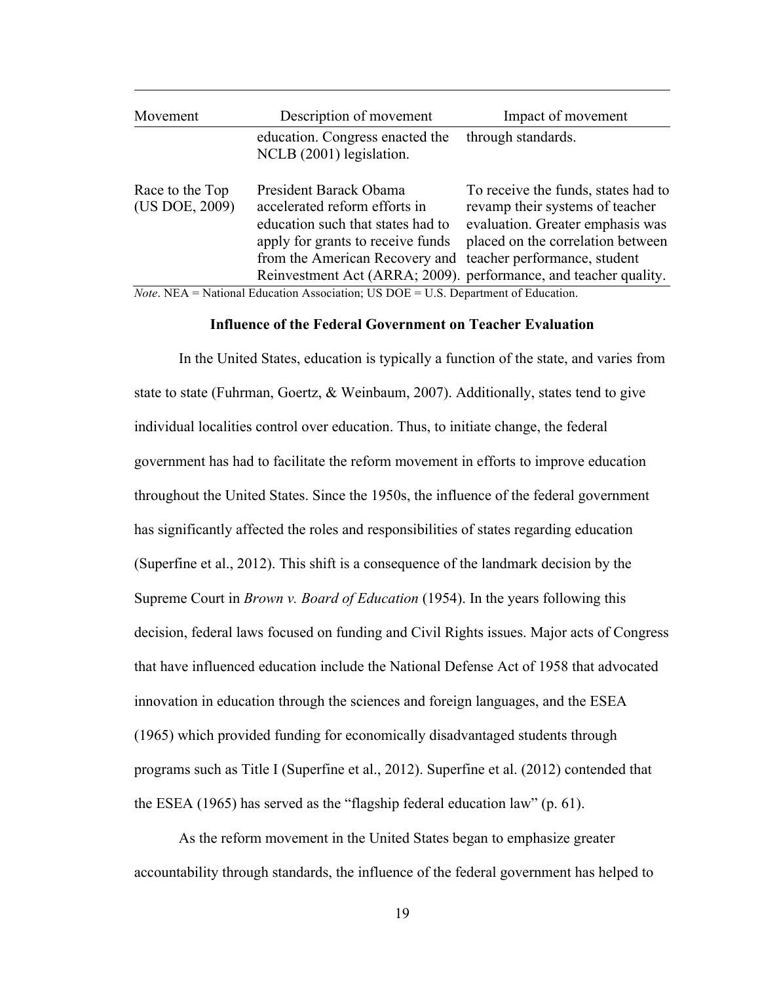| Movement                          | Description of movement                                                                                                                                                                          | Impact of movement                                                                                                                                                                                                  |
|-----------------------------------|--------------------------------------------------------------------------------------------------------------------------------------------------------------------------------------------------|---------------------------------------------------------------------------------------------------------------------------------------------------------------------------------------------------------------------|
|                                   | education. Congress enacted the<br>NCLB (2001) legislation.                                                                                                                                      | through standards.                                                                                                                                                                                                  |
| Race to the Top<br>(US DOE, 2009) | President Barack Obama<br>accelerated reform efforts in<br>education such that states had to<br>apply for grants to receive funds<br>from the American Recovery and teacher performance, student | To receive the funds, states had to<br>revamp their systems of teacher<br>evaluation. Greater emphasis was<br>placed on the correlation between<br>Reinvestment Act (ARRA; 2009). performance, and teacher quality. |

Education Association; US DOE = U.S. Department of Education.

#### **Influence of the Federal Government on Teacher Evaluation**

In the United States, education is typically a function of the state, and varies from state to state (Fuhrman, Goertz, & Weinbaum, 2007). Additionally, states tend to give individual localities control over education. Thus, to initiate change, the federal government has had to facilitate the reform movement in efforts to improve education throughout the United States. Since the 1950s, the influence of the federal government has significantly affected the roles and responsibilities of states regarding education (Superfine et al., 2012). This shift is a consequence of the landmark decision by the Supreme Court in *Brown v. Board of Education* (1954). In the years following this decision, federal laws focused on funding and Civil Rights issues. Major acts of Congress that have influenced education include the National Defense Act of 1958 that advocated innovation in education through the sciences and foreign languages, and the ESEA (1965) which provided funding for economically disadvantaged students through programs such as Title I (Superfine et al., 2012). Superfine et al. (2012) contended that the ESEA (1965) has served as the "flagship federal education law" (p. 61).

As the reform movement in the United States began to emphasize greater accountability through standards, the influence of the federal government has helped to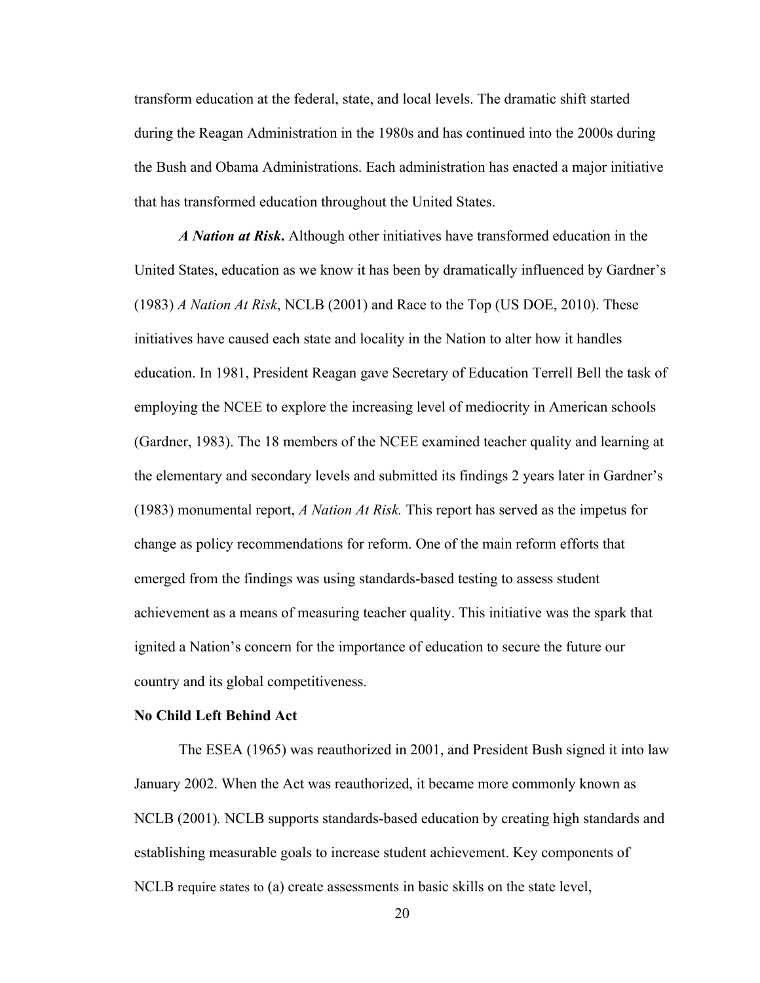transform education at the federal, state, and local levels. The dramatic shift started during the Reagan Administration in the 1980s and has continued into the 2000s during the Bush and Obama Administrations. Each administration has enacted a major initiative that has transformed education throughout the United States.

*A Nation at Risk***.** Although other initiatives have transformed education in the United States, education as we know it has been by dramatically influenced by Gardner's (1983) *A Nation At Risk*, NCLB (2001) and Race to the Top (US DOE, 2010). These initiatives have caused each state and locality in the Nation to alter how it handles education. In 1981, President Reagan gave Secretary of Education Terrell Bell the task of employing the NCEE to explore the increasing level of mediocrity in American schools (Gardner, 1983). The 18 members of the NCEE examined teacher quality and learning at the elementary and secondary levels and submitted its findings 2 years later in Gardner's (1983) monumental report, *A Nation At Risk.* This report has served as the impetus for change as policy recommendations for reform. One of the main reform efforts that emerged from the findings was using standards-based testing to assess student achievement as a means of measuring teacher quality. This initiative was the spark that ignited a Nation's concern for the importance of education to secure the future our country and its global competitiveness.

#### **No Child Left Behind Act**

The ESEA (1965) was reauthorized in 2001, and President Bush signed it into law January 2002. When the Act was reauthorized, it became more commonly known as NCLB (2001)*.* NCLB supports standards-based education by creating high standards and establishing measurable goals to increase student achievement. Key components of NCLB require states to (a) create assessments in basic skills on the state level,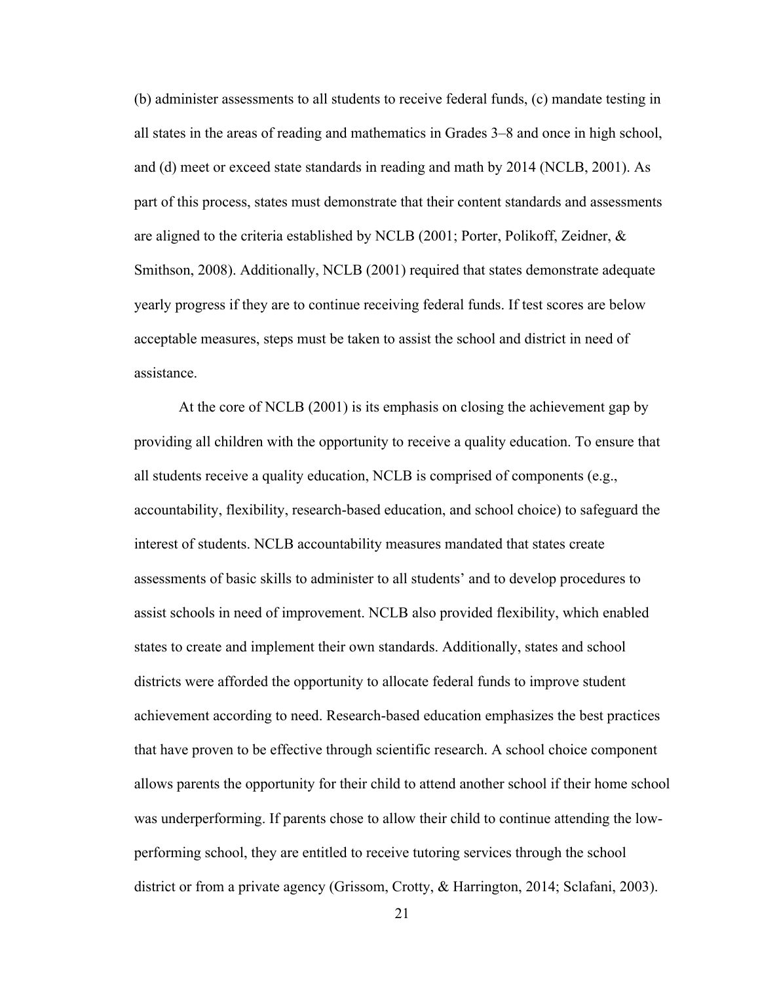(b) administer assessments to all students to receive federal funds, (c) mandate testing in all states in the areas of reading and mathematics in Grades 3–8 and once in high school, and (d) meet or exceed state standards in reading and math by 2014 (NCLB, 2001). As part of this process, states must demonstrate that their content standards and assessments are aligned to the criteria established by NCLB (2001; Porter, Polikoff, Zeidner, & Smithson, 2008). Additionally, NCLB (2001) required that states demonstrate adequate yearly progress if they are to continue receiving federal funds. If test scores are below acceptable measures, steps must be taken to assist the school and district in need of assistance.

At the core of NCLB (2001) is its emphasis on closing the achievement gap by providing all children with the opportunity to receive a quality education. To ensure that all students receive a quality education, NCLB is comprised of components (e.g., accountability, flexibility, research-based education, and school choice) to safeguard the interest of students. NCLB accountability measures mandated that states create assessments of basic skills to administer to all students' and to develop procedures to assist schools in need of improvement. NCLB also provided flexibility, which enabled states to create and implement their own standards. Additionally, states and school districts were afforded the opportunity to allocate federal funds to improve student achievement according to need. Research-based education emphasizes the best practices that have proven to be effective through scientific research. A school choice component allows parents the opportunity for their child to attend another school if their home school was underperforming. If parents chose to allow their child to continue attending the lowperforming school, they are entitled to receive tutoring services through the school district or from a private agency (Grissom, Crotty, & Harrington, 2014; Sclafani, 2003).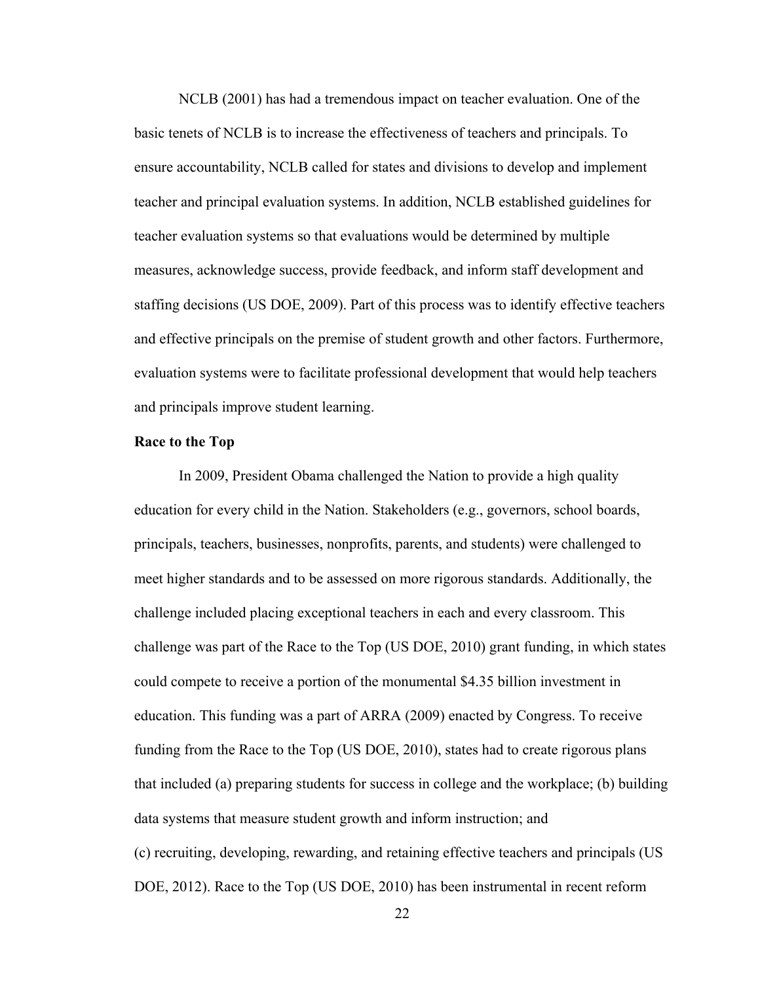NCLB (2001) has had a tremendous impact on teacher evaluation. One of the basic tenets of NCLB is to increase the effectiveness of teachers and principals. To ensure accountability, NCLB called for states and divisions to develop and implement teacher and principal evaluation systems. In addition, NCLB established guidelines for teacher evaluation systems so that evaluations would be determined by multiple measures, acknowledge success, provide feedback, and inform staff development and staffing decisions (US DOE, 2009). Part of this process was to identify effective teachers and effective principals on the premise of student growth and other factors. Furthermore, evaluation systems were to facilitate professional development that would help teachers and principals improve student learning.

#### **Race to the Top**

In 2009, President Obama challenged the Nation to provide a high quality education for every child in the Nation. Stakeholders (e.g., governors, school boards, principals, teachers, businesses, nonprofits, parents, and students) were challenged to meet higher standards and to be assessed on more rigorous standards. Additionally, the challenge included placing exceptional teachers in each and every classroom. This challenge was part of the Race to the Top (US DOE, 2010) grant funding, in which states could compete to receive a portion of the monumental \$4.35 billion investment in education. This funding was a part of ARRA (2009) enacted by Congress. To receive funding from the Race to the Top (US DOE, 2010), states had to create rigorous plans that included (a) preparing students for success in college and the workplace; (b) building data systems that measure student growth and inform instruction; and (c) recruiting, developing, rewarding, and retaining effective teachers and principals (US DOE, 2012). Race to the Top (US DOE, 2010) has been instrumental in recent reform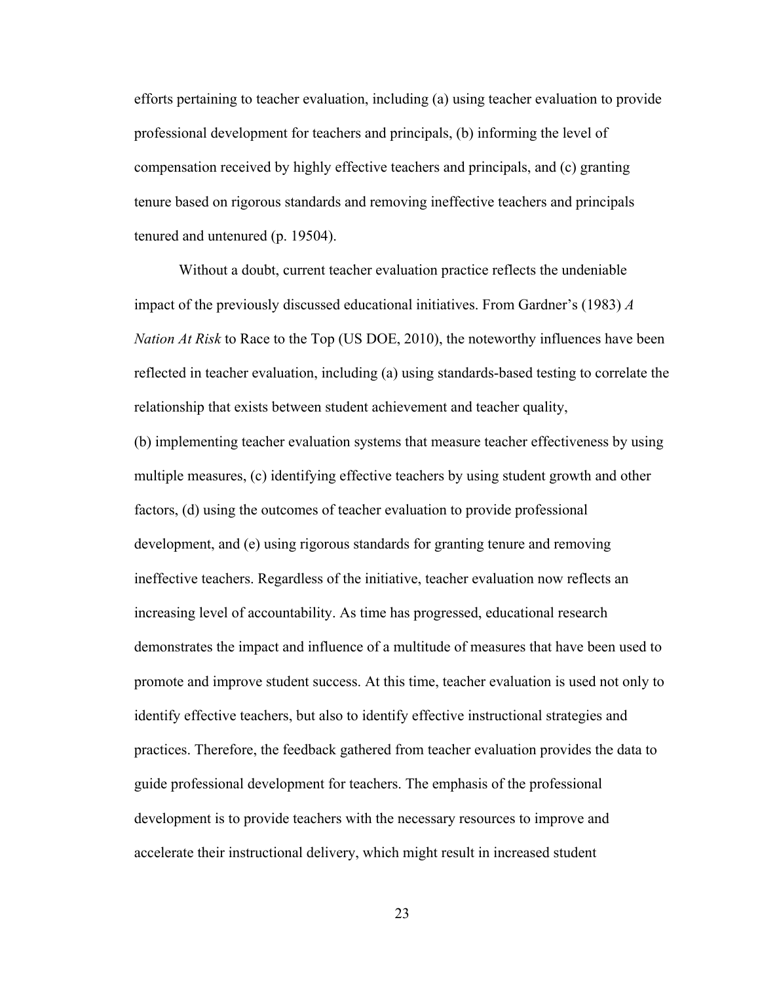efforts pertaining to teacher evaluation, including (a) using teacher evaluation to provide professional development for teachers and principals, (b) informing the level of compensation received by highly effective teachers and principals, and (c) granting tenure based on rigorous standards and removing ineffective teachers and principals tenured and untenured (p. 19504).

Without a doubt, current teacher evaluation practice reflects the undeniable impact of the previously discussed educational initiatives. From Gardner's (1983) *A Nation At Risk* to Race to the Top (US DOE, 2010), the noteworthy influences have been reflected in teacher evaluation, including (a) using standards-based testing to correlate the relationship that exists between student achievement and teacher quality,

(b) implementing teacher evaluation systems that measure teacher effectiveness by using multiple measures, (c) identifying effective teachers by using student growth and other factors, (d) using the outcomes of teacher evaluation to provide professional development, and (e) using rigorous standards for granting tenure and removing ineffective teachers. Regardless of the initiative, teacher evaluation now reflects an increasing level of accountability. As time has progressed, educational research demonstrates the impact and influence of a multitude of measures that have been used to promote and improve student success. At this time, teacher evaluation is used not only to identify effective teachers, but also to identify effective instructional strategies and practices. Therefore, the feedback gathered from teacher evaluation provides the data to guide professional development for teachers. The emphasis of the professional development is to provide teachers with the necessary resources to improve and accelerate their instructional delivery, which might result in increased student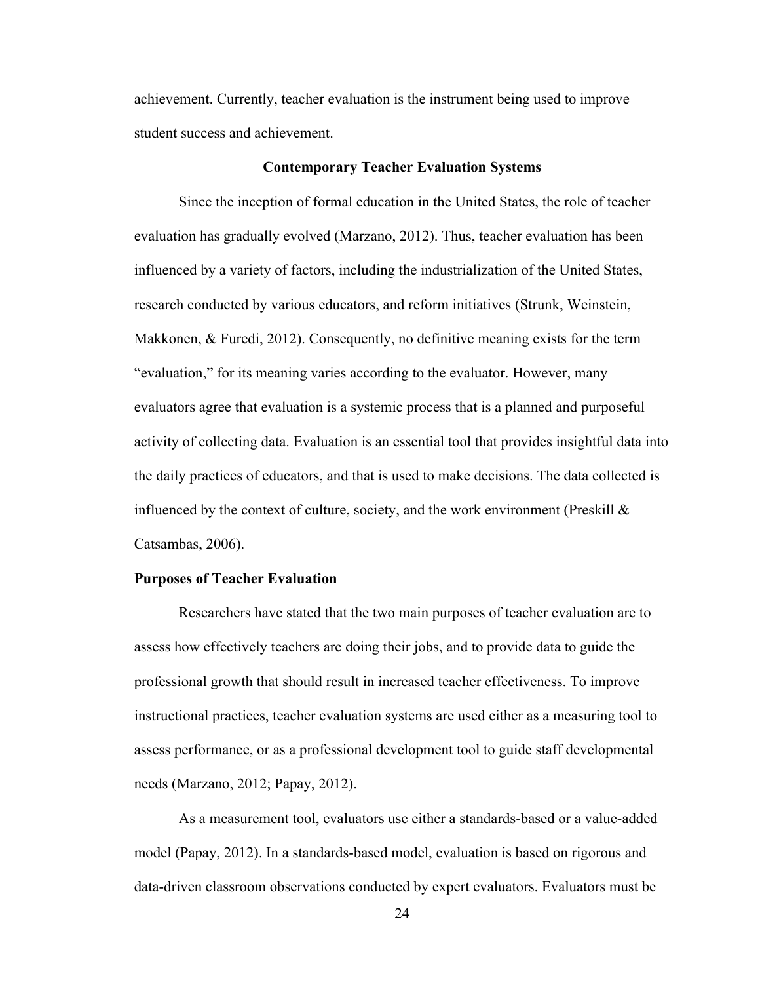achievement. Currently, teacher evaluation is the instrument being used to improve student success and achievement.

#### **Contemporary Teacher Evaluation Systems**

Since the inception of formal education in the United States, the role of teacher evaluation has gradually evolved (Marzano, 2012). Thus, teacher evaluation has been influenced by a variety of factors, including the industrialization of the United States, research conducted by various educators, and reform initiatives (Strunk, Weinstein, Makkonen, & Furedi, 2012). Consequently, no definitive meaning exists for the term "evaluation," for its meaning varies according to the evaluator. However, many evaluators agree that evaluation is a systemic process that is a planned and purposeful activity of collecting data. Evaluation is an essential tool that provides insightful data into the daily practices of educators, and that is used to make decisions. The data collected is influenced by the context of culture, society, and the work environment (Preskill  $\&$ Catsambas, 2006).

# **Purposes of Teacher Evaluation**

Researchers have stated that the two main purposes of teacher evaluation are to assess how effectively teachers are doing their jobs, and to provide data to guide the professional growth that should result in increased teacher effectiveness. To improve instructional practices, teacher evaluation systems are used either as a measuring tool to assess performance, or as a professional development tool to guide staff developmental needs (Marzano, 2012; Papay, 2012).

As a measurement tool, evaluators use either a standards-based or a value-added model (Papay, 2012). In a standards-based model, evaluation is based on rigorous and data-driven classroom observations conducted by expert evaluators. Evaluators must be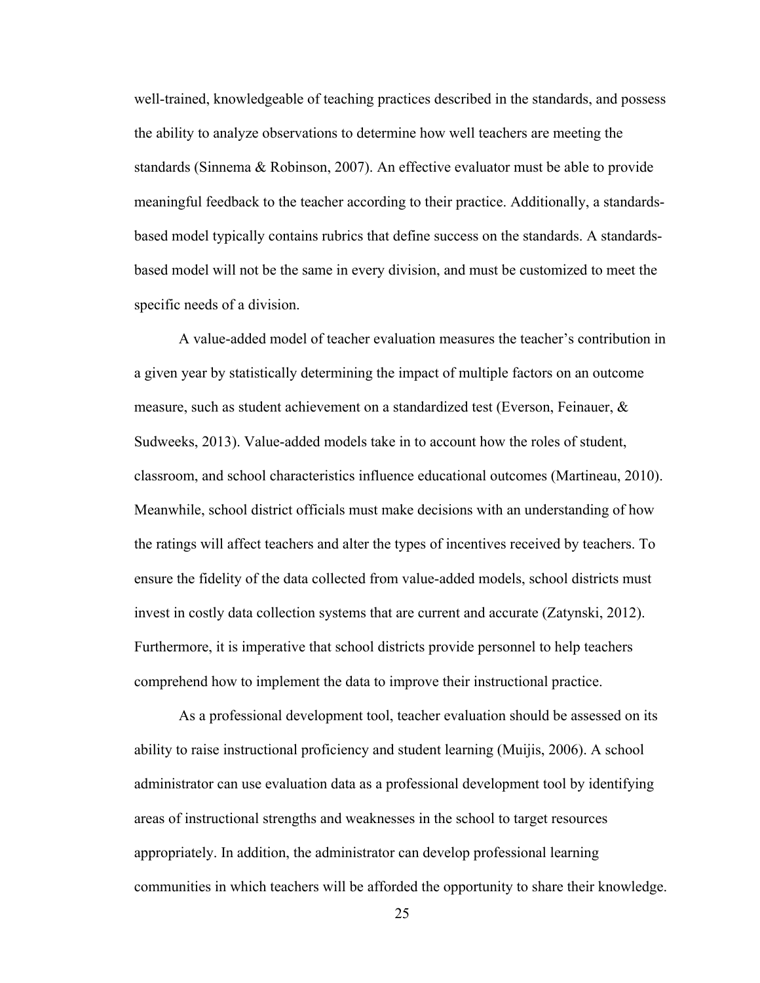well-trained, knowledgeable of teaching practices described in the standards, and possess the ability to analyze observations to determine how well teachers are meeting the standards (Sinnema & Robinson, 2007). An effective evaluator must be able to provide meaningful feedback to the teacher according to their practice. Additionally, a standardsbased model typically contains rubrics that define success on the standards. A standardsbased model will not be the same in every division, and must be customized to meet the specific needs of a division.

A value-added model of teacher evaluation measures the teacher's contribution in a given year by statistically determining the impact of multiple factors on an outcome measure, such as student achievement on a standardized test (Everson, Feinauer, & Sudweeks, 2013). Value-added models take in to account how the roles of student, classroom, and school characteristics influence educational outcomes (Martineau, 2010). Meanwhile, school district officials must make decisions with an understanding of how the ratings will affect teachers and alter the types of incentives received by teachers. To ensure the fidelity of the data collected from value-added models, school districts must invest in costly data collection systems that are current and accurate (Zatynski, 2012). Furthermore, it is imperative that school districts provide personnel to help teachers comprehend how to implement the data to improve their instructional practice.

As a professional development tool, teacher evaluation should be assessed on its ability to raise instructional proficiency and student learning (Muijis, 2006). A school administrator can use evaluation data as a professional development tool by identifying areas of instructional strengths and weaknesses in the school to target resources appropriately. In addition, the administrator can develop professional learning communities in which teachers will be afforded the opportunity to share their knowledge.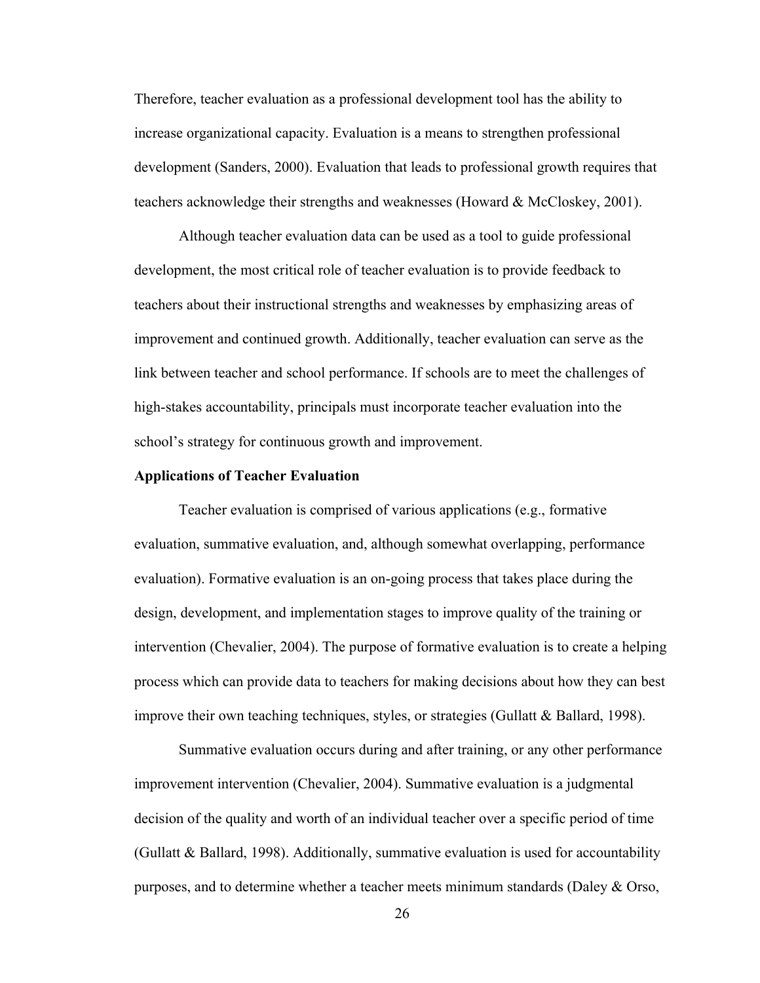Therefore, teacher evaluation as a professional development tool has the ability to increase organizational capacity. Evaluation is a means to strengthen professional development (Sanders, 2000). Evaluation that leads to professional growth requires that teachers acknowledge their strengths and weaknesses (Howard & McCloskey, 2001).

Although teacher evaluation data can be used as a tool to guide professional development, the most critical role of teacher evaluation is to provide feedback to teachers about their instructional strengths and weaknesses by emphasizing areas of improvement and continued growth. Additionally, teacher evaluation can serve as the link between teacher and school performance. If schools are to meet the challenges of high-stakes accountability, principals must incorporate teacher evaluation into the school's strategy for continuous growth and improvement.

#### **Applications of Teacher Evaluation**

Teacher evaluation is comprised of various applications (e.g., formative evaluation, summative evaluation, and, although somewhat overlapping, performance evaluation). Formative evaluation is an on-going process that takes place during the design, development, and implementation stages to improve quality of the training or intervention (Chevalier, 2004). The purpose of formative evaluation is to create a helping process which can provide data to teachers for making decisions about how they can best improve their own teaching techniques, styles, or strategies (Gullatt & Ballard, 1998).

Summative evaluation occurs during and after training, or any other performance improvement intervention (Chevalier, 2004). Summative evaluation is a judgmental decision of the quality and worth of an individual teacher over a specific period of time (Gullatt & Ballard, 1998). Additionally, summative evaluation is used for accountability purposes, and to determine whether a teacher meets minimum standards (Daley & Orso,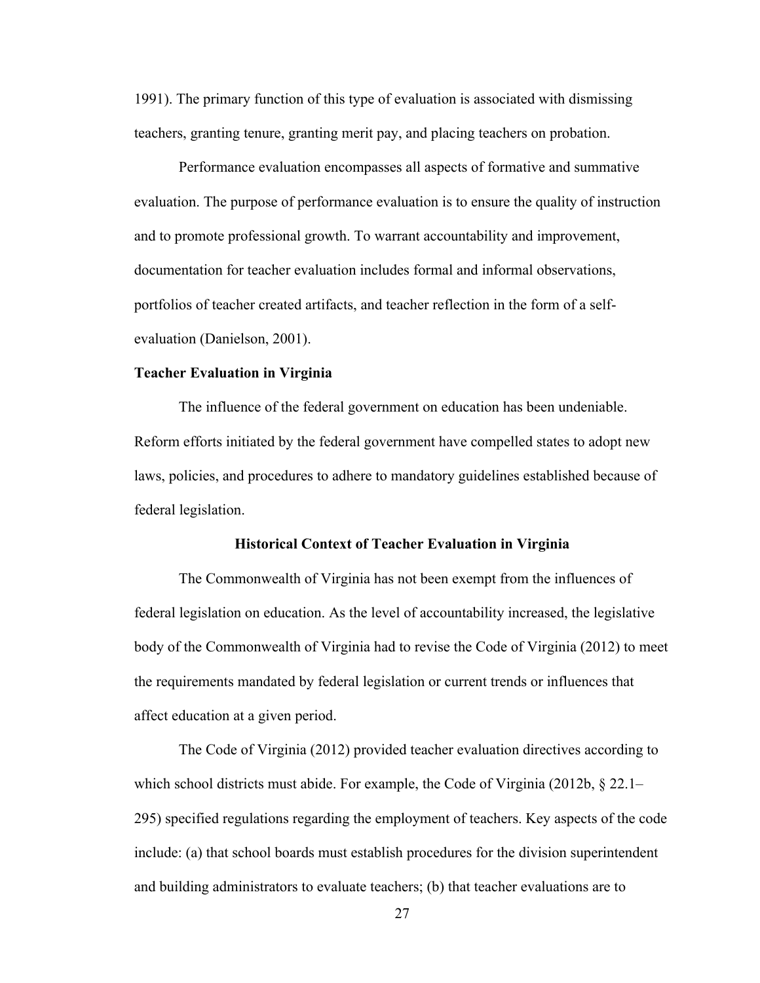1991). The primary function of this type of evaluation is associated with dismissing teachers, granting tenure, granting merit pay, and placing teachers on probation.

Performance evaluation encompasses all aspects of formative and summative evaluation. The purpose of performance evaluation is to ensure the quality of instruction and to promote professional growth. To warrant accountability and improvement, documentation for teacher evaluation includes formal and informal observations, portfolios of teacher created artifacts, and teacher reflection in the form of a selfevaluation (Danielson, 2001).

#### **Teacher Evaluation in Virginia**

The influence of the federal government on education has been undeniable. Reform efforts initiated by the federal government have compelled states to adopt new laws, policies, and procedures to adhere to mandatory guidelines established because of federal legislation.

#### **Historical Context of Teacher Evaluation in Virginia**

The Commonwealth of Virginia has not been exempt from the influences of federal legislation on education. As the level of accountability increased, the legislative body of the Commonwealth of Virginia had to revise the Code of Virginia (2012) to meet the requirements mandated by federal legislation or current trends or influences that affect education at a given period.

The Code of Virginia (2012) provided teacher evaluation directives according to which school districts must abide. For example, the Code of Virginia (2012b, § 22.1– 295) specified regulations regarding the employment of teachers. Key aspects of the code include: (a) that school boards must establish procedures for the division superintendent and building administrators to evaluate teachers; (b) that teacher evaluations are to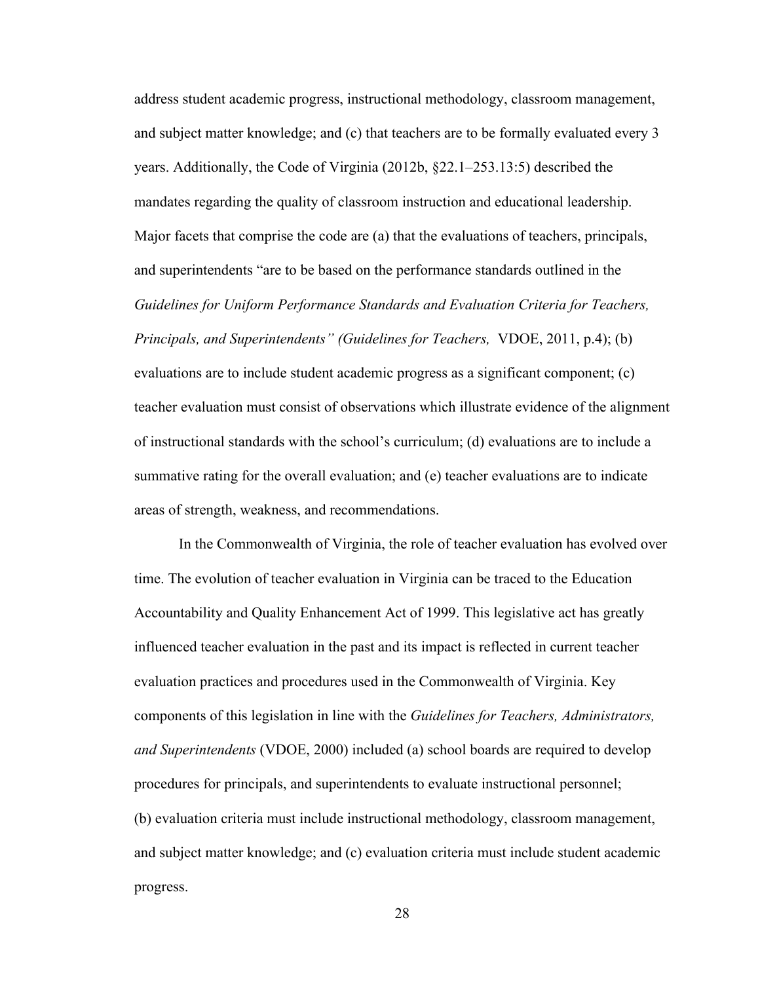address student academic progress, instructional methodology, classroom management, and subject matter knowledge; and (c) that teachers are to be formally evaluated every 3 years. Additionally, the Code of Virginia (2012b, §22.1–253.13:5) described the mandates regarding the quality of classroom instruction and educational leadership. Major facets that comprise the code are (a) that the evaluations of teachers, principals, and superintendents "are to be based on the performance standards outlined in the *Guidelines for Uniform Performance Standards and Evaluation Criteria for Teachers, Principals, and Superintendents" (Guidelines for Teachers,* VDOE, 2011, p.4); (b) evaluations are to include student academic progress as a significant component; (c) teacher evaluation must consist of observations which illustrate evidence of the alignment of instructional standards with the school's curriculum; (d) evaluations are to include a summative rating for the overall evaluation; and (e) teacher evaluations are to indicate areas of strength, weakness, and recommendations.

In the Commonwealth of Virginia, the role of teacher evaluation has evolved over time. The evolution of teacher evaluation in Virginia can be traced to the Education Accountability and Quality Enhancement Act of 1999. This legislative act has greatly influenced teacher evaluation in the past and its impact is reflected in current teacher evaluation practices and procedures used in the Commonwealth of Virginia. Key components of this legislation in line with the *Guidelines for Teachers, Administrators, and Superintendents* (VDOE, 2000) included (a) school boards are required to develop procedures for principals, and superintendents to evaluate instructional personnel; (b) evaluation criteria must include instructional methodology, classroom management, and subject matter knowledge; and (c) evaluation criteria must include student academic progress.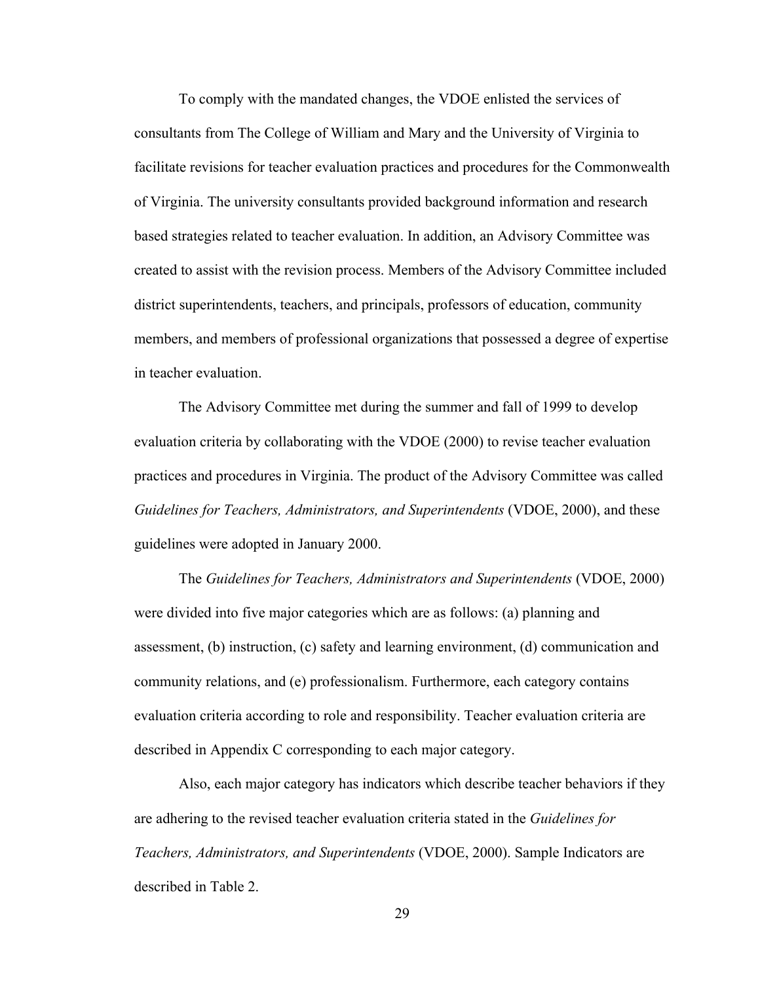To comply with the mandated changes, the VDOE enlisted the services of consultants from The College of William and Mary and the University of Virginia to facilitate revisions for teacher evaluation practices and procedures for the Commonwealth of Virginia. The university consultants provided background information and research based strategies related to teacher evaluation. In addition, an Advisory Committee was created to assist with the revision process. Members of the Advisory Committee included district superintendents, teachers, and principals, professors of education, community members, and members of professional organizations that possessed a degree of expertise in teacher evaluation.

The Advisory Committee met during the summer and fall of 1999 to develop evaluation criteria by collaborating with the VDOE (2000) to revise teacher evaluation practices and procedures in Virginia. The product of the Advisory Committee was called *Guidelines for Teachers, Administrators, and Superintendents* (VDOE, 2000), and these guidelines were adopted in January 2000.

The *Guidelines for Teachers, Administrators and Superintendents* (VDOE, 2000) were divided into five major categories which are as follows: (a) planning and assessment, (b) instruction, (c) safety and learning environment, (d) communication and community relations, and (e) professionalism. Furthermore, each category contains evaluation criteria according to role and responsibility. Teacher evaluation criteria are described in Appendix C corresponding to each major category.

Also, each major category has indicators which describe teacher behaviors if they are adhering to the revised teacher evaluation criteria stated in the *Guidelines for Teachers, Administrators, and Superintendents* (VDOE, 2000). Sample Indicators are described in Table 2.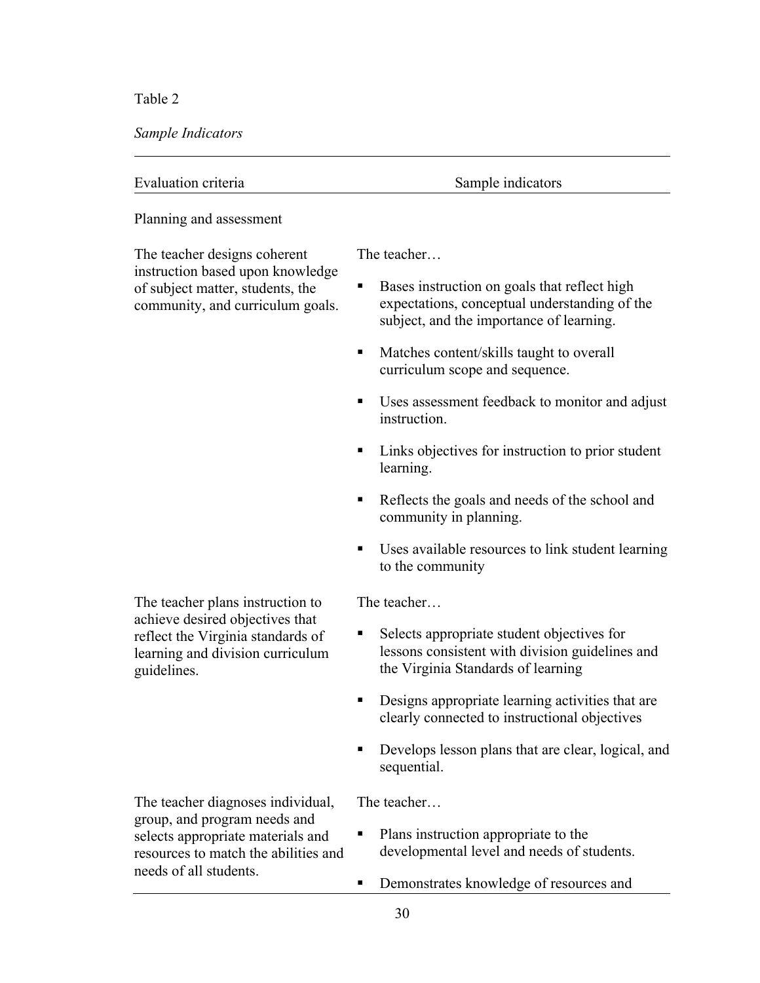Table 2

*Sample Indicators*

| Evaluation criteria | Sample indicators |
|---------------------|-------------------|
|                     |                   |

Planning and assessment

The teacher designs coherent instruction based upon knowledge of subject matter, students, the community, and curriculum goals. The teacher…

- **Bases instruction on goals that reflect high** expectations, conceptual understanding of the subject, and the importance of learning.
- ! Matches content/skills taught to overall curriculum scope and sequence.
- ! Uses assessment feedback to monitor and adjust instruction.
- Links objectives for instruction to prior student learning.
- ! Reflects the goals and needs of the school and community in planning.
- ! Uses available resources to link student learning to the community

The teacher…

- Selects appropriate student objectives for lessons consistent with division guidelines and the Virginia Standards of learning
- ! Designs appropriate learning activities that are clearly connected to instructional objectives
- ! Develops lesson plans that are clear, logical, and sequential.

The teacher diagnoses individual, group, and program needs and selects appropriate materials and resources to match the abilities and needs of all students.

The teacher plans instruction to achieve desired objectives that reflect the Virginia standards of learning and division curriculum

guidelines.

The teacher…

- Plans instruction appropriate to the developmental level and needs of students.
- ! Demonstrates knowledge of resources and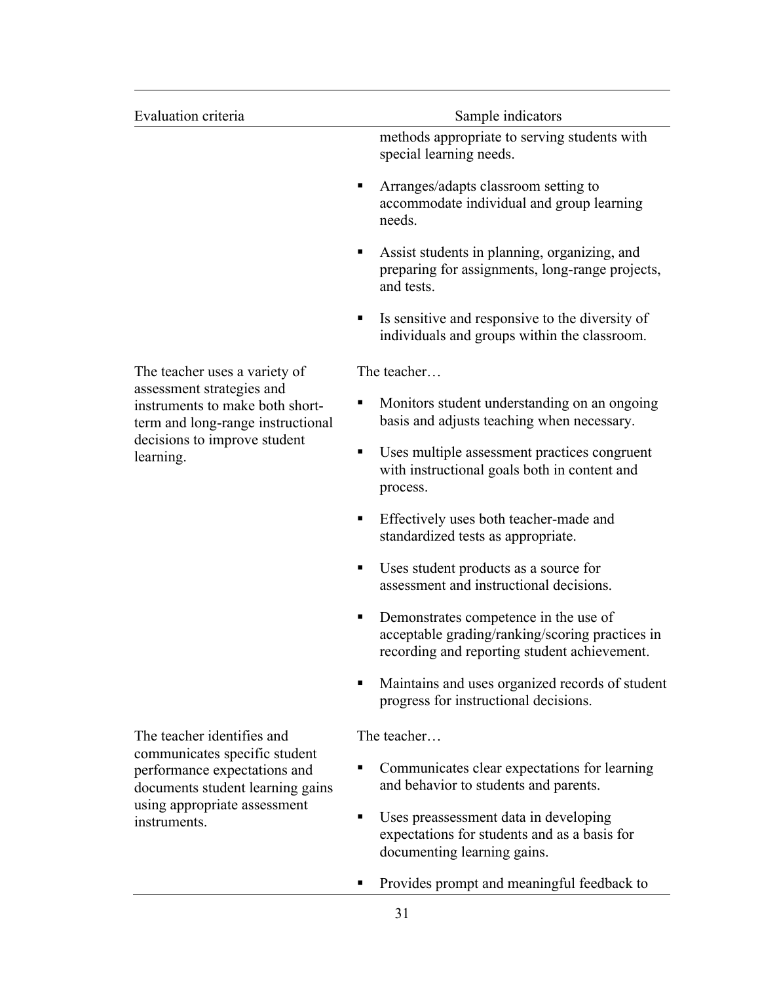| Evaluation criteria                                                                                                                               | Sample indicators                                                                                                                             |
|---------------------------------------------------------------------------------------------------------------------------------------------------|-----------------------------------------------------------------------------------------------------------------------------------------------|
|                                                                                                                                                   | methods appropriate to serving students with<br>special learning needs.                                                                       |
|                                                                                                                                                   | Arranges/adapts classroom setting to<br>ш<br>accommodate individual and group learning<br>needs.                                              |
|                                                                                                                                                   | Assist students in planning, organizing, and<br>٠<br>preparing for assignments, long-range projects,<br>and tests.                            |
|                                                                                                                                                   | Is sensitive and responsive to the diversity of<br>п<br>individuals and groups within the classroom.                                          |
| The teacher uses a variety of                                                                                                                     | The teacher                                                                                                                                   |
| assessment strategies and<br>instruments to make both short-<br>term and long-range instructional                                                 | Monitors student understanding on an ongoing<br>п<br>basis and adjusts teaching when necessary.                                               |
| decisions to improve student<br>learning.                                                                                                         | Uses multiple assessment practices congruent<br>٠<br>with instructional goals both in content and<br>process.                                 |
|                                                                                                                                                   | Effectively uses both teacher-made and<br>п<br>standardized tests as appropriate.                                                             |
|                                                                                                                                                   | Uses student products as a source for<br>п<br>assessment and instructional decisions.                                                         |
|                                                                                                                                                   | Demonstrates competence in the use of<br>٠<br>acceptable grading/ranking/scoring practices in<br>recording and reporting student achievement. |
|                                                                                                                                                   | Maintains and uses organized records of student<br>progress for instructional decisions.                                                      |
| The teacher identifies and                                                                                                                        | The teacher                                                                                                                                   |
| communicates specific student<br>performance expectations and<br>documents student learning gains<br>using appropriate assessment<br>instruments. | Communicates clear expectations for learning<br>п<br>and behavior to students and parents.                                                    |
|                                                                                                                                                   | Uses preassessment data in developing<br>٠<br>expectations for students and as a basis for<br>documenting learning gains.                     |
|                                                                                                                                                   | Provides prompt and meaningful feedback to                                                                                                    |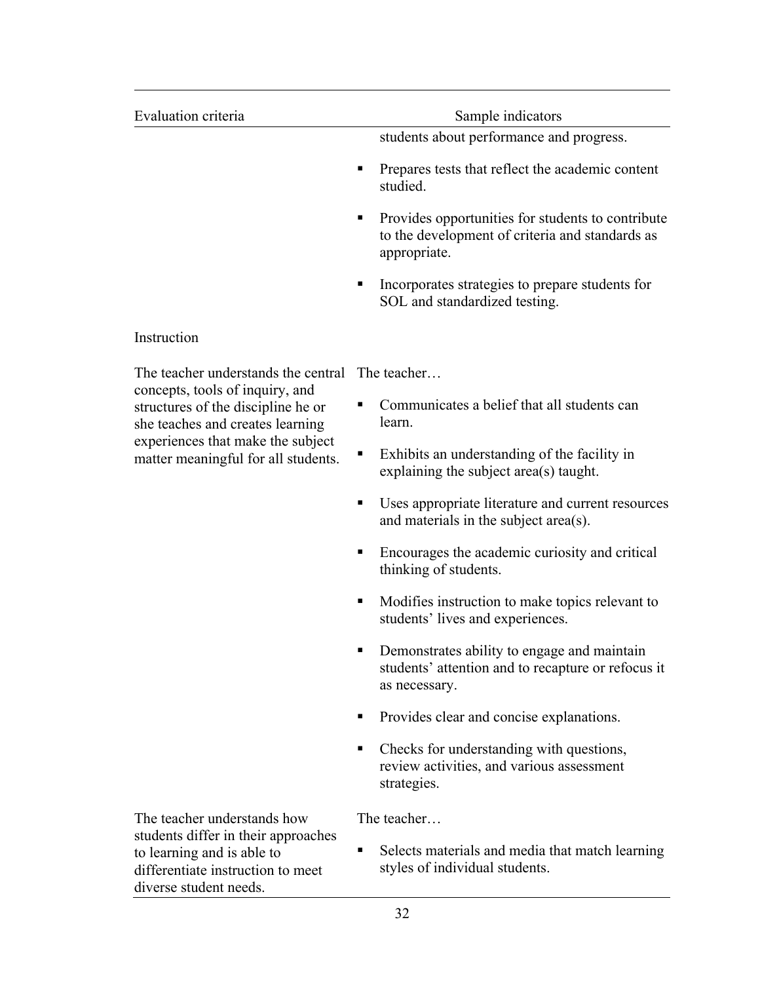| Evaluation criteria                                                                                       | Sample indicators                                                                                                         |
|-----------------------------------------------------------------------------------------------------------|---------------------------------------------------------------------------------------------------------------------------|
|                                                                                                           | students about performance and progress.                                                                                  |
|                                                                                                           | Prepares tests that reflect the academic content<br>٠<br>studied.                                                         |
|                                                                                                           | Provides opportunities for students to contribute<br>п<br>to the development of criteria and standards as<br>appropriate. |
|                                                                                                           | Incorporates strategies to prepare students for<br>٠<br>SOL and standardized testing.                                     |
| Instruction                                                                                               |                                                                                                                           |
| The teacher understands the central                                                                       | The teacher                                                                                                               |
| concepts, tools of inquiry, and<br>structures of the discipline he or<br>she teaches and creates learning | Communicates a belief that all students can<br>п<br>learn.                                                                |
| experiences that make the subject<br>matter meaningful for all students.                                  | Exhibits an understanding of the facility in<br>п<br>explaining the subject area(s) taught.                               |
|                                                                                                           | Uses appropriate literature and current resources<br>٠<br>and materials in the subject area(s).                           |
|                                                                                                           | Encourages the academic curiosity and critical<br>п<br>thinking of students.                                              |
|                                                                                                           | Modifies instruction to make topics relevant to<br>п<br>students' lives and experiences.                                  |
|                                                                                                           | Demonstrates ability to engage and maintain<br>п<br>students' attention and to recapture or refocus it<br>as necessary.   |
|                                                                                                           | Provides clear and concise explanations.<br>п                                                                             |
|                                                                                                           | Checks for understanding with questions,<br>п<br>review activities, and various assessment<br>strategies.                 |
| The teacher understands how                                                                               | The teacher                                                                                                               |
| students differ in their approaches<br>to learning and is able to                                         | Selects materials and media that match learning<br>п                                                                      |

**EXECUTE:** Selects materials and media that match learning styles of individual students.

differentiate instruction to meet

diverse student needs.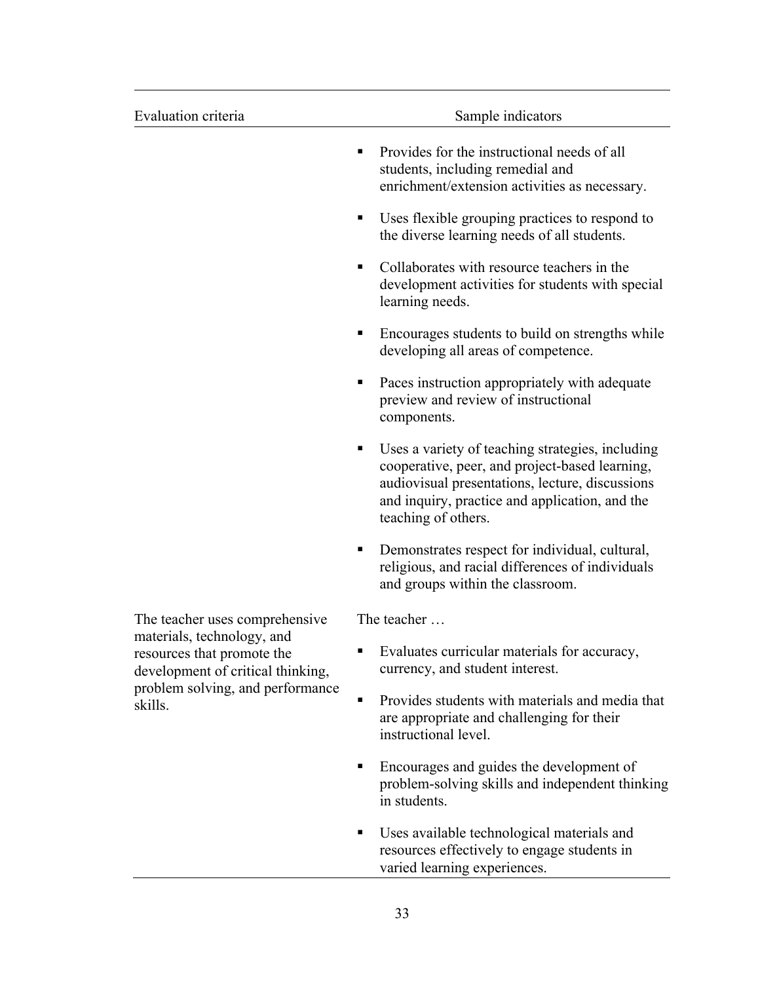| Evaluation criteria                                                                                                                          | Sample indicators                                                                                                                                                                                                                   |
|----------------------------------------------------------------------------------------------------------------------------------------------|-------------------------------------------------------------------------------------------------------------------------------------------------------------------------------------------------------------------------------------|
|                                                                                                                                              | Provides for the instructional needs of all<br>п<br>students, including remedial and<br>enrichment/extension activities as necessary.                                                                                               |
|                                                                                                                                              | Uses flexible grouping practices to respond to<br>п<br>the diverse learning needs of all students.                                                                                                                                  |
|                                                                                                                                              | Collaborates with resource teachers in the<br>٠<br>development activities for students with special<br>learning needs.                                                                                                              |
|                                                                                                                                              | Encourages students to build on strengths while<br>п<br>developing all areas of competence.                                                                                                                                         |
|                                                                                                                                              | Paces instruction appropriately with adequate<br>٠<br>preview and review of instructional<br>components.                                                                                                                            |
|                                                                                                                                              | Uses a variety of teaching strategies, including<br>٠<br>cooperative, peer, and project-based learning,<br>audiovisual presentations, lecture, discussions<br>and inquiry, practice and application, and the<br>teaching of others. |
|                                                                                                                                              | Demonstrates respect for individual, cultural,<br>п<br>religious, and racial differences of individuals<br>and groups within the classroom.                                                                                         |
| The teacher uses comprehensive                                                                                                               | The teacher                                                                                                                                                                                                                         |
| materials, technology, and<br>resources that promote the<br>development of critical thinking,<br>problem solving, and performance<br>skills. | Evaluates curricular materials for accuracy,<br>п<br>currency, and student interest.                                                                                                                                                |
|                                                                                                                                              | Provides students with materials and media that<br>$\blacksquare$<br>are appropriate and challenging for their<br>instructional level.                                                                                              |
|                                                                                                                                              | Encourages and guides the development of<br>п<br>problem-solving skills and independent thinking<br>in students.                                                                                                                    |
|                                                                                                                                              | Uses available technological materials and<br>п<br>resources effectively to engage students in                                                                                                                                      |

33

varied learning experiences.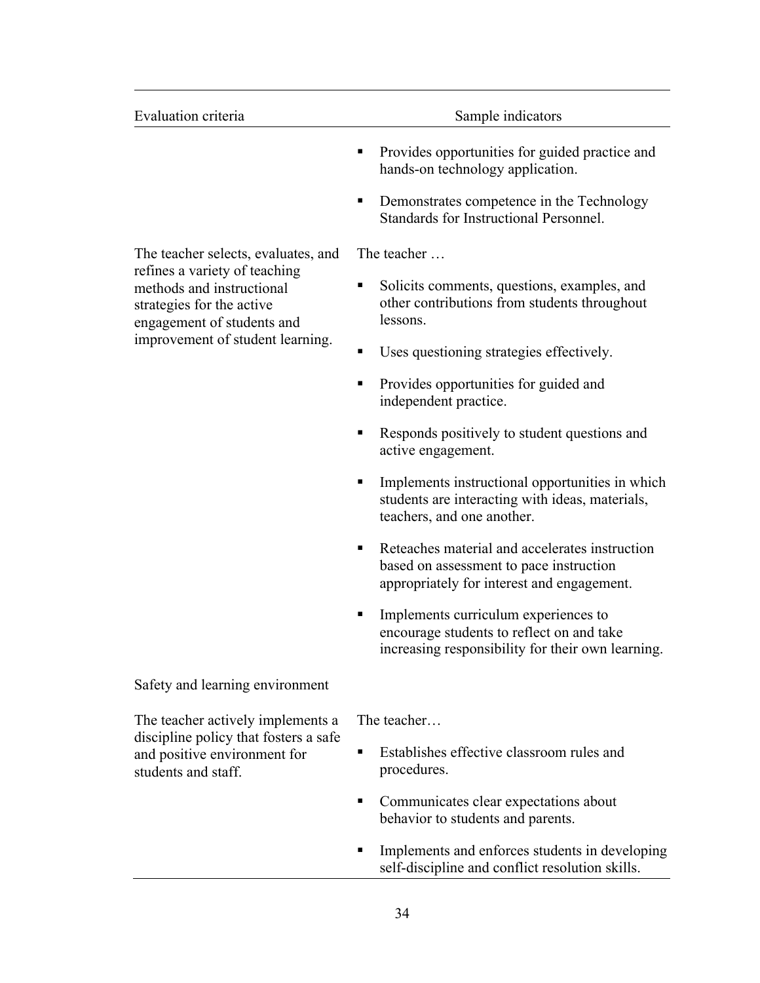| Evaluation criteria                                                                                                               | Sample indicators                                                                                                                            |
|-----------------------------------------------------------------------------------------------------------------------------------|----------------------------------------------------------------------------------------------------------------------------------------------|
|                                                                                                                                   | Provides opportunities for guided practice and<br>٠<br>hands-on technology application.                                                      |
|                                                                                                                                   | Demonstrates competence in the Technology<br>Standards for Instructional Personnel.                                                          |
| The teacher selects, evaluates, and                                                                                               | The teacher                                                                                                                                  |
| refines a variety of teaching<br>methods and instructional<br>strategies for the active<br>engagement of students and             | Solicits comments, questions, examples, and<br>٠<br>other contributions from students throughout<br>lessons.                                 |
| improvement of student learning.                                                                                                  | Uses questioning strategies effectively.<br>п                                                                                                |
|                                                                                                                                   | Provides opportunities for guided and<br>■<br>independent practice.                                                                          |
|                                                                                                                                   | Responds positively to student questions and<br>٠<br>active engagement.                                                                      |
|                                                                                                                                   | Implements instructional opportunities in which<br>п<br>students are interacting with ideas, materials,<br>teachers, and one another.        |
|                                                                                                                                   | Reteaches material and accelerates instruction<br>٠<br>based on assessment to pace instruction<br>appropriately for interest and engagement. |
|                                                                                                                                   | Implements curriculum experiences to<br>encourage students to reflect on and take<br>increasing responsibility for their own learning.       |
| Safety and learning environment                                                                                                   |                                                                                                                                              |
| The teacher actively implements a<br>discipline policy that fosters a safe<br>and positive environment for<br>students and staff. | The teacher<br>Establishes effective classroom rules and<br>٠<br>procedures.                                                                 |
|                                                                                                                                   | Communicates clear expectations about<br>٠<br>behavior to students and parents.                                                              |

**Implements and enforces students in developing** self-discipline and conflict resolution skills.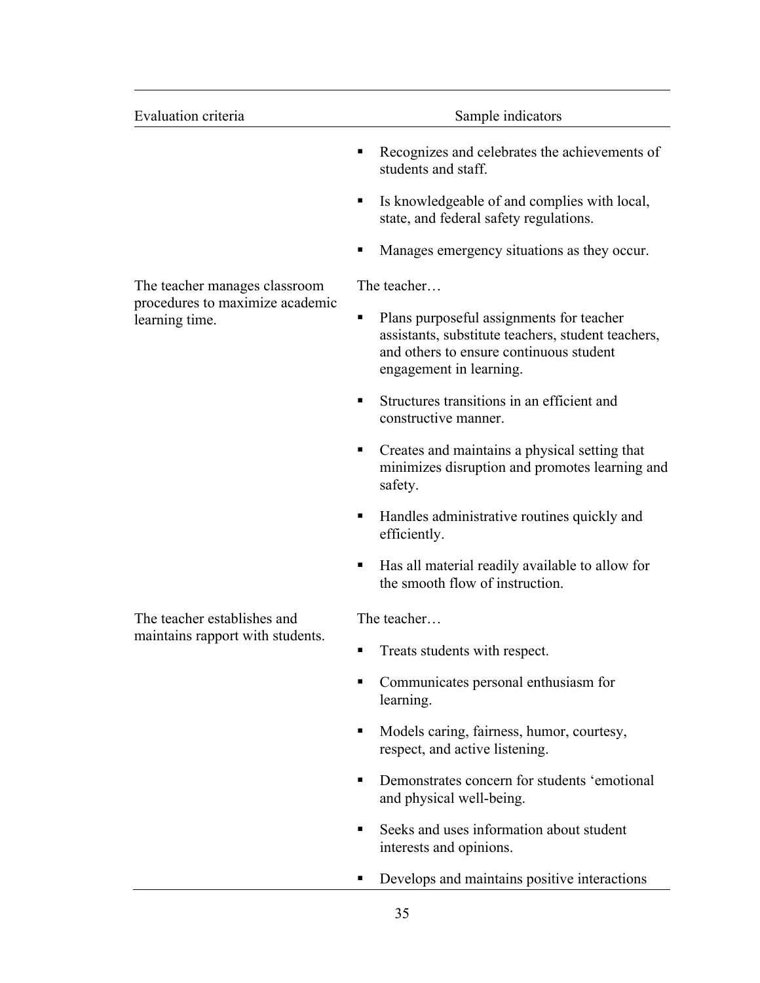| Evaluation criteria                               | Sample indicators                                                                                                                                                         |
|---------------------------------------------------|---------------------------------------------------------------------------------------------------------------------------------------------------------------------------|
|                                                   | Recognizes and celebrates the achievements of<br>■<br>students and staff.                                                                                                 |
|                                                   | Is knowledgeable of and complies with local,<br>٠<br>state, and federal safety regulations.                                                                               |
|                                                   | Manages emergency situations as they occur.                                                                                                                               |
| The teacher manages classroom                     | The teacher                                                                                                                                                               |
| procedures to maximize academic<br>learning time. | Plans purposeful assignments for teacher<br>٠<br>assistants, substitute teachers, student teachers,<br>and others to ensure continuous student<br>engagement in learning. |
|                                                   | Structures transitions in an efficient and<br>٠<br>constructive manner.                                                                                                   |
|                                                   | Creates and maintains a physical setting that<br>minimizes disruption and promotes learning and<br>safety.                                                                |
|                                                   | Handles administrative routines quickly and<br>п<br>efficiently.                                                                                                          |
|                                                   | Has all material readily available to allow for<br>ш<br>the smooth flow of instruction.                                                                                   |
| The teacher establishes and                       | The teacher                                                                                                                                                               |
| maintains rapport with students.                  | Treats students with respect.<br>٠                                                                                                                                        |
|                                                   | Communicates personal enthusiasm for<br>learning.                                                                                                                         |
|                                                   | Models caring, fairness, humor, courtesy,<br>respect, and active listening.                                                                                               |
|                                                   | Demonstrates concern for students 'emotional<br>٠<br>and physical well-being.                                                                                             |
|                                                   | Seeks and uses information about student<br>interests and opinions.                                                                                                       |
|                                                   | Develops and maintains positive interactions                                                                                                                              |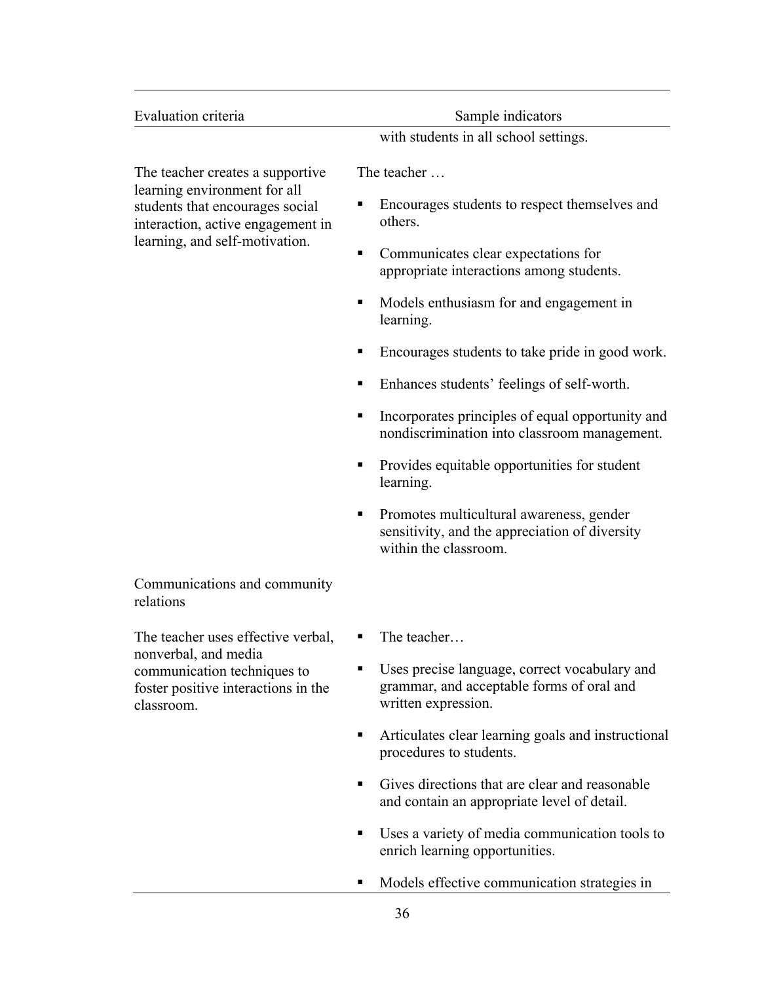| Evaluation criteria                                                                                                                                                        | Sample indicators                                                                                                        |
|----------------------------------------------------------------------------------------------------------------------------------------------------------------------------|--------------------------------------------------------------------------------------------------------------------------|
|                                                                                                                                                                            | with students in all school settings.                                                                                    |
| The teacher creates a supportive<br>learning environment for all<br>students that encourages social<br>interaction, active engagement in<br>learning, and self-motivation. | The teacher                                                                                                              |
|                                                                                                                                                                            | Encourages students to respect themselves and<br>п<br>others.                                                            |
|                                                                                                                                                                            | Communicates clear expectations for<br>٠<br>appropriate interactions among students.                                     |
|                                                                                                                                                                            | Models enthusiasm for and engagement in<br>п<br>learning.                                                                |
|                                                                                                                                                                            | Encourages students to take pride in good work.<br>ш                                                                     |
|                                                                                                                                                                            | Enhances students' feelings of self-worth.<br>٠                                                                          |
|                                                                                                                                                                            | Incorporates principles of equal opportunity and<br>٠<br>nondiscrimination into classroom management.                    |
|                                                                                                                                                                            | Provides equitable opportunities for student<br>п<br>learning.                                                           |
|                                                                                                                                                                            | Promotes multicultural awareness, gender<br>٠<br>sensitivity, and the appreciation of diversity<br>within the classroom. |
| Communications and community<br>relations                                                                                                                                  |                                                                                                                          |
| The teacher uses effective verbal,<br>nonverbal, and media<br>communication techniques to<br>foster positive interactions in the<br>classroom.                             | The teacher<br>ш                                                                                                         |
|                                                                                                                                                                            | Uses precise language, correct vocabulary and<br>grammar, and acceptable forms of oral and<br>written expression.        |
|                                                                                                                                                                            | Articulates clear learning goals and instructional<br>٠<br>procedures to students.                                       |
|                                                                                                                                                                            | Gives directions that are clear and reasonable<br>٠<br>and contain an appropriate level of detail.                       |

- ! Uses a variety of media communication tools to enrich learning opportunities.
- ! Models effective communication strategies in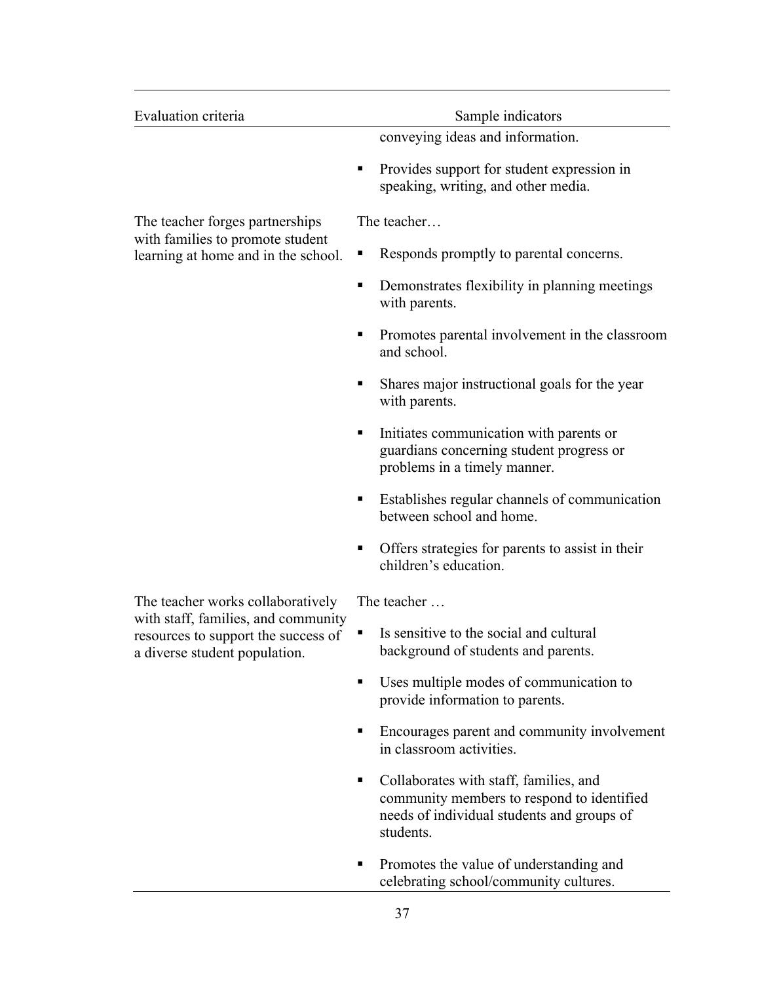| Evaluation criteria                                                                                         | Sample indicators                                                                                                                                    |
|-------------------------------------------------------------------------------------------------------------|------------------------------------------------------------------------------------------------------------------------------------------------------|
|                                                                                                             | conveying ideas and information.                                                                                                                     |
|                                                                                                             | Provides support for student expression in<br>Е<br>speaking, writing, and other media.                                                               |
| The teacher forges partnerships                                                                             | The teacher                                                                                                                                          |
| with families to promote student<br>learning at home and in the school.                                     | Responds promptly to parental concerns.<br>п                                                                                                         |
|                                                                                                             | Demonstrates flexibility in planning meetings<br>٠<br>with parents.                                                                                  |
|                                                                                                             | Promotes parental involvement in the classroom<br>п<br>and school.                                                                                   |
|                                                                                                             | Shares major instructional goals for the year<br>п<br>with parents.                                                                                  |
|                                                                                                             | Initiates communication with parents or<br>п<br>guardians concerning student progress or<br>problems in a timely manner.                             |
|                                                                                                             | Establishes regular channels of communication<br>п<br>between school and home.                                                                       |
|                                                                                                             | Offers strategies for parents to assist in their<br>п<br>children's education.                                                                       |
| The teacher works collaboratively                                                                           | The teacher                                                                                                                                          |
| with staff, families, and community<br>resources to support the success of<br>a diverse student population. | Is sensitive to the social and cultural<br>background of students and parents.                                                                       |
|                                                                                                             | Uses multiple modes of communication to<br>п<br>provide information to parents.                                                                      |
|                                                                                                             | Encourages parent and community involvement<br>п<br>in classroom activities.                                                                         |
|                                                                                                             | Collaborates with staff, families, and<br>٠<br>community members to respond to identified<br>needs of individual students and groups of<br>students. |
|                                                                                                             | Promotes the value of understanding and<br>ш<br>celebrating school/community cultures.                                                               |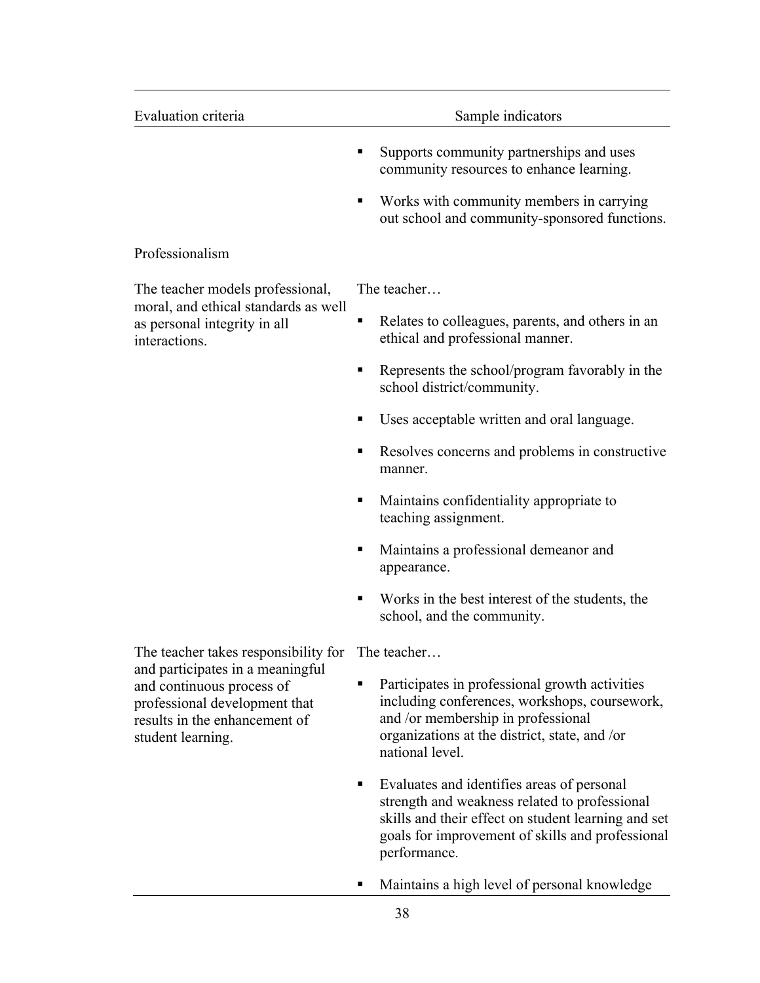| Evaluation criteria                                                                                                                                  | Sample indicators                                                                                                                                                                                         |
|------------------------------------------------------------------------------------------------------------------------------------------------------|-----------------------------------------------------------------------------------------------------------------------------------------------------------------------------------------------------------|
|                                                                                                                                                      | Supports community partnerships and uses<br>community resources to enhance learning.                                                                                                                      |
|                                                                                                                                                      | Works with community members in carrying<br>٠<br>out school and community-sponsored functions.                                                                                                            |
| Professionalism                                                                                                                                      |                                                                                                                                                                                                           |
| The teacher models professional,                                                                                                                     | The teacher                                                                                                                                                                                               |
| moral, and ethical standards as well<br>as personal integrity in all<br>interactions.                                                                | Relates to colleagues, parents, and others in an<br>п<br>ethical and professional manner.                                                                                                                 |
|                                                                                                                                                      | Represents the school/program favorably in the<br>school district/community.                                                                                                                              |
|                                                                                                                                                      | Uses acceptable written and oral language.                                                                                                                                                                |
|                                                                                                                                                      | Resolves concerns and problems in constructive<br>٠<br>manner.                                                                                                                                            |
|                                                                                                                                                      | Maintains confidentiality appropriate to<br>teaching assignment.                                                                                                                                          |
|                                                                                                                                                      | Maintains a professional demeanor and<br>ш<br>appearance.                                                                                                                                                 |
|                                                                                                                                                      | Works in the best interest of the students, the<br>school, and the community.                                                                                                                             |
| The teacher takes responsibility for The teacher                                                                                                     |                                                                                                                                                                                                           |
| and participates in a meaningful<br>and continuous process of<br>professional development that<br>results in the enhancement of<br>student learning. | Participates in professional growth activities<br>including conferences, workshops, coursework,<br>and /or membership in professional<br>organizations at the district, state, and /or<br>national level. |
|                                                                                                                                                      | Evaluates and identifies areas of personal<br>strength and weakness related to professional<br>skills and their effect on student learning and set                                                        |

- goals for improvement of skills and professional performance.
- ! Maintains a high level of personal knowledge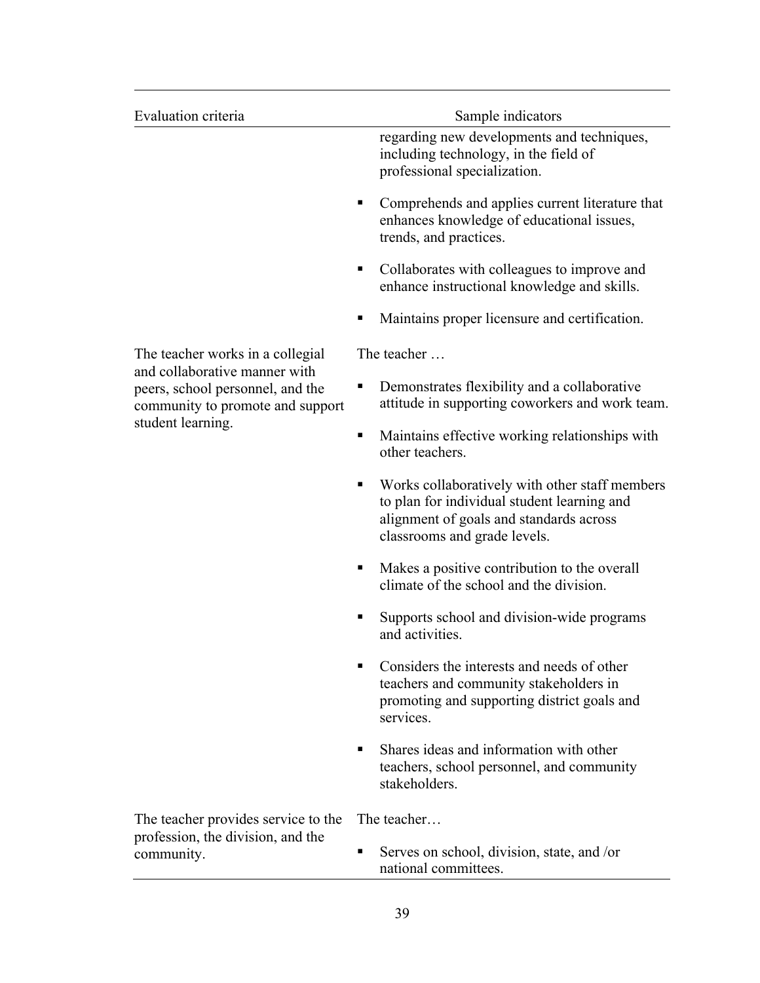| Evaluation criteria                                                                                   | Sample indicators                                                                                                                                                             |
|-------------------------------------------------------------------------------------------------------|-------------------------------------------------------------------------------------------------------------------------------------------------------------------------------|
|                                                                                                       | regarding new developments and techniques,<br>including technology, in the field of<br>professional specialization.                                                           |
|                                                                                                       | Comprehends and applies current literature that<br>٠<br>enhances knowledge of educational issues,<br>trends, and practices.                                                   |
|                                                                                                       | Collaborates with colleagues to improve and<br>٠<br>enhance instructional knowledge and skills.                                                                               |
|                                                                                                       | Maintains proper licensure and certification.<br>п                                                                                                                            |
| The teacher works in a collegial                                                                      | The teacher                                                                                                                                                                   |
| and collaborative manner with<br>peers, school personnel, and the<br>community to promote and support | Demonstrates flexibility and a collaborative<br>п<br>attitude in supporting coworkers and work team.                                                                          |
| student learning.                                                                                     | Maintains effective working relationships with<br>٠<br>other teachers.                                                                                                        |
|                                                                                                       | Works collaboratively with other staff members<br>٠<br>to plan for individual student learning and<br>alignment of goals and standards across<br>classrooms and grade levels. |
|                                                                                                       | Makes a positive contribution to the overall<br>climate of the school and the division.                                                                                       |
|                                                                                                       | Supports school and division-wide programs<br>п<br>and activities.                                                                                                            |
|                                                                                                       | Considers the interests and needs of other<br>teachers and community stakeholders in<br>promoting and supporting district goals and<br>services.                              |
|                                                                                                       | Shares ideas and information with other<br>٠<br>teachers, school personnel, and community<br>stakeholders.                                                                    |
| The teacher provides service to the                                                                   | The teacher                                                                                                                                                                   |
| profession, the division, and the<br>community.                                                       | Serves on school, division, state, and /or<br>п<br>national committees.                                                                                                       |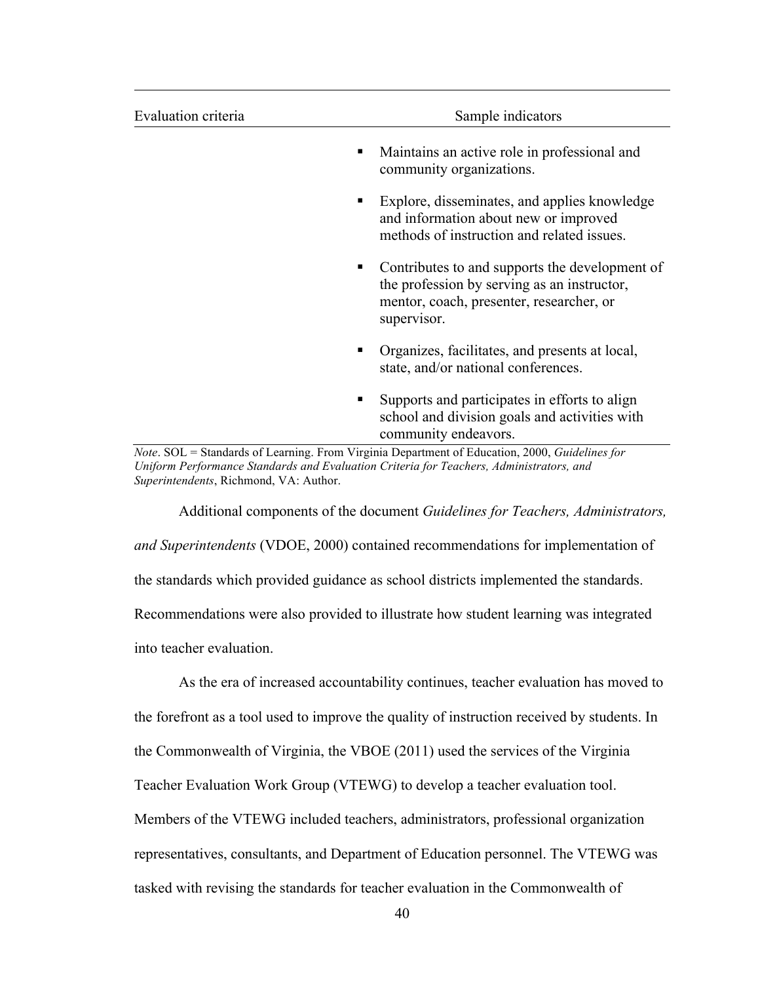| Evaluation criteria | Sample indicators                                                                                                                                        |
|---------------------|----------------------------------------------------------------------------------------------------------------------------------------------------------|
|                     | Maintains an active role in professional and<br>٠<br>community organizations.                                                                            |
|                     | Explore, disseminates, and applies knowledge<br>٠<br>and information about new or improved<br>methods of instruction and related issues.                 |
|                     | Contributes to and supports the development of<br>the profession by serving as an instructor,<br>mentor, coach, presenter, researcher, or<br>supervisor. |
|                     | Organizes, facilitates, and presents at local,<br>٠<br>state, and/or national conferences.                                                               |
|                     | Supports and participates in efforts to align<br>ш<br>school and division goals and activities with<br>community endeavors.                              |

*Note*. SOL = Standards of Learning. From Virginia Department of Education, 2000, *Guidelines for Uniform Performance Standards and Evaluation Criteria for Teachers, Administrators, and Superintendents*, Richmond, VA: Author.

Additional components of the document *Guidelines for Teachers, Administrators, and Superintendents* (VDOE, 2000) contained recommendations for implementation of the standards which provided guidance as school districts implemented the standards. Recommendations were also provided to illustrate how student learning was integrated into teacher evaluation.

As the era of increased accountability continues, teacher evaluation has moved to the forefront as a tool used to improve the quality of instruction received by students. In the Commonwealth of Virginia, the VBOE (2011) used the services of the Virginia Teacher Evaluation Work Group (VTEWG) to develop a teacher evaluation tool. Members of the VTEWG included teachers, administrators, professional organization representatives, consultants, and Department of Education personnel. The VTEWG was tasked with revising the standards for teacher evaluation in the Commonwealth of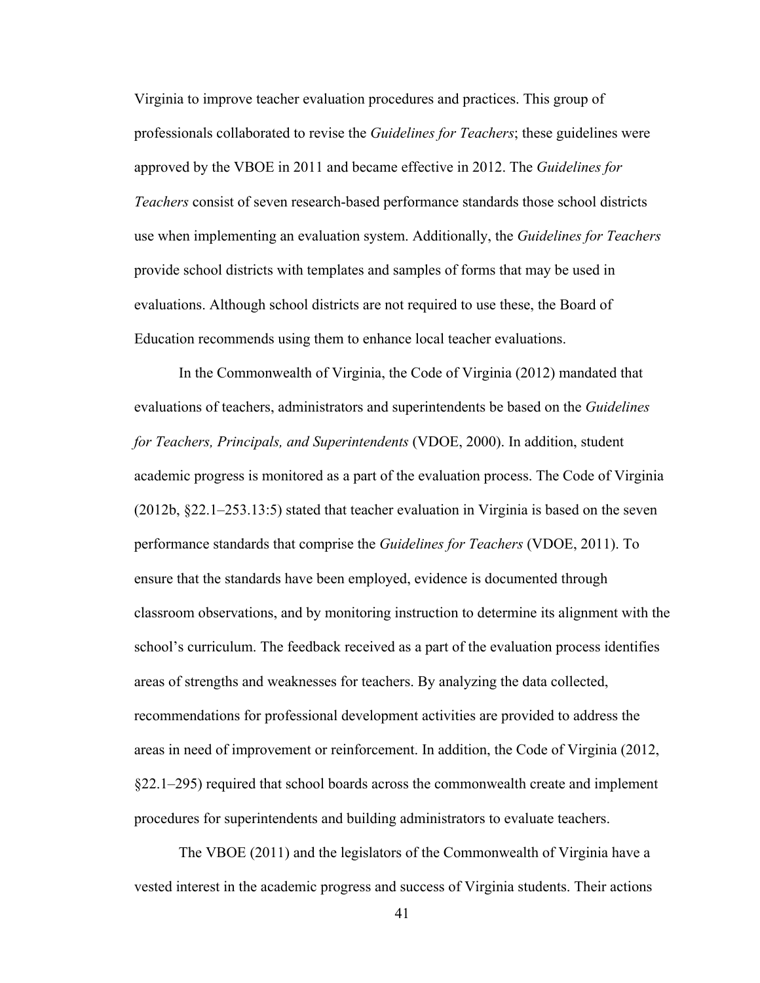Virginia to improve teacher evaluation procedures and practices. This group of professionals collaborated to revise the *Guidelines for Teachers*; these guidelines were approved by the VBOE in 2011 and became effective in 2012. The *Guidelines for Teachers* consist of seven research-based performance standards those school districts use when implementing an evaluation system. Additionally, the *Guidelines for Teachers* provide school districts with templates and samples of forms that may be used in evaluations. Although school districts are not required to use these, the Board of Education recommends using them to enhance local teacher evaluations.

In the Commonwealth of Virginia, the Code of Virginia (2012) mandated that evaluations of teachers, administrators and superintendents be based on the *Guidelines for Teachers, Principals, and Superintendents* (VDOE, 2000). In addition, student academic progress is monitored as a part of the evaluation process. The Code of Virginia (2012b, §22.1–253.13:5) stated that teacher evaluation in Virginia is based on the seven performance standards that comprise the *Guidelines for Teachers* (VDOE, 2011). To ensure that the standards have been employed, evidence is documented through classroom observations, and by monitoring instruction to determine its alignment with the school's curriculum. The feedback received as a part of the evaluation process identifies areas of strengths and weaknesses for teachers. By analyzing the data collected, recommendations for professional development activities are provided to address the areas in need of improvement or reinforcement. In addition, the Code of Virginia (2012, §22.1–295) required that school boards across the commonwealth create and implement procedures for superintendents and building administrators to evaluate teachers.

The VBOE (2011) and the legislators of the Commonwealth of Virginia have a vested interest in the academic progress and success of Virginia students. Their actions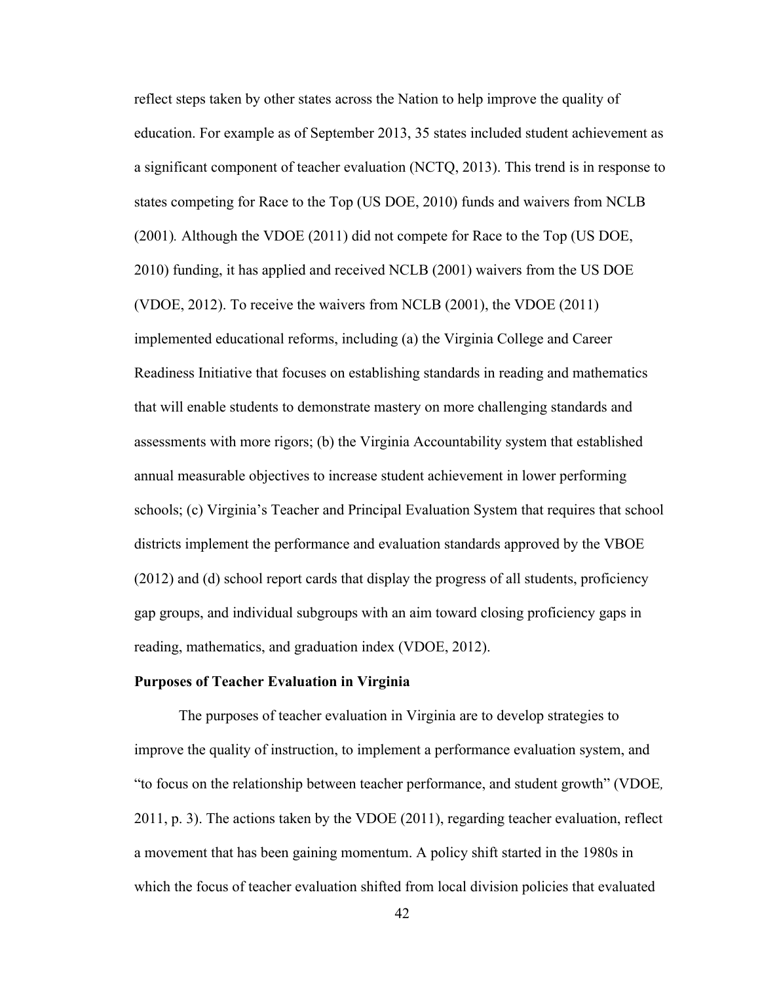reflect steps taken by other states across the Nation to help improve the quality of education. For example as of September 2013, 35 states included student achievement as a significant component of teacher evaluation (NCTQ, 2013). This trend is in response to states competing for Race to the Top (US DOE, 2010) funds and waivers from NCLB (2001)*.* Although the VDOE (2011) did not compete for Race to the Top (US DOE, 2010) funding, it has applied and received NCLB (2001) waivers from the US DOE (VDOE, 2012). To receive the waivers from NCLB (2001), the VDOE (2011) implemented educational reforms, including (a) the Virginia College and Career Readiness Initiative that focuses on establishing standards in reading and mathematics that will enable students to demonstrate mastery on more challenging standards and assessments with more rigors; (b) the Virginia Accountability system that established annual measurable objectives to increase student achievement in lower performing schools; (c) Virginia's Teacher and Principal Evaluation System that requires that school districts implement the performance and evaluation standards approved by the VBOE (2012) and (d) school report cards that display the progress of all students, proficiency gap groups, and individual subgroups with an aim toward closing proficiency gaps in reading, mathematics, and graduation index (VDOE, 2012).

#### **Purposes of Teacher Evaluation in Virginia**

The purposes of teacher evaluation in Virginia are to develop strategies to improve the quality of instruction, to implement a performance evaluation system, and "to focus on the relationship between teacher performance, and student growth" (VDOE*,* 2011, p. 3). The actions taken by the VDOE (2011), regarding teacher evaluation, reflect a movement that has been gaining momentum. A policy shift started in the 1980s in which the focus of teacher evaluation shifted from local division policies that evaluated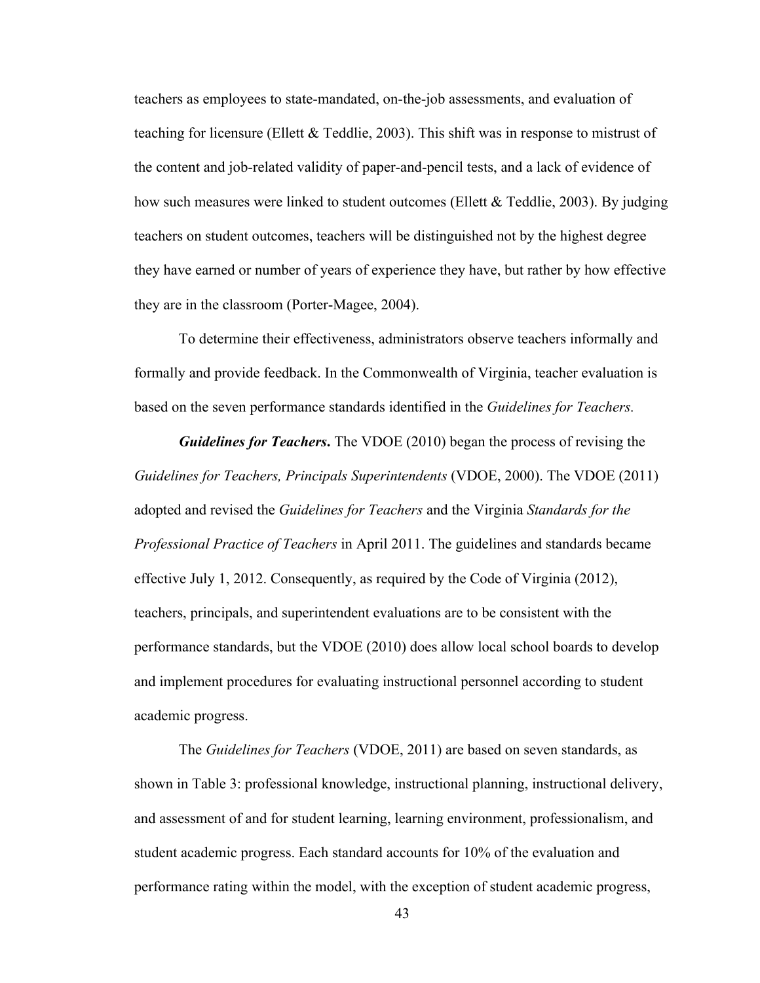teachers as employees to state-mandated, on-the-job assessments, and evaluation of teaching for licensure (Ellett & Teddlie, 2003). This shift was in response to mistrust of the content and job-related validity of paper-and-pencil tests, and a lack of evidence of how such measures were linked to student outcomes (Ellett & Teddlie, 2003). By judging teachers on student outcomes, teachers will be distinguished not by the highest degree they have earned or number of years of experience they have, but rather by how effective they are in the classroom (Porter-Magee, 2004).

To determine their effectiveness, administrators observe teachers informally and formally and provide feedback. In the Commonwealth of Virginia, teacher evaluation is based on the seven performance standards identified in the *Guidelines for Teachers.*

*Guidelines for Teachers***.** The VDOE (2010) began the process of revising the *Guidelines for Teachers, Principals Superintendents* (VDOE, 2000). The VDOE (2011) adopted and revised the *Guidelines for Teachers* and the Virginia *Standards for the Professional Practice of Teachers* in April 2011. The guidelines and standards became effective July 1, 2012. Consequently, as required by the Code of Virginia (2012), teachers, principals, and superintendent evaluations are to be consistent with the performance standards, but the VDOE (2010) does allow local school boards to develop and implement procedures for evaluating instructional personnel according to student academic progress.

The *Guidelines for Teachers* (VDOE, 2011) are based on seven standards, as shown in Table 3: professional knowledge, instructional planning, instructional delivery, and assessment of and for student learning, learning environment, professionalism, and student academic progress. Each standard accounts for 10% of the evaluation and performance rating within the model, with the exception of student academic progress,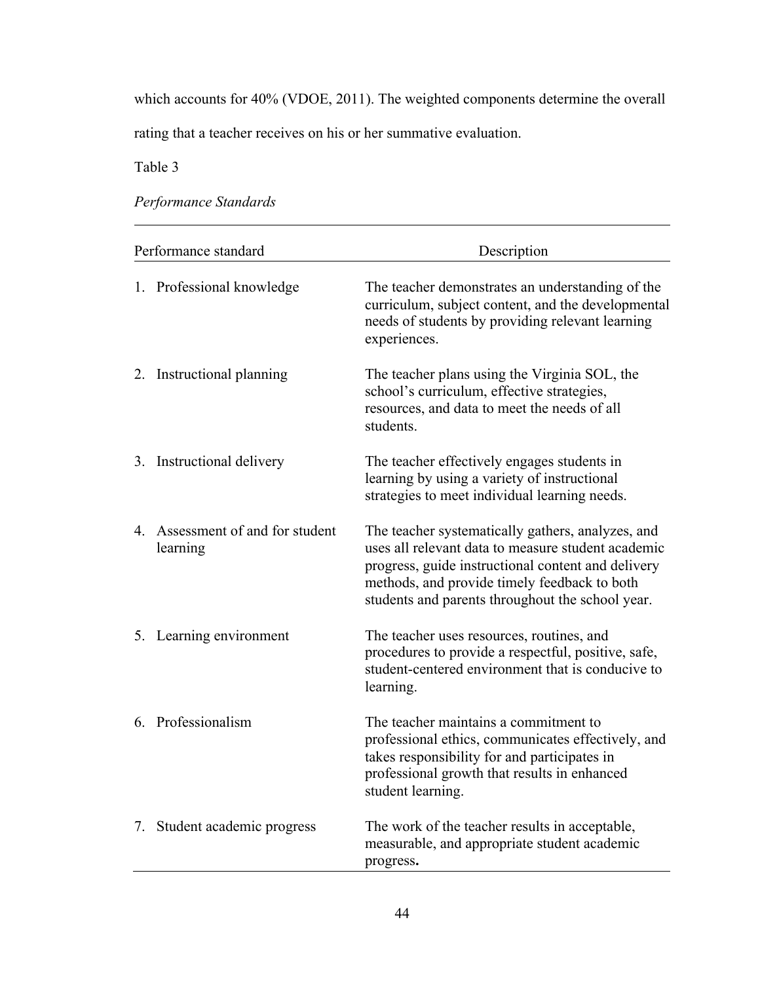which accounts for 40% (VDOE, 2011). The weighted components determine the overall

rating that a teacher receives on his or her summative evaluation.

Table 3

*Performance Standards*

| Performance standard                         | Description                                                                                                                                                                                                                                                       |
|----------------------------------------------|-------------------------------------------------------------------------------------------------------------------------------------------------------------------------------------------------------------------------------------------------------------------|
| 1. Professional knowledge                    | The teacher demonstrates an understanding of the<br>curriculum, subject content, and the developmental<br>needs of students by providing relevant learning<br>experiences.                                                                                        |
| 2. Instructional planning                    | The teacher plans using the Virginia SOL, the<br>school's curriculum, effective strategies,<br>resources, and data to meet the needs of all<br>students.                                                                                                          |
| 3. Instructional delivery                    | The teacher effectively engages students in<br>learning by using a variety of instructional<br>strategies to meet individual learning needs.                                                                                                                      |
| 4. Assessment of and for student<br>learning | The teacher systematically gathers, analyzes, and<br>uses all relevant data to measure student academic<br>progress, guide instructional content and delivery<br>methods, and provide timely feedback to both<br>students and parents throughout the school year. |
| 5. Learning environment                      | The teacher uses resources, routines, and<br>procedures to provide a respectful, positive, safe,<br>student-centered environment that is conducive to<br>learning.                                                                                                |
| 6. Professionalism                           | The teacher maintains a commitment to<br>professional ethics, communicates effectively, and<br>takes responsibility for and participates in<br>professional growth that results in enhanced<br>student learning.                                                  |
| 7. Student academic progress                 | The work of the teacher results in acceptable,<br>measurable, and appropriate student academic<br>progress.                                                                                                                                                       |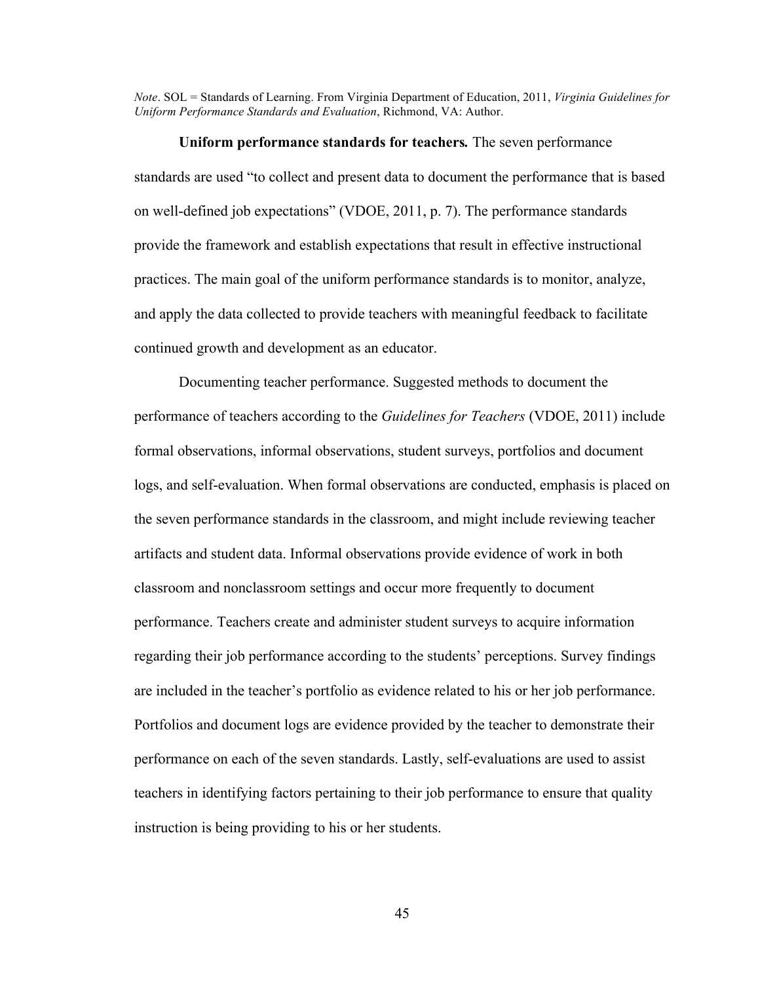*Note*. SOL = Standards of Learning. From Virginia Department of Education, 2011, *Virginia Guidelines for Uniform Performance Standards and Evaluation*, Richmond, VA: Author.

**Uniform performance standards for teachers***.* The seven performance standards are used "to collect and present data to document the performance that is based on well-defined job expectations" (VDOE, 2011, p. 7). The performance standards provide the framework and establish expectations that result in effective instructional practices. The main goal of the uniform performance standards is to monitor, analyze, and apply the data collected to provide teachers with meaningful feedback to facilitate continued growth and development as an educator.

Documenting teacher performance. Suggested methods to document the performance of teachers according to the *Guidelines for Teachers* (VDOE, 2011) include formal observations, informal observations, student surveys, portfolios and document logs, and self-evaluation. When formal observations are conducted, emphasis is placed on the seven performance standards in the classroom, and might include reviewing teacher artifacts and student data. Informal observations provide evidence of work in both classroom and nonclassroom settings and occur more frequently to document performance. Teachers create and administer student surveys to acquire information regarding their job performance according to the students' perceptions. Survey findings are included in the teacher's portfolio as evidence related to his or her job performance. Portfolios and document logs are evidence provided by the teacher to demonstrate their performance on each of the seven standards. Lastly, self-evaluations are used to assist teachers in identifying factors pertaining to their job performance to ensure that quality instruction is being providing to his or her students.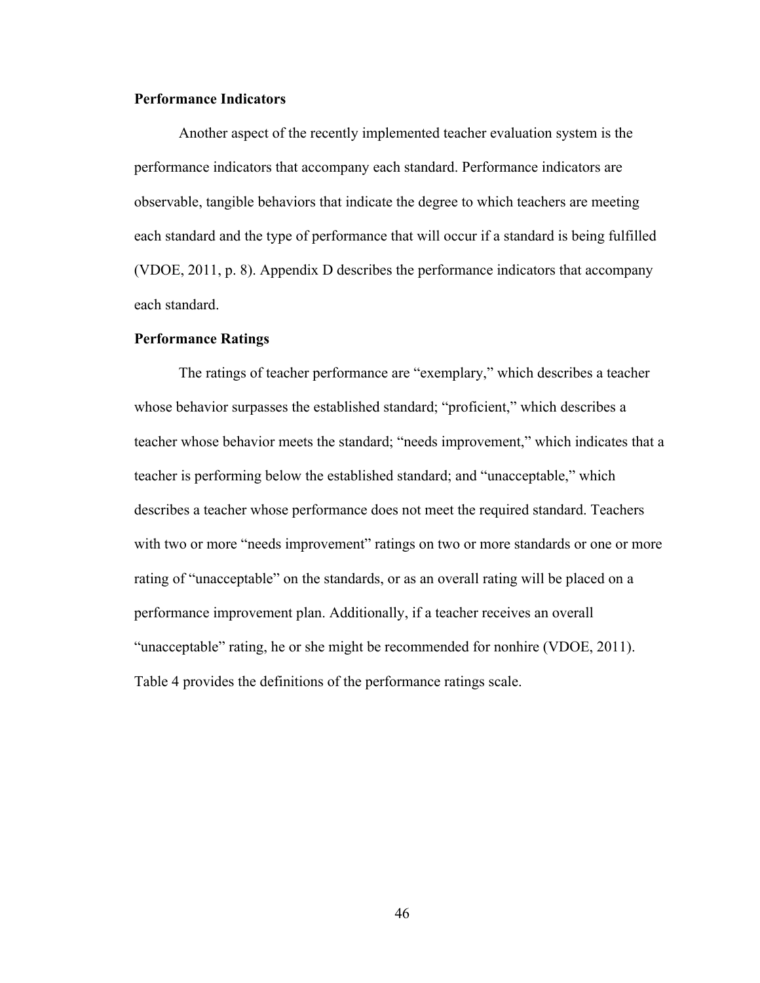# **Performance Indicators**

Another aspect of the recently implemented teacher evaluation system is the performance indicators that accompany each standard. Performance indicators are observable, tangible behaviors that indicate the degree to which teachers are meeting each standard and the type of performance that will occur if a standard is being fulfilled (VDOE, 2011, p. 8). Appendix D describes the performance indicators that accompany each standard.

### **Performance Ratings**

The ratings of teacher performance are "exemplary," which describes a teacher whose behavior surpasses the established standard; "proficient," which describes a teacher whose behavior meets the standard; "needs improvement," which indicates that a teacher is performing below the established standard; and "unacceptable," which describes a teacher whose performance does not meet the required standard. Teachers with two or more "needs improvement" ratings on two or more standards or one or more rating of "unacceptable" on the standards, or as an overall rating will be placed on a performance improvement plan. Additionally, if a teacher receives an overall "unacceptable" rating, he or she might be recommended for nonhire (VDOE, 2011). Table 4 provides the definitions of the performance ratings scale.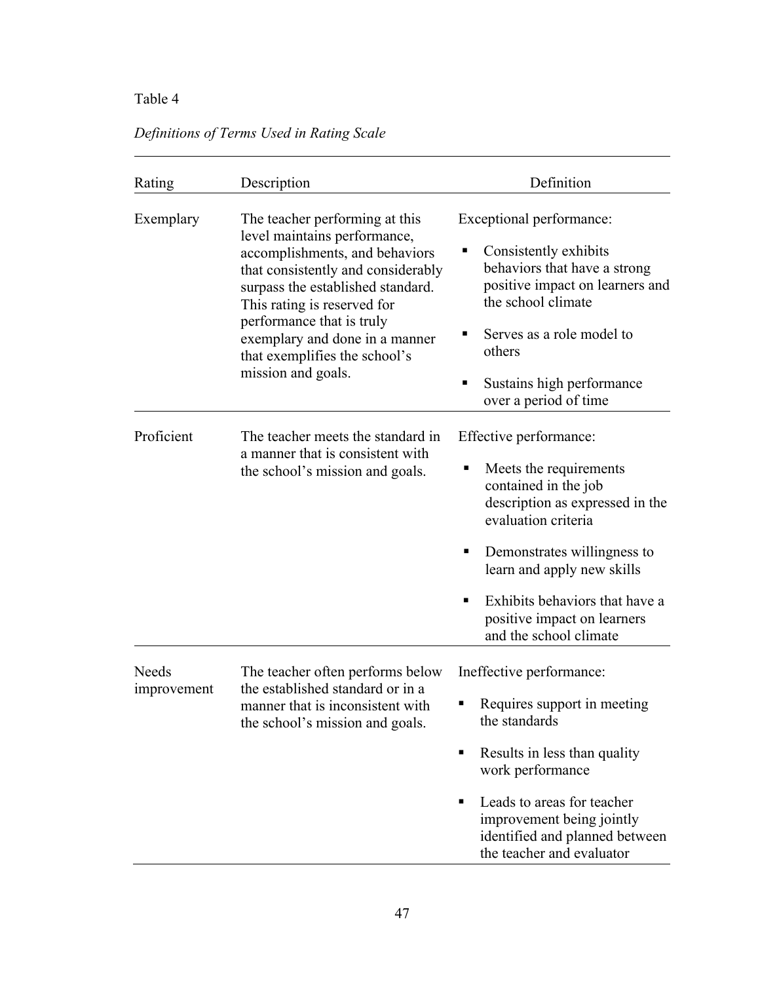# Table 4

|  | Definitions of Terms Used in Rating Scale |  |  |
|--|-------------------------------------------|--|--|
|  |                                           |  |  |

| Rating               | Description                                                                                                                                                                                                                                                                                                                      | Definition                                                                                                                                                                                                                                                                                                |
|----------------------|----------------------------------------------------------------------------------------------------------------------------------------------------------------------------------------------------------------------------------------------------------------------------------------------------------------------------------|-----------------------------------------------------------------------------------------------------------------------------------------------------------------------------------------------------------------------------------------------------------------------------------------------------------|
| Exemplary            | The teacher performing at this<br>level maintains performance,<br>accomplishments, and behaviors<br>that consistently and considerably<br>surpass the established standard.<br>This rating is reserved for<br>performance that is truly<br>exemplary and done in a manner<br>that exemplifies the school's<br>mission and goals. | Exceptional performance:<br>Consistently exhibits<br>٠<br>behaviors that have a strong<br>positive impact on learners and<br>the school climate<br>Serves as a role model to<br>٠<br>others<br>Sustains high performance<br>over a period of time                                                         |
| Proficient           | The teacher meets the standard in<br>a manner that is consistent with<br>the school's mission and goals.                                                                                                                                                                                                                         | Effective performance:<br>Meets the requirements<br>п<br>contained in the job<br>description as expressed in the<br>evaluation criteria<br>Demonstrates willingness to<br>٠<br>learn and apply new skills<br>Exhibits behaviors that have a<br>٠<br>positive impact on learners<br>and the school climate |
| Needs<br>improvement | The teacher often performs below<br>the established standard or in a<br>manner that is inconsistent with<br>the school's mission and goals.                                                                                                                                                                                      | Ineffective performance:<br>Requires support in meeting<br>the standards<br>Results in less than quality<br>work performance<br>Leads to areas for teacher<br>٠<br>improvement being jointly<br>identified and planned between<br>the teacher and evaluator                                               |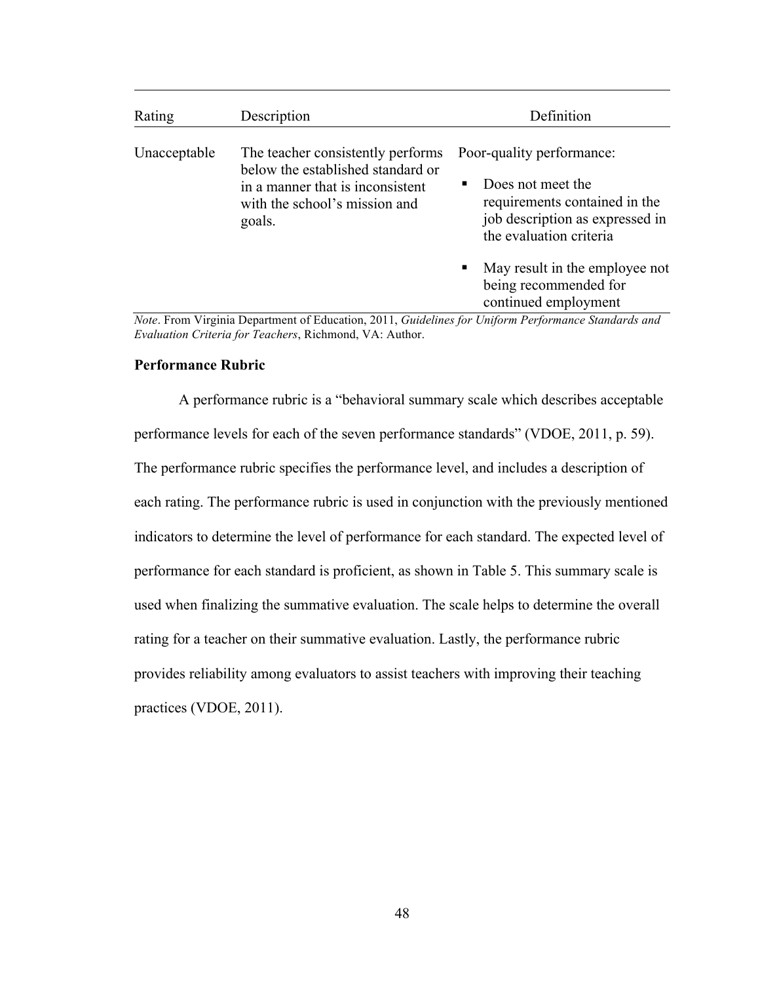| Rating       | Description                                                                 | Definition                                                                                                             |
|--------------|-----------------------------------------------------------------------------|------------------------------------------------------------------------------------------------------------------------|
| Unacceptable | The teacher consistently performs<br>below the established standard or      | Poor-quality performance:                                                                                              |
|              | in a manner that is inconsistent<br>with the school's mission and<br>goals. | Does not meet the<br>п.<br>requirements contained in the<br>job description as expressed in<br>the evaluation criteria |
|              |                                                                             | May result in the employee not<br>п<br>being recommended for<br>continued employment                                   |

*Note*. From Virginia Department of Education, 2011, *Guidelines for Uniform Performance Standards and Evaluation Criteria for Teachers*, Richmond, VA: Author.

# **Performance Rubric**

A performance rubric is a "behavioral summary scale which describes acceptable performance levels for each of the seven performance standards" (VDOE, 2011, p. 59). The performance rubric specifies the performance level, and includes a description of each rating. The performance rubric is used in conjunction with the previously mentioned indicators to determine the level of performance for each standard. The expected level of performance for each standard is proficient, as shown in Table 5. This summary scale is used when finalizing the summative evaluation. The scale helps to determine the overall rating for a teacher on their summative evaluation. Lastly, the performance rubric provides reliability among evaluators to assist teachers with improving their teaching practices (VDOE, 2011).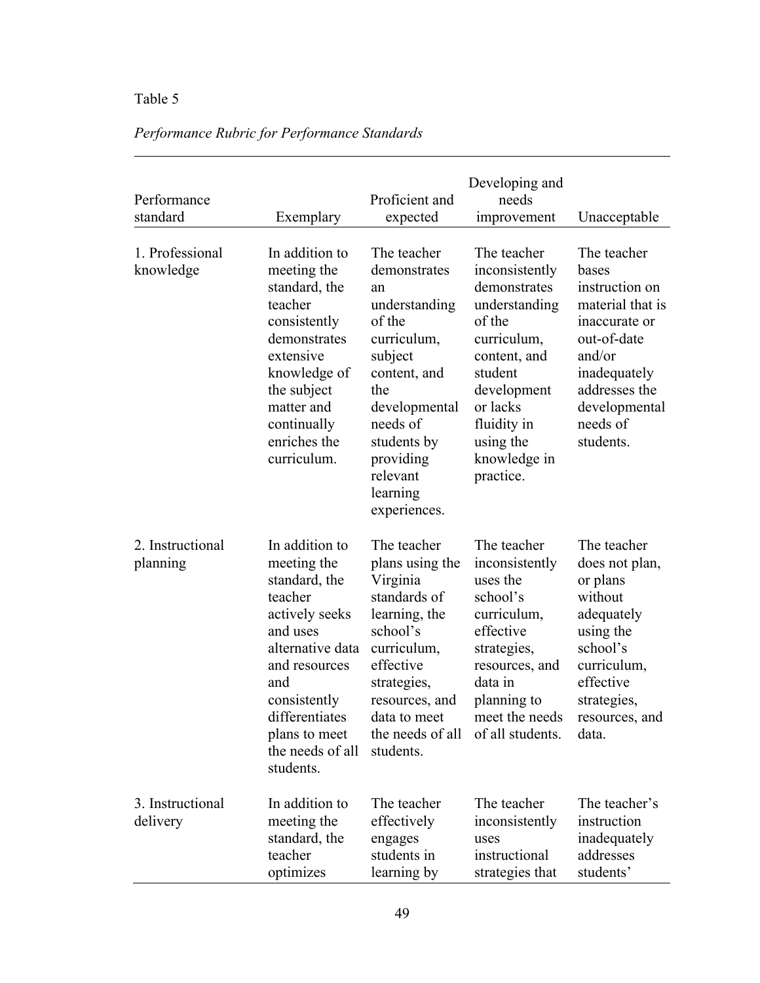# Table 5

| Performance<br>standard      | Exemplary                                                                                                                                                                                                               | Proficient and<br>expected                                                                                                                                                                                             | Developing and<br>needs<br>improvement                                                                                                                                                                 | Unacceptable                                                                                                                                                                    |
|------------------------------|-------------------------------------------------------------------------------------------------------------------------------------------------------------------------------------------------------------------------|------------------------------------------------------------------------------------------------------------------------------------------------------------------------------------------------------------------------|--------------------------------------------------------------------------------------------------------------------------------------------------------------------------------------------------------|---------------------------------------------------------------------------------------------------------------------------------------------------------------------------------|
| 1. Professional<br>knowledge | In addition to<br>meeting the<br>standard, the<br>teacher<br>consistently<br>demonstrates<br>extensive<br>knowledge of<br>the subject<br>matter and<br>continually<br>enriches the<br>curriculum.                       | The teacher<br>demonstrates<br>an<br>understanding<br>of the<br>curriculum,<br>subject<br>content, and<br>the<br>developmental<br>needs of<br>students by<br>providing<br>relevant<br>learning<br>experiences.         | The teacher<br>inconsistently<br>demonstrates<br>understanding<br>of the<br>curriculum,<br>content, and<br>student<br>development<br>or lacks<br>fluidity in<br>using the<br>knowledge in<br>practice. | The teacher<br>bases<br>instruction on<br>material that is<br>inaccurate or<br>out-of-date<br>and/or<br>inadequately<br>addresses the<br>developmental<br>needs of<br>students. |
| 2. Instructional<br>planning | In addition to<br>meeting the<br>standard, the<br>teacher<br>actively seeks<br>and uses<br>alternative data<br>and resources<br>and<br>consistently<br>differentiates<br>plans to meet<br>the needs of all<br>students. | The teacher<br>plans using the<br>Virginia<br>standards of<br>learning, the<br>school's<br>curriculum,<br>effective<br>strategies,<br>resources, and<br>data to meet<br>the needs of all of all students.<br>students. | The teacher<br>inconsistently<br>uses the<br>school's<br>curriculum,<br>effective<br>strategies,<br>resources, and<br>data in<br>planning to<br>meet the needs                                         | The teacher<br>does not plan,<br>or plans<br>without<br>adequately<br>using the<br>school's<br>curriculum,<br>effective<br>strategies,<br>resources, and<br>data.               |
| 3. Instructional<br>delivery | In addition to<br>meeting the<br>standard, the<br>teacher<br>optimizes                                                                                                                                                  | The teacher<br>effectively<br>engages<br>students in<br>learning by                                                                                                                                                    | The teacher<br>inconsistently<br>uses<br>instructional<br>strategies that                                                                                                                              | The teacher's<br>instruction<br>inadequately<br>addresses<br>students'                                                                                                          |

# *Performance Rubric for Performance Standards*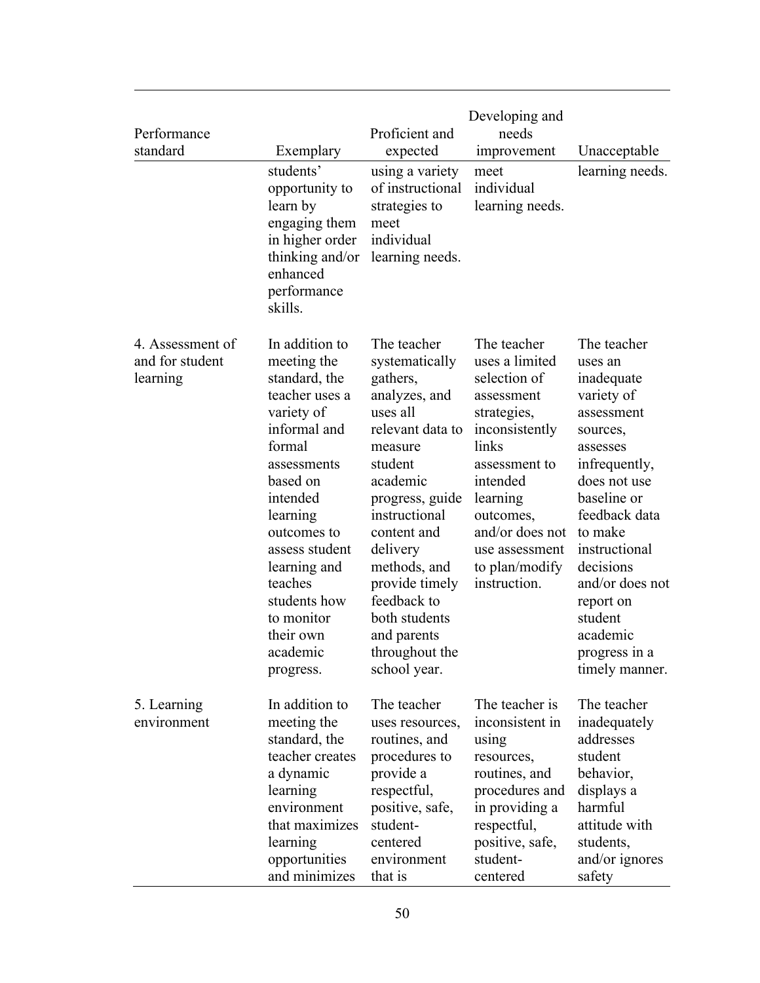| Performance<br>standard                         | Exemplary<br>students'<br>opportunity to<br>learn by<br>engaging them<br>in higher order<br>thinking and/or<br>enhanced<br>performance<br>skills.                                                                                                                                           | Proficient and<br>expected<br>using a variety<br>of instructional<br>strategies to<br>meet<br>individual<br>learning needs.                                                                                                                                                                                    | Developing and<br>needs<br>improvement<br>meet<br>individual<br>learning needs.                                                                                                                                                    | Unacceptable<br>learning needs.                                                                                                                                                                                                                                                              |
|-------------------------------------------------|---------------------------------------------------------------------------------------------------------------------------------------------------------------------------------------------------------------------------------------------------------------------------------------------|----------------------------------------------------------------------------------------------------------------------------------------------------------------------------------------------------------------------------------------------------------------------------------------------------------------|------------------------------------------------------------------------------------------------------------------------------------------------------------------------------------------------------------------------------------|----------------------------------------------------------------------------------------------------------------------------------------------------------------------------------------------------------------------------------------------------------------------------------------------|
| 4. Assessment of<br>and for student<br>learning | In addition to<br>meeting the<br>standard, the<br>teacher uses a<br>variety of<br>informal and<br>formal<br>assessments<br>based on<br>intended<br>learning<br>outcomes to<br>assess student<br>learning and<br>teaches<br>students how<br>to monitor<br>their own<br>academic<br>progress. | The teacher<br>systematically<br>gathers,<br>analyzes, and<br>uses all<br>relevant data to<br>measure<br>student<br>academic<br>progress, guide<br>instructional<br>content and<br>delivery<br>methods, and<br>provide timely<br>feedback to<br>both students<br>and parents<br>throughout the<br>school year. | The teacher<br>uses a limited<br>selection of<br>assessment<br>strategies,<br>inconsistently<br>links<br>assessment to<br>intended<br>learning<br>outcomes,<br>and/or does not<br>use assessment<br>to plan/modify<br>instruction. | The teacher<br>uses an<br>inadequate<br>variety of<br>assessment<br>sources,<br>assesses<br>infrequently,<br>does not use<br>baseline or<br>feedback data<br>to make<br>instructional<br>decisions<br>and/or does not<br>report on<br>student<br>academic<br>progress in a<br>timely manner. |
| 5. Learning<br>environment                      | In addition to<br>meeting the<br>standard, the<br>teacher creates<br>a dynamic<br>learning<br>environment<br>that maximizes<br>learning<br>opportunities<br>and minimizes                                                                                                                   | The teacher<br>uses resources,<br>routines, and<br>procedures to<br>provide a<br>respectful,<br>positive, safe,<br>student-<br>centered<br>environment<br>that is                                                                                                                                              | The teacher is<br>inconsistent in<br>using<br>resources,<br>routines, and<br>procedures and<br>in providing a<br>respectful,<br>positive, safe,<br>student-<br>centered                                                            | The teacher<br>inadequately<br>addresses<br>student<br>behavior,<br>displays a<br>harmful<br>attitude with<br>students,<br>and/or ignores<br>safety                                                                                                                                          |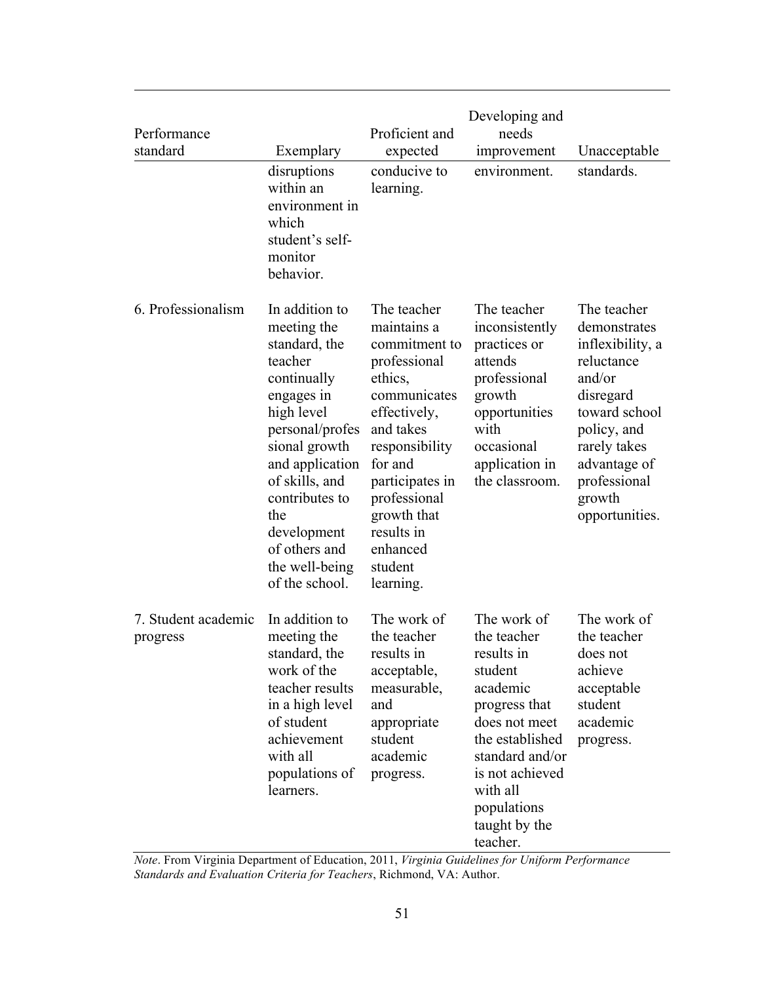| Performance<br>standard         | Exemplary                                                                                                                                                                                                                                                                  | Proficient and<br>expected                                                                                                                                                                                                                           | Developing and<br>needs<br>improvement                                                                                                                                                                             | Unacceptable                                                                                                                                                                                     |
|---------------------------------|----------------------------------------------------------------------------------------------------------------------------------------------------------------------------------------------------------------------------------------------------------------------------|------------------------------------------------------------------------------------------------------------------------------------------------------------------------------------------------------------------------------------------------------|--------------------------------------------------------------------------------------------------------------------------------------------------------------------------------------------------------------------|--------------------------------------------------------------------------------------------------------------------------------------------------------------------------------------------------|
|                                 | disruptions<br>within an<br>environment in<br>which<br>student's self-<br>monitor<br>behavior.                                                                                                                                                                             | conducive to<br>learning.                                                                                                                                                                                                                            | environment.                                                                                                                                                                                                       | standards.                                                                                                                                                                                       |
| 6. Professionalism              | In addition to<br>meeting the<br>standard, the<br>teacher<br>continually<br>engages in<br>high level<br>personal/profes<br>sional growth<br>and application<br>of skills, and<br>contributes to<br>the<br>development<br>of others and<br>the well-being<br>of the school. | The teacher<br>maintains a<br>commitment to<br>professional<br>ethics,<br>communicates<br>effectively,<br>and takes<br>responsibility<br>for and<br>participates in<br>professional<br>growth that<br>results in<br>enhanced<br>student<br>learning. | The teacher<br>inconsistently<br>practices or<br>attends<br>professional<br>growth<br>opportunities<br>with<br>occasional<br>application in<br>the classroom.                                                      | The teacher<br>demonstrates<br>inflexibility, a<br>reluctance<br>and/or<br>disregard<br>toward school<br>policy, and<br>rarely takes<br>advantage of<br>professional<br>growth<br>opportunities. |
| 7. Student academic<br>progress | In addition to<br>meeting the<br>standard, the<br>work of the<br>teacher results<br>in a high level<br>of student<br>achievement<br>with all<br>populations of<br>learners.                                                                                                | The work of<br>the teacher<br>results in<br>acceptable,<br>measurable,<br>and<br>appropriate<br>student<br>academic<br>progress.                                                                                                                     | The work of<br>the teacher<br>results in<br>student<br>academic<br>progress that<br>does not meet<br>the established<br>standard and/or<br>is not achieved<br>with all<br>populations<br>taught by the<br>teacher. | The work of<br>the teacher<br>does not<br>achieve<br>acceptable<br>student<br>academic<br>progress.                                                                                              |

*Note*. From Virginia Department of Education, 2011, *Virginia Guidelines for Uniform Performance Standards and Evaluation Criteria for Teachers*, Richmond, VA: Author.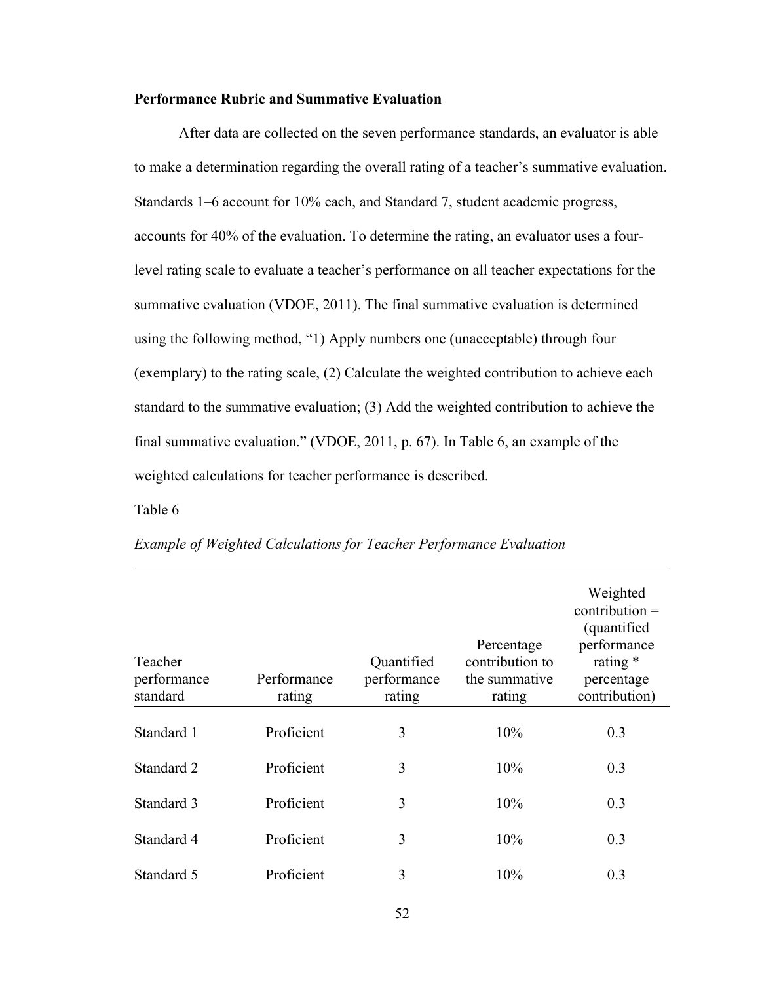# **Performance Rubric and Summative Evaluation**

After data are collected on the seven performance standards, an evaluator is able to make a determination regarding the overall rating of a teacher's summative evaluation. Standards 1–6 account for 10% each, and Standard 7, student academic progress, accounts for 40% of the evaluation. To determine the rating, an evaluator uses a fourlevel rating scale to evaluate a teacher's performance on all teacher expectations for the summative evaluation (VDOE, 2011). The final summative evaluation is determined using the following method, "1) Apply numbers one (unacceptable) through four (exemplary) to the rating scale, (2) Calculate the weighted contribution to achieve each standard to the summative evaluation; (3) Add the weighted contribution to achieve the final summative evaluation." (VDOE, 2011, p. 67). In Table 6, an example of the weighted calculations for teacher performance is described.

# Table 6

| Teacher<br>performance<br>standard | Performance<br>rating | Quantified<br>performance<br>rating | Percentage<br>contribution to<br>the summative<br>rating | Weighted<br>$contribution =$<br>(quantified)<br>performance<br>rating $*$<br>percentage<br>contribution) |
|------------------------------------|-----------------------|-------------------------------------|----------------------------------------------------------|----------------------------------------------------------------------------------------------------------|
| Standard 1                         | Proficient            | 3                                   | 10%                                                      | 0.3                                                                                                      |
| Standard 2                         | Proficient            | 3                                   | 10%                                                      | 0.3                                                                                                      |
| Standard 3                         | Proficient            | 3                                   | 10%                                                      | 0.3                                                                                                      |
| Standard 4                         | Proficient            | 3                                   | 10%                                                      | 0.3                                                                                                      |
| Standard 5                         | Proficient            | 3                                   | 10%                                                      | 0.3                                                                                                      |

# *Example of Weighted Calculations for Teacher Performance Evaluation*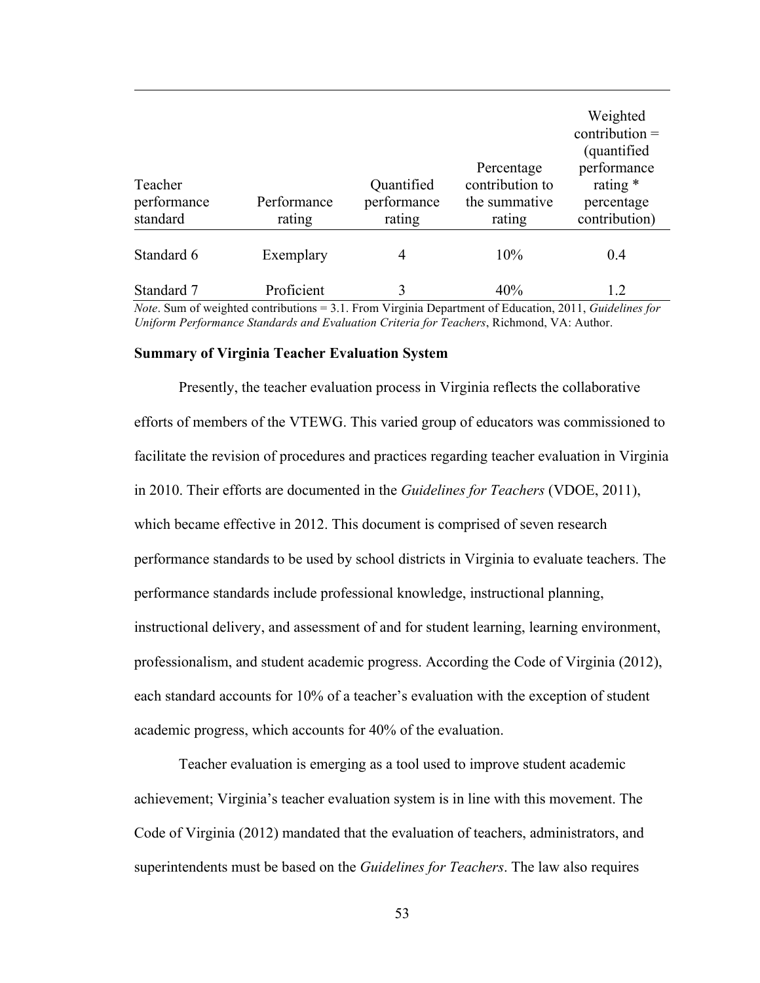| Teacher<br>performance<br>standard | Performance<br>rating | Quantified<br>performance<br>rating | Percentage<br>contribution to<br>the summative<br>rating | Weighted<br>$contribution =$<br>(quantified)<br>performance<br>rating $*$<br>percentage<br>contribution) |
|------------------------------------|-----------------------|-------------------------------------|----------------------------------------------------------|----------------------------------------------------------------------------------------------------------|
| Standard 6                         | Exemplary             | 4                                   | 10%                                                      | 0.4                                                                                                      |
| Standard 7                         | Proficient            | 3                                   | 40%                                                      | 1.2                                                                                                      |

*Note*. Sum of weighted contributions = 3.1. From Virginia Department of Education, 2011, *Guidelines for Uniform Performance Standards and Evaluation Criteria for Teachers*, Richmond, VA: Author.

#### **Summary of Virginia Teacher Evaluation System**

Presently, the teacher evaluation process in Virginia reflects the collaborative efforts of members of the VTEWG. This varied group of educators was commissioned to facilitate the revision of procedures and practices regarding teacher evaluation in Virginia in 2010. Their efforts are documented in the *Guidelines for Teachers* (VDOE, 2011), which became effective in 2012. This document is comprised of seven research performance standards to be used by school districts in Virginia to evaluate teachers. The performance standards include professional knowledge, instructional planning, instructional delivery, and assessment of and for student learning, learning environment, professionalism, and student academic progress. According the Code of Virginia (2012), each standard accounts for 10% of a teacher's evaluation with the exception of student academic progress, which accounts for 40% of the evaluation.

Teacher evaluation is emerging as a tool used to improve student academic achievement; Virginia's teacher evaluation system is in line with this movement. The Code of Virginia (2012) mandated that the evaluation of teachers, administrators, and superintendents must be based on the *Guidelines for Teachers*. The law also requires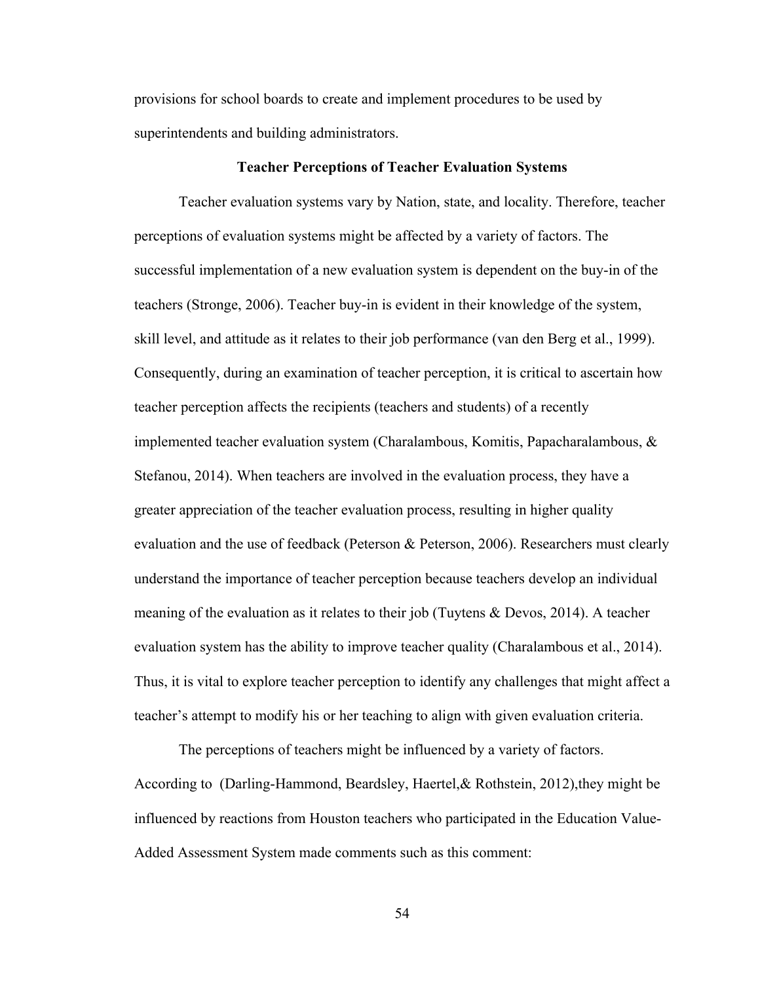provisions for school boards to create and implement procedures to be used by superintendents and building administrators.

# **Teacher Perceptions of Teacher Evaluation Systems**

Teacher evaluation systems vary by Nation, state, and locality. Therefore, teacher perceptions of evaluation systems might be affected by a variety of factors. The successful implementation of a new evaluation system is dependent on the buy-in of the teachers (Stronge, 2006). Teacher buy-in is evident in their knowledge of the system, skill level, and attitude as it relates to their job performance (van den Berg et al., 1999). Consequently, during an examination of teacher perception, it is critical to ascertain how teacher perception affects the recipients (teachers and students) of a recently implemented teacher evaluation system (Charalambous, Komitis, Papacharalambous, & Stefanou, 2014). When teachers are involved in the evaluation process, they have a greater appreciation of the teacher evaluation process, resulting in higher quality evaluation and the use of feedback (Peterson & Peterson, 2006). Researchers must clearly understand the importance of teacher perception because teachers develop an individual meaning of the evaluation as it relates to their job (Tuytens & Devos, 2014). A teacher evaluation system has the ability to improve teacher quality (Charalambous et al., 2014). Thus, it is vital to explore teacher perception to identify any challenges that might affect a teacher's attempt to modify his or her teaching to align with given evaluation criteria.

The perceptions of teachers might be influenced by a variety of factors. According to (Darling-Hammond, Beardsley, Haertel,& Rothstein, 2012),they might be influenced by reactions from Houston teachers who participated in the Education Value-Added Assessment System made comments such as this comment: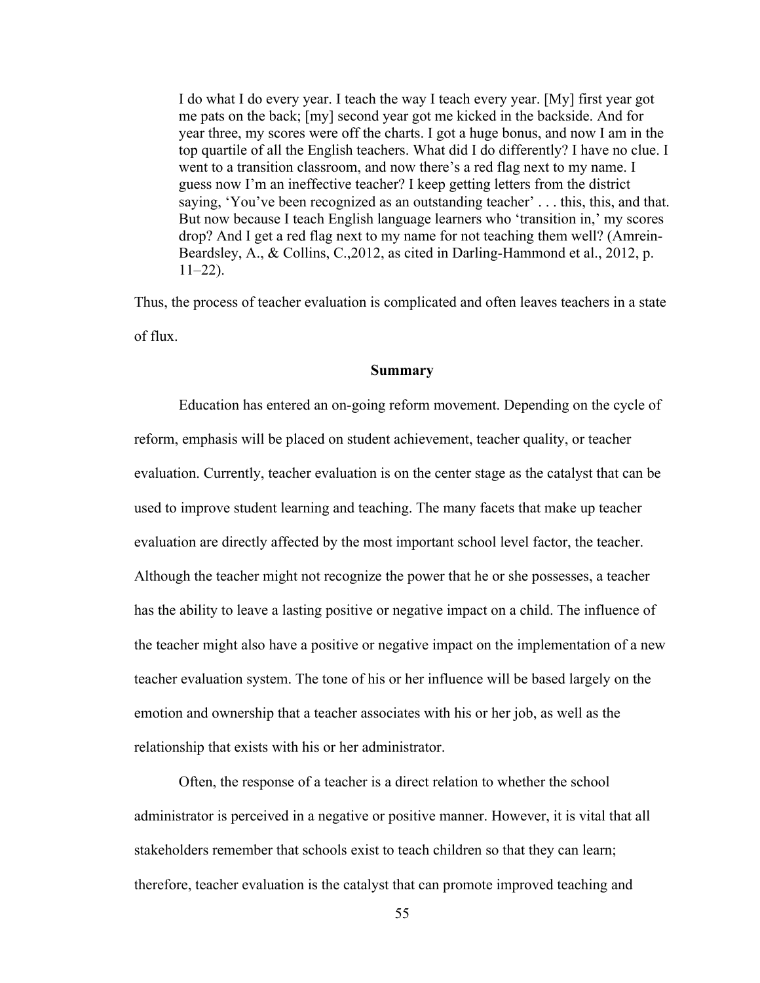I do what I do every year. I teach the way I teach every year. [My] first year got me pats on the back; [my] second year got me kicked in the backside. And for year three, my scores were off the charts. I got a huge bonus, and now I am in the top quartile of all the English teachers. What did I do differently? I have no clue. I went to a transition classroom, and now there's a red flag next to my name. I guess now I'm an ineffective teacher? I keep getting letters from the district saying, 'You've been recognized as an outstanding teacher' . . . this, this, and that. But now because I teach English language learners who 'transition in,' my scores drop? And I get a red flag next to my name for not teaching them well? (Amrein-Beardsley, A., & Collins, C.,2012, as cited in Darling-Hammond et al., 2012, p.  $11-22$ ).

Thus, the process of teacher evaluation is complicated and often leaves teachers in a state of flux.

#### **Summary**

Education has entered an on-going reform movement. Depending on the cycle of reform, emphasis will be placed on student achievement, teacher quality, or teacher evaluation. Currently, teacher evaluation is on the center stage as the catalyst that can be used to improve student learning and teaching. The many facets that make up teacher evaluation are directly affected by the most important school level factor, the teacher. Although the teacher might not recognize the power that he or she possesses, a teacher has the ability to leave a lasting positive or negative impact on a child. The influence of the teacher might also have a positive or negative impact on the implementation of a new teacher evaluation system. The tone of his or her influence will be based largely on the emotion and ownership that a teacher associates with his or her job, as well as the relationship that exists with his or her administrator.

Often, the response of a teacher is a direct relation to whether the school administrator is perceived in a negative or positive manner. However, it is vital that all stakeholders remember that schools exist to teach children so that they can learn; therefore, teacher evaluation is the catalyst that can promote improved teaching and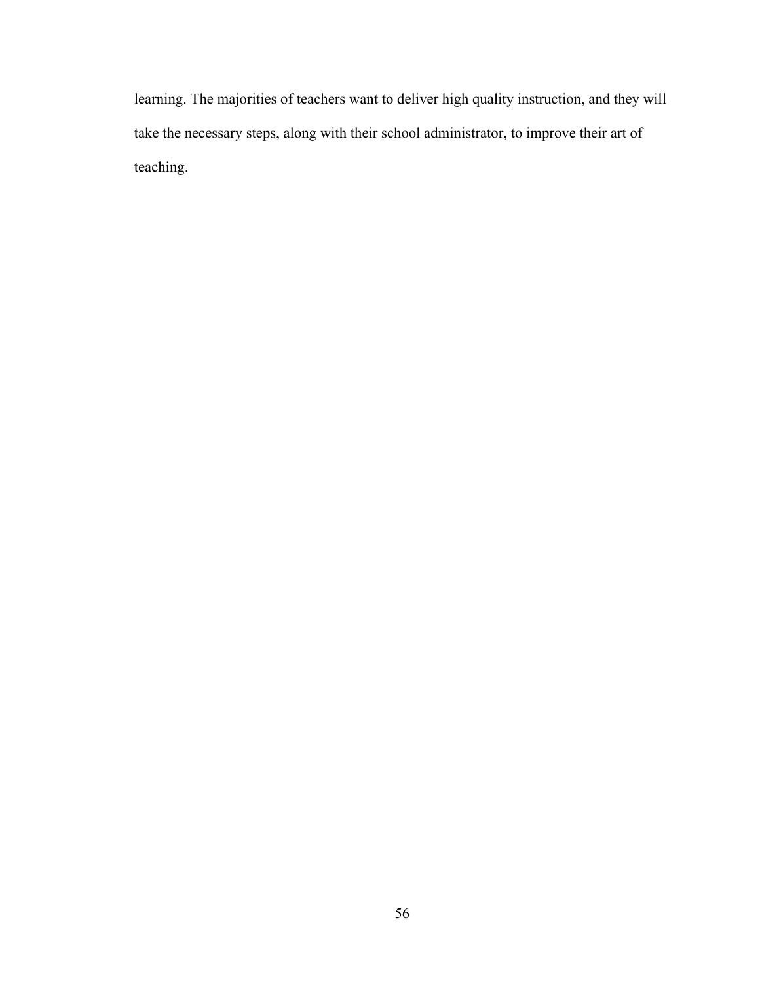learning. The majorities of teachers want to deliver high quality instruction, and they will take the necessary steps, along with their school administrator, to improve their art of teaching.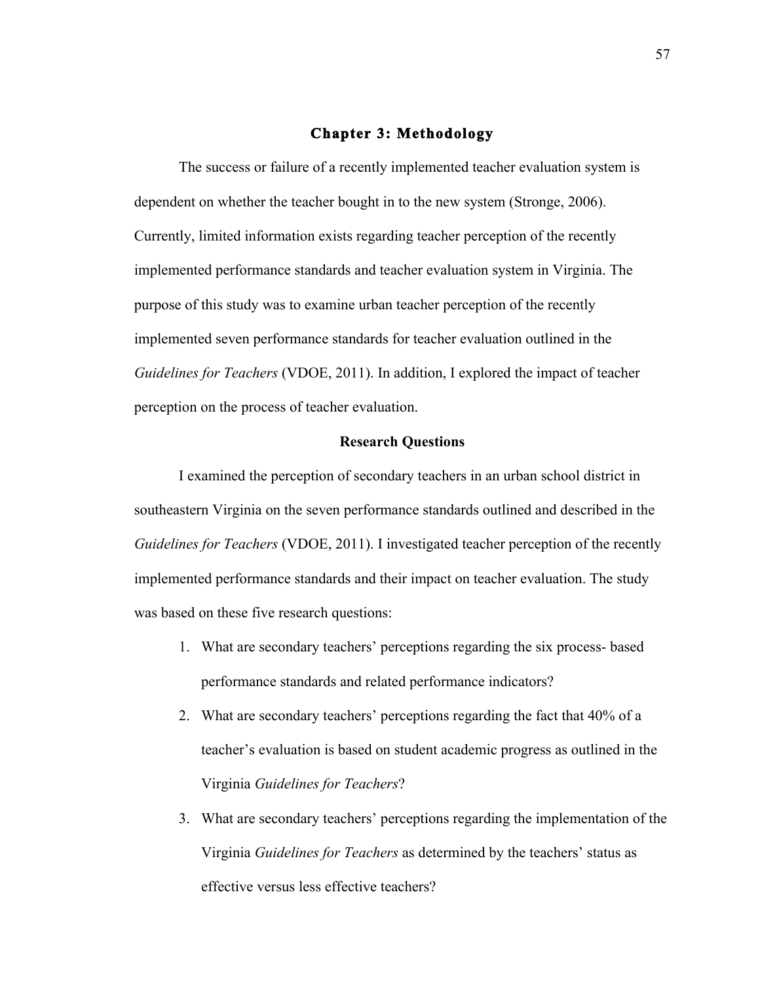### **Chapter 3: Methodology**

The success or failure of a recently implemented teacher evaluation system is dependent on whether the teacher bought in to the new system (Stronge, 2006). Currently, limited information exists regarding teacher perception of the recently implemented performance standards and teacher evaluation system in Virginia. The purpose of this study was to examine urban teacher perception of the recently implemented seven performance standards for teacher evaluation outlined in the *Guidelines for Teachers* (VDOE, 2011). In addition, I explored the impact of teacher perception on the process of teacher evaluation.

# **Research Questions**

I examined the perception of secondary teachers in an urban school district in southeastern Virginia on the seven performance standards outlined and described in the *Guidelines for Teachers* (VDOE, 2011). I investigated teacher perception of the recently implemented performance standards and their impact on teacher evaluation. The study was based on these five research questions:

- 1. What are secondary teachers' perceptions regarding the six process- based performance standards and related performance indicators?
- 2. What are secondary teachers' perceptions regarding the fact that 40% of a teacher's evaluation is based on student academic progress as outlined in the Virginia *Guidelines for Teachers*?
- 3. What are secondary teachers' perceptions regarding the implementation of the Virginia *Guidelines for Teachers* as determined by the teachers' status as effective versus less effective teachers?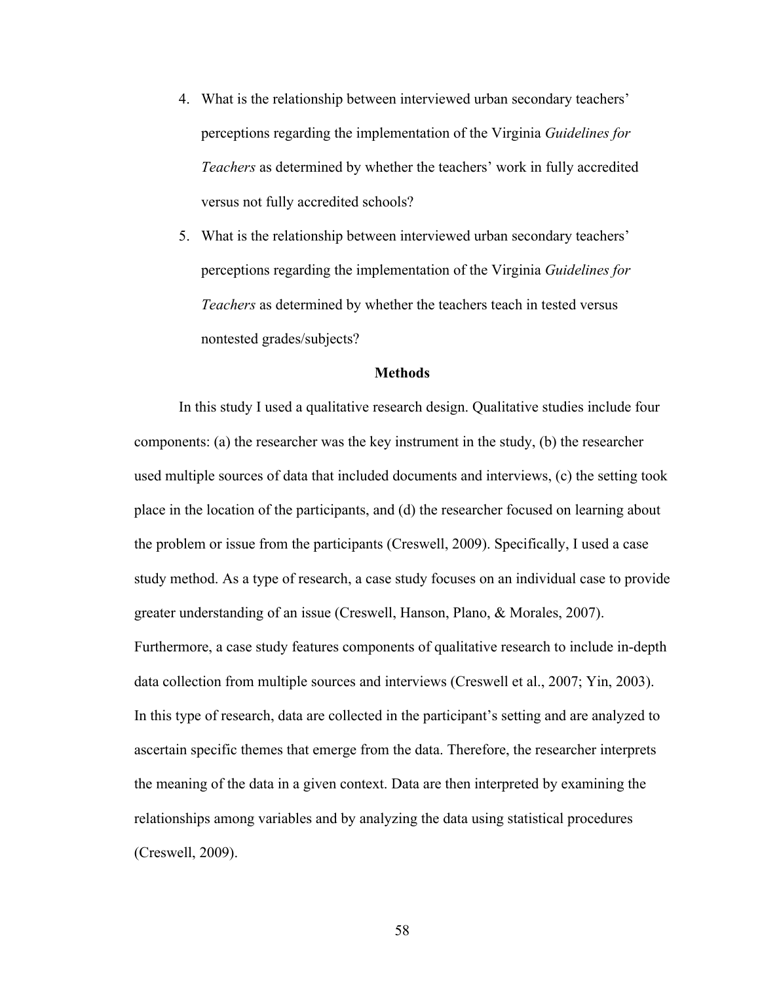- 4. What is the relationship between interviewed urban secondary teachers' perceptions regarding the implementation of the Virginia *Guidelines for Teachers* as determined by whether the teachers' work in fully accredited versus not fully accredited schools?
- 5. What is the relationship between interviewed urban secondary teachers' perceptions regarding the implementation of the Virginia *Guidelines for Teachers* as determined by whether the teachers teach in tested versus nontested grades/subjects?

### **Methods**

In this study I used a qualitative research design. Qualitative studies include four components: (a) the researcher was the key instrument in the study, (b) the researcher used multiple sources of data that included documents and interviews, (c) the setting took place in the location of the participants, and (d) the researcher focused on learning about the problem or issue from the participants (Creswell, 2009). Specifically, I used a case study method. As a type of research, a case study focuses on an individual case to provide greater understanding of an issue (Creswell, Hanson, Plano, & Morales, 2007). Furthermore, a case study features components of qualitative research to include in-depth data collection from multiple sources and interviews (Creswell et al., 2007; Yin, 2003). In this type of research, data are collected in the participant's setting and are analyzed to ascertain specific themes that emerge from the data. Therefore, the researcher interprets the meaning of the data in a given context. Data are then interpreted by examining the relationships among variables and by analyzing the data using statistical procedures (Creswell, 2009).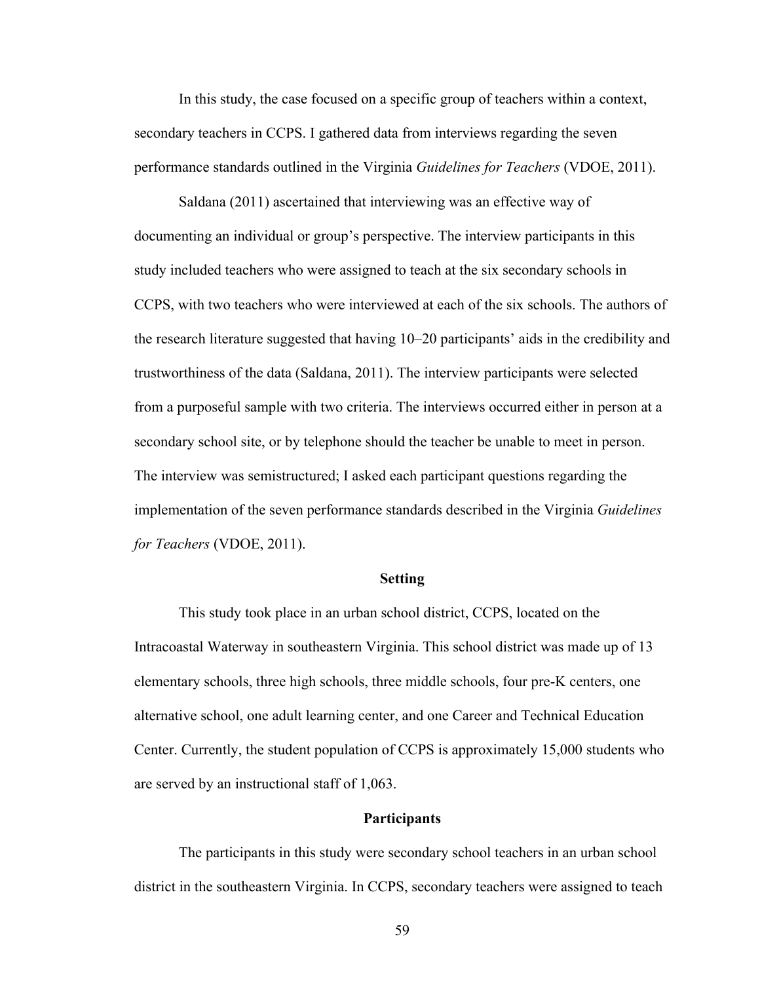In this study, the case focused on a specific group of teachers within a context, secondary teachers in CCPS. I gathered data from interviews regarding the seven performance standards outlined in the Virginia *Guidelines for Teachers* (VDOE, 2011).

Saldana (2011) ascertained that interviewing was an effective way of documenting an individual or group's perspective. The interview participants in this study included teachers who were assigned to teach at the six secondary schools in CCPS, with two teachers who were interviewed at each of the six schools. The authors of the research literature suggested that having 10–20 participants' aids in the credibility and trustworthiness of the data (Saldana, 2011). The interview participants were selected from a purposeful sample with two criteria. The interviews occurred either in person at a secondary school site, or by telephone should the teacher be unable to meet in person. The interview was semistructured; I asked each participant questions regarding the implementation of the seven performance standards described in the Virginia *Guidelines for Teachers* (VDOE, 2011).

### **Setting**

This study took place in an urban school district, CCPS, located on the Intracoastal Waterway in southeastern Virginia. This school district was made up of 13 elementary schools, three high schools, three middle schools, four pre-K centers, one alternative school, one adult learning center, and one Career and Technical Education Center. Currently, the student population of CCPS is approximately 15,000 students who are served by an instructional staff of 1,063.

# **Participants**

The participants in this study were secondary school teachers in an urban school district in the southeastern Virginia. In CCPS, secondary teachers were assigned to teach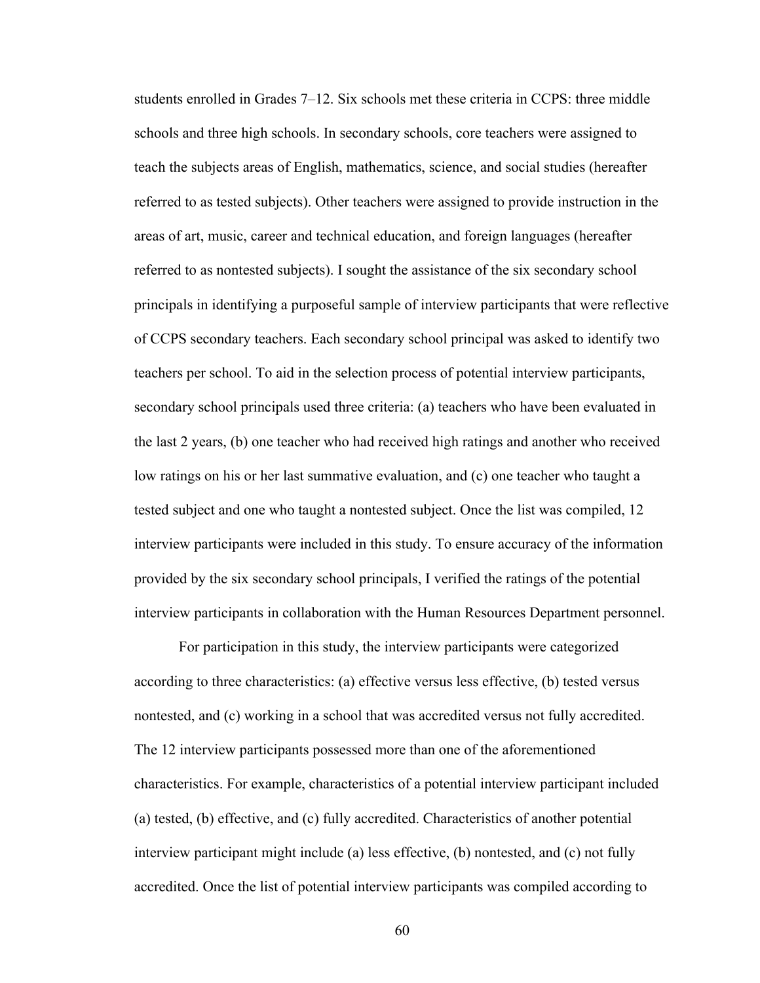students enrolled in Grades 7–12. Six schools met these criteria in CCPS: three middle schools and three high schools. In secondary schools, core teachers were assigned to teach the subjects areas of English, mathematics, science, and social studies (hereafter referred to as tested subjects). Other teachers were assigned to provide instruction in the areas of art, music, career and technical education, and foreign languages (hereafter referred to as nontested subjects). I sought the assistance of the six secondary school principals in identifying a purposeful sample of interview participants that were reflective of CCPS secondary teachers. Each secondary school principal was asked to identify two teachers per school. To aid in the selection process of potential interview participants, secondary school principals used three criteria: (a) teachers who have been evaluated in the last 2 years, (b) one teacher who had received high ratings and another who received low ratings on his or her last summative evaluation, and (c) one teacher who taught a tested subject and one who taught a nontested subject. Once the list was compiled, 12 interview participants were included in this study. To ensure accuracy of the information provided by the six secondary school principals, I verified the ratings of the potential interview participants in collaboration with the Human Resources Department personnel.

For participation in this study, the interview participants were categorized according to three characteristics: (a) effective versus less effective, (b) tested versus nontested, and (c) working in a school that was accredited versus not fully accredited. The 12 interview participants possessed more than one of the aforementioned characteristics. For example, characteristics of a potential interview participant included (a) tested, (b) effective, and (c) fully accredited. Characteristics of another potential interview participant might include (a) less effective, (b) nontested, and (c) not fully accredited. Once the list of potential interview participants was compiled according to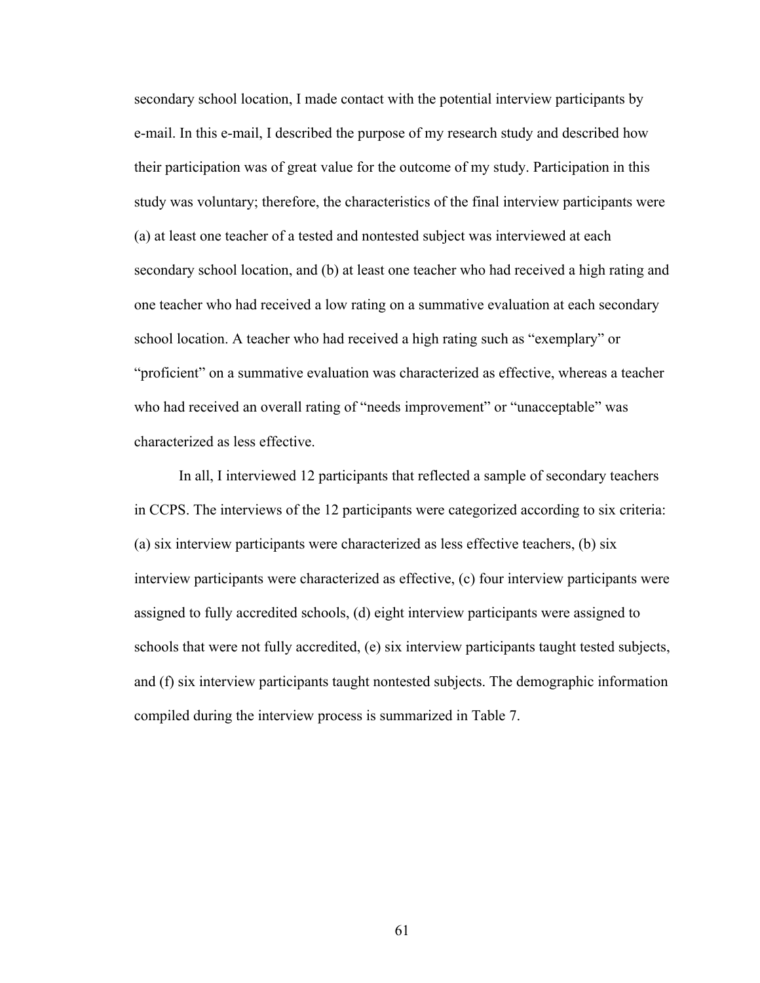secondary school location, I made contact with the potential interview participants by e-mail. In this e-mail, I described the purpose of my research study and described how their participation was of great value for the outcome of my study. Participation in this study was voluntary; therefore, the characteristics of the final interview participants were (a) at least one teacher of a tested and nontested subject was interviewed at each secondary school location, and (b) at least one teacher who had received a high rating and one teacher who had received a low rating on a summative evaluation at each secondary school location. A teacher who had received a high rating such as "exemplary" or "proficient" on a summative evaluation was characterized as effective, whereas a teacher who had received an overall rating of "needs improvement" or "unacceptable" was characterized as less effective.

In all, I interviewed 12 participants that reflected a sample of secondary teachers in CCPS. The interviews of the 12 participants were categorized according to six criteria: (a) six interview participants were characterized as less effective teachers, (b) six interview participants were characterized as effective, (c) four interview participants were assigned to fully accredited schools, (d) eight interview participants were assigned to schools that were not fully accredited, (e) six interview participants taught tested subjects, and (f) six interview participants taught nontested subjects. The demographic information compiled during the interview process is summarized in Table 7.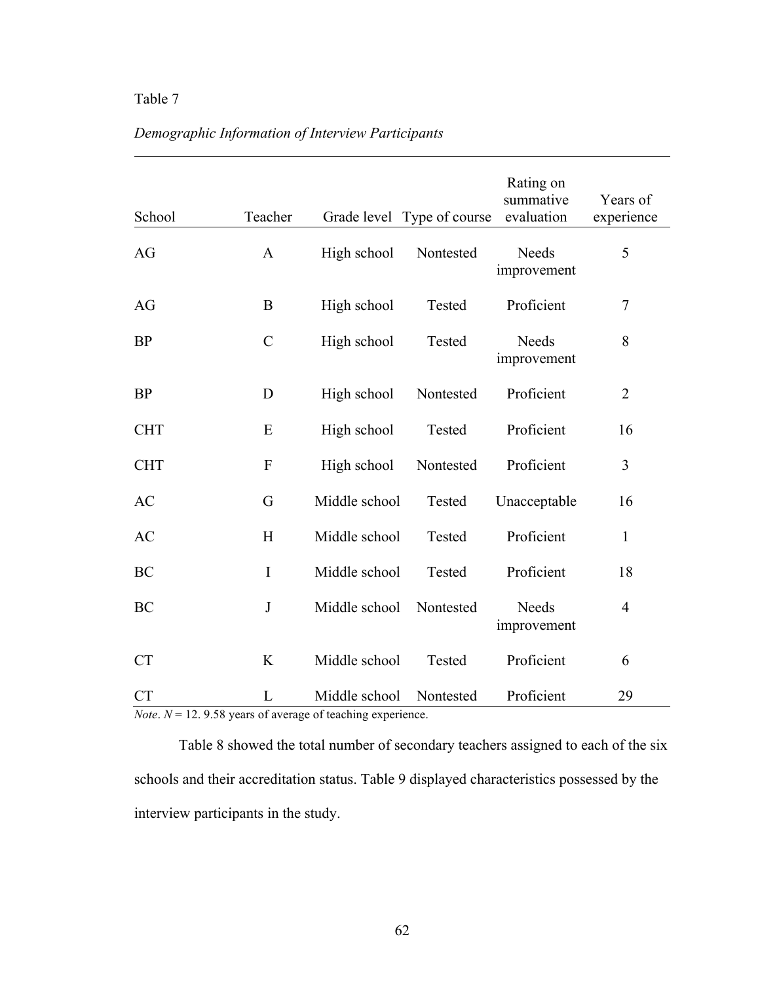# Table 7

| School     | Teacher       |               | Grade level Type of course | Rating on<br>summative<br>evaluation | Years of<br>experience |
|------------|---------------|---------------|----------------------------|--------------------------------------|------------------------|
| AG         | $\mathbf{A}$  | High school   | Nontested                  | Needs<br>improvement                 | 5                      |
| AG         | $\bf{B}$      | High school   | Tested                     | Proficient                           | 7                      |
| <b>BP</b>  | $\mathcal{C}$ | High school   | Tested                     | Needs<br>improvement                 | 8                      |
| <b>BP</b>  | D             | High school   | Nontested                  | Proficient                           | $\overline{2}$         |
| <b>CHT</b> | E             | High school   | Tested                     | Proficient                           | 16                     |
| <b>CHT</b> | $\mathbf{F}$  | High school   | Nontested                  | Proficient                           | $\mathfrak{Z}$         |
| AC         | G             | Middle school | Tested                     | Unacceptable                         | 16                     |
| AC         | H             | Middle school | Tested                     | Proficient                           | 1                      |
| BC         | I             | Middle school | Tested                     | Proficient                           | 18                     |
| BC         | $\bf J$       | Middle school | Nontested                  | Needs<br>improvement                 | $\overline{4}$         |
| <b>CT</b>  | K             | Middle school | Tested                     | Proficient                           | 6                      |
| <b>CT</b>  | L             | Middle school | Nontested                  | Proficient                           | 29                     |

# *Demographic Information of Interview Participants*

*Note*.  $N = 12.9.58$  years of average of teaching experience.

Table 8 showed the total number of secondary teachers assigned to each of the six schools and their accreditation status. Table 9 displayed characteristics possessed by the interview participants in the study.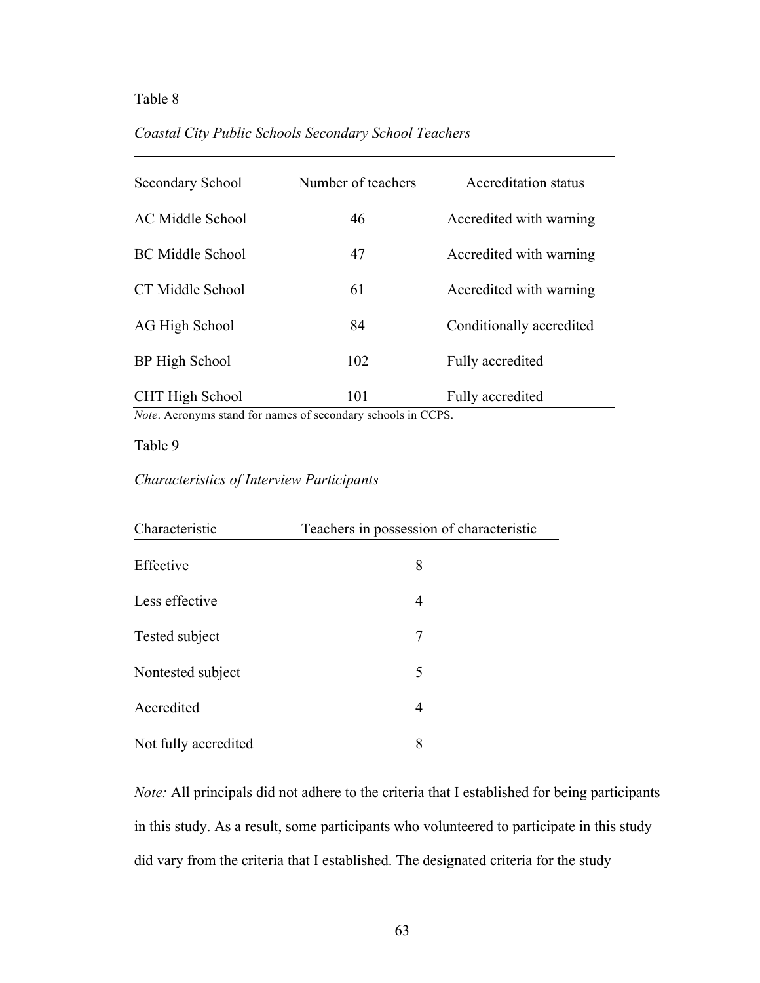#### Table 8

### *Coastal City Public Schools Secondary School Teachers*

| Secondary School | Number of teachers | <b>Accreditation status</b> |
|------------------|--------------------|-----------------------------|
| AC Middle School | 46                 | Accredited with warning     |
| BC Middle School | 47                 | Accredited with warning     |
| CT Middle School | 61                 | Accredited with warning     |
| AG High School   | 84                 | Conditionally accredited    |
| BP High School   | 102                | Fully accredited            |
| CHT High School  | 101                | Fully accredited            |

*Note*. Acronyms stand for names of secondary schools in CCPS.

Table 9

# *Characteristics of Interview Participants*

| Characteristic       | Teachers in possession of characteristic |
|----------------------|------------------------------------------|
| Effective            | 8                                        |
| Less effective       | 4                                        |
| Tested subject       | 7                                        |
| Nontested subject    | 5                                        |
| Accredited           | 4                                        |
| Not fully accredited | 8                                        |

*Note:* All principals did not adhere to the criteria that I established for being participants in this study. As a result, some participants who volunteered to participate in this study did vary from the criteria that I established. The designated criteria for the study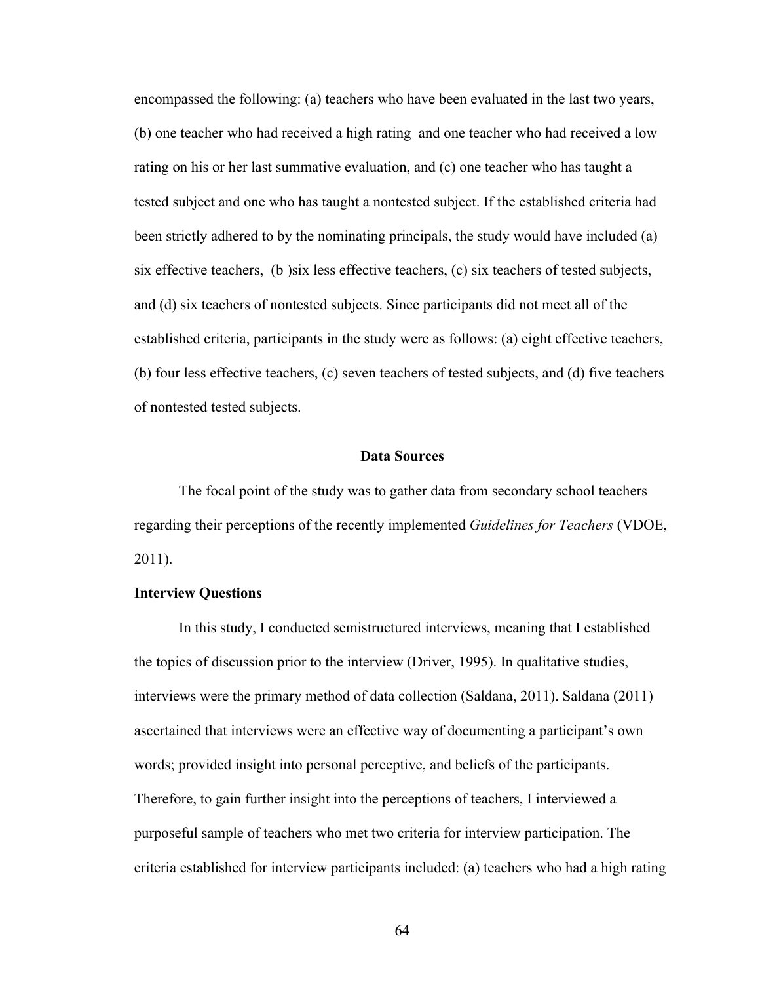encompassed the following: (a) teachers who have been evaluated in the last two years, (b) one teacher who had received a high rating and one teacher who had received a low rating on his or her last summative evaluation, and (c) one teacher who has taught a tested subject and one who has taught a nontested subject. If the established criteria had been strictly adhered to by the nominating principals, the study would have included (a) six effective teachers, (b )six less effective teachers, (c) six teachers of tested subjects, and (d) six teachers of nontested subjects. Since participants did not meet all of the established criteria, participants in the study were as follows: (a) eight effective teachers, (b) four less effective teachers, (c) seven teachers of tested subjects, and (d) five teachers of nontested tested subjects.

#### **Data Sources**

The focal point of the study was to gather data from secondary school teachers regarding their perceptions of the recently implemented *Guidelines for Teachers* (VDOE, 2011).

#### **Interview Questions**

In this study, I conducted semistructured interviews, meaning that I established the topics of discussion prior to the interview (Driver, 1995). In qualitative studies, interviews were the primary method of data collection (Saldana, 2011). Saldana (2011) ascertained that interviews were an effective way of documenting a participant's own words; provided insight into personal perceptive, and beliefs of the participants. Therefore, to gain further insight into the perceptions of teachers, I interviewed a purposeful sample of teachers who met two criteria for interview participation. The criteria established for interview participants included: (a) teachers who had a high rating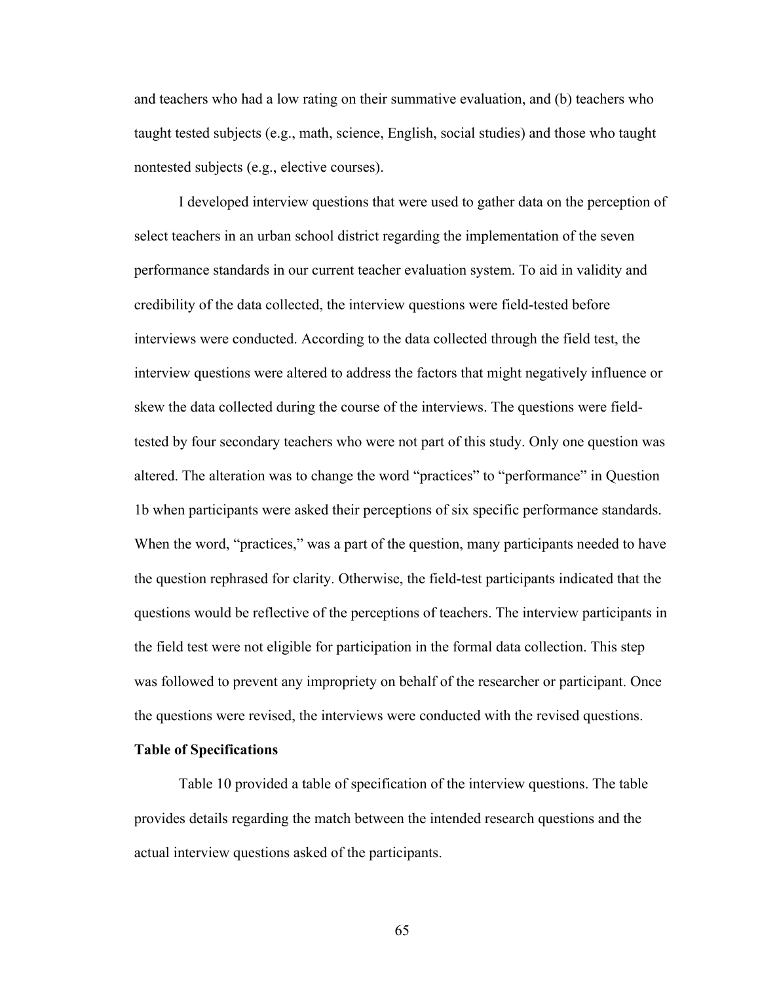and teachers who had a low rating on their summative evaluation, and (b) teachers who taught tested subjects (e.g., math, science, English, social studies) and those who taught nontested subjects (e.g., elective courses).

I developed interview questions that were used to gather data on the perception of select teachers in an urban school district regarding the implementation of the seven performance standards in our current teacher evaluation system. To aid in validity and credibility of the data collected, the interview questions were field-tested before interviews were conducted. According to the data collected through the field test, the interview questions were altered to address the factors that might negatively influence or skew the data collected during the course of the interviews. The questions were fieldtested by four secondary teachers who were not part of this study. Only one question was altered. The alteration was to change the word "practices" to "performance" in Question 1b when participants were asked their perceptions of six specific performance standards. When the word, "practices," was a part of the question, many participants needed to have the question rephrased for clarity. Otherwise, the field-test participants indicated that the questions would be reflective of the perceptions of teachers. The interview participants in the field test were not eligible for participation in the formal data collection. This step was followed to prevent any impropriety on behalf of the researcher or participant. Once the questions were revised, the interviews were conducted with the revised questions.

#### **Table of Specifications**

Table 10 provided a table of specification of the interview questions. The table provides details regarding the match between the intended research questions and the actual interview questions asked of the participants.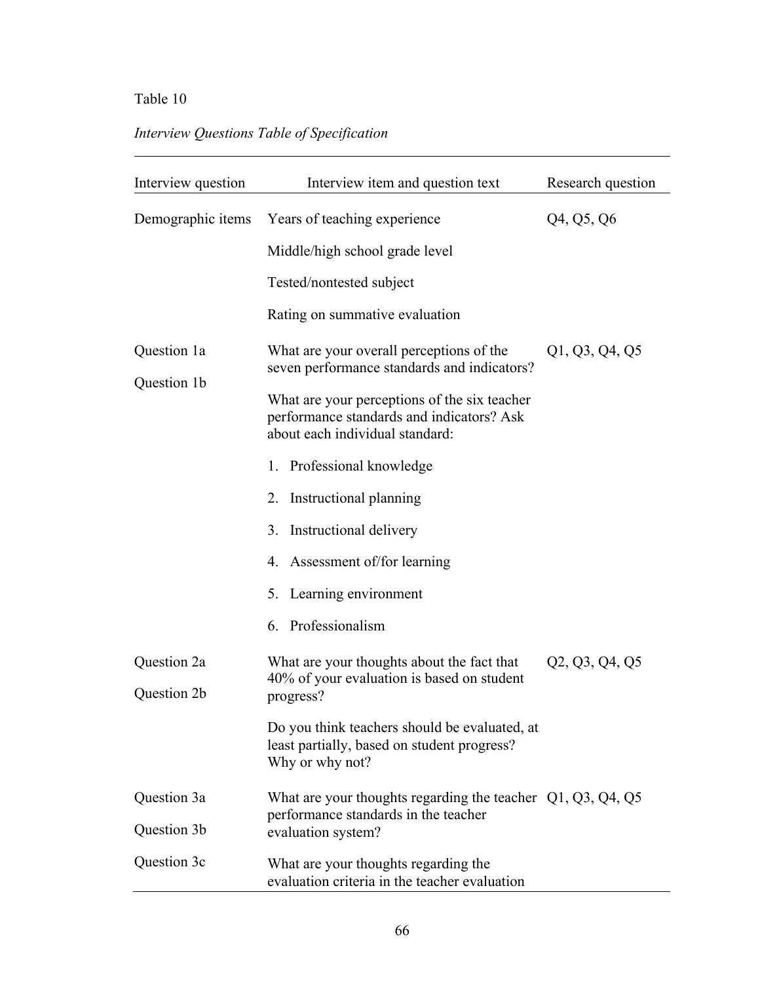# Table 10

# *Interview Questions Table of Specification*

| Interview question         | Interview item and question text                                                                                             | Research question |
|----------------------------|------------------------------------------------------------------------------------------------------------------------------|-------------------|
| Demographic items          | Years of teaching experience                                                                                                 | Q4, Q5, Q6        |
|                            | Middle/high school grade level                                                                                               |                   |
|                            | Tested/nontested subject                                                                                                     |                   |
|                            | Rating on summative evaluation                                                                                               |                   |
| Question 1a                | What are your overall perceptions of the<br>seven performance standards and indicators?                                      | Q1, Q3, Q4, Q5    |
| Question 1b                | What are your perceptions of the six teacher<br>performance standards and indicators? Ask<br>about each individual standard: |                   |
|                            | 1. Professional knowledge                                                                                                    |                   |
|                            | 2. Instructional planning                                                                                                    |                   |
|                            | Instructional delivery<br>3 <sub>1</sub>                                                                                     |                   |
|                            | 4. Assessment of/for learning                                                                                                |                   |
|                            | 5. Learning environment                                                                                                      |                   |
|                            | 6. Professionalism                                                                                                           |                   |
| Question 2a<br>Question 2b | What are your thoughts about the fact that<br>40% of your evaluation is based on student<br>progress?                        | Q2, Q3, Q4, Q5    |
|                            | Do you think teachers should be evaluated, at<br>least partially, based on student progress?<br>Why or why not?              |                   |
| Question 3a                | What are your thoughts regarding the teacher $Q1, Q3, Q4, Q5$                                                                |                   |
| Question 3b                | performance standards in the teacher<br>evaluation system?                                                                   |                   |
| Question 3c                | What are your thoughts regarding the<br>evaluation criteria in the teacher evaluation                                        |                   |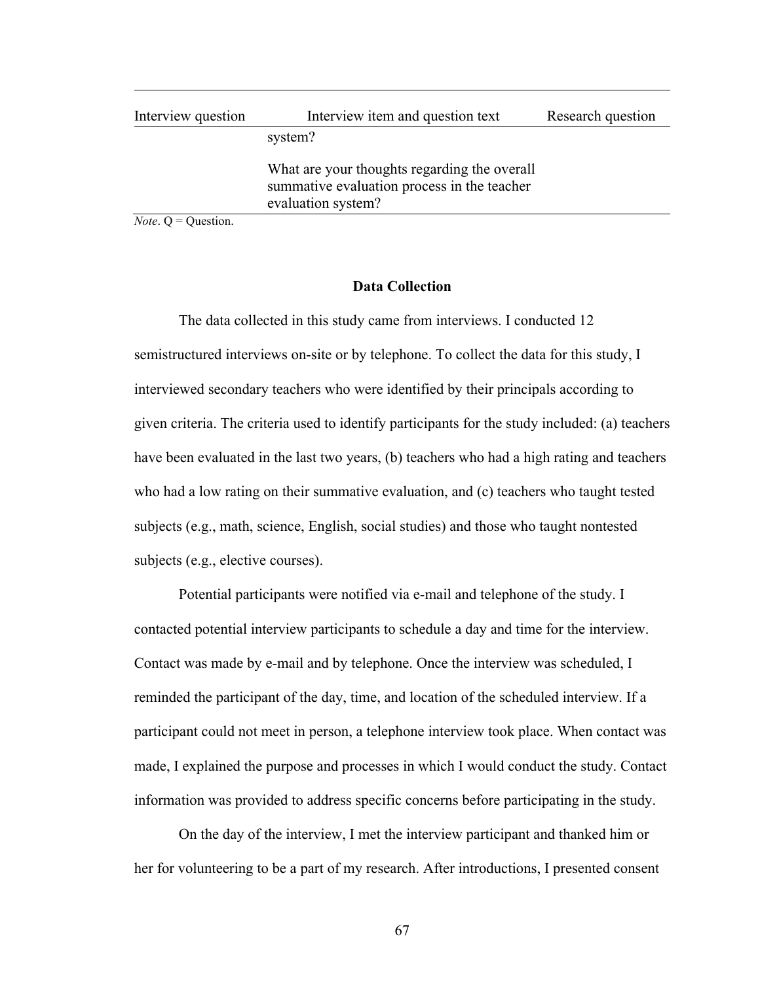| Interview question | Interview item and question text                                                                                  | Research question |
|--------------------|-------------------------------------------------------------------------------------------------------------------|-------------------|
|                    | system?                                                                                                           |                   |
|                    | What are your thoughts regarding the overall<br>summative evaluation process in the teacher<br>evaluation system? |                   |

*Note.*  $Q =$ Question.

#### **Data Collection**

The data collected in this study came from interviews. I conducted 12 semistructured interviews on-site or by telephone. To collect the data for this study, I interviewed secondary teachers who were identified by their principals according to given criteria. The criteria used to identify participants for the study included: (a) teachers have been evaluated in the last two years, (b) teachers who had a high rating and teachers who had a low rating on their summative evaluation, and (c) teachers who taught tested subjects (e.g., math, science, English, social studies) and those who taught nontested subjects (e.g., elective courses).

Potential participants were notified via e-mail and telephone of the study. I contacted potential interview participants to schedule a day and time for the interview. Contact was made by e-mail and by telephone. Once the interview was scheduled, I reminded the participant of the day, time, and location of the scheduled interview. If a participant could not meet in person, a telephone interview took place. When contact was made, I explained the purpose and processes in which I would conduct the study. Contact information was provided to address specific concerns before participating in the study.

On the day of the interview, I met the interview participant and thanked him or her for volunteering to be a part of my research. After introductions, I presented consent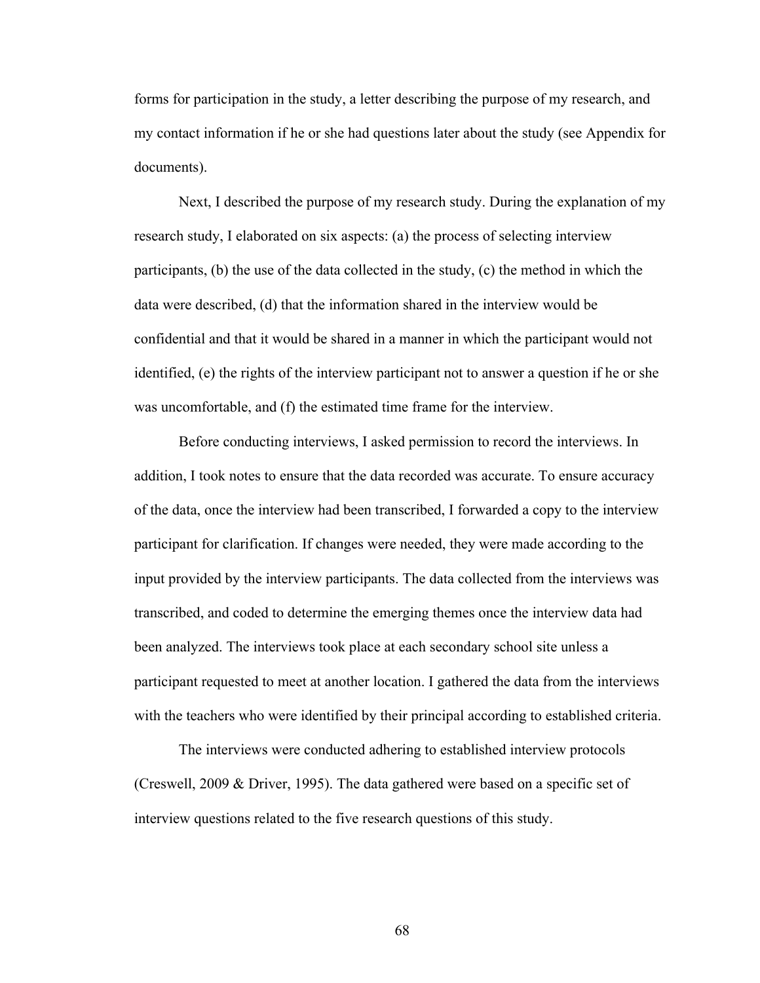forms for participation in the study, a letter describing the purpose of my research, and my contact information if he or she had questions later about the study (see Appendix for documents).

Next, I described the purpose of my research study. During the explanation of my research study, I elaborated on six aspects: (a) the process of selecting interview participants, (b) the use of the data collected in the study, (c) the method in which the data were described, (d) that the information shared in the interview would be confidential and that it would be shared in a manner in which the participant would not identified, (e) the rights of the interview participant not to answer a question if he or she was uncomfortable, and (f) the estimated time frame for the interview.

Before conducting interviews, I asked permission to record the interviews. In addition, I took notes to ensure that the data recorded was accurate. To ensure accuracy of the data, once the interview had been transcribed, I forwarded a copy to the interview participant for clarification. If changes were needed, they were made according to the input provided by the interview participants. The data collected from the interviews was transcribed, and coded to determine the emerging themes once the interview data had been analyzed. The interviews took place at each secondary school site unless a participant requested to meet at another location. I gathered the data from the interviews with the teachers who were identified by their principal according to established criteria.

The interviews were conducted adhering to established interview protocols (Creswell, 2009 & Driver, 1995). The data gathered were based on a specific set of interview questions related to the five research questions of this study.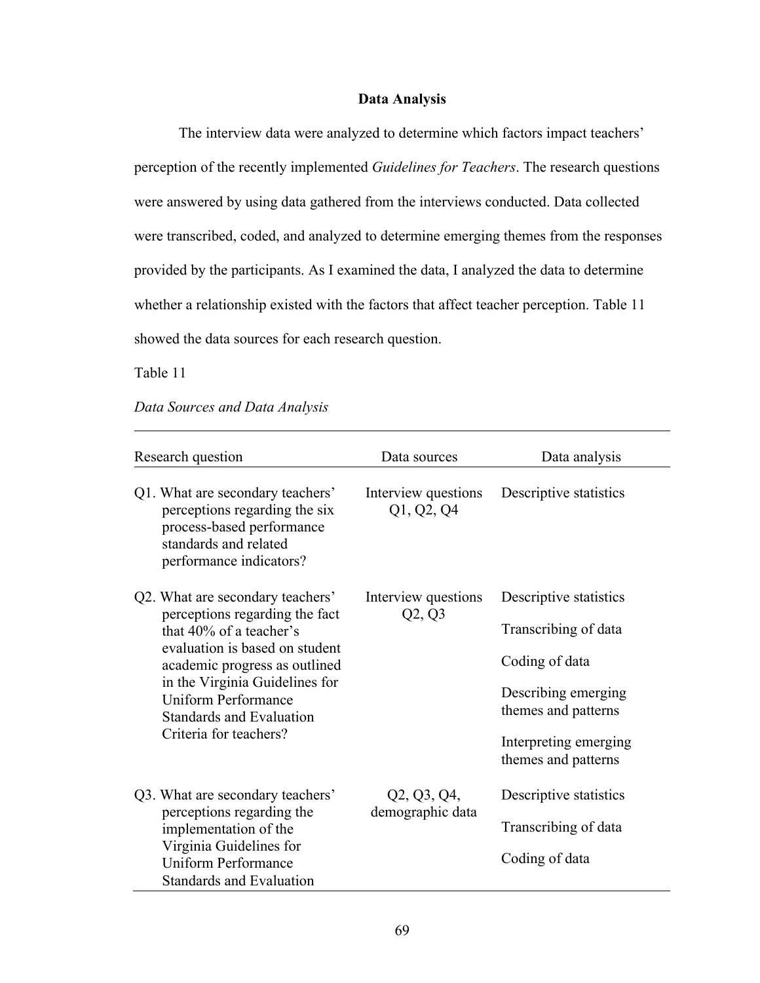## **Data Analysis**

The interview data were analyzed to determine which factors impact teachers' perception of the recently implemented *Guidelines for Teachers*. The research questions were answered by using data gathered from the interviews conducted. Data collected were transcribed, coded, and analyzed to determine emerging themes from the responses provided by the participants. As I examined the data, I analyzed the data to determine whether a relationship existed with the factors that affect teacher perception. Table 11 showed the data sources for each research question.

Table 11

#### *Data Sources and Data Analysis*

| Research question                                                                                                                                                                                                                                                                             | Data sources                      | Data analysis                                                                                                                                                  |  |
|-----------------------------------------------------------------------------------------------------------------------------------------------------------------------------------------------------------------------------------------------------------------------------------------------|-----------------------------------|----------------------------------------------------------------------------------------------------------------------------------------------------------------|--|
| Q1. What are secondary teachers'<br>perceptions regarding the six<br>process-based performance<br>standards and related<br>performance indicators?                                                                                                                                            | Interview questions<br>Q1, Q2, Q4 | Descriptive statistics                                                                                                                                         |  |
| Q2. What are secondary teachers'<br>perceptions regarding the fact<br>that 40% of a teacher's<br>evaluation is based on student<br>academic progress as outlined<br>in the Virginia Guidelines for<br><b>Uniform Performance</b><br><b>Standards and Evaluation</b><br>Criteria for teachers? | Interview questions<br>Q2, Q3     | Descriptive statistics<br>Transcribing of data<br>Coding of data<br>Describing emerging<br>themes and patterns<br>Interpreting emerging<br>themes and patterns |  |
| Q3. What are secondary teachers'<br>perceptions regarding the<br>implementation of the<br>Virginia Guidelines for<br><b>Uniform Performance</b><br>Standards and Evaluation                                                                                                                   | Q2, Q3, Q4,<br>demographic data   | Descriptive statistics<br>Transcribing of data<br>Coding of data                                                                                               |  |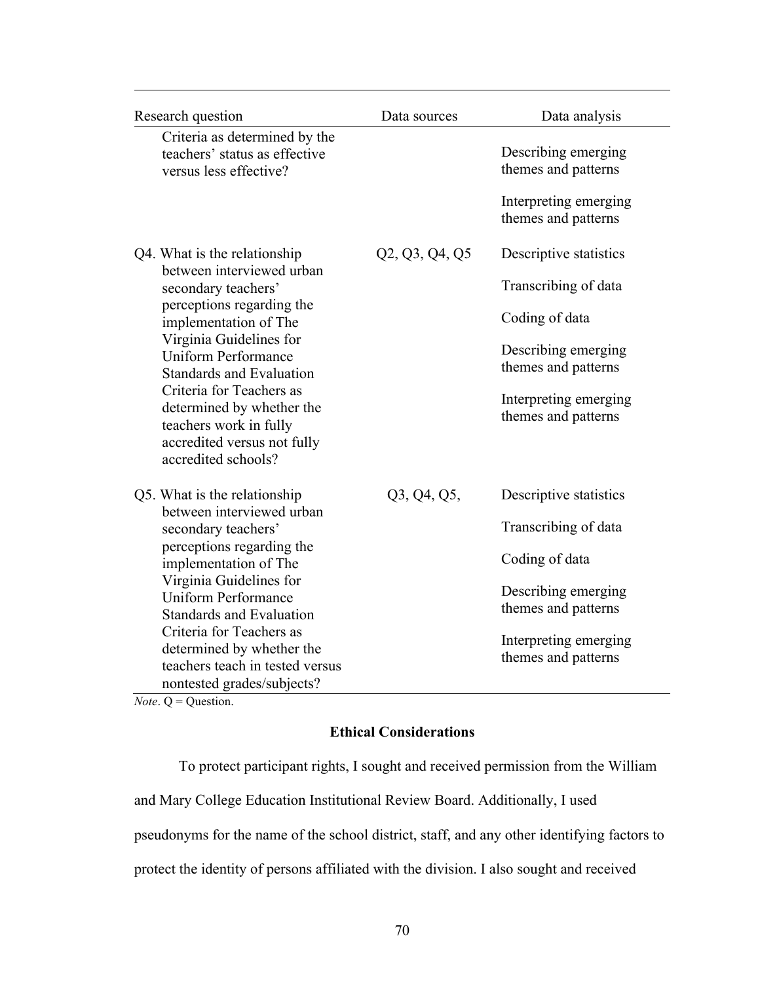| Research question                                                                                                                                                                                                                                                                                                                                                           | Data sources   | Data analysis                                                                                                                                                  |  |
|-----------------------------------------------------------------------------------------------------------------------------------------------------------------------------------------------------------------------------------------------------------------------------------------------------------------------------------------------------------------------------|----------------|----------------------------------------------------------------------------------------------------------------------------------------------------------------|--|
| Criteria as determined by the<br>teachers' status as effective<br>versus less effective?                                                                                                                                                                                                                                                                                    |                | Describing emerging<br>themes and patterns<br>Interpreting emerging<br>themes and patterns                                                                     |  |
| Q4. What is the relationship<br>between interviewed urban<br>secondary teachers'<br>perceptions regarding the<br>implementation of The<br>Virginia Guidelines for<br><b>Uniform Performance</b><br><b>Standards and Evaluation</b><br>Criteria for Teachers as<br>determined by whether the<br>teachers work in fully<br>accredited versus not fully<br>accredited schools? | Q2, Q3, Q4, Q5 | Descriptive statistics<br>Transcribing of data<br>Coding of data<br>Describing emerging<br>themes and patterns<br>Interpreting emerging<br>themes and patterns |  |
| Q5. What is the relationship<br>between interviewed urban<br>secondary teachers'<br>perceptions regarding the<br>implementation of The<br>Virginia Guidelines for<br><b>Uniform Performance</b><br><b>Standards and Evaluation</b><br>Criteria for Teachers as<br>determined by whether the<br>teachers teach in tested versus<br>nontested grades/subjects?                | Q3, Q4, Q5,    | Descriptive statistics<br>Transcribing of data<br>Coding of data<br>Describing emerging<br>themes and patterns<br>Interpreting emerging<br>themes and patterns |  |

*Note*. Q = Question.

# **Ethical Considerations**

To protect participant rights, I sought and received permission from the William and Mary College Education Institutional Review Board. Additionally, I used pseudonyms for the name of the school district, staff, and any other identifying factors to protect the identity of persons affiliated with the division. I also sought and received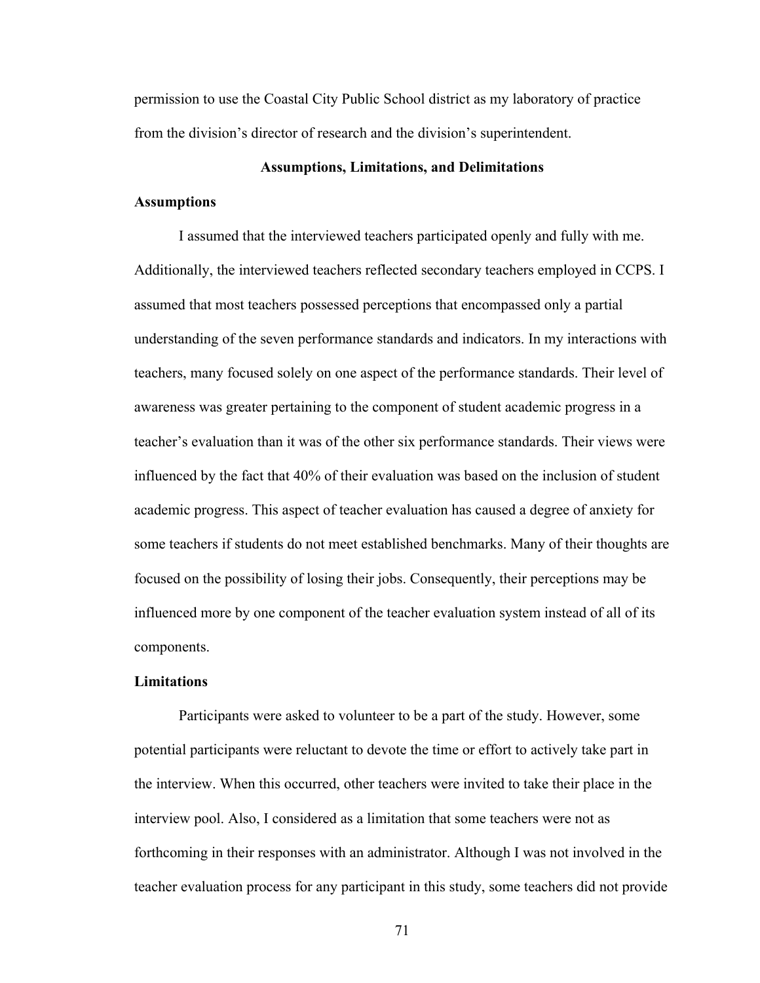permission to use the Coastal City Public School district as my laboratory of practice from the division's director of research and the division's superintendent.

#### **Assumptions, Limitations, and Delimitations**

#### **Assumptions**

I assumed that the interviewed teachers participated openly and fully with me. Additionally, the interviewed teachers reflected secondary teachers employed in CCPS. I assumed that most teachers possessed perceptions that encompassed only a partial understanding of the seven performance standards and indicators. In my interactions with teachers, many focused solely on one aspect of the performance standards. Their level of awareness was greater pertaining to the component of student academic progress in a teacher's evaluation than it was of the other six performance standards. Their views were influenced by the fact that 40% of their evaluation was based on the inclusion of student academic progress. This aspect of teacher evaluation has caused a degree of anxiety for some teachers if students do not meet established benchmarks. Many of their thoughts are focused on the possibility of losing their jobs. Consequently, their perceptions may be influenced more by one component of the teacher evaluation system instead of all of its components.

#### **Limitations**

Participants were asked to volunteer to be a part of the study. However, some potential participants were reluctant to devote the time or effort to actively take part in the interview. When this occurred, other teachers were invited to take their place in the interview pool. Also, I considered as a limitation that some teachers were not as forthcoming in their responses with an administrator. Although I was not involved in the teacher evaluation process for any participant in this study, some teachers did not provide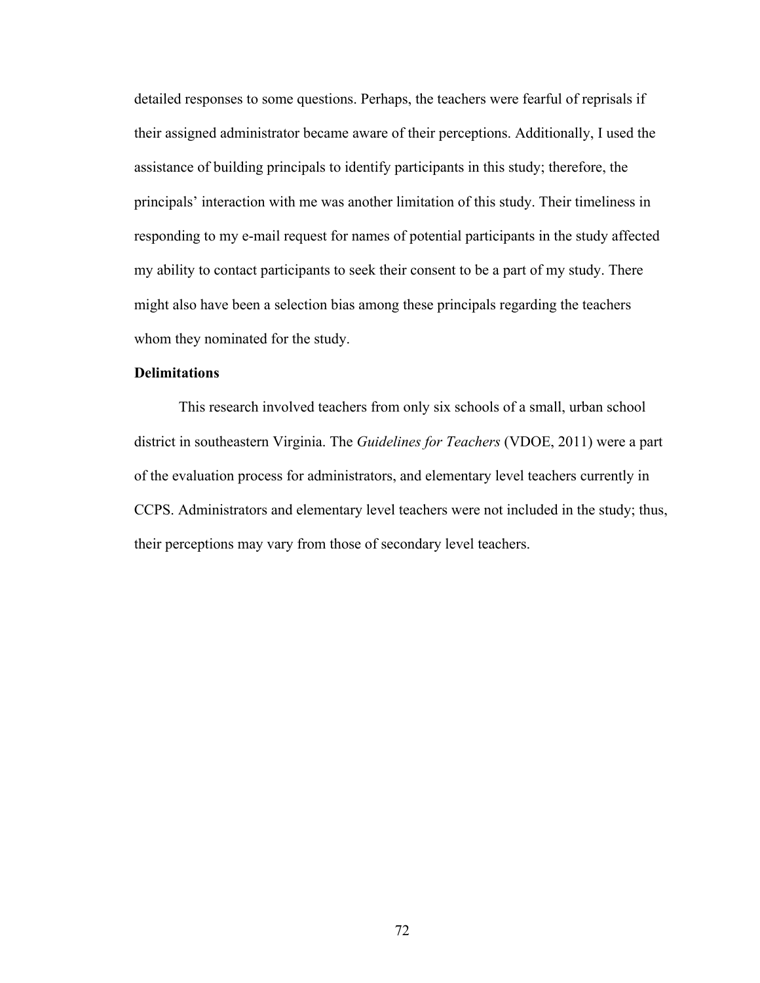detailed responses to some questions. Perhaps, the teachers were fearful of reprisals if their assigned administrator became aware of their perceptions. Additionally, I used the assistance of building principals to identify participants in this study; therefore, the principals' interaction with me was another limitation of this study. Their timeliness in responding to my e-mail request for names of potential participants in the study affected my ability to contact participants to seek their consent to be a part of my study. There might also have been a selection bias among these principals regarding the teachers whom they nominated for the study.

#### **Delimitations**

This research involved teachers from only six schools of a small, urban school district in southeastern Virginia. The *Guidelines for Teachers* (VDOE, 2011) were a part of the evaluation process for administrators, and elementary level teachers currently in CCPS. Administrators and elementary level teachers were not included in the study; thus, their perceptions may vary from those of secondary level teachers.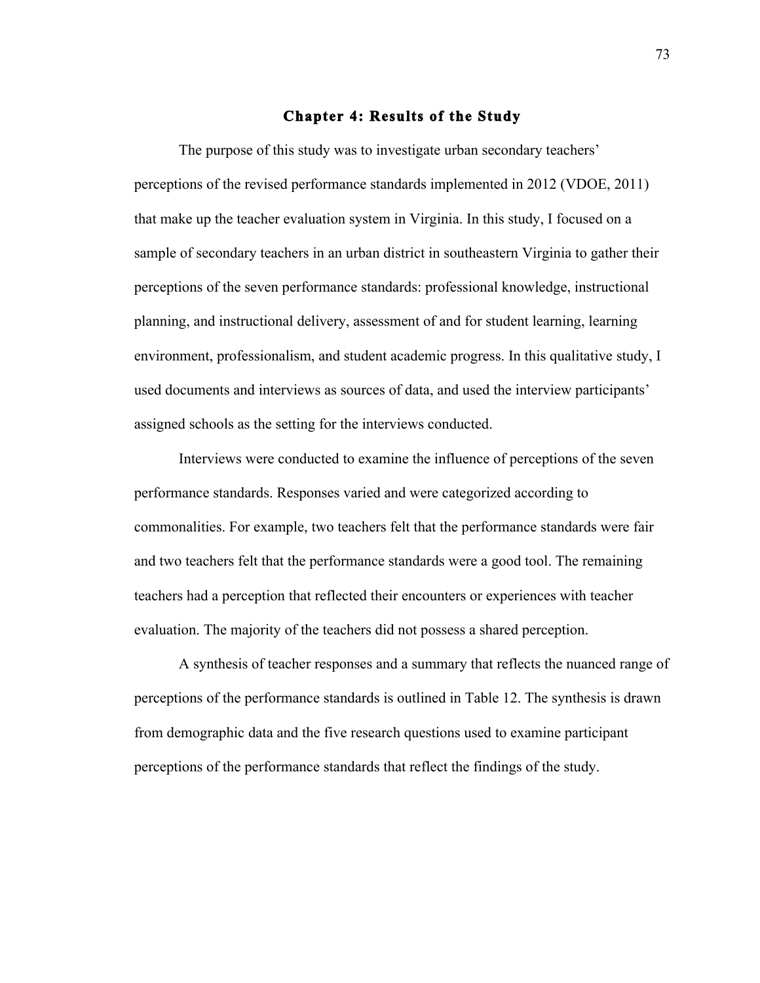#### **Chapter 4: Results of the Study**

The purpose of this study was to investigate urban secondary teachers' perceptions of the revised performance standards implemented in 2012 (VDOE, 2011) that make up the teacher evaluation system in Virginia. In this study, I focused on a sample of secondary teachers in an urban district in southeastern Virginia to gather their perceptions of the seven performance standards: professional knowledge, instructional planning, and instructional delivery, assessment of and for student learning, learning environment, professionalism, and student academic progress. In this qualitative study, I used documents and interviews as sources of data, and used the interview participants' assigned schools as the setting for the interviews conducted.

Interviews were conducted to examine the influence of perceptions of the seven performance standards. Responses varied and were categorized according to commonalities. For example, two teachers felt that the performance standards were fair and two teachers felt that the performance standards were a good tool. The remaining teachers had a perception that reflected their encounters or experiences with teacher evaluation. The majority of the teachers did not possess a shared perception.

A synthesis of teacher responses and a summary that reflects the nuanced range of perceptions of the performance standards is outlined in Table 12. The synthesis is drawn from demographic data and the five research questions used to examine participant perceptions of the performance standards that reflect the findings of the study.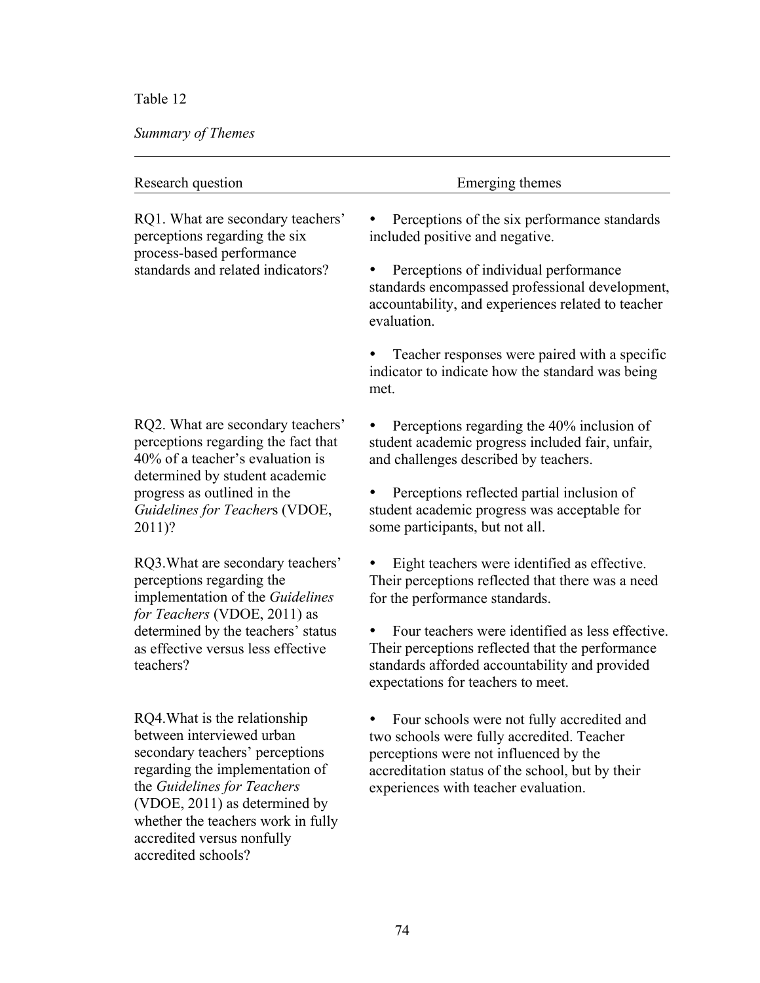# Table 12

# *Summary of Themes*

accredited schools?

| Research question                                                                                                                                                                                                                                                    | Emerging themes                                                                                                                                                                                                                                                                                                                     |
|----------------------------------------------------------------------------------------------------------------------------------------------------------------------------------------------------------------------------------------------------------------------|-------------------------------------------------------------------------------------------------------------------------------------------------------------------------------------------------------------------------------------------------------------------------------------------------------------------------------------|
| RQ1. What are secondary teachers'<br>perceptions regarding the six<br>process-based performance<br>standards and related indicators?                                                                                                                                 | Perceptions of the six performance standards<br>included positive and negative.<br>Perceptions of individual performance<br>٠<br>standards encompassed professional development,<br>accountability, and experiences related to teacher<br>evaluation.                                                                               |
|                                                                                                                                                                                                                                                                      | Teacher responses were paired with a specific<br>indicator to indicate how the standard was being<br>met.                                                                                                                                                                                                                           |
| RQ2. What are secondary teachers'<br>perceptions regarding the fact that<br>40% of a teacher's evaluation is<br>determined by student academic<br>progress as outlined in the<br>Guidelines for Teachers (VDOE,<br>$2011$ ?                                          | Perceptions regarding the 40% inclusion of<br>student academic progress included fair, unfair,<br>and challenges described by teachers.<br>Perceptions reflected partial inclusion of<br>student academic progress was acceptable for<br>some participants, but not all.                                                            |
| RQ3. What are secondary teachers'<br>perceptions regarding the<br>implementation of the Guidelines<br>for Teachers (VDOE, 2011) as<br>determined by the teachers' status<br>as effective versus less effective<br>teachers?                                          | Eight teachers were identified as effective.<br>Their perceptions reflected that there was a need<br>for the performance standards.<br>Four teachers were identified as less effective.<br>Their perceptions reflected that the performance<br>standards afforded accountability and provided<br>expectations for teachers to meet. |
| RQ4. What is the relationship<br>between interviewed urban<br>secondary teachers' perceptions<br>regarding the implementation of<br>the Guidelines for Teachers<br>(VDOE, 2011) as determined by<br>whether the teachers work in fully<br>accredited versus nonfully | Four schools were not fully accredited and<br>two schools were fully accredited. Teacher<br>perceptions were not influenced by the<br>accreditation status of the school, but by their<br>experiences with teacher evaluation.                                                                                                      |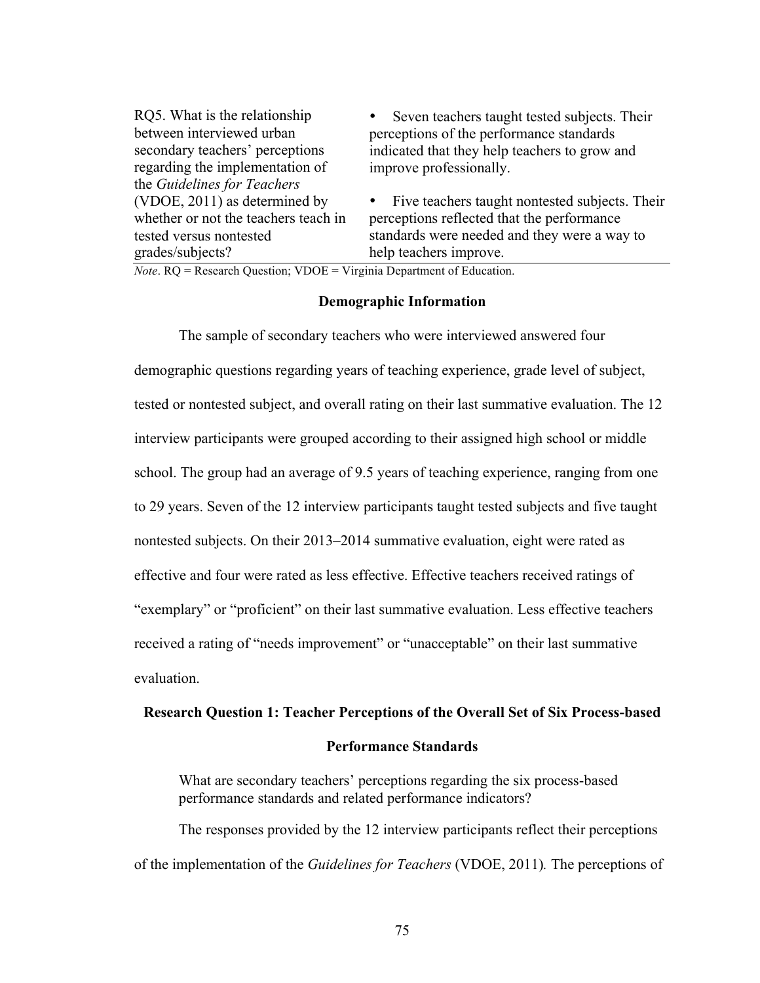| • Seven teachers taught tested subjects. Their   |
|--------------------------------------------------|
| perceptions of the performance standards         |
| indicated that they help teachers to grow and    |
| improve professionally.                          |
|                                                  |
| • Five teachers taught nontested subjects. Their |
| perceptions reflected that the performance       |
| standards were needed and they were a way to     |
| help teachers improve.                           |
|                                                  |

*Note*. RQ = Research Question; VDOE = Virginia Department of Education.

#### **Demographic Information**

The sample of secondary teachers who were interviewed answered four demographic questions regarding years of teaching experience, grade level of subject, tested or nontested subject, and overall rating on their last summative evaluation. The 12 interview participants were grouped according to their assigned high school or middle school. The group had an average of 9.5 years of teaching experience, ranging from one to 29 years. Seven of the 12 interview participants taught tested subjects and five taught nontested subjects. On their 2013–2014 summative evaluation, eight were rated as effective and four were rated as less effective. Effective teachers received ratings of "exemplary" or "proficient" on their last summative evaluation. Less effective teachers received a rating of "needs improvement" or "unacceptable" on their last summative evaluation.

#### **Research Question 1: Teacher Perceptions of the Overall Set of Six Process-based**

#### **Performance Standards**

What are secondary teachers' perceptions regarding the six process-based performance standards and related performance indicators?

The responses provided by the 12 interview participants reflect their perceptions of the implementation of the *Guidelines for Teachers* (VDOE, 2011)*.* The perceptions of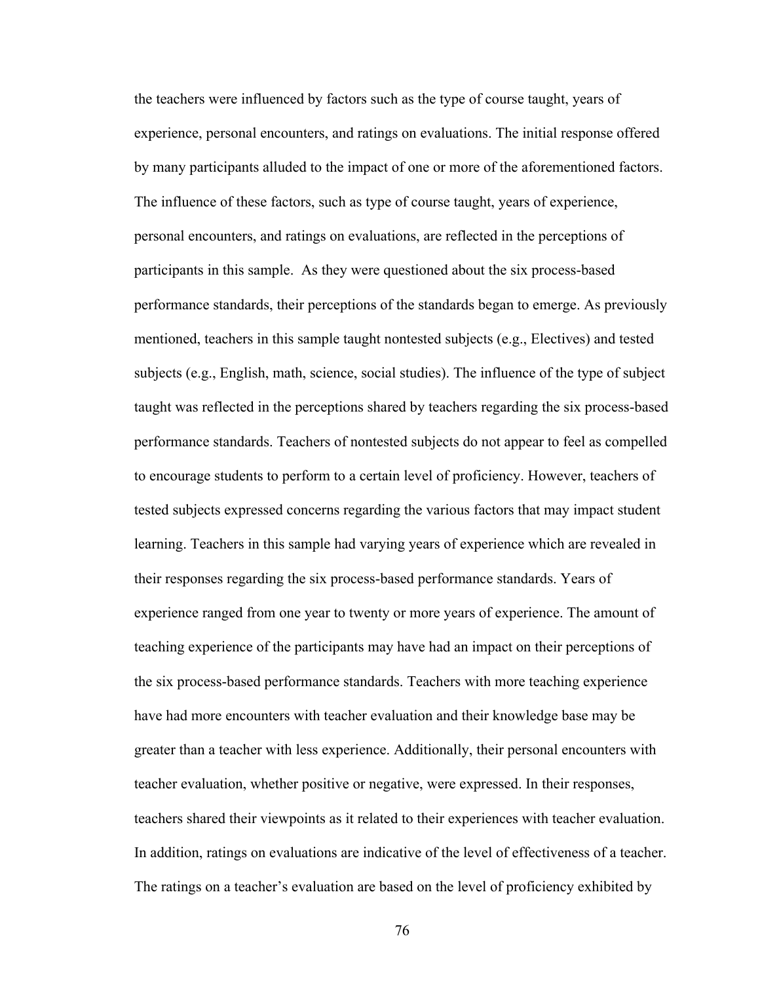the teachers were influenced by factors such as the type of course taught, years of experience, personal encounters, and ratings on evaluations. The initial response offered by many participants alluded to the impact of one or more of the aforementioned factors. The influence of these factors, such as type of course taught, years of experience, personal encounters, and ratings on evaluations, are reflected in the perceptions of participants in this sample. As they were questioned about the six process-based performance standards, their perceptions of the standards began to emerge. As previously mentioned, teachers in this sample taught nontested subjects (e.g., Electives) and tested subjects (e.g., English, math, science, social studies). The influence of the type of subject taught was reflected in the perceptions shared by teachers regarding the six process-based performance standards. Teachers of nontested subjects do not appear to feel as compelled to encourage students to perform to a certain level of proficiency. However, teachers of tested subjects expressed concerns regarding the various factors that may impact student learning. Teachers in this sample had varying years of experience which are revealed in their responses regarding the six process-based performance standards. Years of experience ranged from one year to twenty or more years of experience. The amount of teaching experience of the participants may have had an impact on their perceptions of the six process-based performance standards. Teachers with more teaching experience have had more encounters with teacher evaluation and their knowledge base may be greater than a teacher with less experience. Additionally, their personal encounters with teacher evaluation, whether positive or negative, were expressed. In their responses, teachers shared their viewpoints as it related to their experiences with teacher evaluation. In addition, ratings on evaluations are indicative of the level of effectiveness of a teacher. The ratings on a teacher's evaluation are based on the level of proficiency exhibited by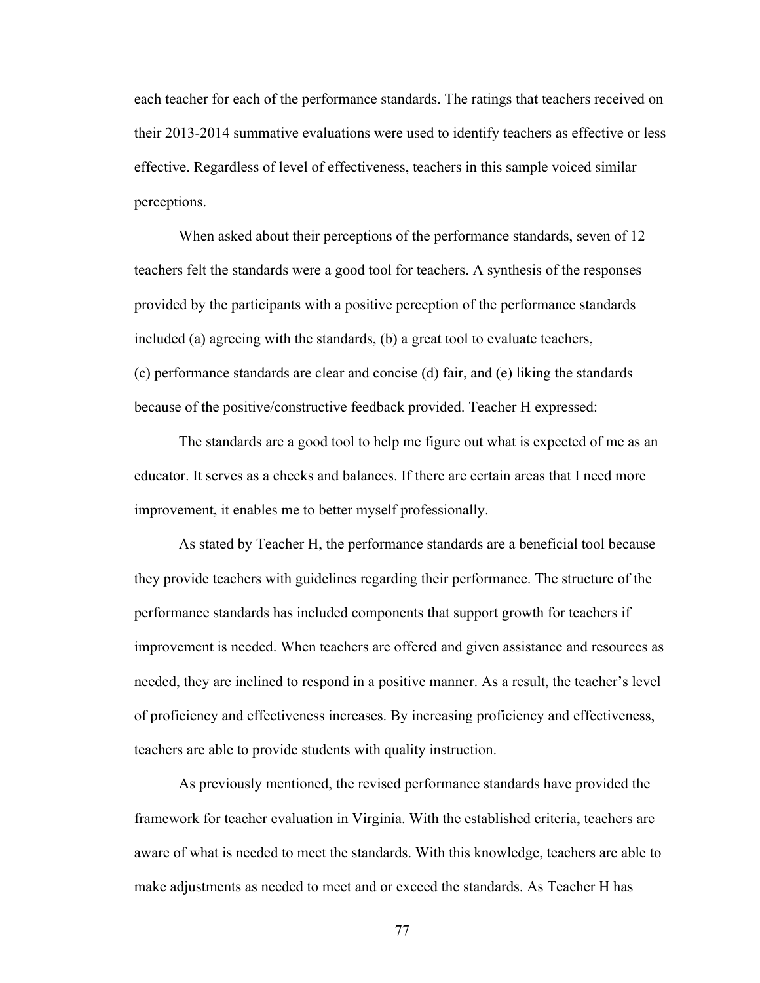each teacher for each of the performance standards. The ratings that teachers received on their 2013-2014 summative evaluations were used to identify teachers as effective or less effective. Regardless of level of effectiveness, teachers in this sample voiced similar perceptions.

When asked about their perceptions of the performance standards, seven of 12 teachers felt the standards were a good tool for teachers. A synthesis of the responses provided by the participants with a positive perception of the performance standards included (a) agreeing with the standards, (b) a great tool to evaluate teachers, (c) performance standards are clear and concise (d) fair, and (e) liking the standards because of the positive/constructive feedback provided. Teacher H expressed:

The standards are a good tool to help me figure out what is expected of me as an educator. It serves as a checks and balances. If there are certain areas that I need more improvement, it enables me to better myself professionally.

As stated by Teacher H, the performance standards are a beneficial tool because they provide teachers with guidelines regarding their performance. The structure of the performance standards has included components that support growth for teachers if improvement is needed. When teachers are offered and given assistance and resources as needed, they are inclined to respond in a positive manner. As a result, the teacher's level of proficiency and effectiveness increases. By increasing proficiency and effectiveness, teachers are able to provide students with quality instruction.

As previously mentioned, the revised performance standards have provided the framework for teacher evaluation in Virginia. With the established criteria, teachers are aware of what is needed to meet the standards. With this knowledge, teachers are able to make adjustments as needed to meet and or exceed the standards. As Teacher H has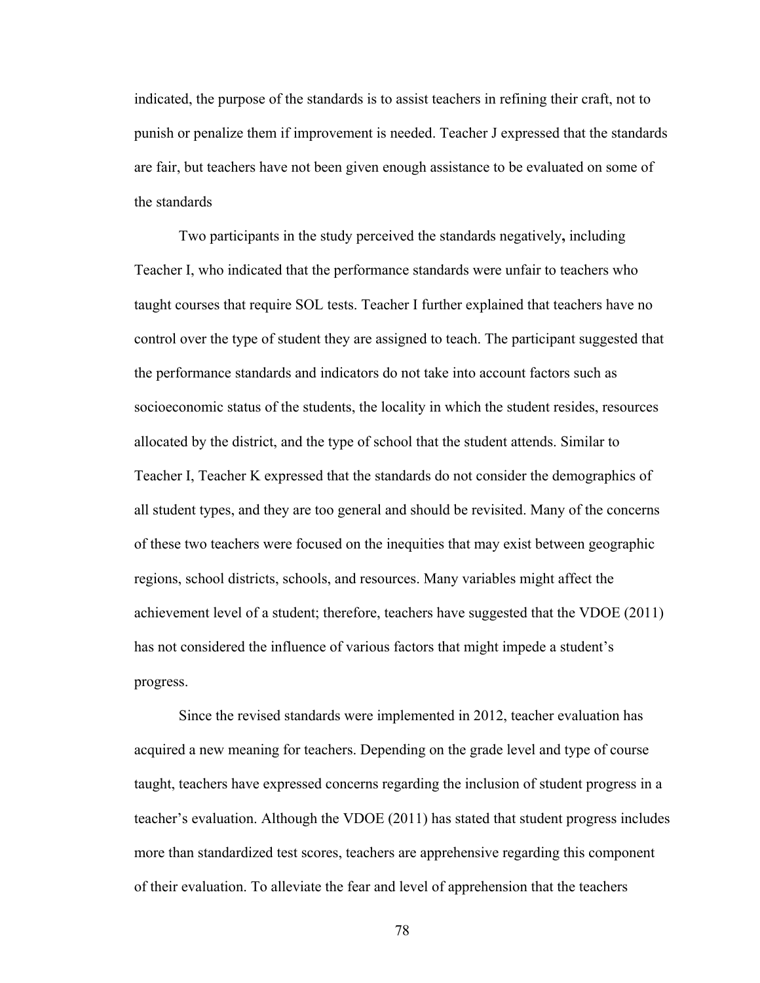indicated, the purpose of the standards is to assist teachers in refining their craft, not to punish or penalize them if improvement is needed. Teacher J expressed that the standards are fair, but teachers have not been given enough assistance to be evaluated on some of the standards

Two participants in the study perceived the standards negatively**,** including Teacher I, who indicated that the performance standards were unfair to teachers who taught courses that require SOL tests. Teacher I further explained that teachers have no control over the type of student they are assigned to teach. The participant suggested that the performance standards and indicators do not take into account factors such as socioeconomic status of the students, the locality in which the student resides, resources allocated by the district, and the type of school that the student attends. Similar to Teacher I, Teacher K expressed that the standards do not consider the demographics of all student types, and they are too general and should be revisited. Many of the concerns of these two teachers were focused on the inequities that may exist between geographic regions, school districts, schools, and resources. Many variables might affect the achievement level of a student; therefore, teachers have suggested that the VDOE (2011) has not considered the influence of various factors that might impede a student's progress.

Since the revised standards were implemented in 2012, teacher evaluation has acquired a new meaning for teachers. Depending on the grade level and type of course taught, teachers have expressed concerns regarding the inclusion of student progress in a teacher's evaluation. Although the VDOE (2011) has stated that student progress includes more than standardized test scores, teachers are apprehensive regarding this component of their evaluation. To alleviate the fear and level of apprehension that the teachers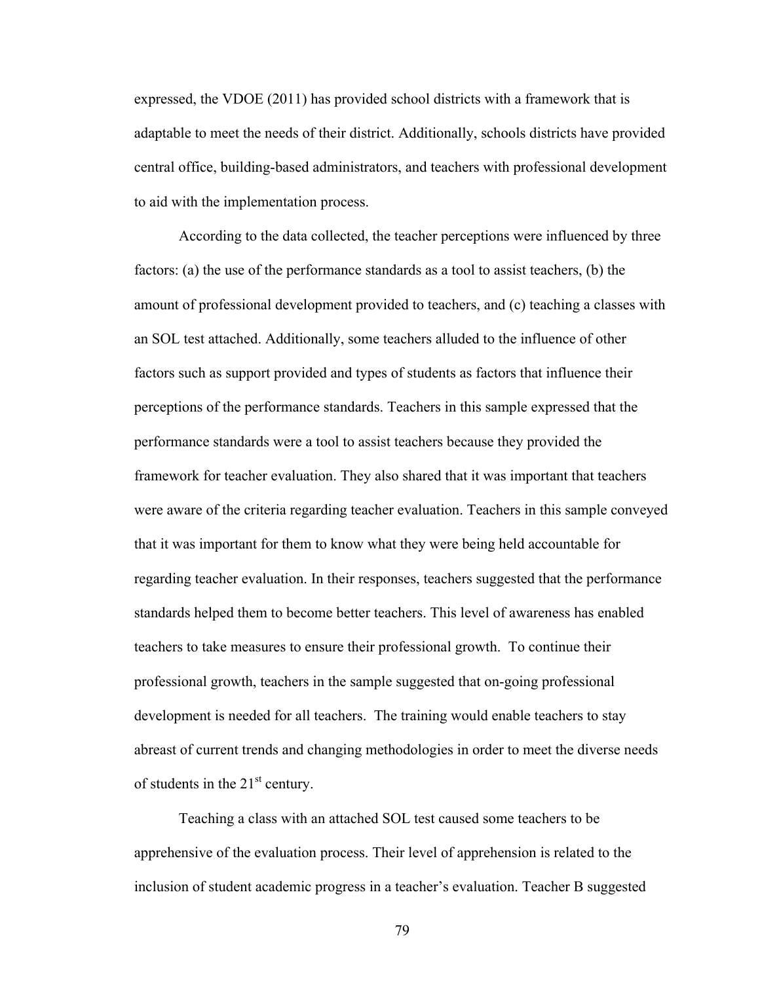expressed, the VDOE (2011) has provided school districts with a framework that is adaptable to meet the needs of their district. Additionally, schools districts have provided central office, building-based administrators, and teachers with professional development to aid with the implementation process.

According to the data collected, the teacher perceptions were influenced by three factors: (a) the use of the performance standards as a tool to assist teachers, (b) the amount of professional development provided to teachers, and (c) teaching a classes with an SOL test attached. Additionally, some teachers alluded to the influence of other factors such as support provided and types of students as factors that influence their perceptions of the performance standards. Teachers in this sample expressed that the performance standards were a tool to assist teachers because they provided the framework for teacher evaluation. They also shared that it was important that teachers were aware of the criteria regarding teacher evaluation. Teachers in this sample conveyed that it was important for them to know what they were being held accountable for regarding teacher evaluation. In their responses, teachers suggested that the performance standards helped them to become better teachers. This level of awareness has enabled teachers to take measures to ensure their professional growth. To continue their professional growth, teachers in the sample suggested that on-going professional development is needed for all teachers. The training would enable teachers to stay abreast of current trends and changing methodologies in order to meet the diverse needs of students in the  $21<sup>st</sup>$  century.

Teaching a class with an attached SOL test caused some teachers to be apprehensive of the evaluation process. Their level of apprehension is related to the inclusion of student academic progress in a teacher's evaluation. Teacher B suggested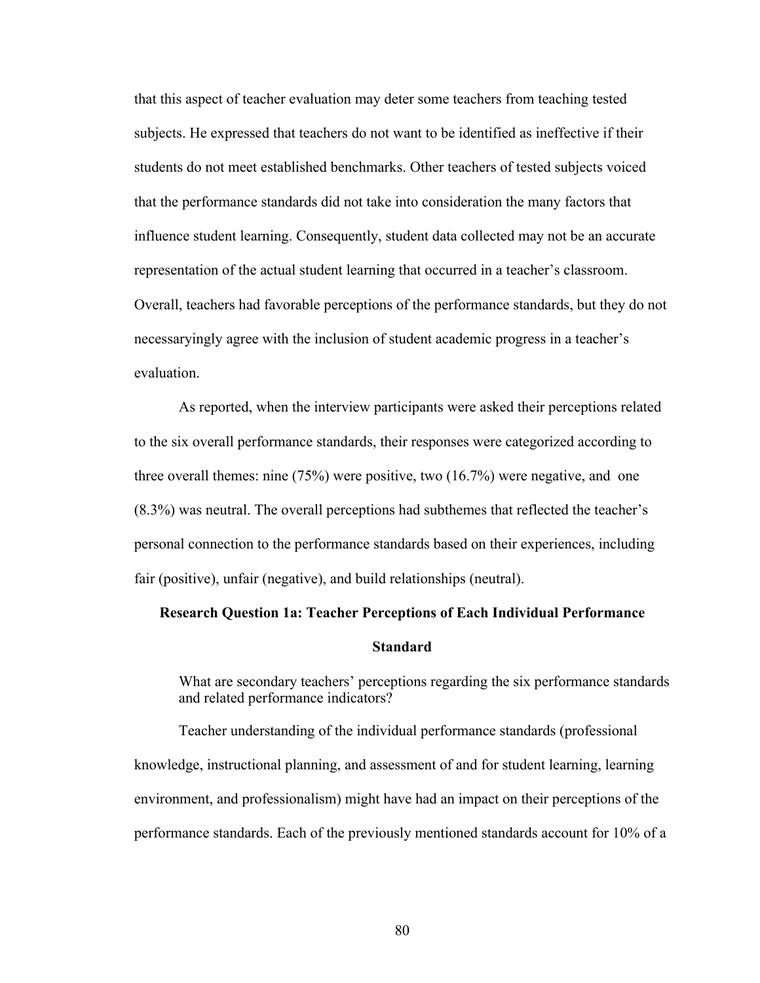that this aspect of teacher evaluation may deter some teachers from teaching tested subjects. He expressed that teachers do not want to be identified as ineffective if their students do not meet established benchmarks. Other teachers of tested subjects voiced that the performance standards did not take into consideration the many factors that influence student learning. Consequently, student data collected may not be an accurate representation of the actual student learning that occurred in a teacher's classroom. Overall, teachers had favorable perceptions of the performance standards, but they do not necessaryingly agree with the inclusion of student academic progress in a teacher's evaluation.

As reported, when the interview participants were asked their perceptions related to the six overall performance standards, their responses were categorized according to three overall themes: nine (75%) were positive, two (16.7%) were negative, and one (8.3%) was neutral. The overall perceptions had subthemes that reflected the teacher's personal connection to the performance standards based on their experiences, including fair (positive), unfair (negative), and build relationships (neutral).

# **Research Question 1a: Teacher Perceptions of Each Individual Performance**

#### **Standard**

What are secondary teachers' perceptions regarding the six performance standards and related performance indicators?

Teacher understanding of the individual performance standards (professional knowledge, instructional planning, and assessment of and for student learning, learning environment, and professionalism) might have had an impact on their perceptions of the performance standards. Each of the previously mentioned standards account for 10% of a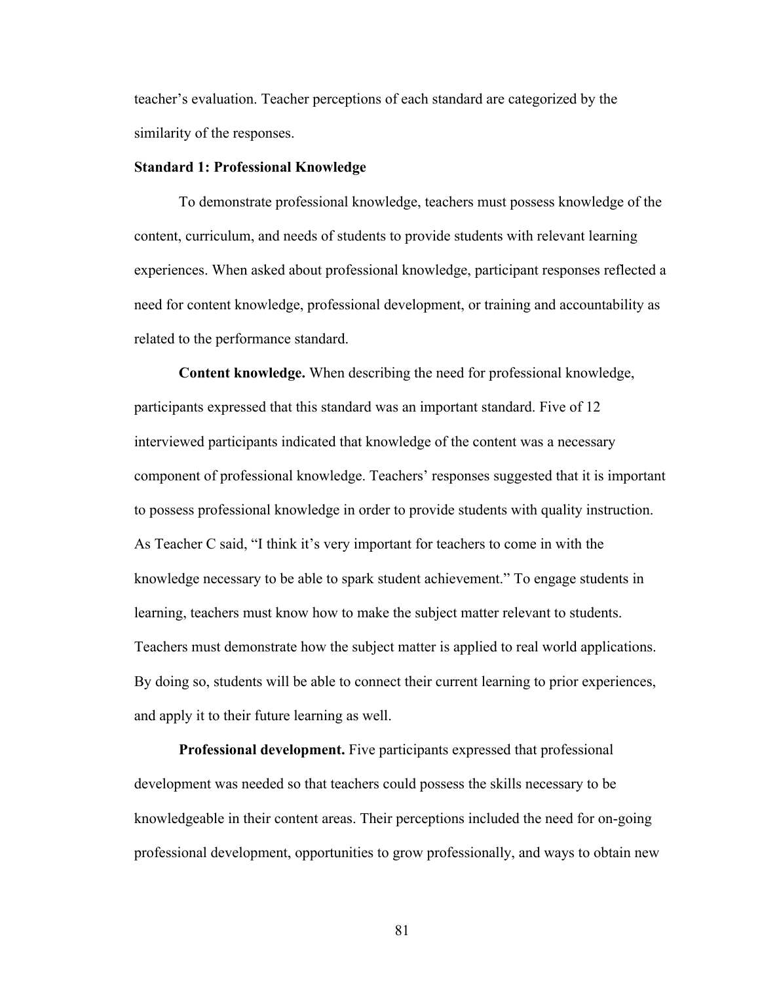teacher's evaluation. Teacher perceptions of each standard are categorized by the similarity of the responses.

#### **Standard 1: Professional Knowledge**

To demonstrate professional knowledge, teachers must possess knowledge of the content, curriculum, and needs of students to provide students with relevant learning experiences. When asked about professional knowledge, participant responses reflected a need for content knowledge, professional development, or training and accountability as related to the performance standard.

**Content knowledge.** When describing the need for professional knowledge, participants expressed that this standard was an important standard. Five of 12 interviewed participants indicated that knowledge of the content was a necessary component of professional knowledge. Teachers' responses suggested that it is important to possess professional knowledge in order to provide students with quality instruction. As Teacher C said, "I think it's very important for teachers to come in with the knowledge necessary to be able to spark student achievement." To engage students in learning, teachers must know how to make the subject matter relevant to students. Teachers must demonstrate how the subject matter is applied to real world applications. By doing so, students will be able to connect their current learning to prior experiences, and apply it to their future learning as well.

**Professional development.** Five participants expressed that professional development was needed so that teachers could possess the skills necessary to be knowledgeable in their content areas. Their perceptions included the need for on-going professional development, opportunities to grow professionally, and ways to obtain new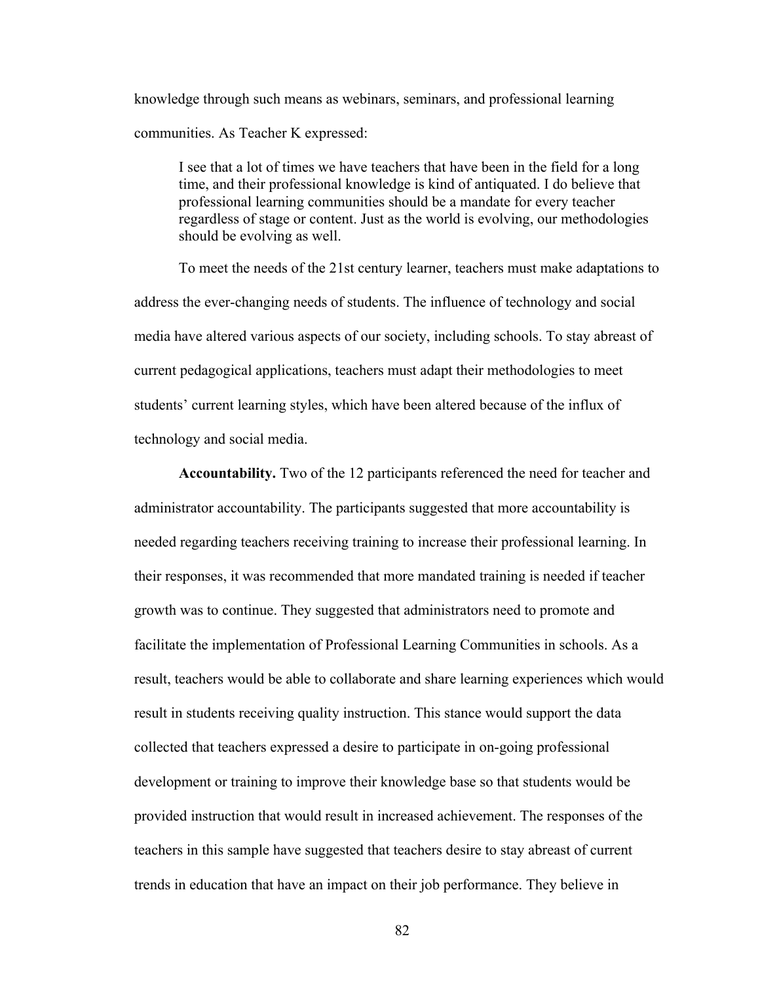knowledge through such means as webinars, seminars, and professional learning communities. As Teacher K expressed:

I see that a lot of times we have teachers that have been in the field for a long time, and their professional knowledge is kind of antiquated. I do believe that professional learning communities should be a mandate for every teacher regardless of stage or content. Just as the world is evolving, our methodologies should be evolving as well.

To meet the needs of the 21st century learner, teachers must make adaptations to address the ever-changing needs of students. The influence of technology and social media have altered various aspects of our society, including schools. To stay abreast of current pedagogical applications, teachers must adapt their methodologies to meet students' current learning styles, which have been altered because of the influx of technology and social media.

**Accountability.** Two of the 12 participants referenced the need for teacher and administrator accountability. The participants suggested that more accountability is needed regarding teachers receiving training to increase their professional learning. In their responses, it was recommended that more mandated training is needed if teacher growth was to continue. They suggested that administrators need to promote and facilitate the implementation of Professional Learning Communities in schools. As a result, teachers would be able to collaborate and share learning experiences which would result in students receiving quality instruction. This stance would support the data collected that teachers expressed a desire to participate in on-going professional development or training to improve their knowledge base so that students would be provided instruction that would result in increased achievement. The responses of the teachers in this sample have suggested that teachers desire to stay abreast of current trends in education that have an impact on their job performance. They believe in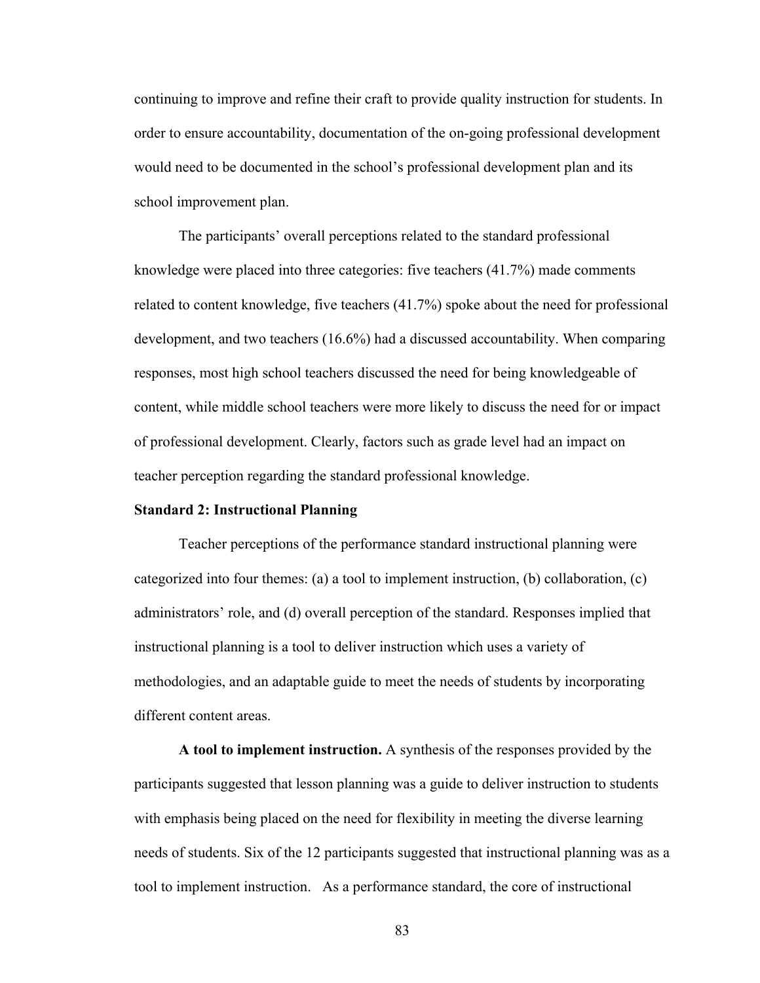continuing to improve and refine their craft to provide quality instruction for students. In order to ensure accountability, documentation of the on-going professional development would need to be documented in the school's professional development plan and its school improvement plan.

The participants' overall perceptions related to the standard professional knowledge were placed into three categories: five teachers (41.7%) made comments related to content knowledge, five teachers (41.7%) spoke about the need for professional development, and two teachers (16.6%) had a discussed accountability. When comparing responses, most high school teachers discussed the need for being knowledgeable of content, while middle school teachers were more likely to discuss the need for or impact of professional development. Clearly, factors such as grade level had an impact on teacher perception regarding the standard professional knowledge.

#### **Standard 2: Instructional Planning**

Teacher perceptions of the performance standard instructional planning were categorized into four themes: (a) a tool to implement instruction, (b) collaboration, (c) administrators' role, and (d) overall perception of the standard. Responses implied that instructional planning is a tool to deliver instruction which uses a variety of methodologies, and an adaptable guide to meet the needs of students by incorporating different content areas.

**A tool to implement instruction.** A synthesis of the responses provided by the participants suggested that lesson planning was a guide to deliver instruction to students with emphasis being placed on the need for flexibility in meeting the diverse learning needs of students. Six of the 12 participants suggested that instructional planning was as a tool to implement instruction. As a performance standard, the core of instructional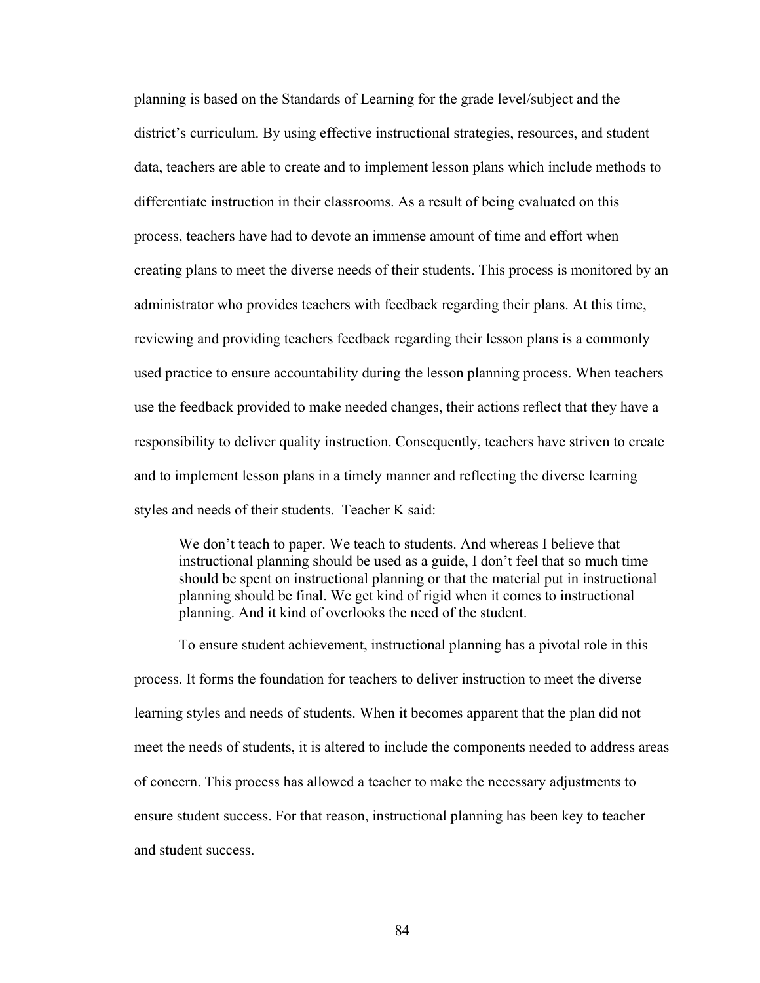planning is based on the Standards of Learning for the grade level/subject and the district's curriculum. By using effective instructional strategies, resources, and student data, teachers are able to create and to implement lesson plans which include methods to differentiate instruction in their classrooms. As a result of being evaluated on this process, teachers have had to devote an immense amount of time and effort when creating plans to meet the diverse needs of their students. This process is monitored by an administrator who provides teachers with feedback regarding their plans. At this time, reviewing and providing teachers feedback regarding their lesson plans is a commonly used practice to ensure accountability during the lesson planning process. When teachers use the feedback provided to make needed changes, their actions reflect that they have a responsibility to deliver quality instruction. Consequently, teachers have striven to create and to implement lesson plans in a timely manner and reflecting the diverse learning styles and needs of their students. Teacher K said:

We don't teach to paper. We teach to students. And whereas I believe that instructional planning should be used as a guide, I don't feel that so much time should be spent on instructional planning or that the material put in instructional planning should be final. We get kind of rigid when it comes to instructional planning. And it kind of overlooks the need of the student.

To ensure student achievement, instructional planning has a pivotal role in this process. It forms the foundation for teachers to deliver instruction to meet the diverse learning styles and needs of students. When it becomes apparent that the plan did not meet the needs of students, it is altered to include the components needed to address areas of concern. This process has allowed a teacher to make the necessary adjustments to ensure student success. For that reason, instructional planning has been key to teacher and student success.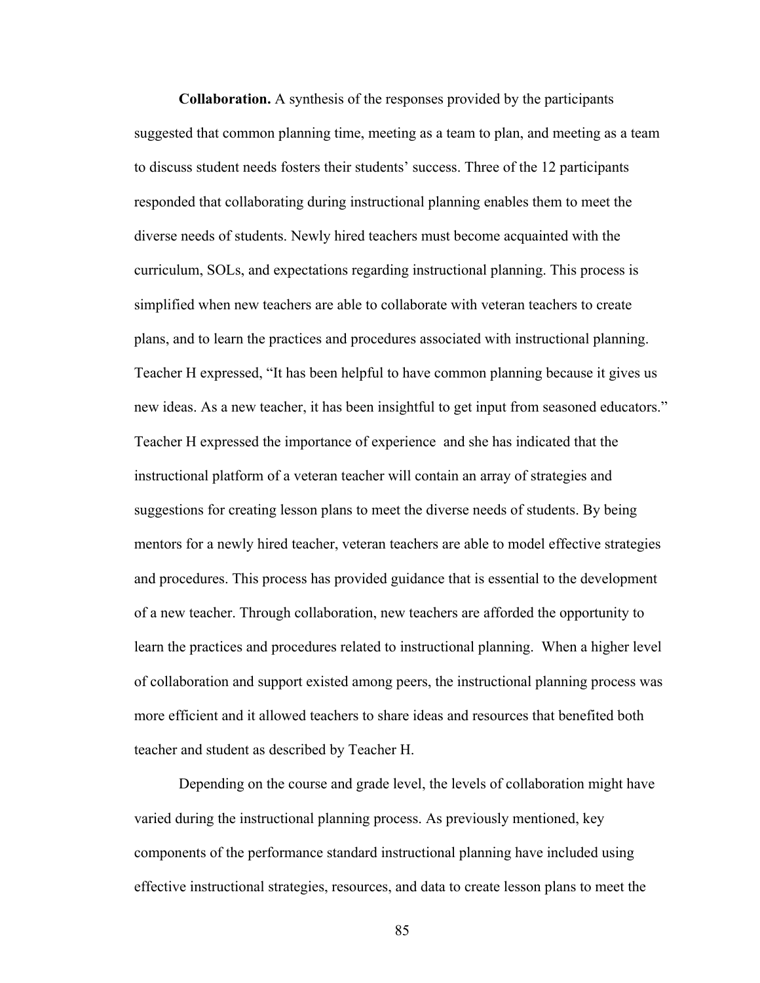**Collaboration.** A synthesis of the responses provided by the participants suggested that common planning time, meeting as a team to plan, and meeting as a team to discuss student needs fosters their students' success. Three of the 12 participants responded that collaborating during instructional planning enables them to meet the diverse needs of students. Newly hired teachers must become acquainted with the curriculum, SOLs, and expectations regarding instructional planning. This process is simplified when new teachers are able to collaborate with veteran teachers to create plans, and to learn the practices and procedures associated with instructional planning. Teacher H expressed, "It has been helpful to have common planning because it gives us new ideas. As a new teacher, it has been insightful to get input from seasoned educators." Teacher H expressed the importance of experience and she has indicated that the instructional platform of a veteran teacher will contain an array of strategies and suggestions for creating lesson plans to meet the diverse needs of students. By being mentors for a newly hired teacher, veteran teachers are able to model effective strategies and procedures. This process has provided guidance that is essential to the development of a new teacher. Through collaboration, new teachers are afforded the opportunity to learn the practices and procedures related to instructional planning. When a higher level of collaboration and support existed among peers, the instructional planning process was more efficient and it allowed teachers to share ideas and resources that benefited both teacher and student as described by Teacher H.

Depending on the course and grade level, the levels of collaboration might have varied during the instructional planning process. As previously mentioned, key components of the performance standard instructional planning have included using effective instructional strategies, resources, and data to create lesson plans to meet the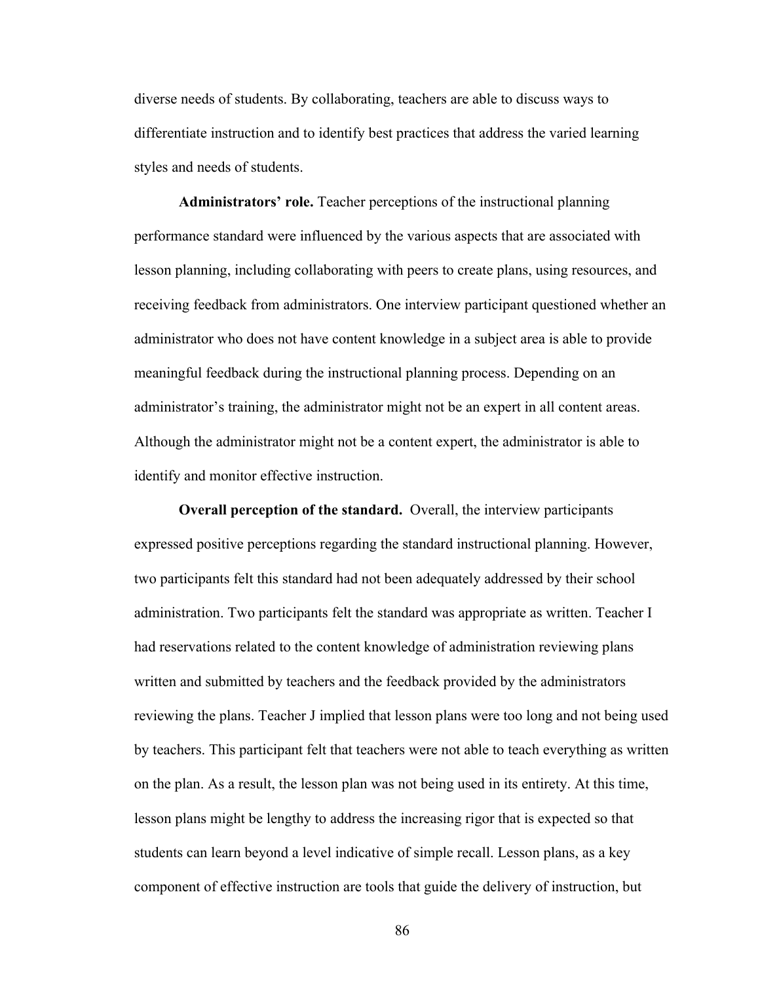diverse needs of students. By collaborating, teachers are able to discuss ways to differentiate instruction and to identify best practices that address the varied learning styles and needs of students.

**Administrators' role.** Teacher perceptions of the instructional planning performance standard were influenced by the various aspects that are associated with lesson planning, including collaborating with peers to create plans, using resources, and receiving feedback from administrators. One interview participant questioned whether an administrator who does not have content knowledge in a subject area is able to provide meaningful feedback during the instructional planning process. Depending on an administrator's training, the administrator might not be an expert in all content areas. Although the administrator might not be a content expert, the administrator is able to identify and monitor effective instruction.

**Overall perception of the standard.** Overall, the interview participants expressed positive perceptions regarding the standard instructional planning. However, two participants felt this standard had not been adequately addressed by their school administration. Two participants felt the standard was appropriate as written. Teacher I had reservations related to the content knowledge of administration reviewing plans written and submitted by teachers and the feedback provided by the administrators reviewing the plans. Teacher J implied that lesson plans were too long and not being used by teachers. This participant felt that teachers were not able to teach everything as written on the plan. As a result, the lesson plan was not being used in its entirety. At this time, lesson plans might be lengthy to address the increasing rigor that is expected so that students can learn beyond a level indicative of simple recall. Lesson plans, as a key component of effective instruction are tools that guide the delivery of instruction, but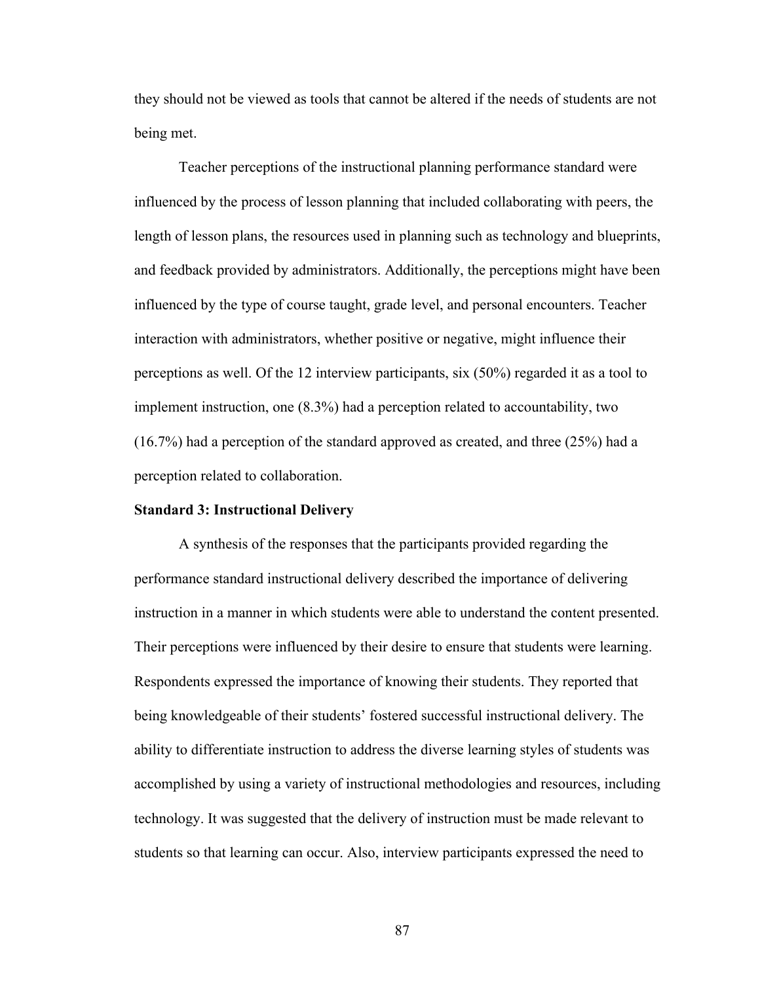they should not be viewed as tools that cannot be altered if the needs of students are not being met.

Teacher perceptions of the instructional planning performance standard were influenced by the process of lesson planning that included collaborating with peers, the length of lesson plans, the resources used in planning such as technology and blueprints, and feedback provided by administrators. Additionally, the perceptions might have been influenced by the type of course taught, grade level, and personal encounters. Teacher interaction with administrators, whether positive or negative, might influence their perceptions as well. Of the 12 interview participants, six (50%) regarded it as a tool to implement instruction, one (8.3%) had a perception related to accountability, two (16.7%) had a perception of the standard approved as created, and three (25%) had a perception related to collaboration.

#### **Standard 3: Instructional Delivery**

A synthesis of the responses that the participants provided regarding the performance standard instructional delivery described the importance of delivering instruction in a manner in which students were able to understand the content presented. Their perceptions were influenced by their desire to ensure that students were learning. Respondents expressed the importance of knowing their students. They reported that being knowledgeable of their students' fostered successful instructional delivery. The ability to differentiate instruction to address the diverse learning styles of students was accomplished by using a variety of instructional methodologies and resources, including technology. It was suggested that the delivery of instruction must be made relevant to students so that learning can occur. Also, interview participants expressed the need to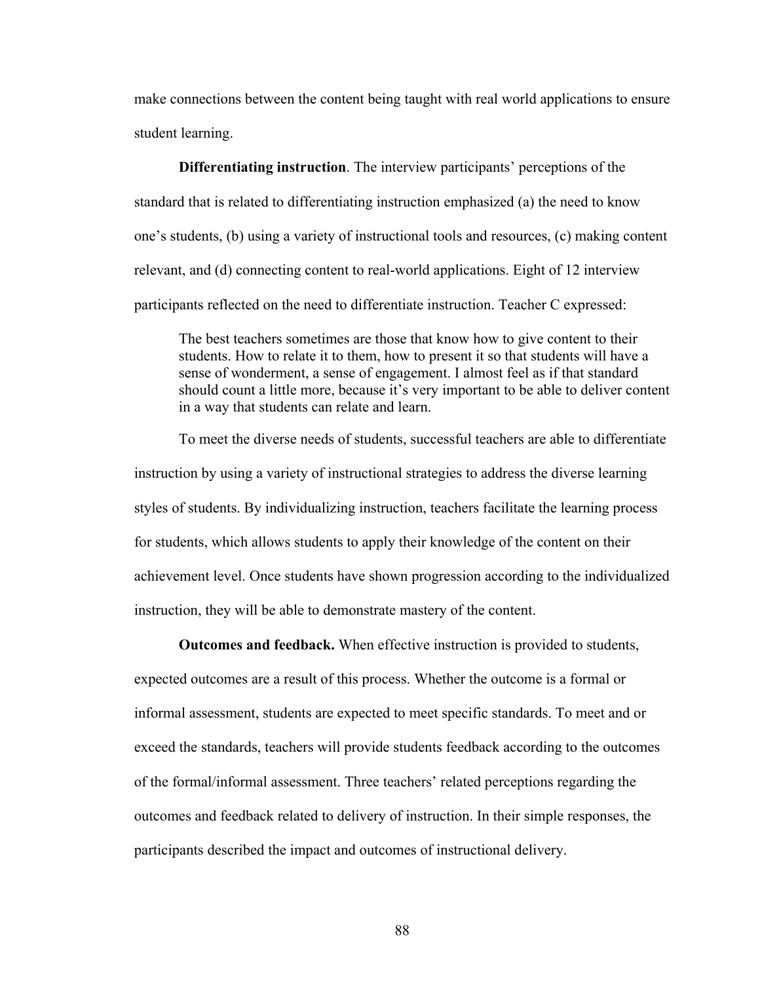make connections between the content being taught with real world applications to ensure student learning.

**Differentiating instruction**. The interview participants' perceptions of the standard that is related to differentiating instruction emphasized (a) the need to know one's students, (b) using a variety of instructional tools and resources, (c) making content relevant, and (d) connecting content to real-world applications. Eight of 12 interview participants reflected on the need to differentiate instruction. Teacher C expressed:

The best teachers sometimes are those that know how to give content to their students. How to relate it to them, how to present it so that students will have a sense of wonderment, a sense of engagement. I almost feel as if that standard should count a little more, because it's very important to be able to deliver content in a way that students can relate and learn.

To meet the diverse needs of students, successful teachers are able to differentiate instruction by using a variety of instructional strategies to address the diverse learning styles of students. By individualizing instruction, teachers facilitate the learning process for students, which allows students to apply their knowledge of the content on their achievement level. Once students have shown progression according to the individualized instruction, they will be able to demonstrate mastery of the content.

**Outcomes and feedback.** When effective instruction is provided to students, expected outcomes are a result of this process. Whether the outcome is a formal or informal assessment, students are expected to meet specific standards. To meet and or exceed the standards, teachers will provide students feedback according to the outcomes of the formal/informal assessment. Three teachers' related perceptions regarding the outcomes and feedback related to delivery of instruction. In their simple responses, the participants described the impact and outcomes of instructional delivery.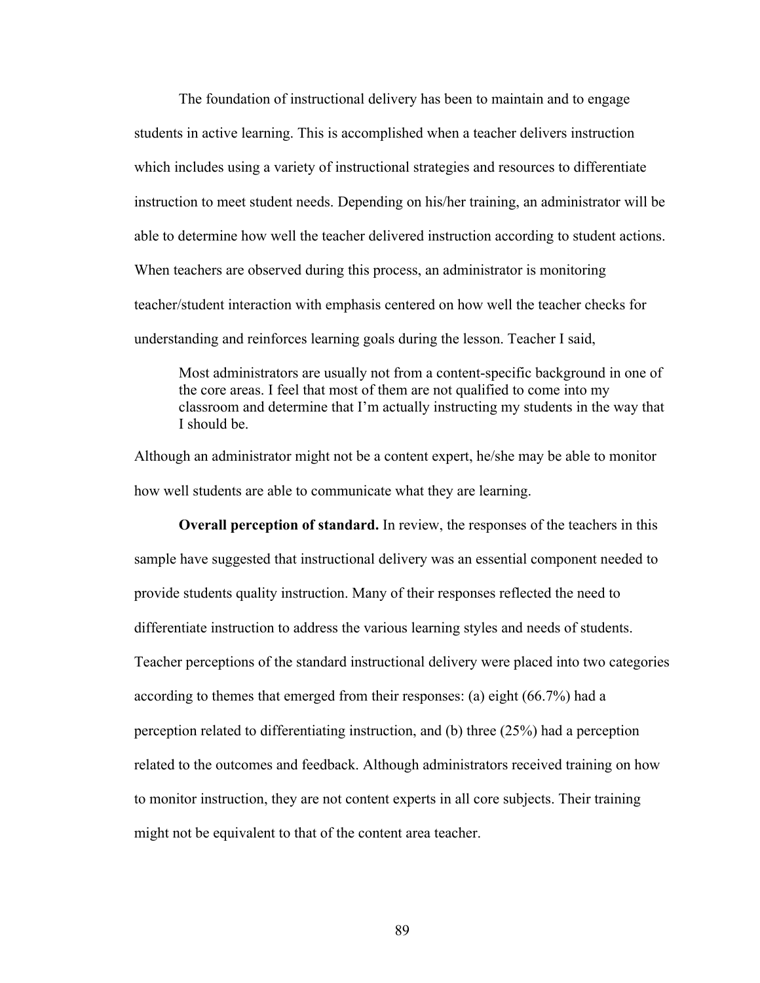The foundation of instructional delivery has been to maintain and to engage students in active learning. This is accomplished when a teacher delivers instruction which includes using a variety of instructional strategies and resources to differentiate instruction to meet student needs. Depending on his/her training, an administrator will be able to determine how well the teacher delivered instruction according to student actions. When teachers are observed during this process, an administrator is monitoring teacher/student interaction with emphasis centered on how well the teacher checks for understanding and reinforces learning goals during the lesson. Teacher I said,

Most administrators are usually not from a content-specific background in one of the core areas. I feel that most of them are not qualified to come into my classroom and determine that I'm actually instructing my students in the way that I should be.

Although an administrator might not be a content expert, he/she may be able to monitor how well students are able to communicate what they are learning.

**Overall perception of standard.** In review, the responses of the teachers in this sample have suggested that instructional delivery was an essential component needed to provide students quality instruction. Many of their responses reflected the need to differentiate instruction to address the various learning styles and needs of students. Teacher perceptions of the standard instructional delivery were placed into two categories according to themes that emerged from their responses: (a) eight (66.7%) had a perception related to differentiating instruction, and (b) three (25%) had a perception related to the outcomes and feedback. Although administrators received training on how to monitor instruction, they are not content experts in all core subjects. Their training might not be equivalent to that of the content area teacher.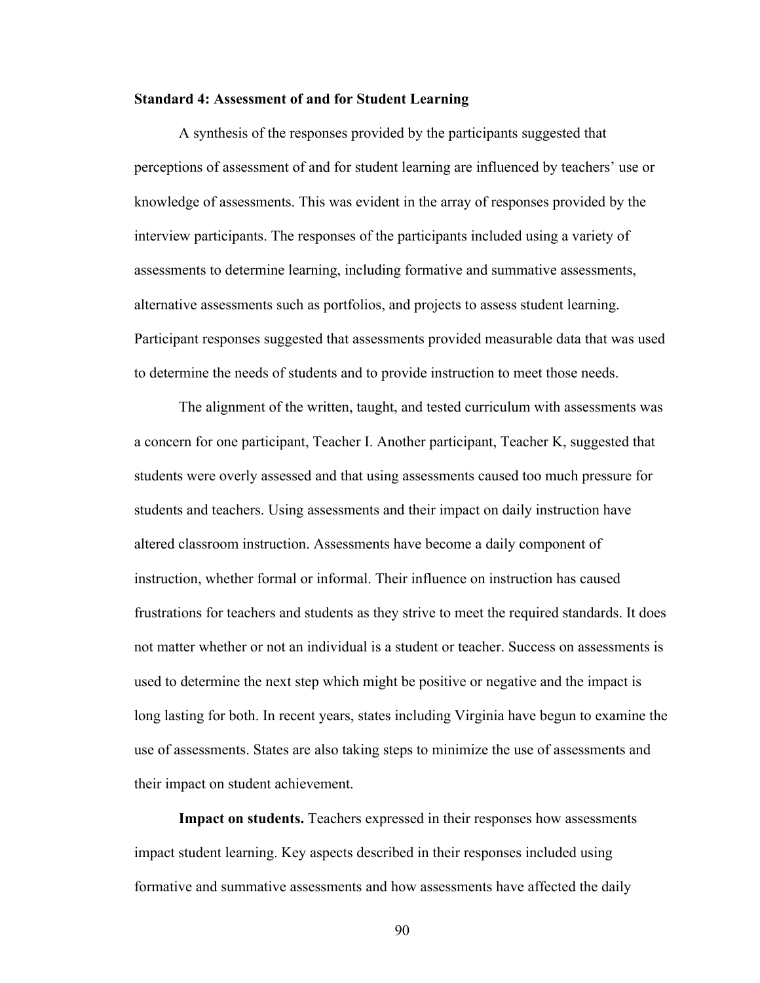#### **Standard 4: Assessment of and for Student Learning**

A synthesis of the responses provided by the participants suggested that perceptions of assessment of and for student learning are influenced by teachers' use or knowledge of assessments. This was evident in the array of responses provided by the interview participants. The responses of the participants included using a variety of assessments to determine learning, including formative and summative assessments, alternative assessments such as portfolios, and projects to assess student learning. Participant responses suggested that assessments provided measurable data that was used to determine the needs of students and to provide instruction to meet those needs.

The alignment of the written, taught, and tested curriculum with assessments was a concern for one participant, Teacher I. Another participant, Teacher K, suggested that students were overly assessed and that using assessments caused too much pressure for students and teachers. Using assessments and their impact on daily instruction have altered classroom instruction. Assessments have become a daily component of instruction, whether formal or informal. Their influence on instruction has caused frustrations for teachers and students as they strive to meet the required standards. It does not matter whether or not an individual is a student or teacher. Success on assessments is used to determine the next step which might be positive or negative and the impact is long lasting for both. In recent years, states including Virginia have begun to examine the use of assessments. States are also taking steps to minimize the use of assessments and their impact on student achievement.

**Impact on students.** Teachers expressed in their responses how assessments impact student learning. Key aspects described in their responses included using formative and summative assessments and how assessments have affected the daily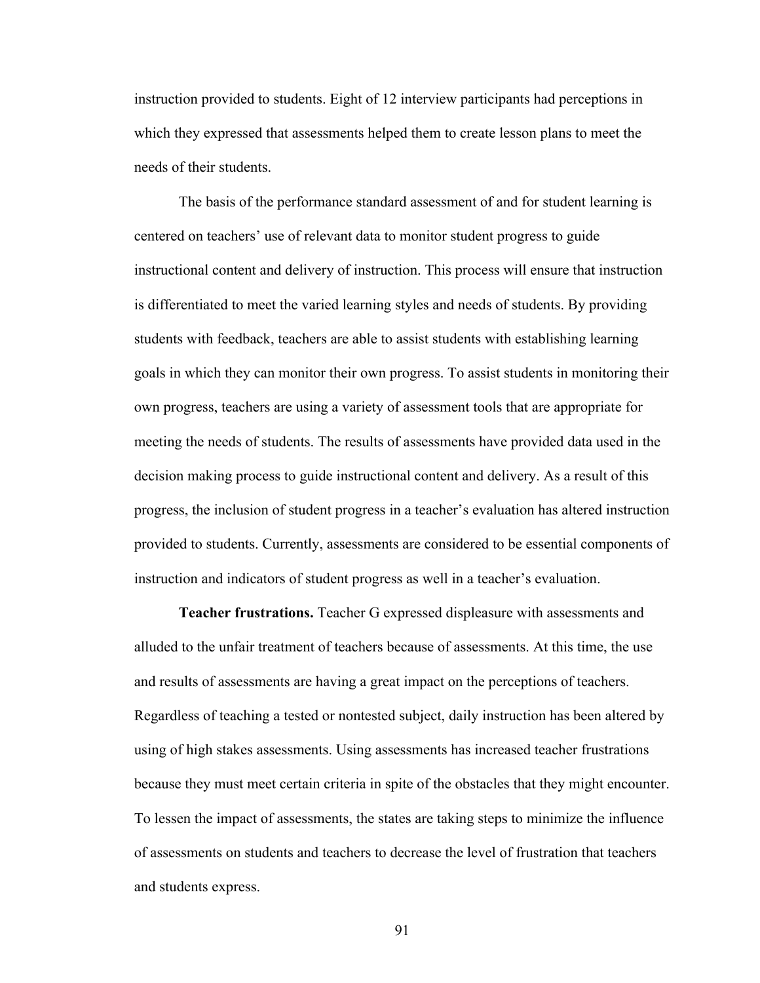instruction provided to students. Eight of 12 interview participants had perceptions in which they expressed that assessments helped them to create lesson plans to meet the needs of their students.

The basis of the performance standard assessment of and for student learning is centered on teachers' use of relevant data to monitor student progress to guide instructional content and delivery of instruction. This process will ensure that instruction is differentiated to meet the varied learning styles and needs of students. By providing students with feedback, teachers are able to assist students with establishing learning goals in which they can monitor their own progress. To assist students in monitoring their own progress, teachers are using a variety of assessment tools that are appropriate for meeting the needs of students. The results of assessments have provided data used in the decision making process to guide instructional content and delivery. As a result of this progress, the inclusion of student progress in a teacher's evaluation has altered instruction provided to students. Currently, assessments are considered to be essential components of instruction and indicators of student progress as well in a teacher's evaluation.

**Teacher frustrations.** Teacher G expressed displeasure with assessments and alluded to the unfair treatment of teachers because of assessments. At this time, the use and results of assessments are having a great impact on the perceptions of teachers. Regardless of teaching a tested or nontested subject, daily instruction has been altered by using of high stakes assessments. Using assessments has increased teacher frustrations because they must meet certain criteria in spite of the obstacles that they might encounter. To lessen the impact of assessments, the states are taking steps to minimize the influence of assessments on students and teachers to decrease the level of frustration that teachers and students express.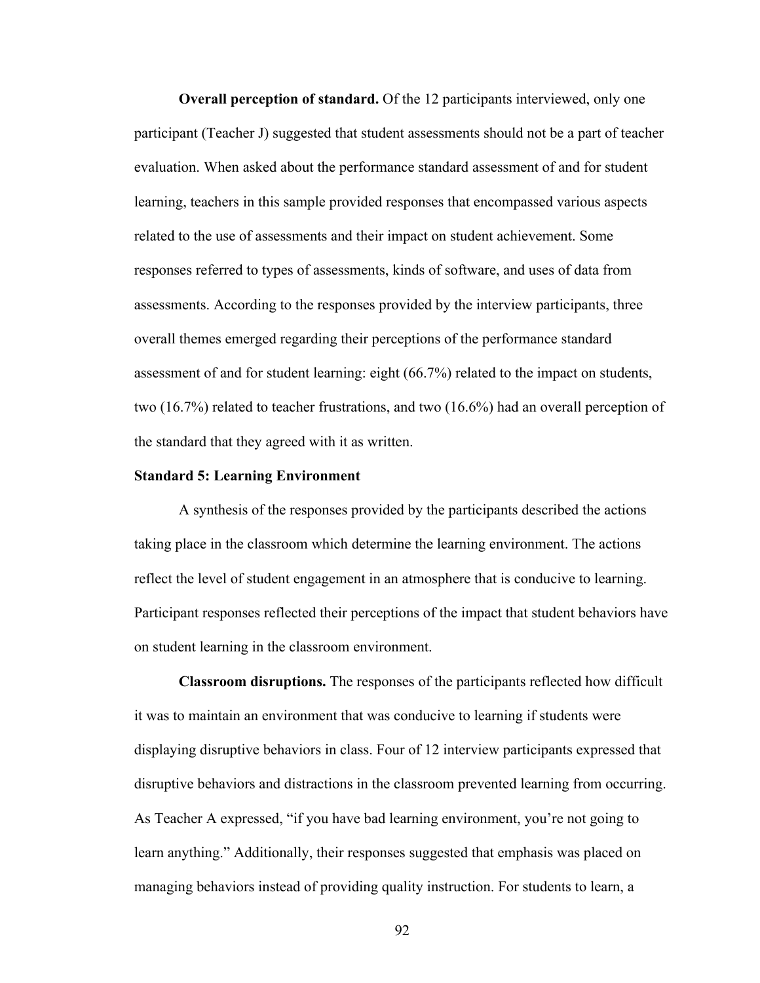**Overall perception of standard.** Of the 12 participants interviewed, only one participant (Teacher J) suggested that student assessments should not be a part of teacher evaluation. When asked about the performance standard assessment of and for student learning, teachers in this sample provided responses that encompassed various aspects related to the use of assessments and their impact on student achievement. Some responses referred to types of assessments, kinds of software, and uses of data from assessments. According to the responses provided by the interview participants, three overall themes emerged regarding their perceptions of the performance standard assessment of and for student learning: eight (66.7%) related to the impact on students, two (16.7%) related to teacher frustrations, and two (16.6%) had an overall perception of the standard that they agreed with it as written.

#### **Standard 5: Learning Environment**

A synthesis of the responses provided by the participants described the actions taking place in the classroom which determine the learning environment. The actions reflect the level of student engagement in an atmosphere that is conducive to learning. Participant responses reflected their perceptions of the impact that student behaviors have on student learning in the classroom environment.

**Classroom disruptions.** The responses of the participants reflected how difficult it was to maintain an environment that was conducive to learning if students were displaying disruptive behaviors in class. Four of 12 interview participants expressed that disruptive behaviors and distractions in the classroom prevented learning from occurring. As Teacher A expressed, "if you have bad learning environment, you're not going to learn anything." Additionally, their responses suggested that emphasis was placed on managing behaviors instead of providing quality instruction. For students to learn, a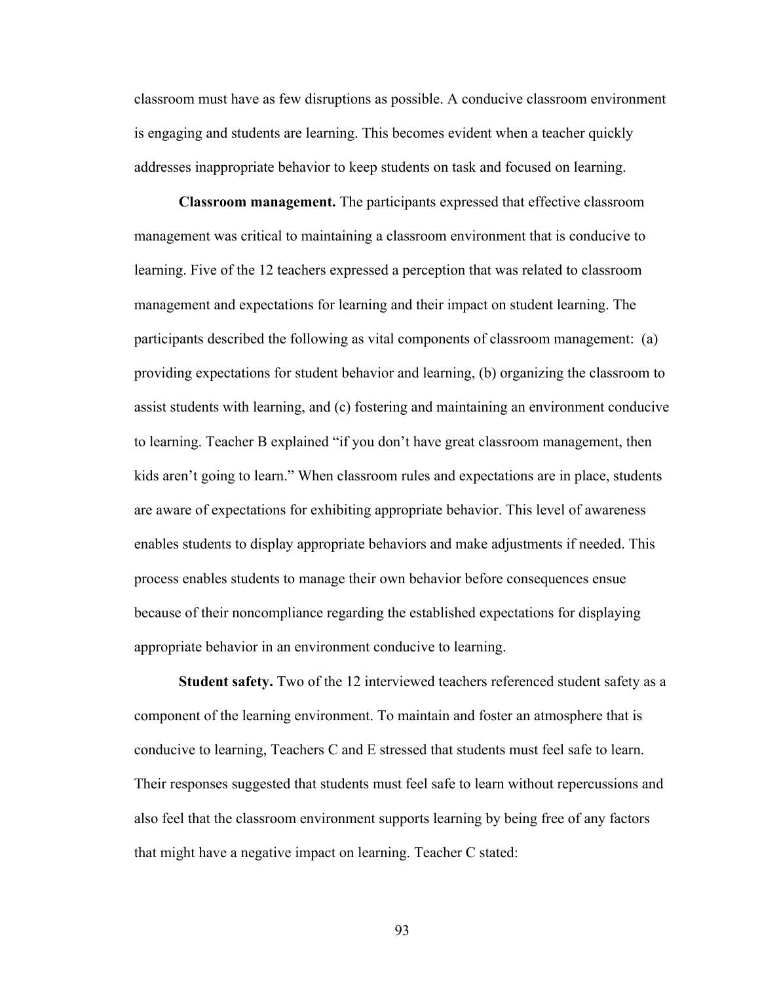classroom must have as few disruptions as possible. A conducive classroom environment is engaging and students are learning. This becomes evident when a teacher quickly addresses inappropriate behavior to keep students on task and focused on learning.

**Classroom management.** The participants expressed that effective classroom management was critical to maintaining a classroom environment that is conducive to learning. Five of the 12 teachers expressed a perception that was related to classroom management and expectations for learning and their impact on student learning. The participants described the following as vital components of classroom management: (a) providing expectations for student behavior and learning, (b) organizing the classroom to assist students with learning, and (c) fostering and maintaining an environment conducive to learning. Teacher B explained "if you don't have great classroom management, then kids aren't going to learn." When classroom rules and expectations are in place, students are aware of expectations for exhibiting appropriate behavior. This level of awareness enables students to display appropriate behaviors and make adjustments if needed. This process enables students to manage their own behavior before consequences ensue because of their noncompliance regarding the established expectations for displaying appropriate behavior in an environment conducive to learning.

**Student safety.** Two of the 12 interviewed teachers referenced student safety as a component of the learning environment. To maintain and foster an atmosphere that is conducive to learning, Teachers C and E stressed that students must feel safe to learn. Their responses suggested that students must feel safe to learn without repercussions and also feel that the classroom environment supports learning by being free of any factors that might have a negative impact on learning. Teacher C stated: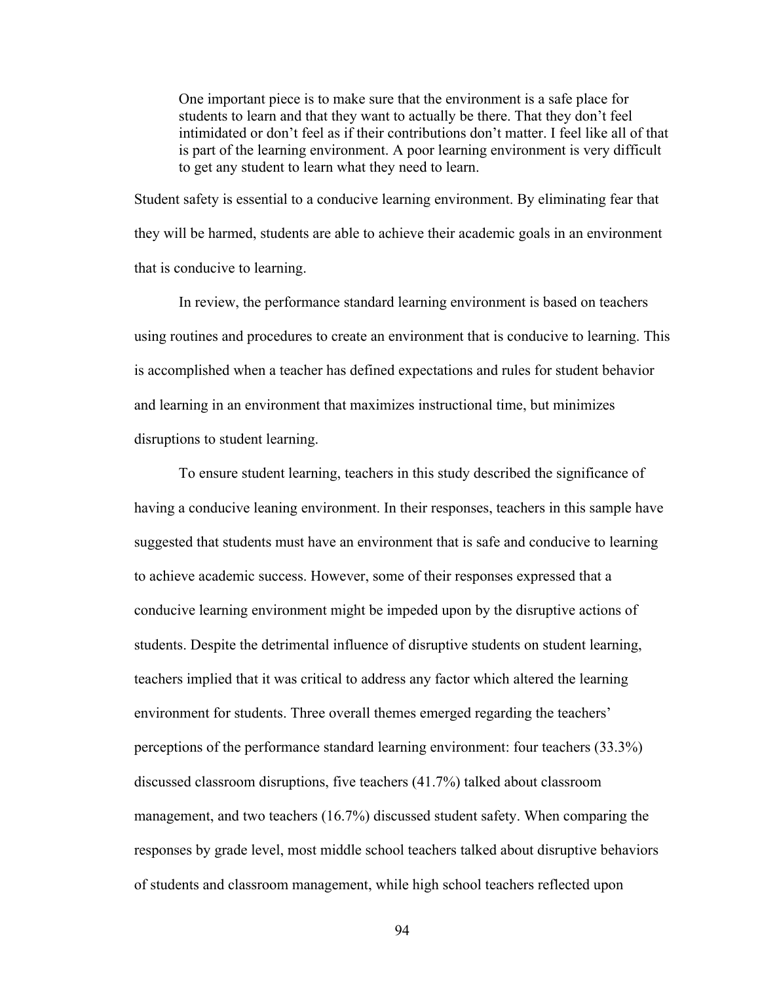One important piece is to make sure that the environment is a safe place for students to learn and that they want to actually be there. That they don't feel intimidated or don't feel as if their contributions don't matter. I feel like all of that is part of the learning environment. A poor learning environment is very difficult to get any student to learn what they need to learn.

Student safety is essential to a conducive learning environment. By eliminating fear that they will be harmed, students are able to achieve their academic goals in an environment that is conducive to learning.

In review, the performance standard learning environment is based on teachers using routines and procedures to create an environment that is conducive to learning. This is accomplished when a teacher has defined expectations and rules for student behavior and learning in an environment that maximizes instructional time, but minimizes disruptions to student learning.

To ensure student learning, teachers in this study described the significance of having a conducive leaning environment. In their responses, teachers in this sample have suggested that students must have an environment that is safe and conducive to learning to achieve academic success. However, some of their responses expressed that a conducive learning environment might be impeded upon by the disruptive actions of students. Despite the detrimental influence of disruptive students on student learning, teachers implied that it was critical to address any factor which altered the learning environment for students. Three overall themes emerged regarding the teachers' perceptions of the performance standard learning environment: four teachers (33.3%) discussed classroom disruptions, five teachers (41.7%) talked about classroom management, and two teachers (16.7%) discussed student safety. When comparing the responses by grade level, most middle school teachers talked about disruptive behaviors of students and classroom management, while high school teachers reflected upon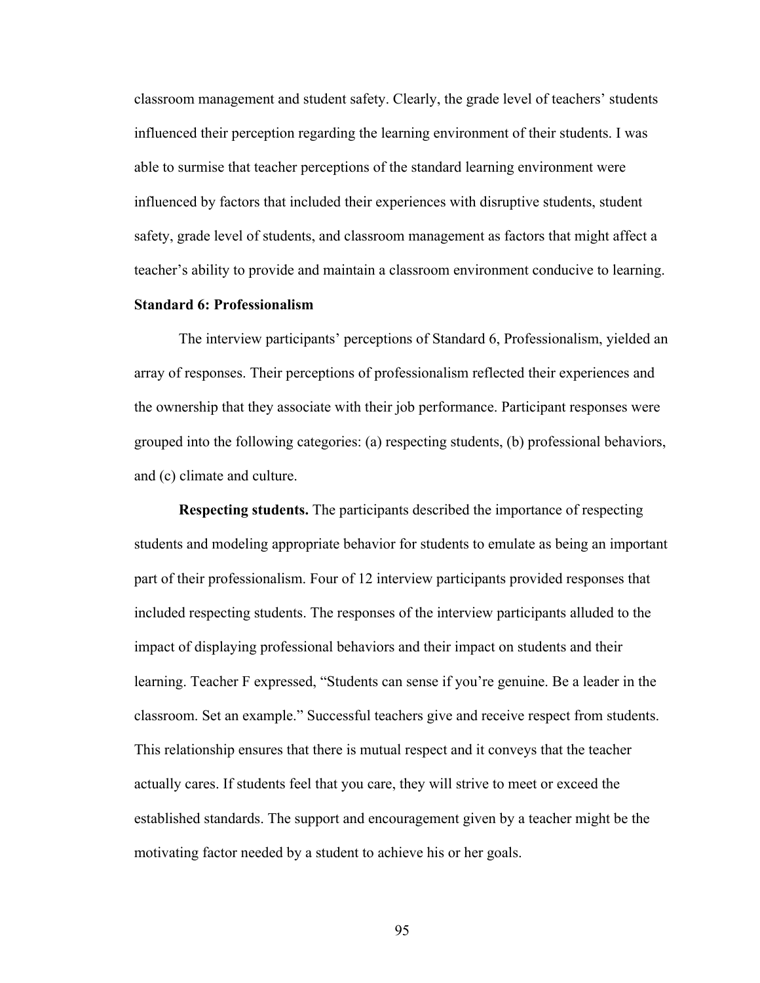classroom management and student safety. Clearly, the grade level of teachers' students influenced their perception regarding the learning environment of their students. I was able to surmise that teacher perceptions of the standard learning environment were influenced by factors that included their experiences with disruptive students, student safety, grade level of students, and classroom management as factors that might affect a teacher's ability to provide and maintain a classroom environment conducive to learning.

#### **Standard 6: Professionalism**

The interview participants' perceptions of Standard 6, Professionalism, yielded an array of responses. Their perceptions of professionalism reflected their experiences and the ownership that they associate with their job performance. Participant responses were grouped into the following categories: (a) respecting students, (b) professional behaviors, and (c) climate and culture.

**Respecting students.** The participants described the importance of respecting students and modeling appropriate behavior for students to emulate as being an important part of their professionalism. Four of 12 interview participants provided responses that included respecting students. The responses of the interview participants alluded to the impact of displaying professional behaviors and their impact on students and their learning. Teacher F expressed, "Students can sense if you're genuine. Be a leader in the classroom. Set an example." Successful teachers give and receive respect from students. This relationship ensures that there is mutual respect and it conveys that the teacher actually cares. If students feel that you care, they will strive to meet or exceed the established standards. The support and encouragement given by a teacher might be the motivating factor needed by a student to achieve his or her goals.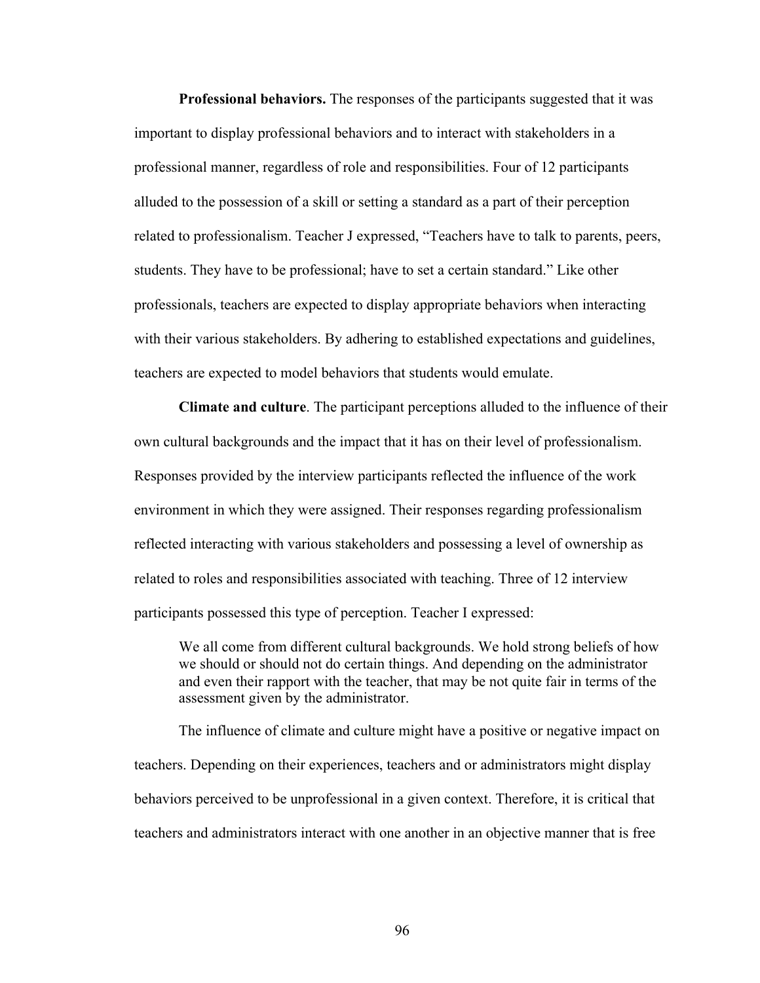**Professional behaviors.** The responses of the participants suggested that it was important to display professional behaviors and to interact with stakeholders in a professional manner, regardless of role and responsibilities. Four of 12 participants alluded to the possession of a skill or setting a standard as a part of their perception related to professionalism. Teacher J expressed, "Teachers have to talk to parents, peers, students. They have to be professional; have to set a certain standard." Like other professionals, teachers are expected to display appropriate behaviors when interacting with their various stakeholders. By adhering to established expectations and guidelines, teachers are expected to model behaviors that students would emulate.

**Climate and culture**. The participant perceptions alluded to the influence of their own cultural backgrounds and the impact that it has on their level of professionalism. Responses provided by the interview participants reflected the influence of the work environment in which they were assigned. Their responses regarding professionalism reflected interacting with various stakeholders and possessing a level of ownership as related to roles and responsibilities associated with teaching. Three of 12 interview participants possessed this type of perception. Teacher I expressed:

We all come from different cultural backgrounds. We hold strong beliefs of how we should or should not do certain things. And depending on the administrator and even their rapport with the teacher, that may be not quite fair in terms of the assessment given by the administrator.

The influence of climate and culture might have a positive or negative impact on teachers. Depending on their experiences, teachers and or administrators might display behaviors perceived to be unprofessional in a given context. Therefore, it is critical that teachers and administrators interact with one another in an objective manner that is free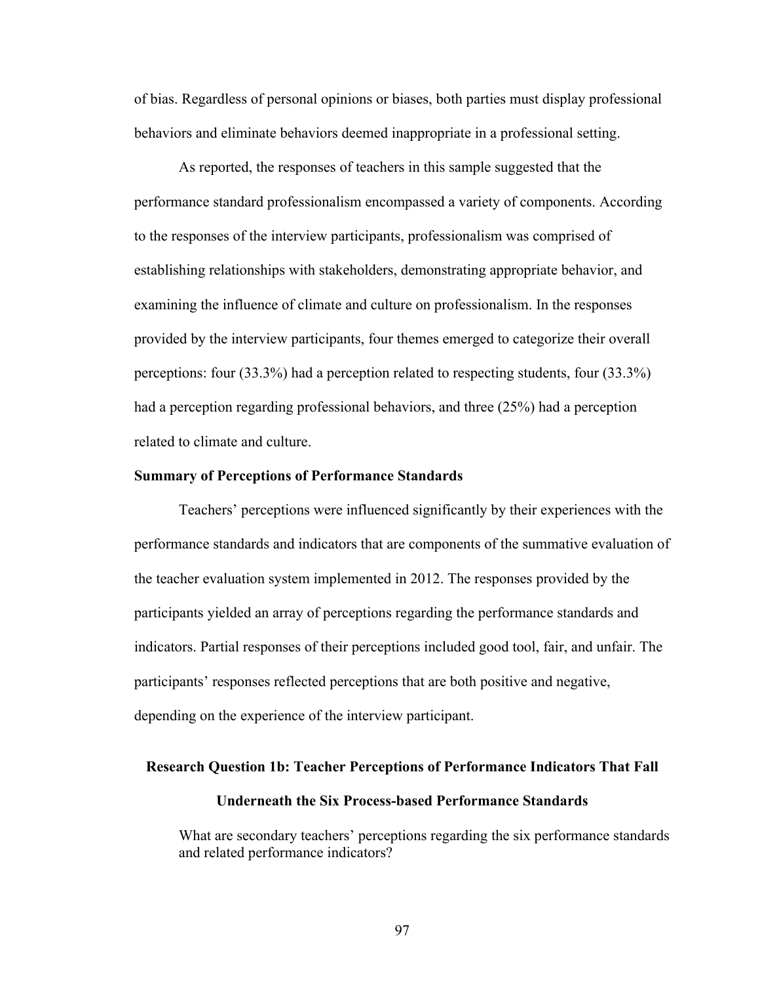of bias. Regardless of personal opinions or biases, both parties must display professional behaviors and eliminate behaviors deemed inappropriate in a professional setting.

As reported, the responses of teachers in this sample suggested that the performance standard professionalism encompassed a variety of components. According to the responses of the interview participants, professionalism was comprised of establishing relationships with stakeholders, demonstrating appropriate behavior, and examining the influence of climate and culture on professionalism. In the responses provided by the interview participants, four themes emerged to categorize their overall perceptions: four (33.3%) had a perception related to respecting students, four (33.3%) had a perception regarding professional behaviors, and three (25%) had a perception related to climate and culture.

#### **Summary of Perceptions of Performance Standards**

Teachers' perceptions were influenced significantly by their experiences with the performance standards and indicators that are components of the summative evaluation of the teacher evaluation system implemented in 2012. The responses provided by the participants yielded an array of perceptions regarding the performance standards and indicators. Partial responses of their perceptions included good tool, fair, and unfair. The participants' responses reflected perceptions that are both positive and negative, depending on the experience of the interview participant.

## **Research Question 1b: Teacher Perceptions of Performance Indicators That Fall**

## **Underneath the Six Process-based Performance Standards**

What are secondary teachers' perceptions regarding the six performance standards and related performance indicators?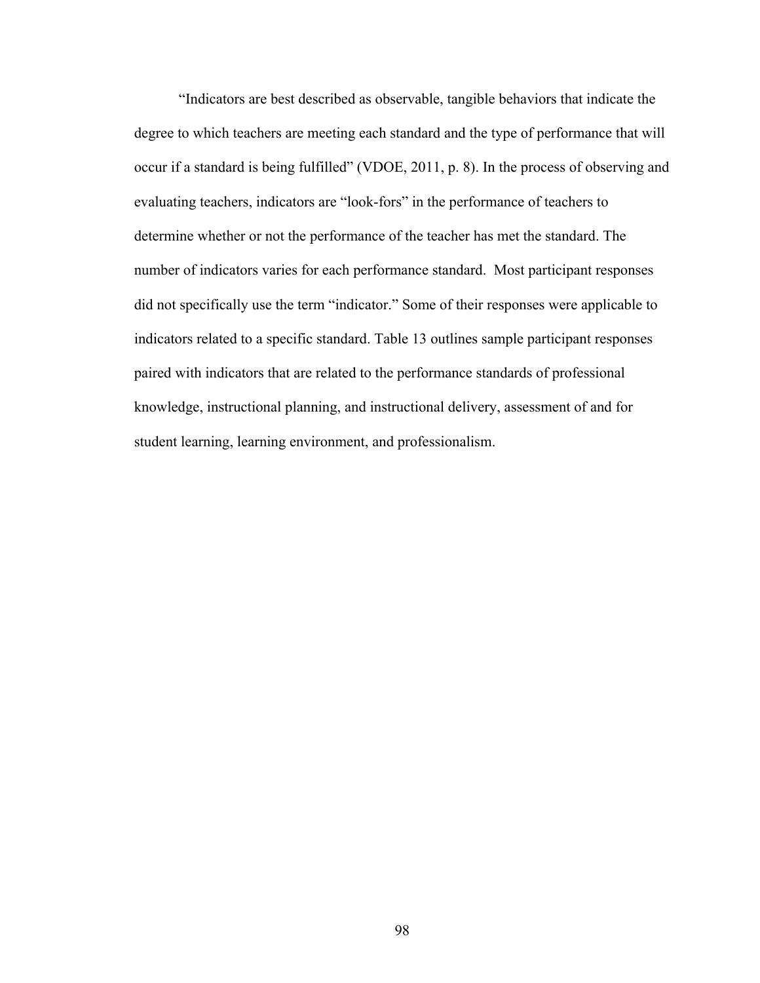"Indicators are best described as observable, tangible behaviors that indicate the degree to which teachers are meeting each standard and the type of performance that will occur if a standard is being fulfilled" (VDOE, 2011, p. 8). In the process of observing and evaluating teachers, indicators are "look-fors" in the performance of teachers to determine whether or not the performance of the teacher has met the standard. The number of indicators varies for each performance standard. Most participant responses did not specifically use the term "indicator." Some of their responses were applicable to indicators related to a specific standard. Table 13 outlines sample participant responses paired with indicators that are related to the performance standards of professional knowledge, instructional planning, and instructional delivery, assessment of and for student learning, learning environment, and professionalism.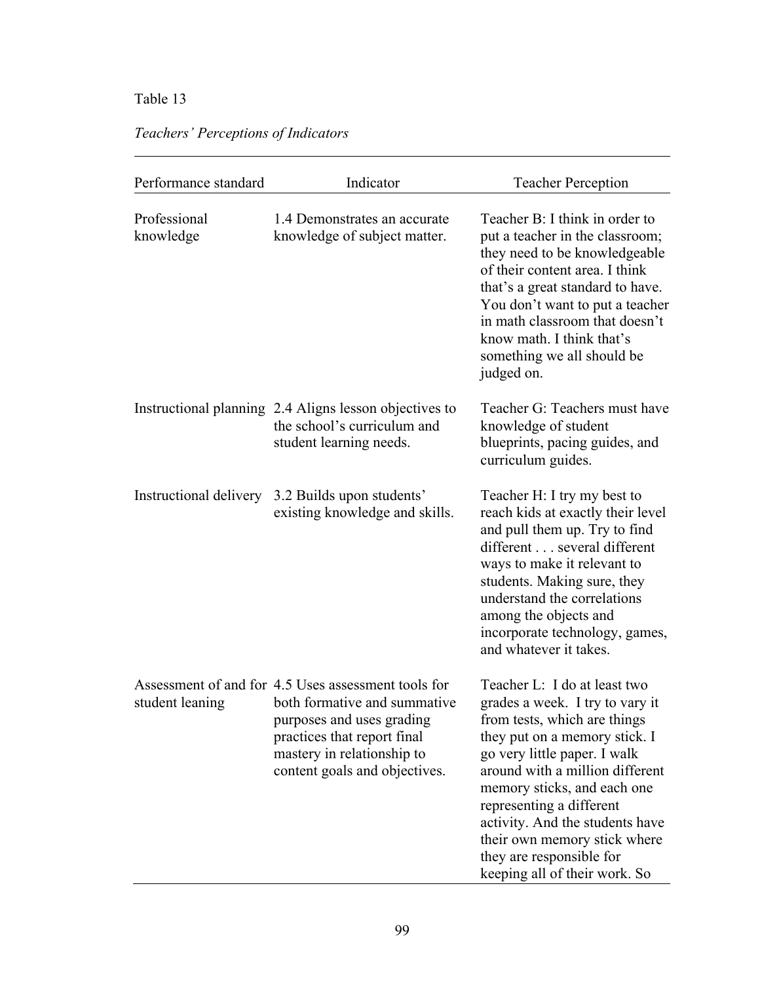## Table 13

| Performance standard      | Indicator                                                                                                                                                                                                      | <b>Teacher Perception</b>                                                                                                                                                                                                                                                                                                                                                                      |
|---------------------------|----------------------------------------------------------------------------------------------------------------------------------------------------------------------------------------------------------------|------------------------------------------------------------------------------------------------------------------------------------------------------------------------------------------------------------------------------------------------------------------------------------------------------------------------------------------------------------------------------------------------|
| Professional<br>knowledge | 1.4 Demonstrates an accurate<br>knowledge of subject matter.                                                                                                                                                   | Teacher B: I think in order to<br>put a teacher in the classroom;<br>they need to be knowledgeable<br>of their content area. I think<br>that's a great standard to have.<br>You don't want to put a teacher<br>in math classroom that doesn't<br>know math. I think that's<br>something we all should be<br>judged on.                                                                         |
|                           | Instructional planning 2.4 Aligns lesson objectives to<br>the school's curriculum and<br>student learning needs.                                                                                               | Teacher G: Teachers must have<br>knowledge of student<br>blueprints, pacing guides, and<br>curriculum guides.                                                                                                                                                                                                                                                                                  |
| Instructional delivery    | 3.2 Builds upon students'<br>existing knowledge and skills.                                                                                                                                                    | Teacher H: I try my best to<br>reach kids at exactly their level<br>and pull them up. Try to find<br>different several different<br>ways to make it relevant to<br>students. Making sure, they<br>understand the correlations<br>among the objects and<br>incorporate technology, games,<br>and whatever it takes.                                                                             |
| student leaning           | Assessment of and for 4.5 Uses assessment tools for<br>both formative and summative<br>purposes and uses grading<br>practices that report final<br>mastery in relationship to<br>content goals and objectives. | Teacher L: I do at least two<br>grades a week. I try to vary it<br>from tests, which are things<br>they put on a memory stick. I<br>go very little paper. I walk<br>around with a million different<br>memory sticks, and each one<br>representing a different<br>activity. And the students have<br>their own memory stick where<br>they are responsible for<br>keeping all of their work. So |

## *Teachers' Perceptions of Indicators*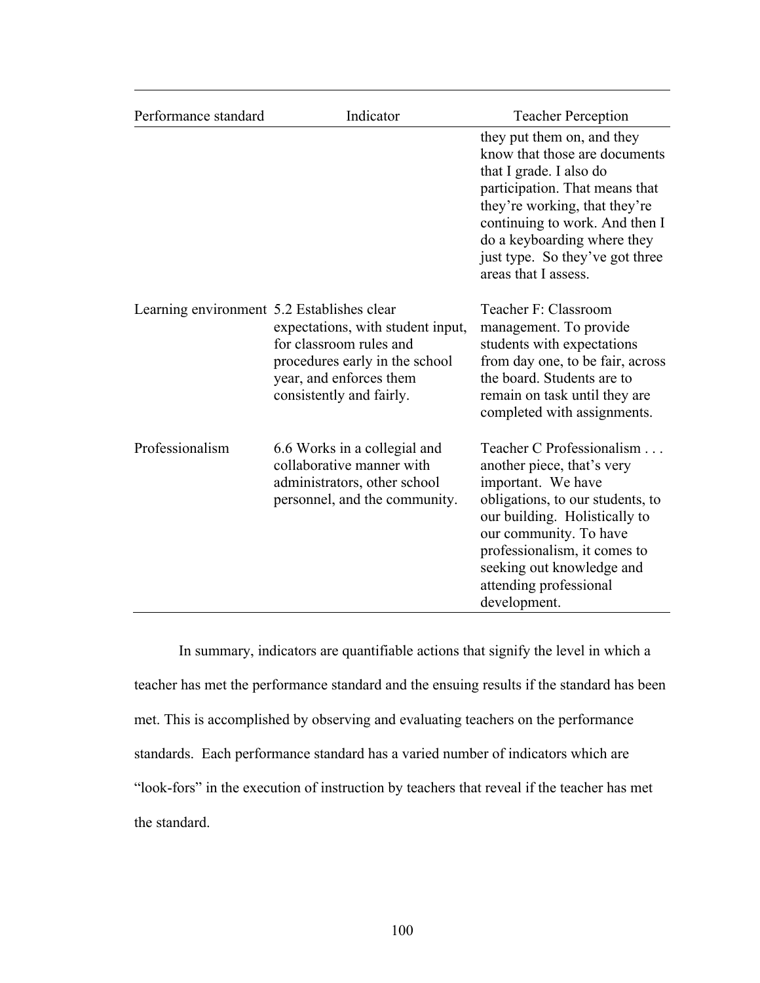| Performance standard                       | Indicator                                                                                                                                             | <b>Teacher Perception</b>                                                                                                                                                                                                                                                             |
|--------------------------------------------|-------------------------------------------------------------------------------------------------------------------------------------------------------|---------------------------------------------------------------------------------------------------------------------------------------------------------------------------------------------------------------------------------------------------------------------------------------|
|                                            |                                                                                                                                                       | they put them on, and they<br>know that those are documents<br>that I grade. I also do<br>participation. That means that<br>they're working, that they're<br>continuing to work. And then I<br>do a keyboarding where they<br>just type. So they've got three<br>areas that I assess. |
| Learning environment 5.2 Establishes clear | expectations, with student input,<br>for classroom rules and<br>procedures early in the school<br>year, and enforces them<br>consistently and fairly. | Teacher F: Classroom<br>management. To provide<br>students with expectations<br>from day one, to be fair, across<br>the board. Students are to<br>remain on task until they are<br>completed with assignments.                                                                        |
| Professionalism                            | 6.6 Works in a collegial and<br>collaborative manner with<br>administrators, other school<br>personnel, and the community.                            | Teacher C Professionalism<br>another piece, that's very<br>important. We have<br>obligations, to our students, to<br>our building. Holistically to<br>our community. To have<br>professionalism, it comes to<br>seeking out knowledge and<br>attending professional<br>development.   |

In summary, indicators are quantifiable actions that signify the level in which a teacher has met the performance standard and the ensuing results if the standard has been met. This is accomplished by observing and evaluating teachers on the performance standards. Each performance standard has a varied number of indicators which are "look-fors" in the execution of instruction by teachers that reveal if the teacher has met the standard.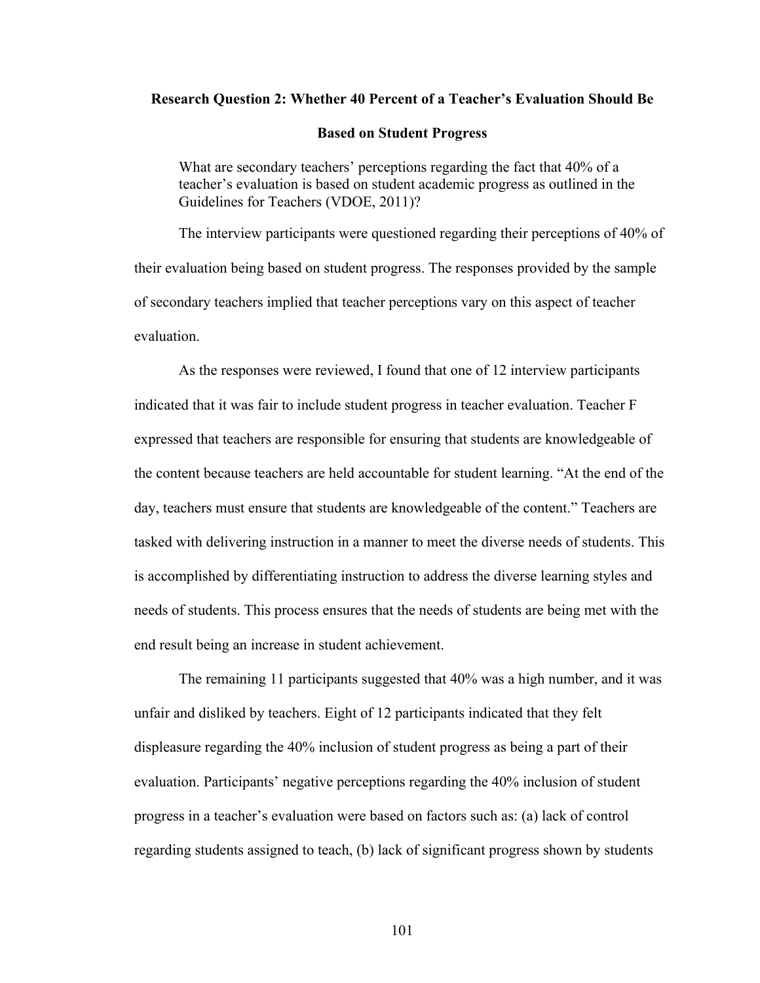### **Research Question 2: Whether 40 Percent of a Teacher's Evaluation Should Be**

#### **Based on Student Progress**

What are secondary teachers' perceptions regarding the fact that 40% of a teacher's evaluation is based on student academic progress as outlined in the Guidelines for Teachers (VDOE, 2011)?

The interview participants were questioned regarding their perceptions of 40% of their evaluation being based on student progress. The responses provided by the sample of secondary teachers implied that teacher perceptions vary on this aspect of teacher evaluation.

As the responses were reviewed, I found that one of 12 interview participants indicated that it was fair to include student progress in teacher evaluation. Teacher F expressed that teachers are responsible for ensuring that students are knowledgeable of the content because teachers are held accountable for student learning. "At the end of the day, teachers must ensure that students are knowledgeable of the content." Teachers are tasked with delivering instruction in a manner to meet the diverse needs of students. This is accomplished by differentiating instruction to address the diverse learning styles and needs of students. This process ensures that the needs of students are being met with the end result being an increase in student achievement.

The remaining 11 participants suggested that 40% was a high number, and it was unfair and disliked by teachers. Eight of 12 participants indicated that they felt displeasure regarding the 40% inclusion of student progress as being a part of their evaluation. Participants' negative perceptions regarding the 40% inclusion of student progress in a teacher's evaluation were based on factors such as: (a) lack of control regarding students assigned to teach, (b) lack of significant progress shown by students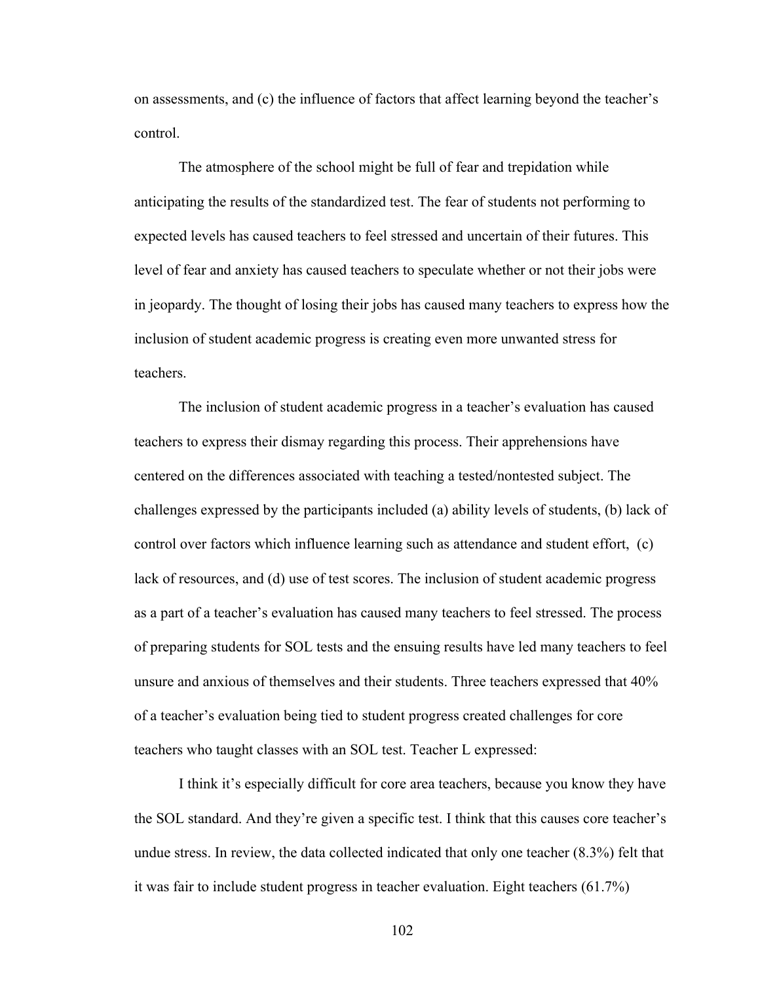on assessments, and (c) the influence of factors that affect learning beyond the teacher's control.

The atmosphere of the school might be full of fear and trepidation while anticipating the results of the standardized test. The fear of students not performing to expected levels has caused teachers to feel stressed and uncertain of their futures. This level of fear and anxiety has caused teachers to speculate whether or not their jobs were in jeopardy. The thought of losing their jobs has caused many teachers to express how the inclusion of student academic progress is creating even more unwanted stress for teachers.

The inclusion of student academic progress in a teacher's evaluation has caused teachers to express their dismay regarding this process. Their apprehensions have centered on the differences associated with teaching a tested/nontested subject. The challenges expressed by the participants included (a) ability levels of students, (b) lack of control over factors which influence learning such as attendance and student effort, (c) lack of resources, and (d) use of test scores. The inclusion of student academic progress as a part of a teacher's evaluation has caused many teachers to feel stressed. The process of preparing students for SOL tests and the ensuing results have led many teachers to feel unsure and anxious of themselves and their students. Three teachers expressed that 40% of a teacher's evaluation being tied to student progress created challenges for core teachers who taught classes with an SOL test. Teacher L expressed:

I think it's especially difficult for core area teachers, because you know they have the SOL standard. And they're given a specific test. I think that this causes core teacher's undue stress. In review, the data collected indicated that only one teacher (8.3%) felt that it was fair to include student progress in teacher evaluation. Eight teachers (61.7%)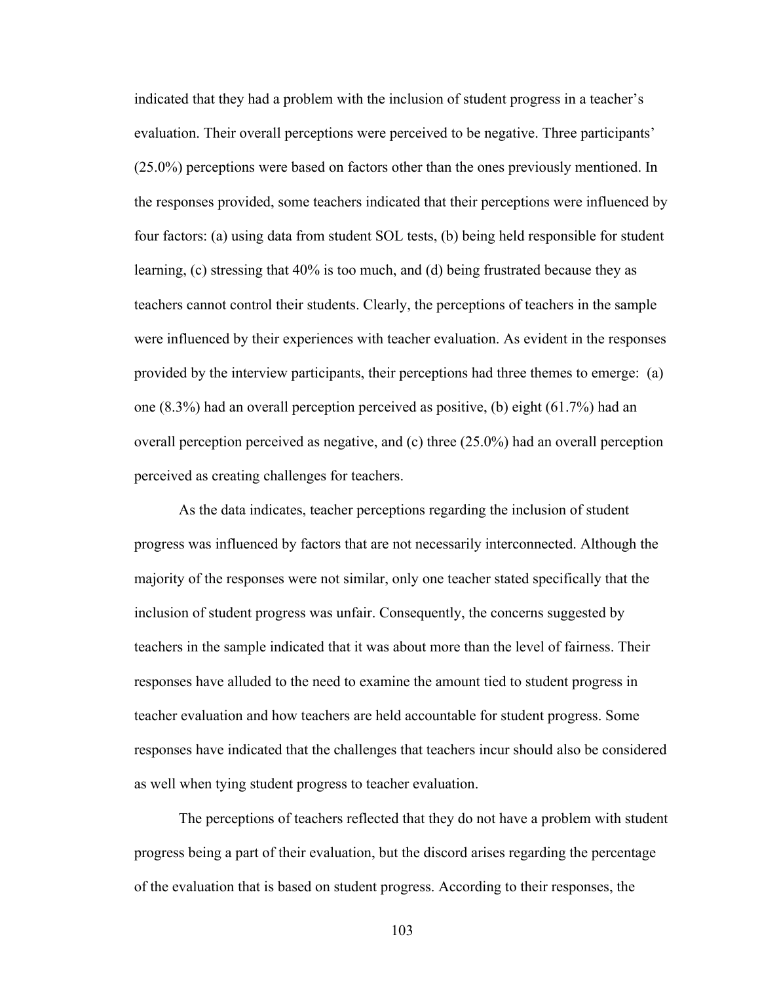indicated that they had a problem with the inclusion of student progress in a teacher's evaluation. Their overall perceptions were perceived to be negative. Three participants' (25.0%) perceptions were based on factors other than the ones previously mentioned. In the responses provided, some teachers indicated that their perceptions were influenced by four factors: (a) using data from student SOL tests, (b) being held responsible for student learning, (c) stressing that 40% is too much, and (d) being frustrated because they as teachers cannot control their students. Clearly, the perceptions of teachers in the sample were influenced by their experiences with teacher evaluation. As evident in the responses provided by the interview participants, their perceptions had three themes to emerge: (a) one (8.3%) had an overall perception perceived as positive, (b) eight (61.7%) had an overall perception perceived as negative, and (c) three (25.0%) had an overall perception perceived as creating challenges for teachers.

As the data indicates, teacher perceptions regarding the inclusion of student progress was influenced by factors that are not necessarily interconnected. Although the majority of the responses were not similar, only one teacher stated specifically that the inclusion of student progress was unfair. Consequently, the concerns suggested by teachers in the sample indicated that it was about more than the level of fairness. Their responses have alluded to the need to examine the amount tied to student progress in teacher evaluation and how teachers are held accountable for student progress. Some responses have indicated that the challenges that teachers incur should also be considered as well when tying student progress to teacher evaluation.

The perceptions of teachers reflected that they do not have a problem with student progress being a part of their evaluation, but the discord arises regarding the percentage of the evaluation that is based on student progress. According to their responses, the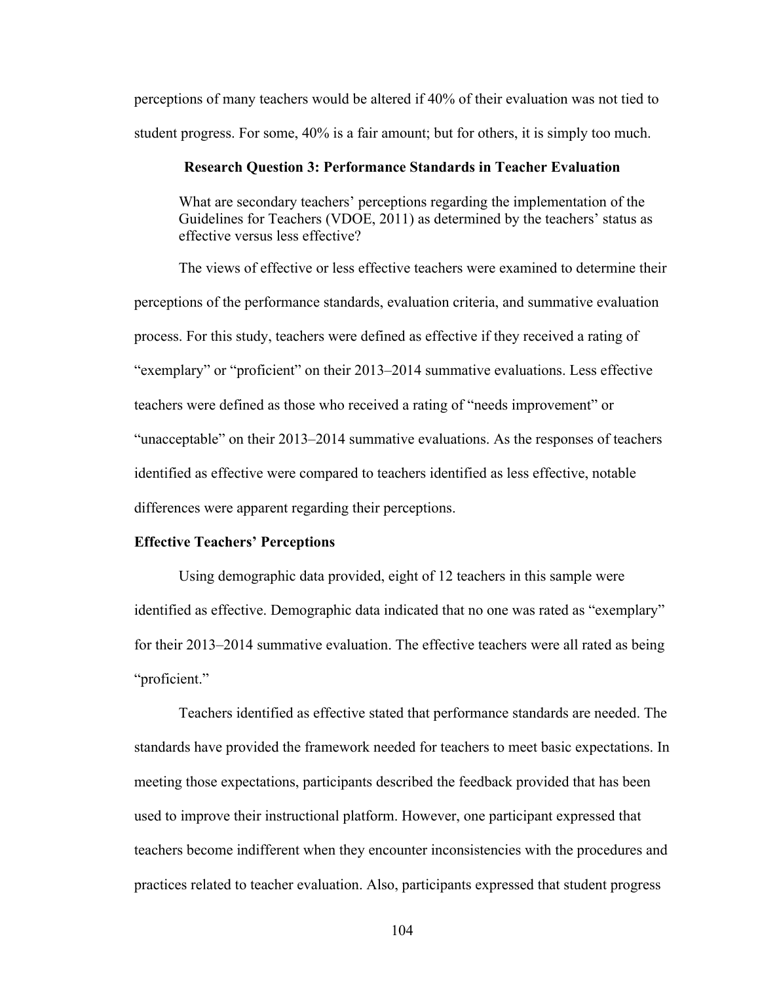perceptions of many teachers would be altered if 40% of their evaluation was not tied to student progress. For some, 40% is a fair amount; but for others, it is simply too much.

## **Research Question 3: Performance Standards in Teacher Evaluation**

What are secondary teachers' perceptions regarding the implementation of the Guidelines for Teachers (VDOE, 2011) as determined by the teachers' status as effective versus less effective?

The views of effective or less effective teachers were examined to determine their perceptions of the performance standards, evaluation criteria, and summative evaluation process. For this study, teachers were defined as effective if they received a rating of "exemplary" or "proficient" on their 2013–2014 summative evaluations. Less effective teachers were defined as those who received a rating of "needs improvement" or "unacceptable" on their 2013–2014 summative evaluations. As the responses of teachers identified as effective were compared to teachers identified as less effective, notable differences were apparent regarding their perceptions.

## **Effective Teachers' Perceptions**

Using demographic data provided, eight of 12 teachers in this sample were identified as effective. Demographic data indicated that no one was rated as "exemplary" for their 2013–2014 summative evaluation. The effective teachers were all rated as being "proficient."

Teachers identified as effective stated that performance standards are needed. The standards have provided the framework needed for teachers to meet basic expectations. In meeting those expectations, participants described the feedback provided that has been used to improve their instructional platform. However, one participant expressed that teachers become indifferent when they encounter inconsistencies with the procedures and practices related to teacher evaluation. Also, participants expressed that student progress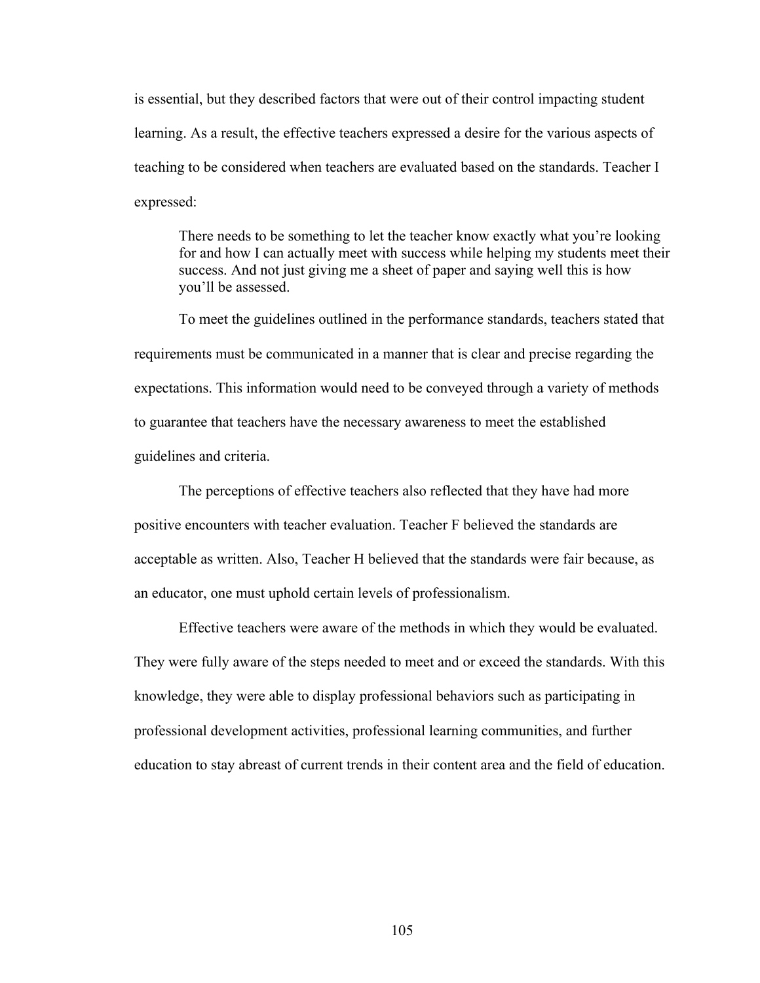is essential, but they described factors that were out of their control impacting student learning. As a result, the effective teachers expressed a desire for the various aspects of teaching to be considered when teachers are evaluated based on the standards. Teacher I expressed:

There needs to be something to let the teacher know exactly what you're looking for and how I can actually meet with success while helping my students meet their success. And not just giving me a sheet of paper and saying well this is how you'll be assessed.

To meet the guidelines outlined in the performance standards, teachers stated that requirements must be communicated in a manner that is clear and precise regarding the expectations. This information would need to be conveyed through a variety of methods to guarantee that teachers have the necessary awareness to meet the established guidelines and criteria.

The perceptions of effective teachers also reflected that they have had more positive encounters with teacher evaluation. Teacher F believed the standards are acceptable as written. Also, Teacher H believed that the standards were fair because, as an educator, one must uphold certain levels of professionalism.

Effective teachers were aware of the methods in which they would be evaluated. They were fully aware of the steps needed to meet and or exceed the standards. With this knowledge, they were able to display professional behaviors such as participating in professional development activities, professional learning communities, and further education to stay abreast of current trends in their content area and the field of education.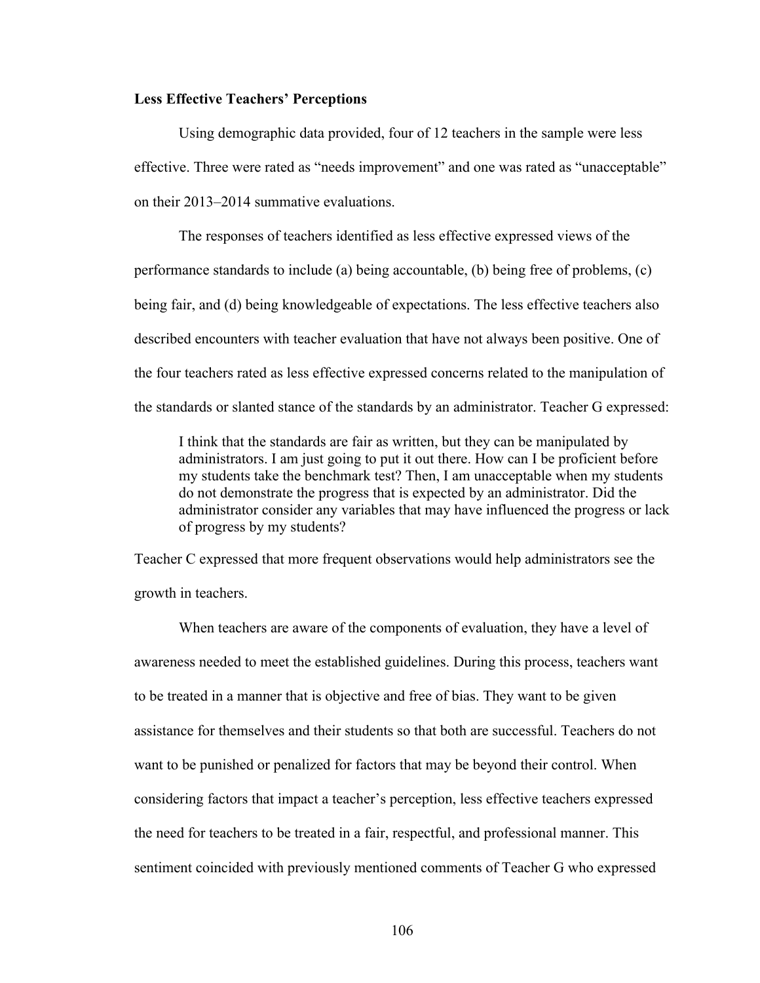## **Less Effective Teachers' Perceptions**

Using demographic data provided, four of 12 teachers in the sample were less effective. Three were rated as "needs improvement" and one was rated as "unacceptable" on their 2013–2014 summative evaluations.

The responses of teachers identified as less effective expressed views of the performance standards to include (a) being accountable, (b) being free of problems, (c) being fair, and (d) being knowledgeable of expectations. The less effective teachers also described encounters with teacher evaluation that have not always been positive. One of the four teachers rated as less effective expressed concerns related to the manipulation of the standards or slanted stance of the standards by an administrator. Teacher G expressed:

I think that the standards are fair as written, but they can be manipulated by administrators. I am just going to put it out there. How can I be proficient before my students take the benchmark test? Then, I am unacceptable when my students do not demonstrate the progress that is expected by an administrator. Did the administrator consider any variables that may have influenced the progress or lack of progress by my students?

Teacher C expressed that more frequent observations would help administrators see the growth in teachers.

When teachers are aware of the components of evaluation, they have a level of awareness needed to meet the established guidelines. During this process, teachers want to be treated in a manner that is objective and free of bias. They want to be given assistance for themselves and their students so that both are successful. Teachers do not want to be punished or penalized for factors that may be beyond their control. When considering factors that impact a teacher's perception, less effective teachers expressed the need for teachers to be treated in a fair, respectful, and professional manner. This sentiment coincided with previously mentioned comments of Teacher G who expressed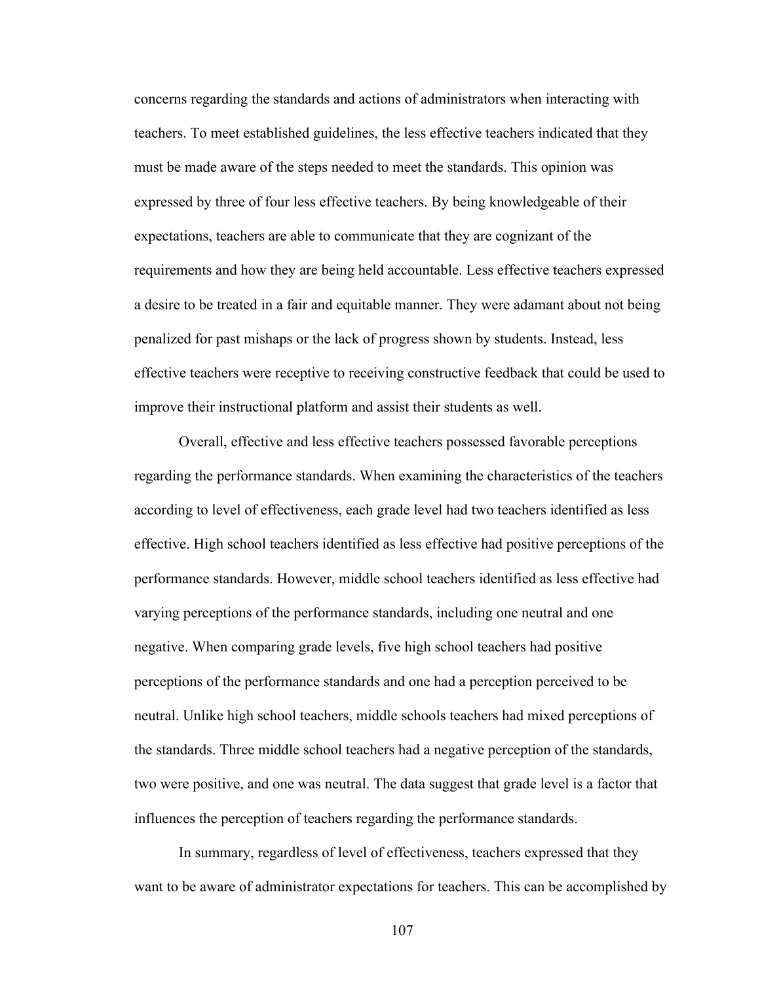concerns regarding the standards and actions of administrators when interacting with teachers. To meet established guidelines, the less effective teachers indicated that they must be made aware of the steps needed to meet the standards. This opinion was expressed by three of four less effective teachers. By being knowledgeable of their expectations, teachers are able to communicate that they are cognizant of the requirements and how they are being held accountable. Less effective teachers expressed a desire to be treated in a fair and equitable manner. They were adamant about not being penalized for past mishaps or the lack of progress shown by students. Instead, less effective teachers were receptive to receiving constructive feedback that could be used to improve their instructional platform and assist their students as well.

Overall, effective and less effective teachers possessed favorable perceptions regarding the performance standards. When examining the characteristics of the teachers according to level of effectiveness, each grade level had two teachers identified as less effective. High school teachers identified as less effective had positive perceptions of the performance standards. However, middle school teachers identified as less effective had varying perceptions of the performance standards, including one neutral and one negative. When comparing grade levels, five high school teachers had positive perceptions of the performance standards and one had a perception perceived to be neutral. Unlike high school teachers, middle schools teachers had mixed perceptions of the standards. Three middle school teachers had a negative perception of the standards, two were positive, and one was neutral. The data suggest that grade level is a factor that influences the perception of teachers regarding the performance standards.

In summary, regardless of level of effectiveness, teachers expressed that they want to be aware of administrator expectations for teachers. This can be accomplished by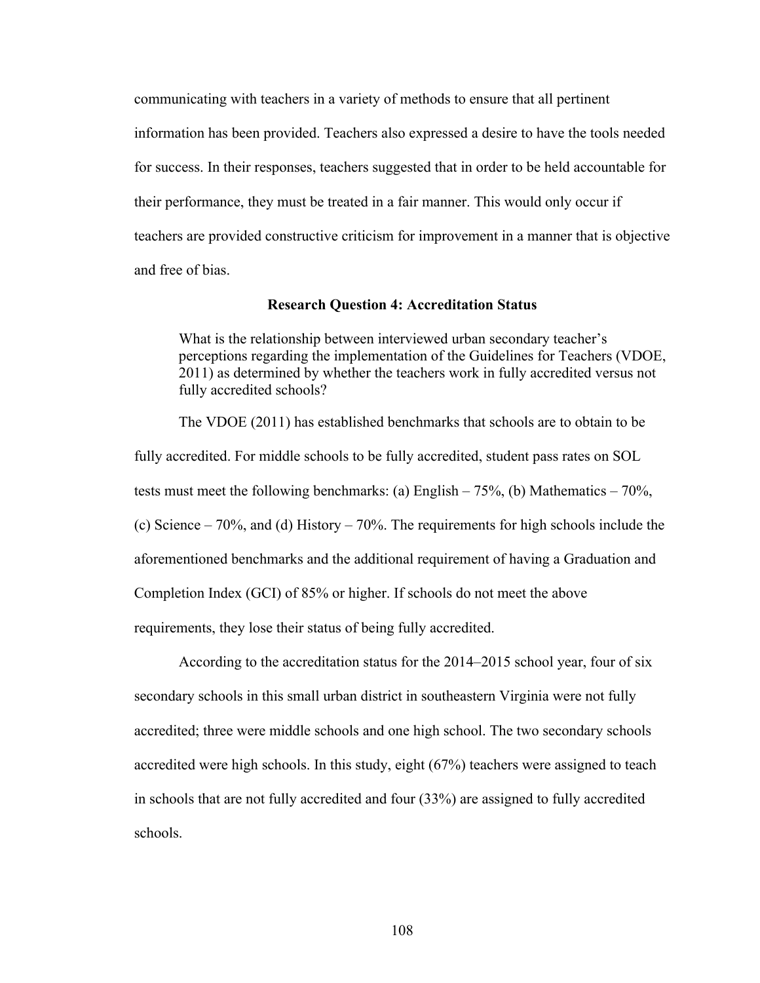communicating with teachers in a variety of methods to ensure that all pertinent information has been provided. Teachers also expressed a desire to have the tools needed for success. In their responses, teachers suggested that in order to be held accountable for their performance, they must be treated in a fair manner. This would only occur if teachers are provided constructive criticism for improvement in a manner that is objective and free of bias.

#### **Research Question 4: Accreditation Status**

What is the relationship between interviewed urban secondary teacher's perceptions regarding the implementation of the Guidelines for Teachers (VDOE, 2011) as determined by whether the teachers work in fully accredited versus not fully accredited schools?

The VDOE (2011) has established benchmarks that schools are to obtain to be fully accredited. For middle schools to be fully accredited, student pass rates on SOL tests must meet the following benchmarks: (a) English  $-75\%$ , (b) Mathematics  $-70\%$ , (c) Science – 70%, and (d) History – 70%. The requirements for high schools include the aforementioned benchmarks and the additional requirement of having a Graduation and Completion Index (GCI) of 85% or higher. If schools do not meet the above requirements, they lose their status of being fully accredited.

According to the accreditation status for the 2014–2015 school year, four of six secondary schools in this small urban district in southeastern Virginia were not fully accredited; three were middle schools and one high school. The two secondary schools accredited were high schools. In this study, eight (67%) teachers were assigned to teach in schools that are not fully accredited and four (33%) are assigned to fully accredited schools.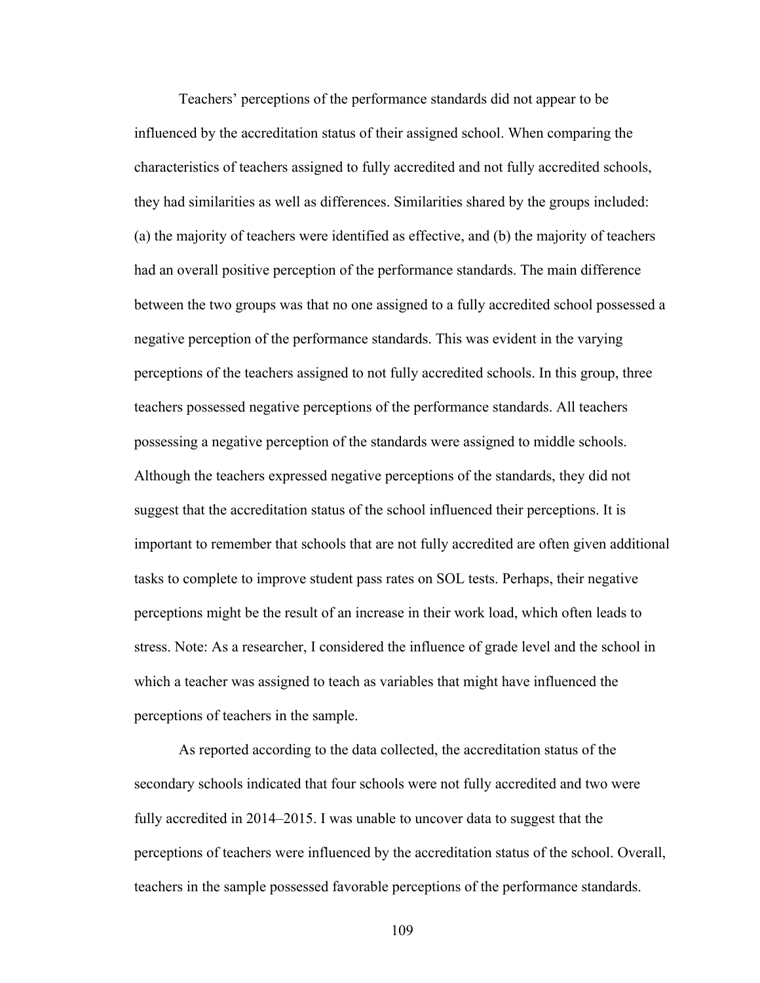Teachers' perceptions of the performance standards did not appear to be influenced by the accreditation status of their assigned school. When comparing the characteristics of teachers assigned to fully accredited and not fully accredited schools, they had similarities as well as differences. Similarities shared by the groups included: (a) the majority of teachers were identified as effective, and (b) the majority of teachers had an overall positive perception of the performance standards. The main difference between the two groups was that no one assigned to a fully accredited school possessed a negative perception of the performance standards. This was evident in the varying perceptions of the teachers assigned to not fully accredited schools. In this group, three teachers possessed negative perceptions of the performance standards. All teachers possessing a negative perception of the standards were assigned to middle schools. Although the teachers expressed negative perceptions of the standards, they did not suggest that the accreditation status of the school influenced their perceptions. It is important to remember that schools that are not fully accredited are often given additional tasks to complete to improve student pass rates on SOL tests. Perhaps, their negative perceptions might be the result of an increase in their work load, which often leads to stress. Note: As a researcher, I considered the influence of grade level and the school in which a teacher was assigned to teach as variables that might have influenced the perceptions of teachers in the sample.

As reported according to the data collected, the accreditation status of the secondary schools indicated that four schools were not fully accredited and two were fully accredited in 2014–2015. I was unable to uncover data to suggest that the perceptions of teachers were influenced by the accreditation status of the school. Overall, teachers in the sample possessed favorable perceptions of the performance standards.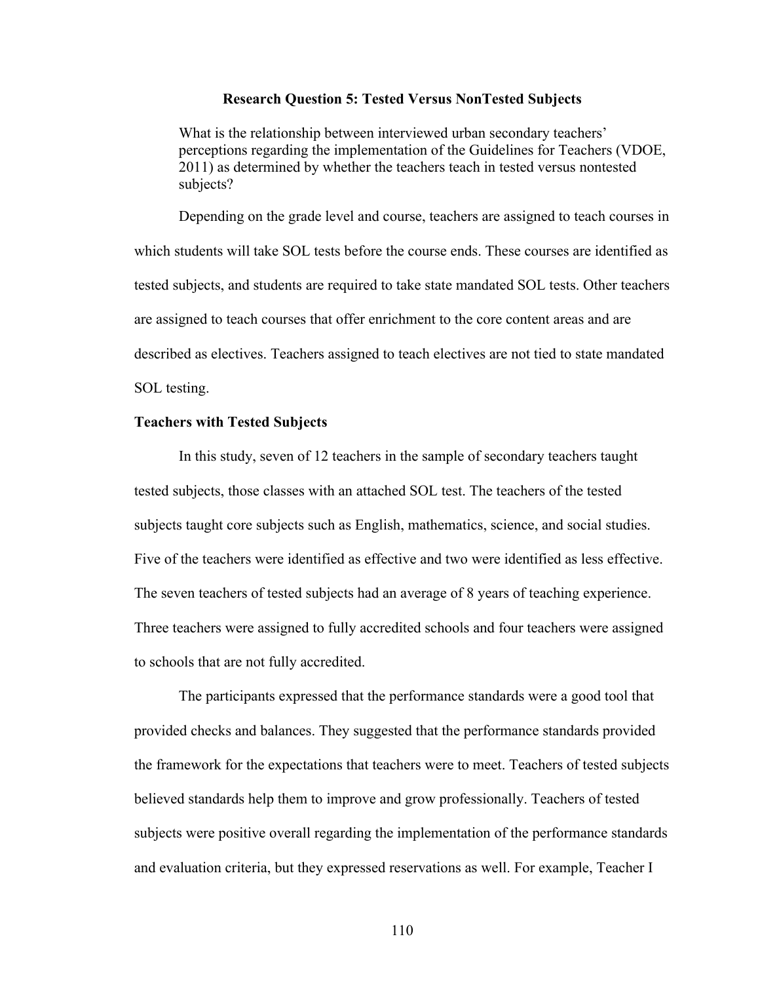#### **Research Question 5: Tested Versus NonTested Subjects**

What is the relationship between interviewed urban secondary teachers' perceptions regarding the implementation of the Guidelines for Teachers (VDOE, 2011) as determined by whether the teachers teach in tested versus nontested subjects?

Depending on the grade level and course, teachers are assigned to teach courses in which students will take SOL tests before the course ends. These courses are identified as tested subjects, and students are required to take state mandated SOL tests. Other teachers are assigned to teach courses that offer enrichment to the core content areas and are described as electives. Teachers assigned to teach electives are not tied to state mandated SOL testing.

## **Teachers with Tested Subjects**

In this study, seven of 12 teachers in the sample of secondary teachers taught tested subjects, those classes with an attached SOL test. The teachers of the tested subjects taught core subjects such as English, mathematics, science, and social studies. Five of the teachers were identified as effective and two were identified as less effective. The seven teachers of tested subjects had an average of 8 years of teaching experience. Three teachers were assigned to fully accredited schools and four teachers were assigned to schools that are not fully accredited.

The participants expressed that the performance standards were a good tool that provided checks and balances. They suggested that the performance standards provided the framework for the expectations that teachers were to meet. Teachers of tested subjects believed standards help them to improve and grow professionally. Teachers of tested subjects were positive overall regarding the implementation of the performance standards and evaluation criteria, but they expressed reservations as well. For example, Teacher I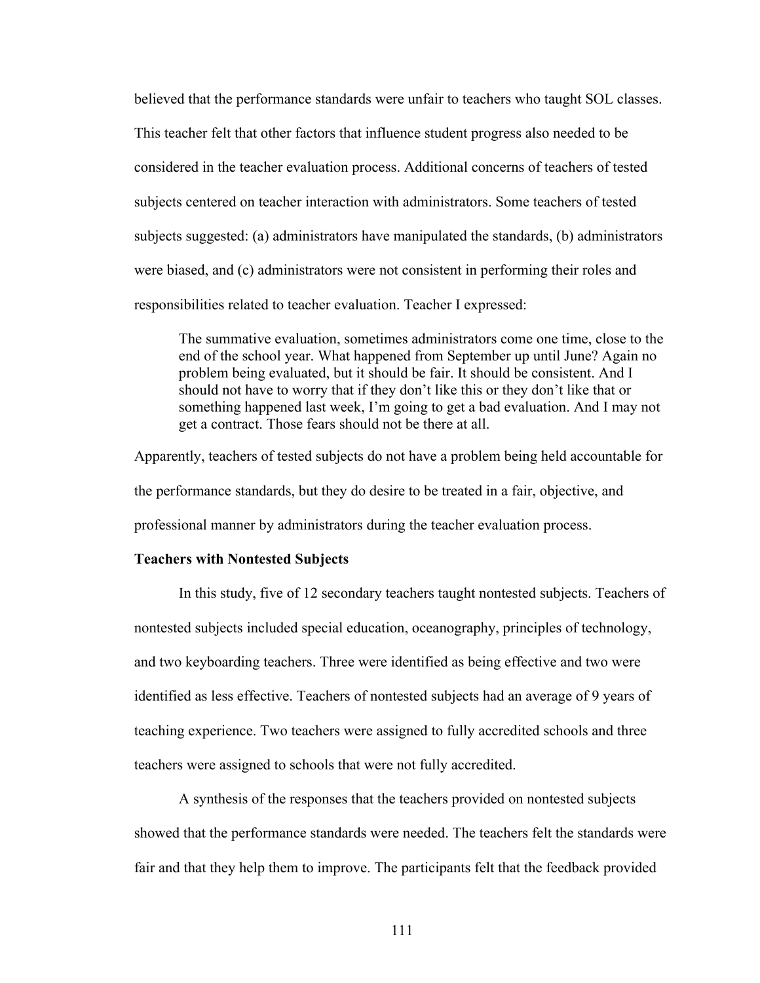believed that the performance standards were unfair to teachers who taught SOL classes. This teacher felt that other factors that influence student progress also needed to be considered in the teacher evaluation process. Additional concerns of teachers of tested subjects centered on teacher interaction with administrators. Some teachers of tested subjects suggested: (a) administrators have manipulated the standards, (b) administrators were biased, and (c) administrators were not consistent in performing their roles and responsibilities related to teacher evaluation. Teacher I expressed:

The summative evaluation, sometimes administrators come one time, close to the end of the school year. What happened from September up until June? Again no problem being evaluated, but it should be fair. It should be consistent. And I should not have to worry that if they don't like this or they don't like that or something happened last week, I'm going to get a bad evaluation. And I may not get a contract. Those fears should not be there at all.

Apparently, teachers of tested subjects do not have a problem being held accountable for the performance standards, but they do desire to be treated in a fair, objective, and professional manner by administrators during the teacher evaluation process.

## **Teachers with Nontested Subjects**

In this study, five of 12 secondary teachers taught nontested subjects. Teachers of nontested subjects included special education, oceanography, principles of technology, and two keyboarding teachers. Three were identified as being effective and two were identified as less effective. Teachers of nontested subjects had an average of 9 years of teaching experience. Two teachers were assigned to fully accredited schools and three teachers were assigned to schools that were not fully accredited.

A synthesis of the responses that the teachers provided on nontested subjects showed that the performance standards were needed. The teachers felt the standards were fair and that they help them to improve. The participants felt that the feedback provided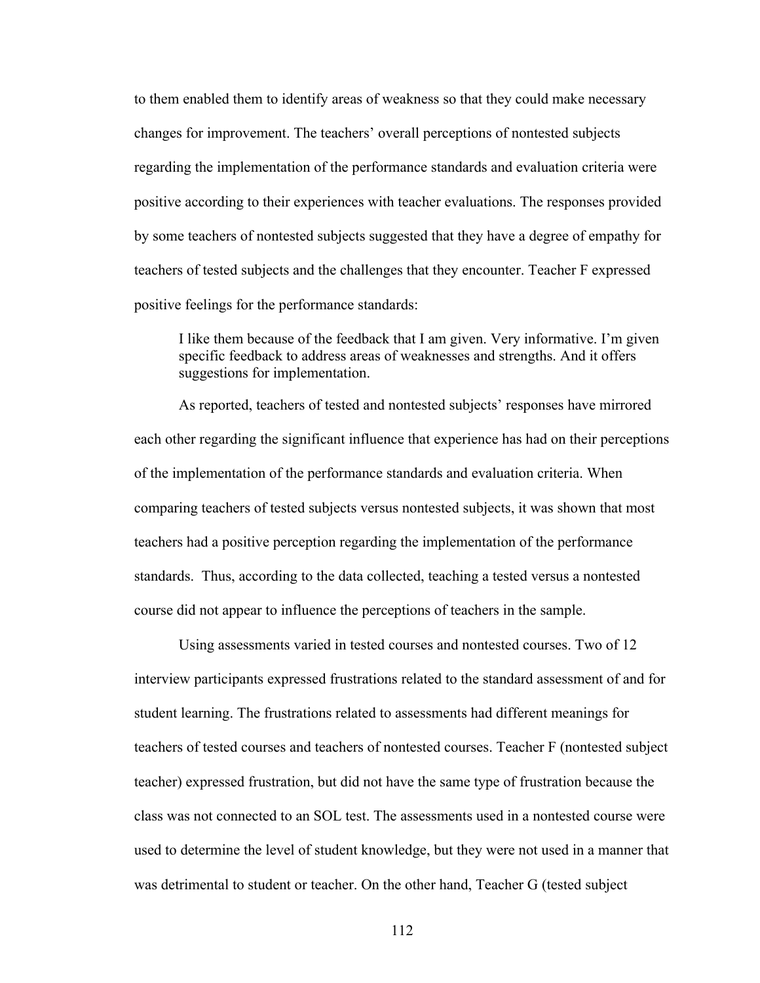to them enabled them to identify areas of weakness so that they could make necessary changes for improvement. The teachers' overall perceptions of nontested subjects regarding the implementation of the performance standards and evaluation criteria were positive according to their experiences with teacher evaluations. The responses provided by some teachers of nontested subjects suggested that they have a degree of empathy for teachers of tested subjects and the challenges that they encounter. Teacher F expressed positive feelings for the performance standards:

I like them because of the feedback that I am given. Very informative. I'm given specific feedback to address areas of weaknesses and strengths. And it offers suggestions for implementation.

As reported, teachers of tested and nontested subjects' responses have mirrored each other regarding the significant influence that experience has had on their perceptions of the implementation of the performance standards and evaluation criteria. When comparing teachers of tested subjects versus nontested subjects, it was shown that most teachers had a positive perception regarding the implementation of the performance standards. Thus, according to the data collected, teaching a tested versus a nontested course did not appear to influence the perceptions of teachers in the sample.

Using assessments varied in tested courses and nontested courses. Two of 12 interview participants expressed frustrations related to the standard assessment of and for student learning. The frustrations related to assessments had different meanings for teachers of tested courses and teachers of nontested courses. Teacher F (nontested subject teacher) expressed frustration, but did not have the same type of frustration because the class was not connected to an SOL test. The assessments used in a nontested course were used to determine the level of student knowledge, but they were not used in a manner that was detrimental to student or teacher. On the other hand, Teacher G (tested subject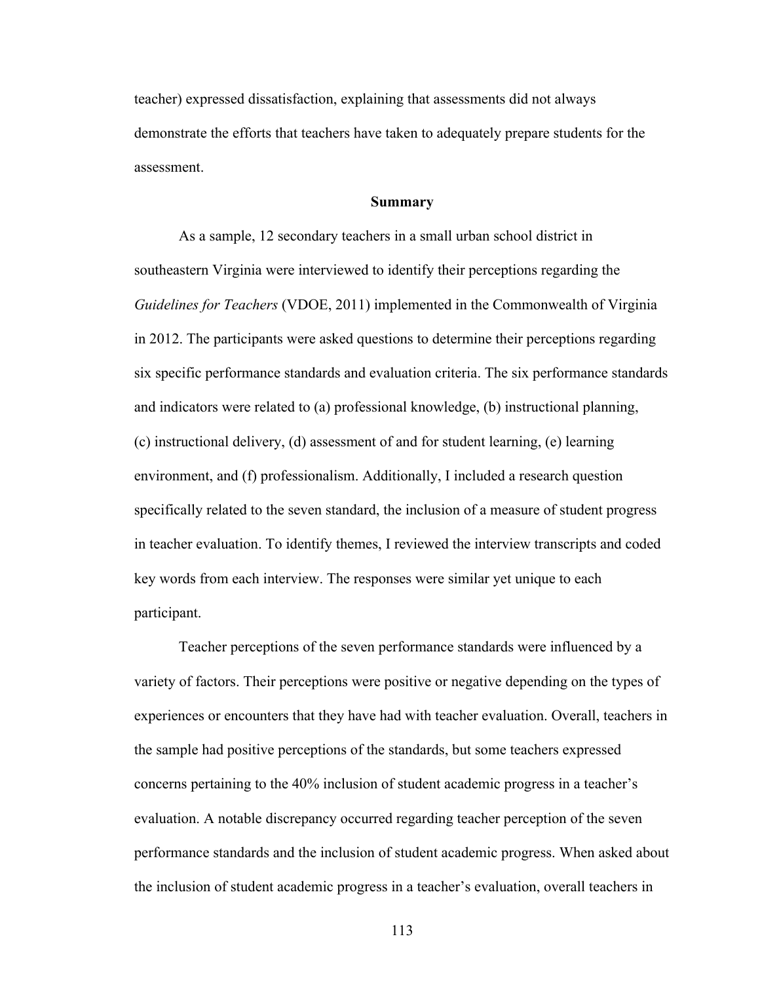teacher) expressed dissatisfaction, explaining that assessments did not always demonstrate the efforts that teachers have taken to adequately prepare students for the assessment.

#### **Summary**

As a sample, 12 secondary teachers in a small urban school district in southeastern Virginia were interviewed to identify their perceptions regarding the *Guidelines for Teachers* (VDOE, 2011) implemented in the Commonwealth of Virginia in 2012. The participants were asked questions to determine their perceptions regarding six specific performance standards and evaluation criteria. The six performance standards and indicators were related to (a) professional knowledge, (b) instructional planning, (c) instructional delivery, (d) assessment of and for student learning, (e) learning environment, and (f) professionalism. Additionally, I included a research question specifically related to the seven standard, the inclusion of a measure of student progress in teacher evaluation. To identify themes, I reviewed the interview transcripts and coded key words from each interview. The responses were similar yet unique to each participant.

Teacher perceptions of the seven performance standards were influenced by a variety of factors. Their perceptions were positive or negative depending on the types of experiences or encounters that they have had with teacher evaluation. Overall, teachers in the sample had positive perceptions of the standards, but some teachers expressed concerns pertaining to the 40% inclusion of student academic progress in a teacher's evaluation. A notable discrepancy occurred regarding teacher perception of the seven performance standards and the inclusion of student academic progress. When asked about the inclusion of student academic progress in a teacher's evaluation, overall teachers in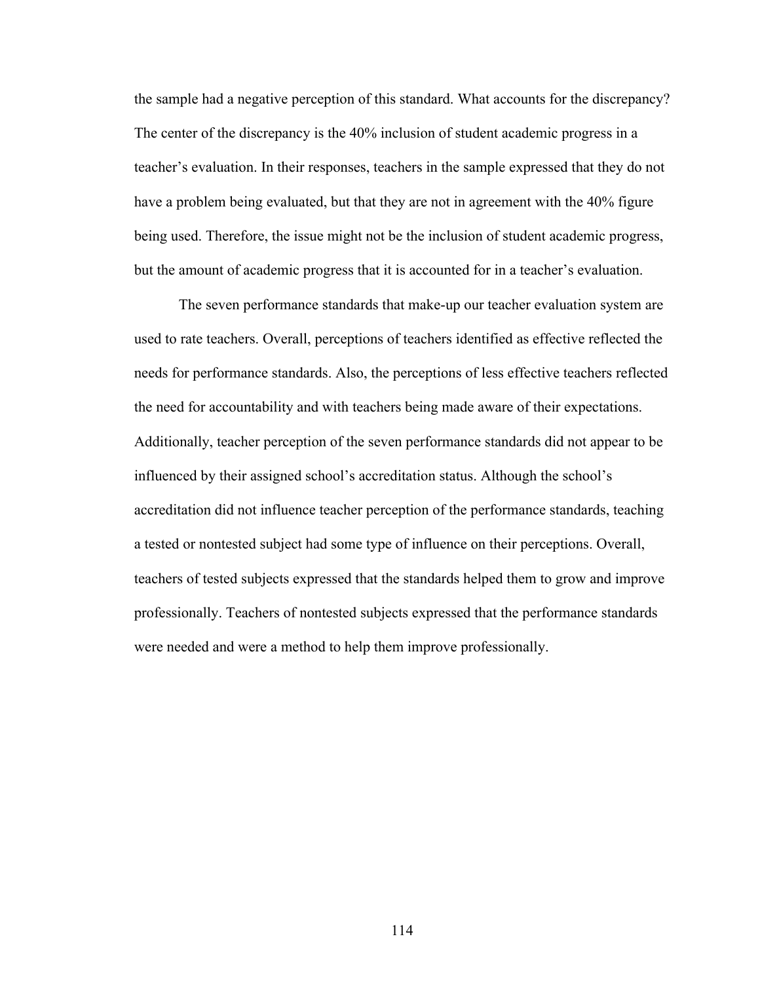the sample had a negative perception of this standard. What accounts for the discrepancy? The center of the discrepancy is the 40% inclusion of student academic progress in a teacher's evaluation. In their responses, teachers in the sample expressed that they do not have a problem being evaluated, but that they are not in agreement with the 40% figure being used. Therefore, the issue might not be the inclusion of student academic progress, but the amount of academic progress that it is accounted for in a teacher's evaluation.

The seven performance standards that make-up our teacher evaluation system are used to rate teachers. Overall, perceptions of teachers identified as effective reflected the needs for performance standards. Also, the perceptions of less effective teachers reflected the need for accountability and with teachers being made aware of their expectations. Additionally, teacher perception of the seven performance standards did not appear to be influenced by their assigned school's accreditation status. Although the school's accreditation did not influence teacher perception of the performance standards, teaching a tested or nontested subject had some type of influence on their perceptions. Overall, teachers of tested subjects expressed that the standards helped them to grow and improve professionally. Teachers of nontested subjects expressed that the performance standards were needed and were a method to help them improve professionally.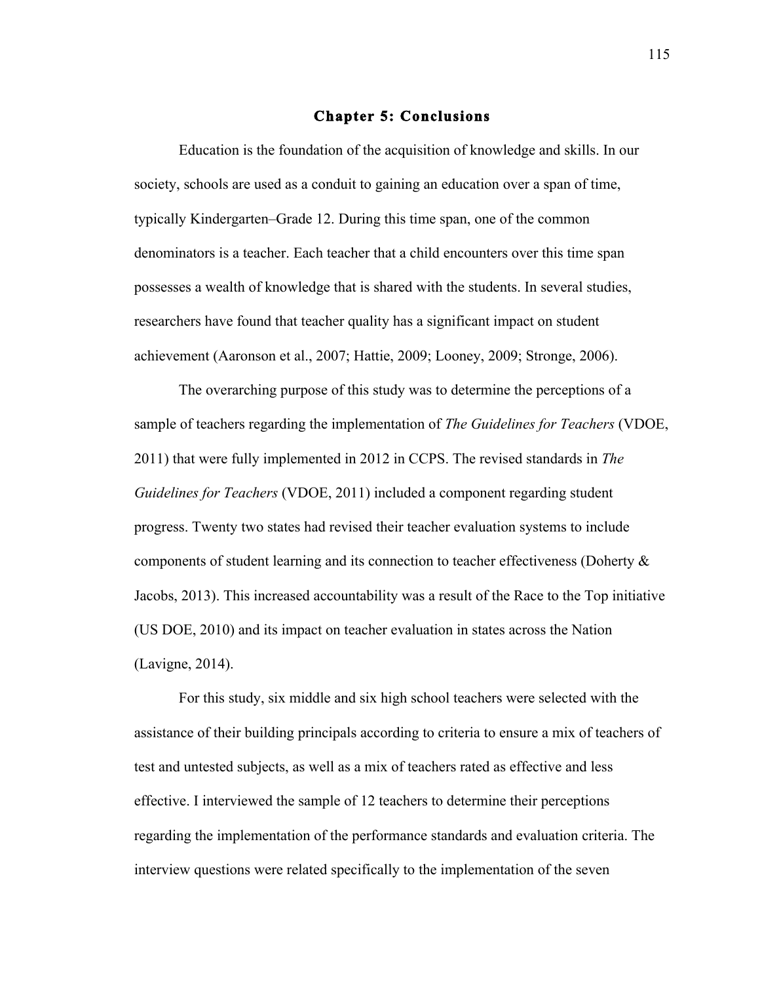## **Chapter 5: Conclusions**

Education is the foundation of the acquisition of knowledge and skills. In our society, schools are used as a conduit to gaining an education over a span of time, typically Kindergarten–Grade 12. During this time span, one of the common denominators is a teacher. Each teacher that a child encounters over this time span possesses a wealth of knowledge that is shared with the students. In several studies, researchers have found that teacher quality has a significant impact on student achievement (Aaronson et al., 2007; Hattie, 2009; Looney, 2009; Stronge, 2006).

The overarching purpose of this study was to determine the perceptions of a sample of teachers regarding the implementation of *The Guidelines for Teachers* (VDOE, 2011) that were fully implemented in 2012 in CCPS. The revised standards in *The Guidelines for Teachers* (VDOE, 2011) included a component regarding student progress. Twenty two states had revised their teacher evaluation systems to include components of student learning and its connection to teacher effectiveness (Doherty & Jacobs, 2013). This increased accountability was a result of the Race to the Top initiative (US DOE, 2010) and its impact on teacher evaluation in states across the Nation (Lavigne, 2014).

For this study, six middle and six high school teachers were selected with the assistance of their building principals according to criteria to ensure a mix of teachers of test and untested subjects, as well as a mix of teachers rated as effective and less effective. I interviewed the sample of 12 teachers to determine their perceptions regarding the implementation of the performance standards and evaluation criteria. The interview questions were related specifically to the implementation of the seven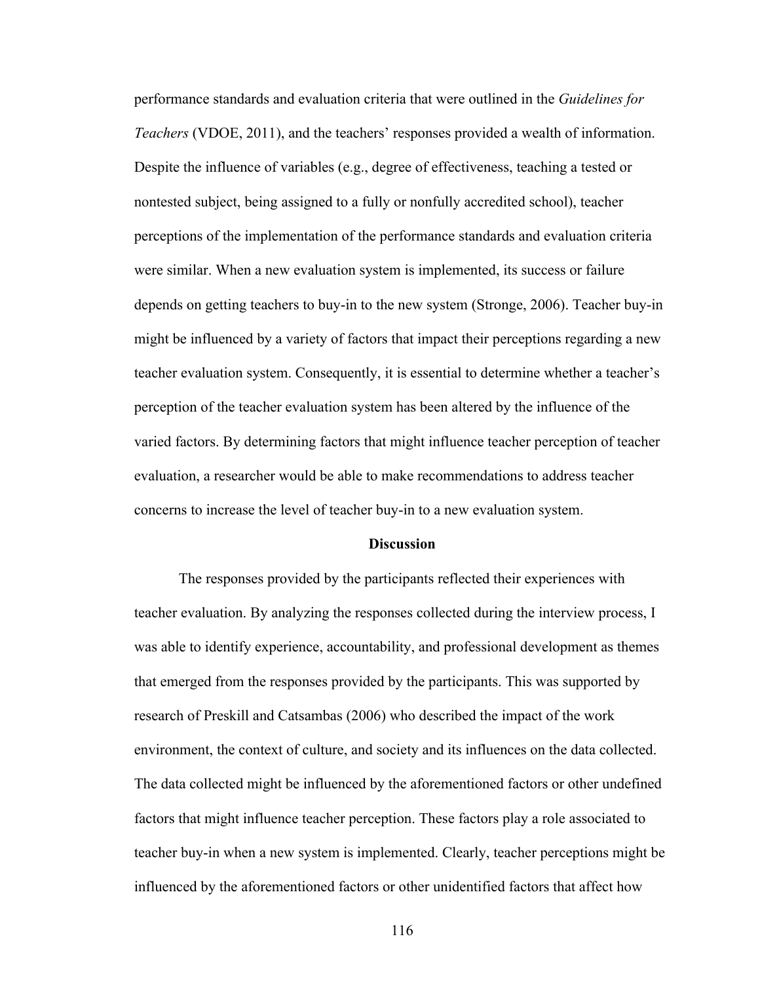performance standards and evaluation criteria that were outlined in the *Guidelines for Teachers* (VDOE, 2011), and the teachers' responses provided a wealth of information. Despite the influence of variables (e.g., degree of effectiveness, teaching a tested or nontested subject, being assigned to a fully or nonfully accredited school), teacher perceptions of the implementation of the performance standards and evaluation criteria were similar. When a new evaluation system is implemented, its success or failure depends on getting teachers to buy-in to the new system (Stronge, 2006). Teacher buy-in might be influenced by a variety of factors that impact their perceptions regarding a new teacher evaluation system. Consequently, it is essential to determine whether a teacher's perception of the teacher evaluation system has been altered by the influence of the varied factors. By determining factors that might influence teacher perception of teacher evaluation, a researcher would be able to make recommendations to address teacher concerns to increase the level of teacher buy-in to a new evaluation system.

#### **Discussion**

The responses provided by the participants reflected their experiences with teacher evaluation. By analyzing the responses collected during the interview process, I was able to identify experience, accountability, and professional development as themes that emerged from the responses provided by the participants. This was supported by research of Preskill and Catsambas (2006) who described the impact of the work environment, the context of culture, and society and its influences on the data collected. The data collected might be influenced by the aforementioned factors or other undefined factors that might influence teacher perception. These factors play a role associated to teacher buy-in when a new system is implemented. Clearly, teacher perceptions might be influenced by the aforementioned factors or other unidentified factors that affect how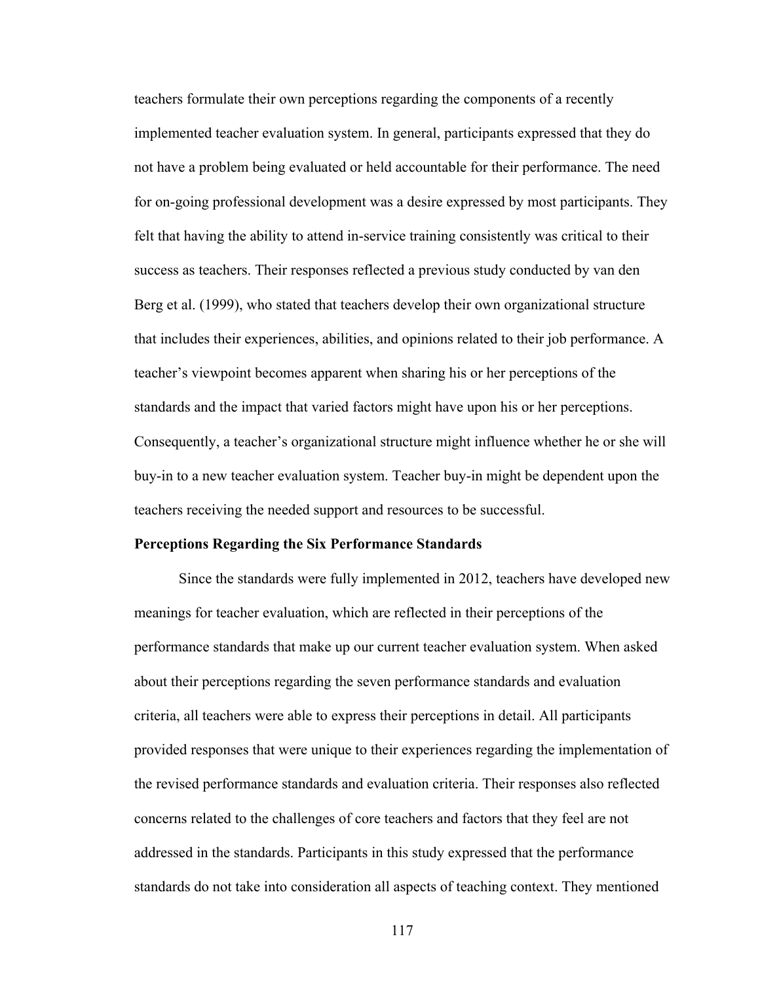teachers formulate their own perceptions regarding the components of a recently implemented teacher evaluation system. In general, participants expressed that they do not have a problem being evaluated or held accountable for their performance. The need for on-going professional development was a desire expressed by most participants. They felt that having the ability to attend in-service training consistently was critical to their success as teachers. Their responses reflected a previous study conducted by van den Berg et al. (1999), who stated that teachers develop their own organizational structure that includes their experiences, abilities, and opinions related to their job performance. A teacher's viewpoint becomes apparent when sharing his or her perceptions of the standards and the impact that varied factors might have upon his or her perceptions. Consequently, a teacher's organizational structure might influence whether he or she will buy-in to a new teacher evaluation system. Teacher buy-in might be dependent upon the teachers receiving the needed support and resources to be successful.

#### **Perceptions Regarding the Six Performance Standards**

Since the standards were fully implemented in 2012, teachers have developed new meanings for teacher evaluation, which are reflected in their perceptions of the performance standards that make up our current teacher evaluation system. When asked about their perceptions regarding the seven performance standards and evaluation criteria, all teachers were able to express their perceptions in detail. All participants provided responses that were unique to their experiences regarding the implementation of the revised performance standards and evaluation criteria. Their responses also reflected concerns related to the challenges of core teachers and factors that they feel are not addressed in the standards. Participants in this study expressed that the performance standards do not take into consideration all aspects of teaching context. They mentioned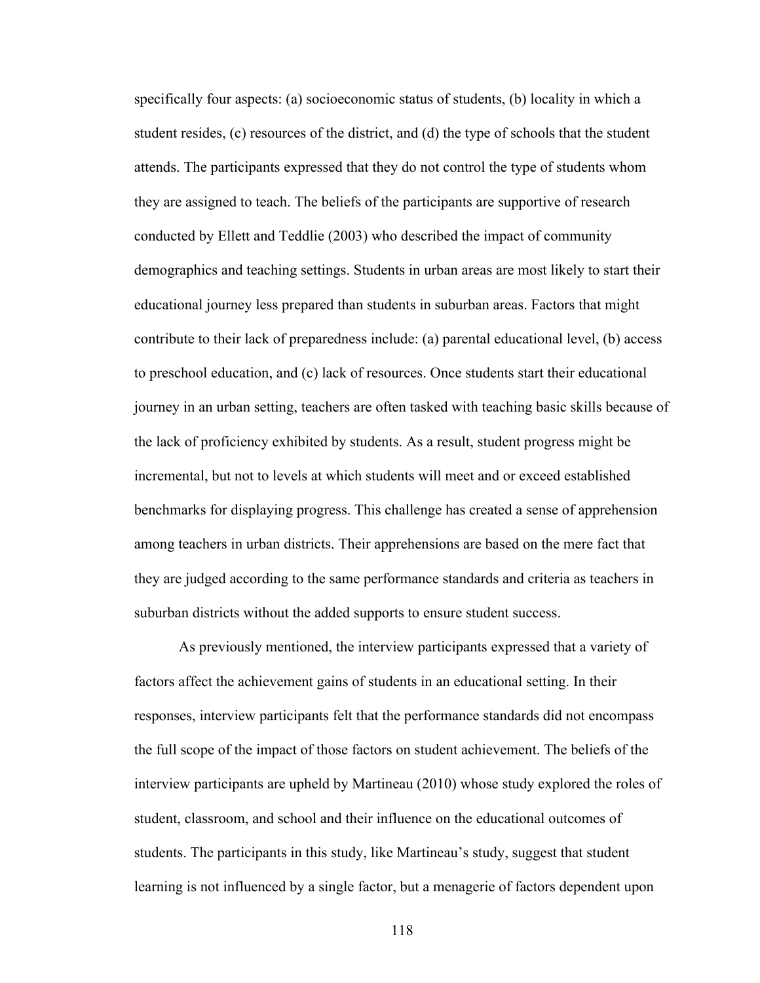specifically four aspects: (a) socioeconomic status of students, (b) locality in which a student resides, (c) resources of the district, and (d) the type of schools that the student attends. The participants expressed that they do not control the type of students whom they are assigned to teach. The beliefs of the participants are supportive of research conducted by Ellett and Teddlie (2003) who described the impact of community demographics and teaching settings. Students in urban areas are most likely to start their educational journey less prepared than students in suburban areas. Factors that might contribute to their lack of preparedness include: (a) parental educational level, (b) access to preschool education, and (c) lack of resources. Once students start their educational journey in an urban setting, teachers are often tasked with teaching basic skills because of the lack of proficiency exhibited by students. As a result, student progress might be incremental, but not to levels at which students will meet and or exceed established benchmarks for displaying progress. This challenge has created a sense of apprehension among teachers in urban districts. Their apprehensions are based on the mere fact that they are judged according to the same performance standards and criteria as teachers in suburban districts without the added supports to ensure student success.

As previously mentioned, the interview participants expressed that a variety of factors affect the achievement gains of students in an educational setting. In their responses, interview participants felt that the performance standards did not encompass the full scope of the impact of those factors on student achievement. The beliefs of the interview participants are upheld by Martineau (2010) whose study explored the roles of student, classroom, and school and their influence on the educational outcomes of students. The participants in this study, like Martineau's study, suggest that student learning is not influenced by a single factor, but a menagerie of factors dependent upon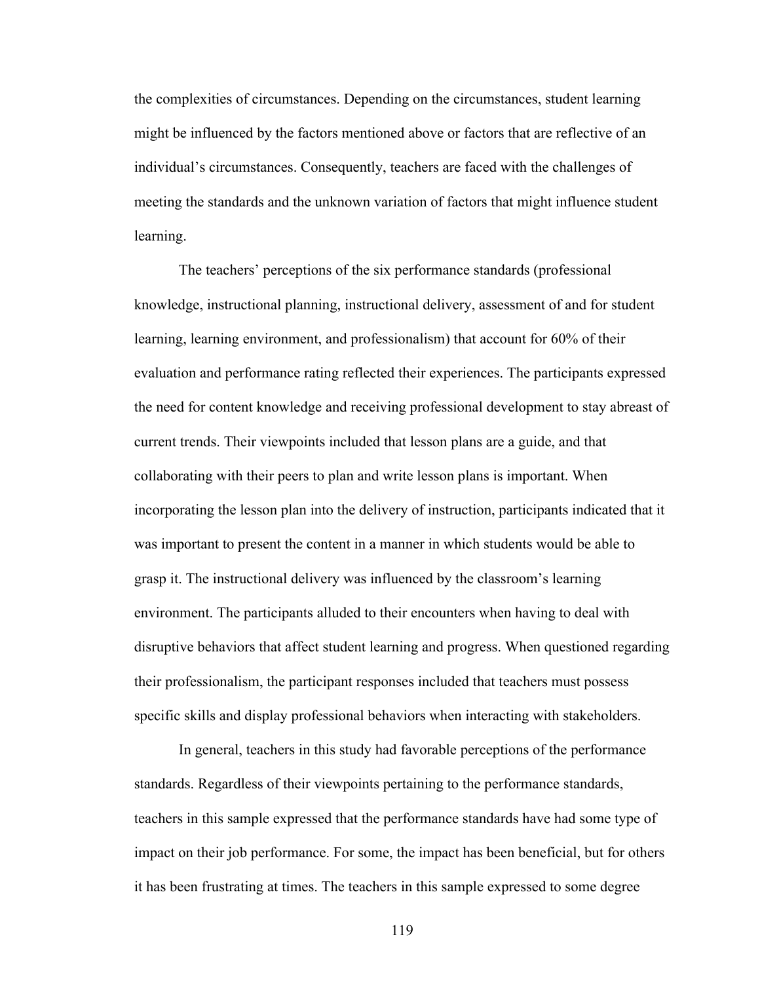the complexities of circumstances. Depending on the circumstances, student learning might be influenced by the factors mentioned above or factors that are reflective of an individual's circumstances. Consequently, teachers are faced with the challenges of meeting the standards and the unknown variation of factors that might influence student learning.

The teachers' perceptions of the six performance standards (professional knowledge, instructional planning, instructional delivery, assessment of and for student learning, learning environment, and professionalism) that account for 60% of their evaluation and performance rating reflected their experiences. The participants expressed the need for content knowledge and receiving professional development to stay abreast of current trends. Their viewpoints included that lesson plans are a guide, and that collaborating with their peers to plan and write lesson plans is important. When incorporating the lesson plan into the delivery of instruction, participants indicated that it was important to present the content in a manner in which students would be able to grasp it. The instructional delivery was influenced by the classroom's learning environment. The participants alluded to their encounters when having to deal with disruptive behaviors that affect student learning and progress. When questioned regarding their professionalism, the participant responses included that teachers must possess specific skills and display professional behaviors when interacting with stakeholders.

In general, teachers in this study had favorable perceptions of the performance standards. Regardless of their viewpoints pertaining to the performance standards, teachers in this sample expressed that the performance standards have had some type of impact on their job performance. For some, the impact has been beneficial, but for others it has been frustrating at times. The teachers in this sample expressed to some degree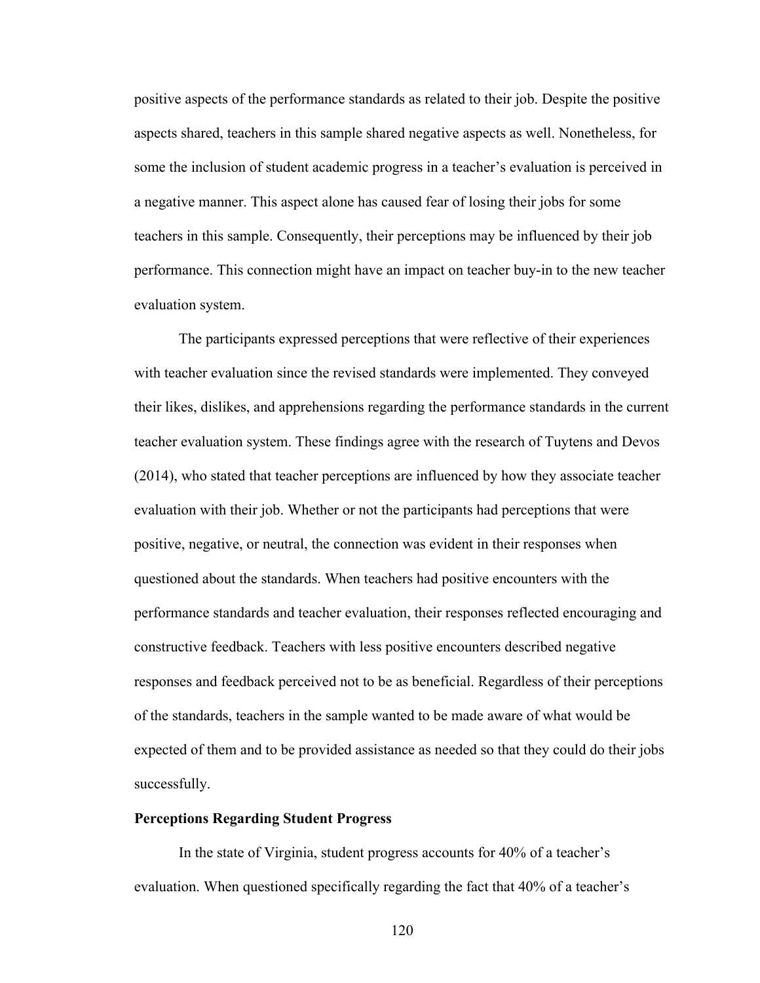positive aspects of the performance standards as related to their job. Despite the positive aspects shared, teachers in this sample shared negative aspects as well. Nonetheless, for some the inclusion of student academic progress in a teacher's evaluation is perceived in a negative manner. This aspect alone has caused fear of losing their jobs for some teachers in this sample. Consequently, their perceptions may be influenced by their job performance. This connection might have an impact on teacher buy-in to the new teacher evaluation system.

The participants expressed perceptions that were reflective of their experiences with teacher evaluation since the revised standards were implemented. They conveyed their likes, dislikes, and apprehensions regarding the performance standards in the current teacher evaluation system. These findings agree with the research of Tuytens and Devos (2014), who stated that teacher perceptions are influenced by how they associate teacher evaluation with their job. Whether or not the participants had perceptions that were positive, negative, or neutral, the connection was evident in their responses when questioned about the standards. When teachers had positive encounters with the performance standards and teacher evaluation, their responses reflected encouraging and constructive feedback. Teachers with less positive encounters described negative responses and feedback perceived not to be as beneficial. Regardless of their perceptions of the standards, teachers in the sample wanted to be made aware of what would be expected of them and to be provided assistance as needed so that they could do their jobs successfully.

## **Perceptions Regarding Student Progress**

In the state of Virginia, student progress accounts for 40% of a teacher's evaluation. When questioned specifically regarding the fact that 40% of a teacher's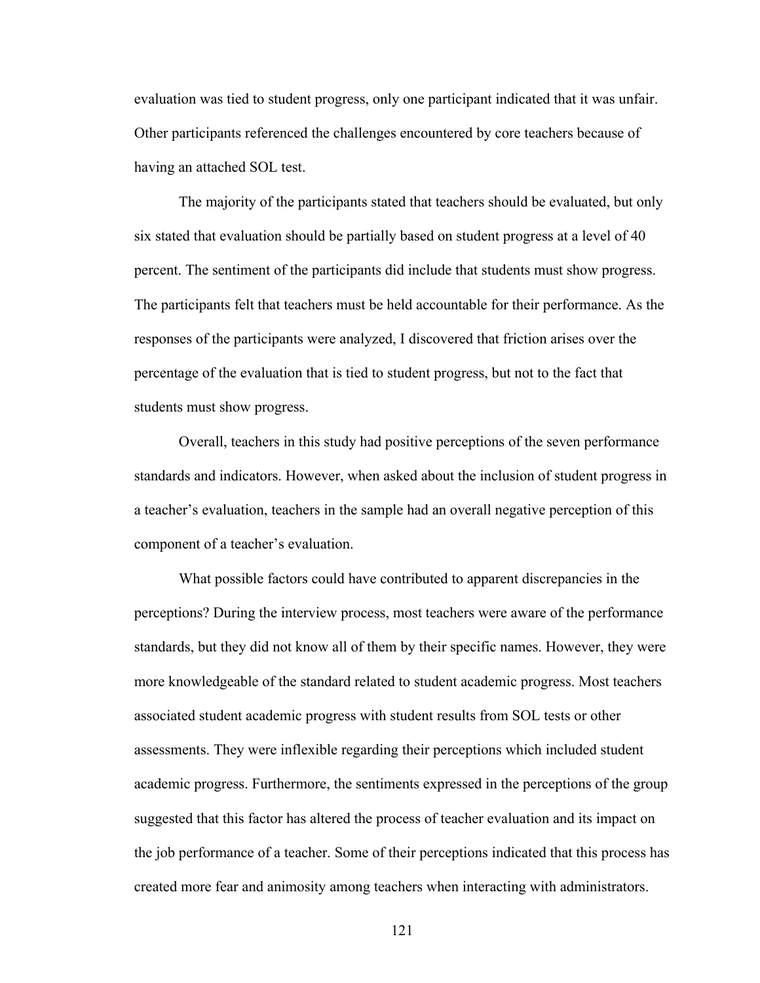evaluation was tied to student progress, only one participant indicated that it was unfair. Other participants referenced the challenges encountered by core teachers because of having an attached SOL test.

The majority of the participants stated that teachers should be evaluated, but only six stated that evaluation should be partially based on student progress at a level of 40 percent. The sentiment of the participants did include that students must show progress. The participants felt that teachers must be held accountable for their performance. As the responses of the participants were analyzed, I discovered that friction arises over the percentage of the evaluation that is tied to student progress, but not to the fact that students must show progress.

Overall, teachers in this study had positive perceptions of the seven performance standards and indicators. However, when asked about the inclusion of student progress in a teacher's evaluation, teachers in the sample had an overall negative perception of this component of a teacher's evaluation.

What possible factors could have contributed to apparent discrepancies in the perceptions? During the interview process, most teachers were aware of the performance standards, but they did not know all of them by their specific names. However, they were more knowledgeable of the standard related to student academic progress. Most teachers associated student academic progress with student results from SOL tests or other assessments. They were inflexible regarding their perceptions which included student academic progress. Furthermore, the sentiments expressed in the perceptions of the group suggested that this factor has altered the process of teacher evaluation and its impact on the job performance of a teacher. Some of their perceptions indicated that this process has created more fear and animosity among teachers when interacting with administrators.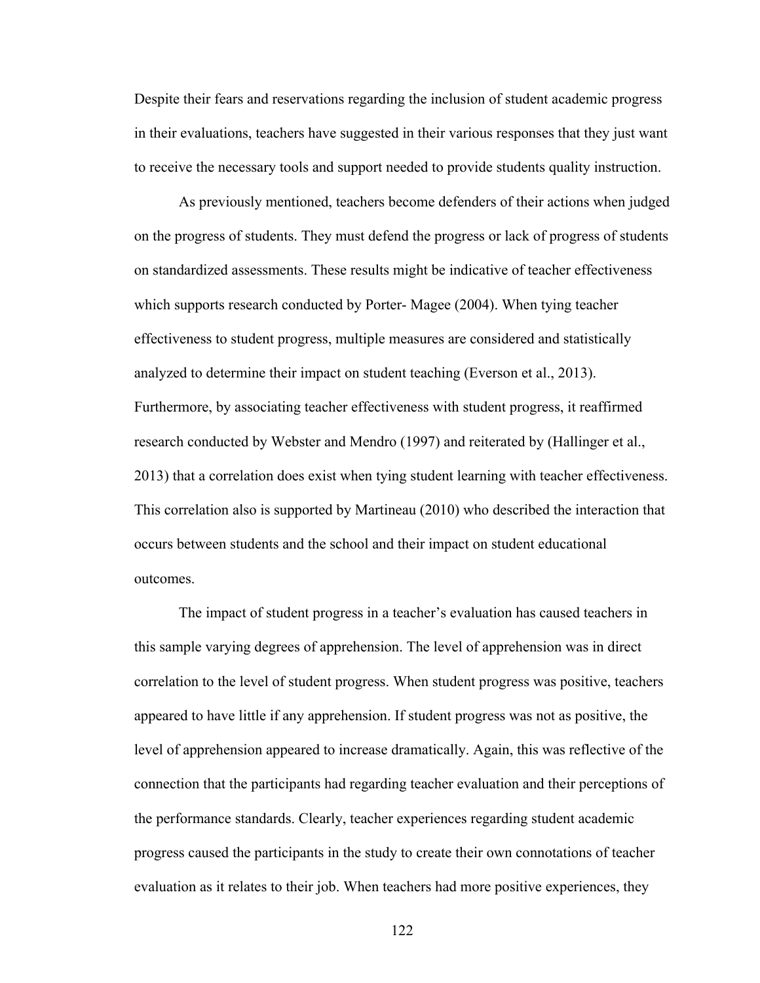Despite their fears and reservations regarding the inclusion of student academic progress in their evaluations, teachers have suggested in their various responses that they just want to receive the necessary tools and support needed to provide students quality instruction.

As previously mentioned, teachers become defenders of their actions when judged on the progress of students. They must defend the progress or lack of progress of students on standardized assessments. These results might be indicative of teacher effectiveness which supports research conducted by Porter- Magee (2004). When tying teacher effectiveness to student progress, multiple measures are considered and statistically analyzed to determine their impact on student teaching (Everson et al., 2013). Furthermore, by associating teacher effectiveness with student progress, it reaffirmed research conducted by Webster and Mendro (1997) and reiterated by (Hallinger et al., 2013) that a correlation does exist when tying student learning with teacher effectiveness. This correlation also is supported by Martineau (2010) who described the interaction that occurs between students and the school and their impact on student educational outcomes.

The impact of student progress in a teacher's evaluation has caused teachers in this sample varying degrees of apprehension. The level of apprehension was in direct correlation to the level of student progress. When student progress was positive, teachers appeared to have little if any apprehension. If student progress was not as positive, the level of apprehension appeared to increase dramatically. Again, this was reflective of the connection that the participants had regarding teacher evaluation and their perceptions of the performance standards. Clearly, teacher experiences regarding student academic progress caused the participants in the study to create their own connotations of teacher evaluation as it relates to their job. When teachers had more positive experiences, they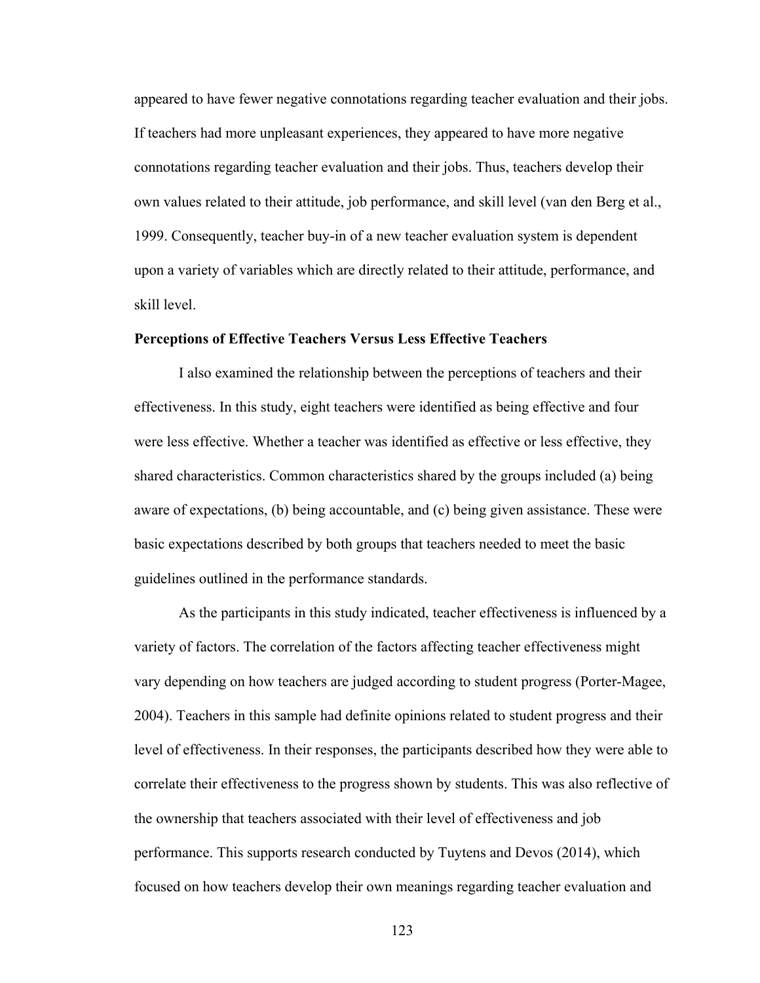appeared to have fewer negative connotations regarding teacher evaluation and their jobs. If teachers had more unpleasant experiences, they appeared to have more negative connotations regarding teacher evaluation and their jobs. Thus, teachers develop their own values related to their attitude, job performance, and skill level (van den Berg et al., 1999. Consequently, teacher buy-in of a new teacher evaluation system is dependent upon a variety of variables which are directly related to their attitude, performance, and skill level.

## **Perceptions of Effective Teachers Versus Less Effective Teachers**

I also examined the relationship between the perceptions of teachers and their effectiveness. In this study, eight teachers were identified as being effective and four were less effective. Whether a teacher was identified as effective or less effective, they shared characteristics. Common characteristics shared by the groups included (a) being aware of expectations, (b) being accountable, and (c) being given assistance. These were basic expectations described by both groups that teachers needed to meet the basic guidelines outlined in the performance standards.

As the participants in this study indicated, teacher effectiveness is influenced by a variety of factors. The correlation of the factors affecting teacher effectiveness might vary depending on how teachers are judged according to student progress (Porter-Magee, 2004). Teachers in this sample had definite opinions related to student progress and their level of effectiveness. In their responses, the participants described how they were able to correlate their effectiveness to the progress shown by students. This was also reflective of the ownership that teachers associated with their level of effectiveness and job performance. This supports research conducted by Tuytens and Devos (2014), which focused on how teachers develop their own meanings regarding teacher evaluation and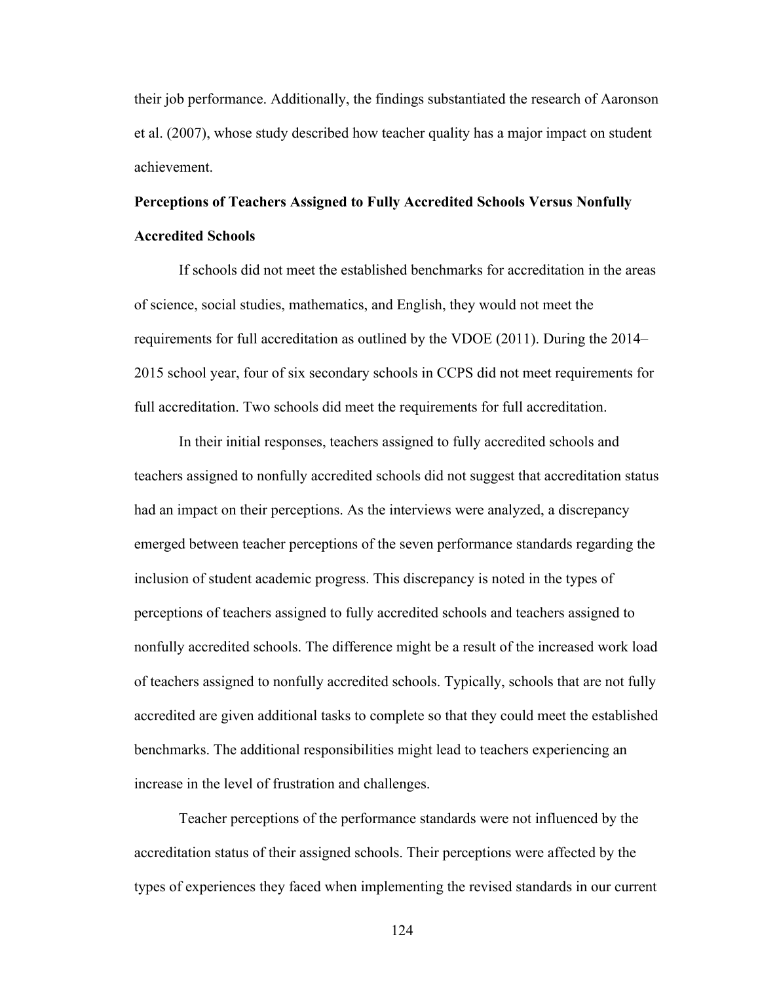their job performance. Additionally, the findings substantiated the research of Aaronson et al. (2007), whose study described how teacher quality has a major impact on student achievement.

# **Perceptions of Teachers Assigned to Fully Accredited Schools Versus Nonfully Accredited Schools**

If schools did not meet the established benchmarks for accreditation in the areas of science, social studies, mathematics, and English, they would not meet the requirements for full accreditation as outlined by the VDOE (2011). During the 2014– 2015 school year, four of six secondary schools in CCPS did not meet requirements for full accreditation. Two schools did meet the requirements for full accreditation.

In their initial responses, teachers assigned to fully accredited schools and teachers assigned to nonfully accredited schools did not suggest that accreditation status had an impact on their perceptions. As the interviews were analyzed, a discrepancy emerged between teacher perceptions of the seven performance standards regarding the inclusion of student academic progress. This discrepancy is noted in the types of perceptions of teachers assigned to fully accredited schools and teachers assigned to nonfully accredited schools. The difference might be a result of the increased work load of teachers assigned to nonfully accredited schools. Typically, schools that are not fully accredited are given additional tasks to complete so that they could meet the established benchmarks. The additional responsibilities might lead to teachers experiencing an increase in the level of frustration and challenges.

Teacher perceptions of the performance standards were not influenced by the accreditation status of their assigned schools. Their perceptions were affected by the types of experiences they faced when implementing the revised standards in our current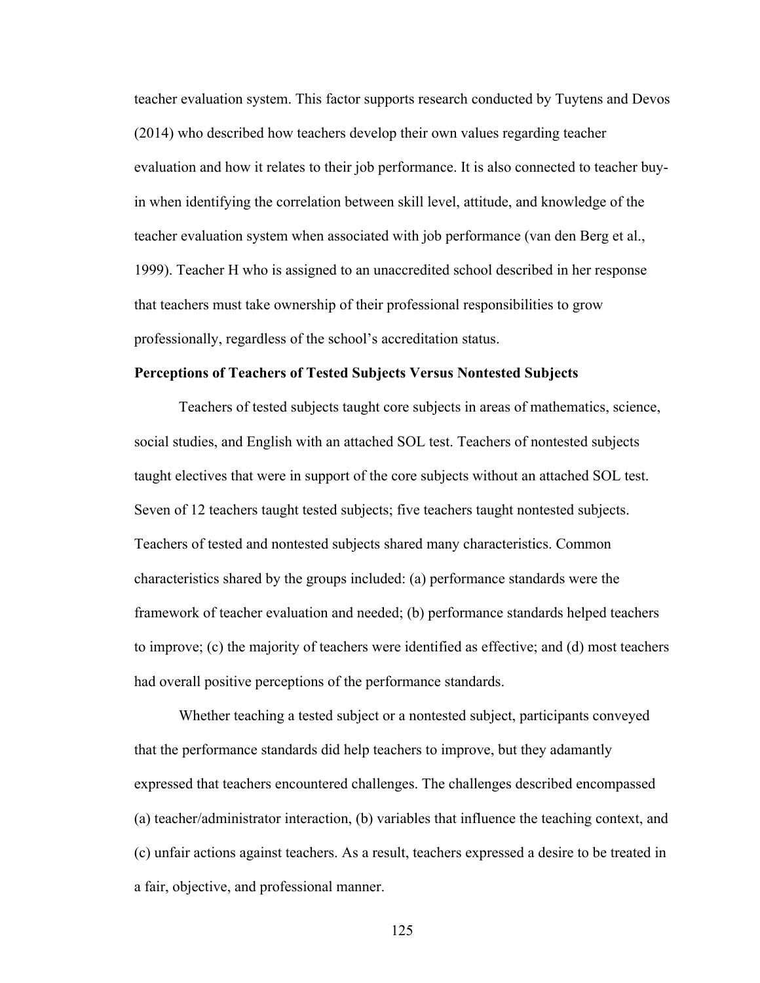teacher evaluation system. This factor supports research conducted by Tuytens and Devos (2014) who described how teachers develop their own values regarding teacher evaluation and how it relates to their job performance. It is also connected to teacher buyin when identifying the correlation between skill level, attitude, and knowledge of the teacher evaluation system when associated with job performance (van den Berg et al., 1999). Teacher H who is assigned to an unaccredited school described in her response that teachers must take ownership of their professional responsibilities to grow professionally, regardless of the school's accreditation status.

#### **Perceptions of Teachers of Tested Subjects Versus Nontested Subjects**

Teachers of tested subjects taught core subjects in areas of mathematics, science, social studies, and English with an attached SOL test. Teachers of nontested subjects taught electives that were in support of the core subjects without an attached SOL test. Seven of 12 teachers taught tested subjects; five teachers taught nontested subjects. Teachers of tested and nontested subjects shared many characteristics. Common characteristics shared by the groups included: (a) performance standards were the framework of teacher evaluation and needed; (b) performance standards helped teachers to improve; (c) the majority of teachers were identified as effective; and (d) most teachers had overall positive perceptions of the performance standards.

Whether teaching a tested subject or a nontested subject, participants conveyed that the performance standards did help teachers to improve, but they adamantly expressed that teachers encountered challenges. The challenges described encompassed (a) teacher/administrator interaction, (b) variables that influence the teaching context, and (c) unfair actions against teachers. As a result, teachers expressed a desire to be treated in a fair, objective, and professional manner.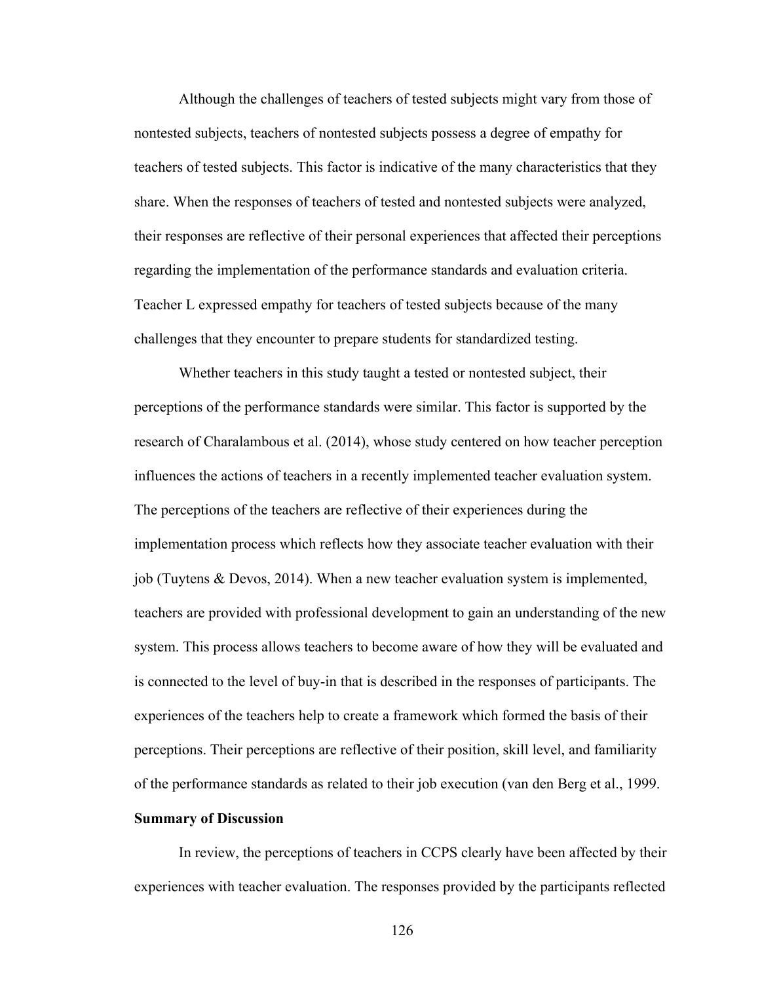Although the challenges of teachers of tested subjects might vary from those of nontested subjects, teachers of nontested subjects possess a degree of empathy for teachers of tested subjects. This factor is indicative of the many characteristics that they share. When the responses of teachers of tested and nontested subjects were analyzed, their responses are reflective of their personal experiences that affected their perceptions regarding the implementation of the performance standards and evaluation criteria. Teacher L expressed empathy for teachers of tested subjects because of the many challenges that they encounter to prepare students for standardized testing.

Whether teachers in this study taught a tested or nontested subject, their perceptions of the performance standards were similar. This factor is supported by the research of Charalambous et al. (2014), whose study centered on how teacher perception influences the actions of teachers in a recently implemented teacher evaluation system. The perceptions of the teachers are reflective of their experiences during the implementation process which reflects how they associate teacher evaluation with their job (Tuytens & Devos, 2014). When a new teacher evaluation system is implemented, teachers are provided with professional development to gain an understanding of the new system. This process allows teachers to become aware of how they will be evaluated and is connected to the level of buy-in that is described in the responses of participants. The experiences of the teachers help to create a framework which formed the basis of their perceptions. Their perceptions are reflective of their position, skill level, and familiarity of the performance standards as related to their job execution (van den Berg et al., 1999.

## **Summary of Discussion**

In review, the perceptions of teachers in CCPS clearly have been affected by their experiences with teacher evaluation. The responses provided by the participants reflected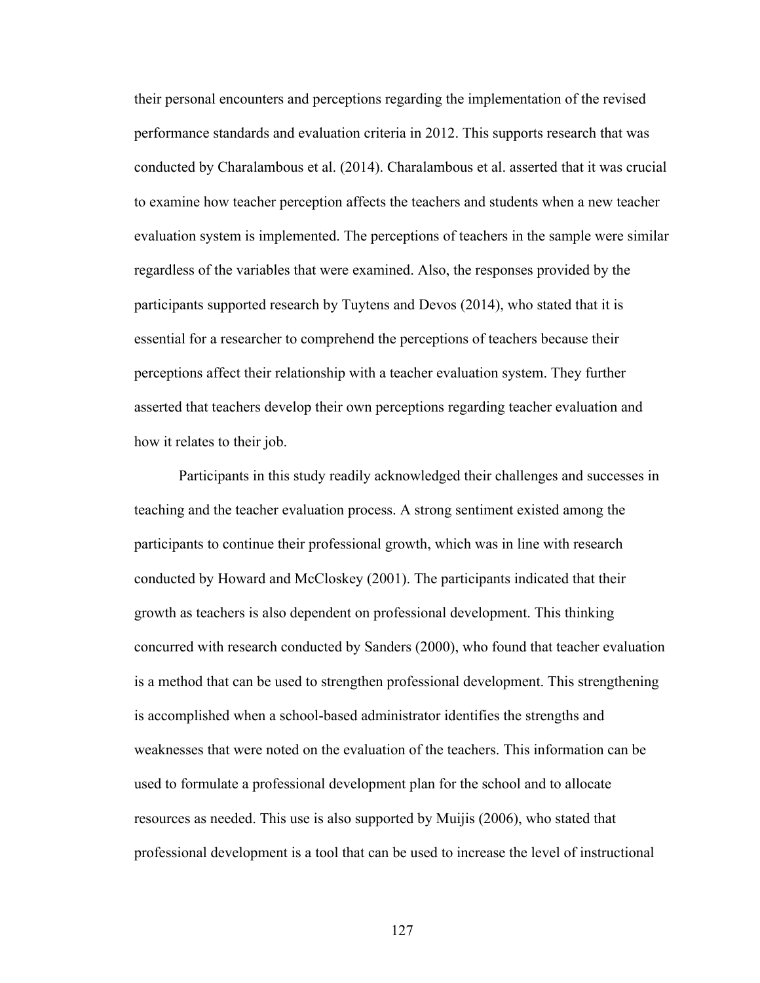their personal encounters and perceptions regarding the implementation of the revised performance standards and evaluation criteria in 2012. This supports research that was conducted by Charalambous et al. (2014). Charalambous et al. asserted that it was crucial to examine how teacher perception affects the teachers and students when a new teacher evaluation system is implemented. The perceptions of teachers in the sample were similar regardless of the variables that were examined. Also, the responses provided by the participants supported research by Tuytens and Devos (2014), who stated that it is essential for a researcher to comprehend the perceptions of teachers because their perceptions affect their relationship with a teacher evaluation system. They further asserted that teachers develop their own perceptions regarding teacher evaluation and how it relates to their job.

Participants in this study readily acknowledged their challenges and successes in teaching and the teacher evaluation process. A strong sentiment existed among the participants to continue their professional growth, which was in line with research conducted by Howard and McCloskey (2001). The participants indicated that their growth as teachers is also dependent on professional development. This thinking concurred with research conducted by Sanders (2000), who found that teacher evaluation is a method that can be used to strengthen professional development. This strengthening is accomplished when a school-based administrator identifies the strengths and weaknesses that were noted on the evaluation of the teachers. This information can be used to formulate a professional development plan for the school and to allocate resources as needed. This use is also supported by Muijis (2006), who stated that professional development is a tool that can be used to increase the level of instructional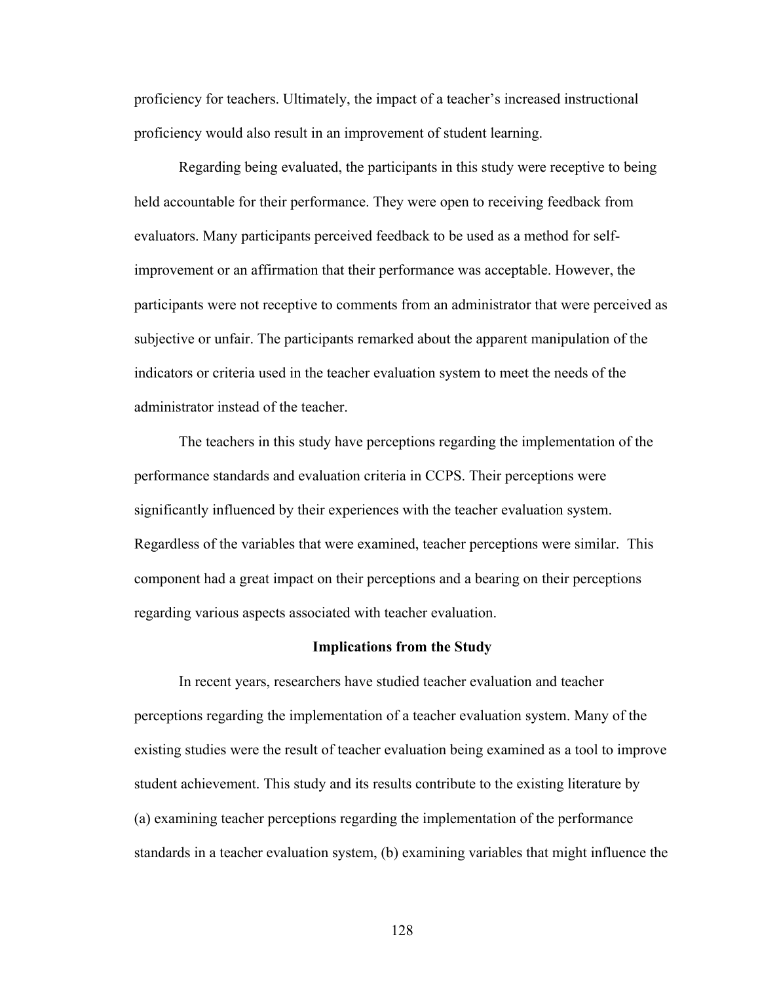proficiency for teachers. Ultimately, the impact of a teacher's increased instructional proficiency would also result in an improvement of student learning.

Regarding being evaluated, the participants in this study were receptive to being held accountable for their performance. They were open to receiving feedback from evaluators. Many participants perceived feedback to be used as a method for selfimprovement or an affirmation that their performance was acceptable. However, the participants were not receptive to comments from an administrator that were perceived as subjective or unfair. The participants remarked about the apparent manipulation of the indicators or criteria used in the teacher evaluation system to meet the needs of the administrator instead of the teacher.

The teachers in this study have perceptions regarding the implementation of the performance standards and evaluation criteria in CCPS. Their perceptions were significantly influenced by their experiences with the teacher evaluation system. Regardless of the variables that were examined, teacher perceptions were similar. This component had a great impact on their perceptions and a bearing on their perceptions regarding various aspects associated with teacher evaluation.

#### **Implications from the Study**

In recent years, researchers have studied teacher evaluation and teacher perceptions regarding the implementation of a teacher evaluation system. Many of the existing studies were the result of teacher evaluation being examined as a tool to improve student achievement. This study and its results contribute to the existing literature by (a) examining teacher perceptions regarding the implementation of the performance standards in a teacher evaluation system, (b) examining variables that might influence the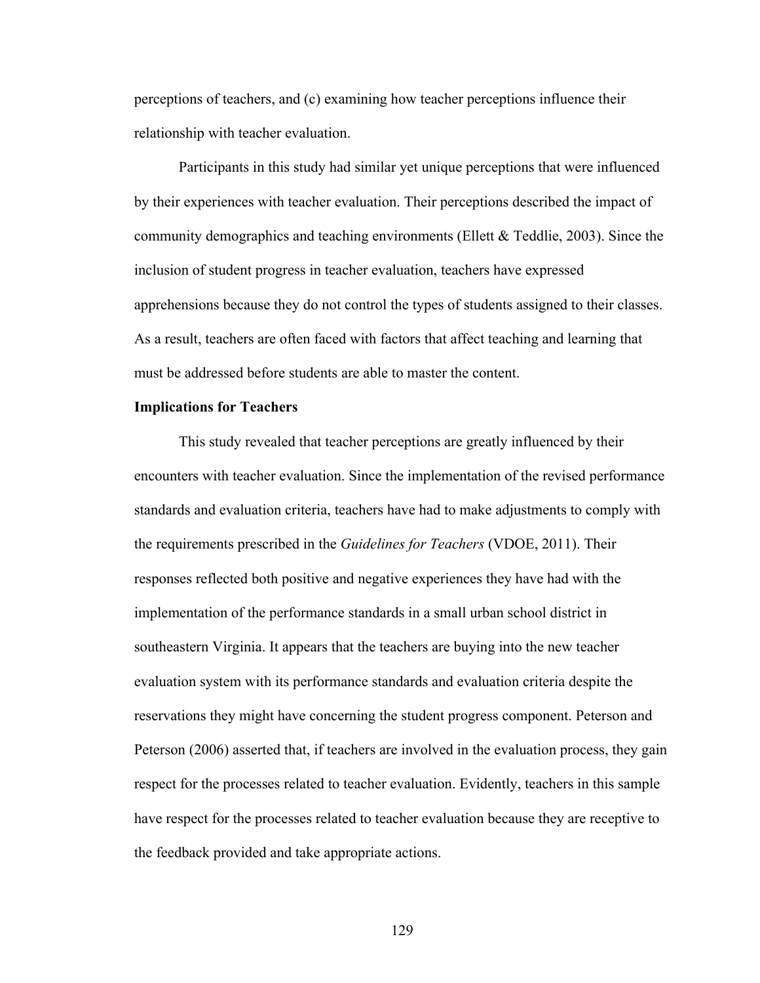perceptions of teachers, and (c) examining how teacher perceptions influence their relationship with teacher evaluation.

Participants in this study had similar yet unique perceptions that were influenced by their experiences with teacher evaluation. Their perceptions described the impact of community demographics and teaching environments (Ellett & Teddlie, 2003). Since the inclusion of student progress in teacher evaluation, teachers have expressed apprehensions because they do not control the types of students assigned to their classes. As a result, teachers are often faced with factors that affect teaching and learning that must be addressed before students are able to master the content.

## **Implications for Teachers**

This study revealed that teacher perceptions are greatly influenced by their encounters with teacher evaluation. Since the implementation of the revised performance standards and evaluation criteria, teachers have had to make adjustments to comply with the requirements prescribed in the *Guidelines for Teachers* (VDOE, 2011). Their responses reflected both positive and negative experiences they have had with the implementation of the performance standards in a small urban school district in southeastern Virginia. It appears that the teachers are buying into the new teacher evaluation system with its performance standards and evaluation criteria despite the reservations they might have concerning the student progress component. Peterson and Peterson (2006) asserted that, if teachers are involved in the evaluation process, they gain respect for the processes related to teacher evaluation. Evidently, teachers in this sample have respect for the processes related to teacher evaluation because they are receptive to the feedback provided and take appropriate actions.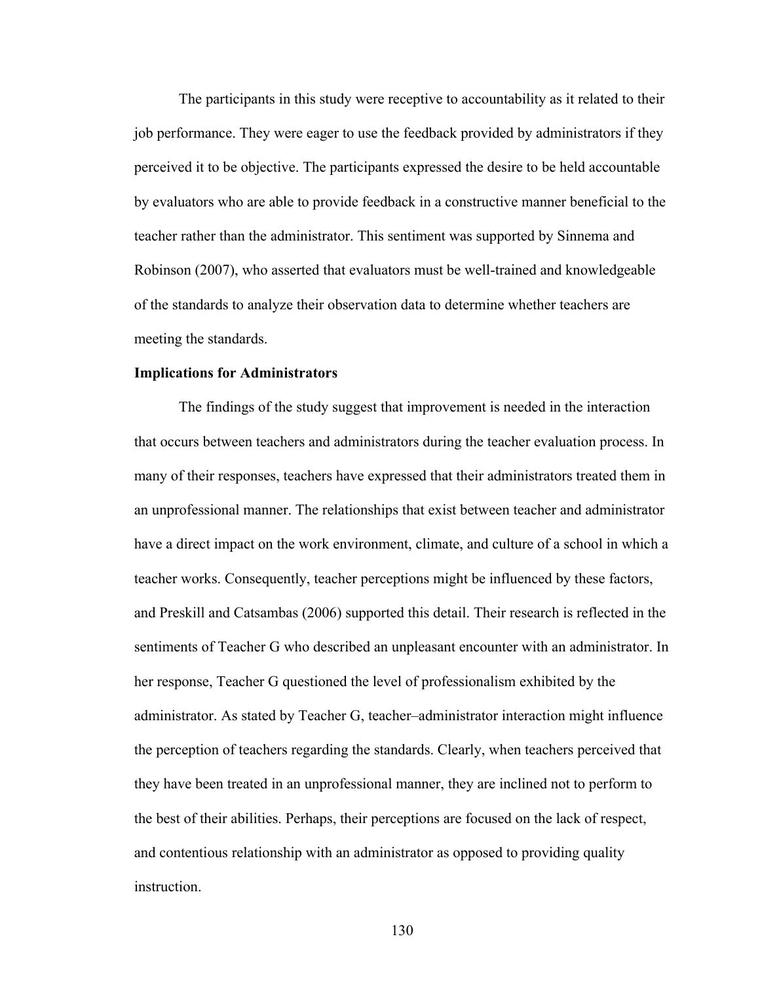The participants in this study were receptive to accountability as it related to their job performance. They were eager to use the feedback provided by administrators if they perceived it to be objective. The participants expressed the desire to be held accountable by evaluators who are able to provide feedback in a constructive manner beneficial to the teacher rather than the administrator. This sentiment was supported by Sinnema and Robinson (2007), who asserted that evaluators must be well-trained and knowledgeable of the standards to analyze their observation data to determine whether teachers are meeting the standards.

#### **Implications for Administrators**

The findings of the study suggest that improvement is needed in the interaction that occurs between teachers and administrators during the teacher evaluation process. In many of their responses, teachers have expressed that their administrators treated them in an unprofessional manner. The relationships that exist between teacher and administrator have a direct impact on the work environment, climate, and culture of a school in which a teacher works. Consequently, teacher perceptions might be influenced by these factors, and Preskill and Catsambas (2006) supported this detail. Their research is reflected in the sentiments of Teacher G who described an unpleasant encounter with an administrator. In her response, Teacher G questioned the level of professionalism exhibited by the administrator. As stated by Teacher G, teacher–administrator interaction might influence the perception of teachers regarding the standards. Clearly, when teachers perceived that they have been treated in an unprofessional manner, they are inclined not to perform to the best of their abilities. Perhaps, their perceptions are focused on the lack of respect, and contentious relationship with an administrator as opposed to providing quality **instruction**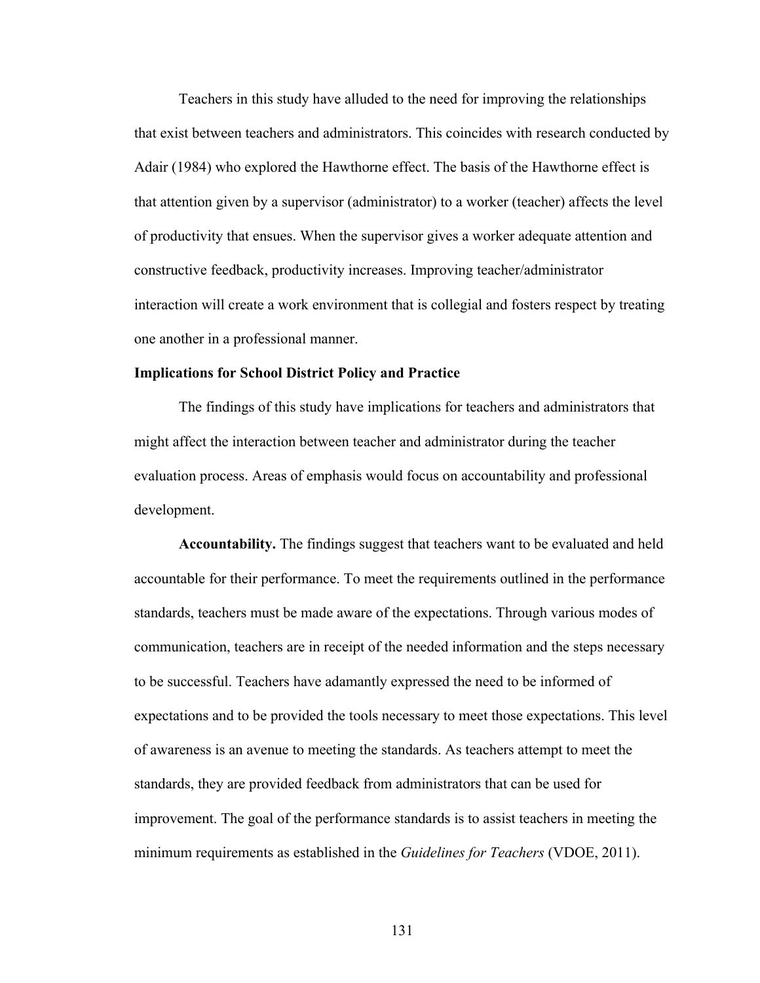Teachers in this study have alluded to the need for improving the relationships that exist between teachers and administrators. This coincides with research conducted by Adair (1984) who explored the Hawthorne effect. The basis of the Hawthorne effect is that attention given by a supervisor (administrator) to a worker (teacher) affects the level of productivity that ensues. When the supervisor gives a worker adequate attention and constructive feedback, productivity increases. Improving teacher/administrator interaction will create a work environment that is collegial and fosters respect by treating one another in a professional manner.

#### **Implications for School District Policy and Practice**

The findings of this study have implications for teachers and administrators that might affect the interaction between teacher and administrator during the teacher evaluation process. Areas of emphasis would focus on accountability and professional development.

**Accountability.** The findings suggest that teachers want to be evaluated and held accountable for their performance. To meet the requirements outlined in the performance standards, teachers must be made aware of the expectations. Through various modes of communication, teachers are in receipt of the needed information and the steps necessary to be successful. Teachers have adamantly expressed the need to be informed of expectations and to be provided the tools necessary to meet those expectations. This level of awareness is an avenue to meeting the standards. As teachers attempt to meet the standards, they are provided feedback from administrators that can be used for improvement. The goal of the performance standards is to assist teachers in meeting the minimum requirements as established in the *Guidelines for Teachers* (VDOE, 2011).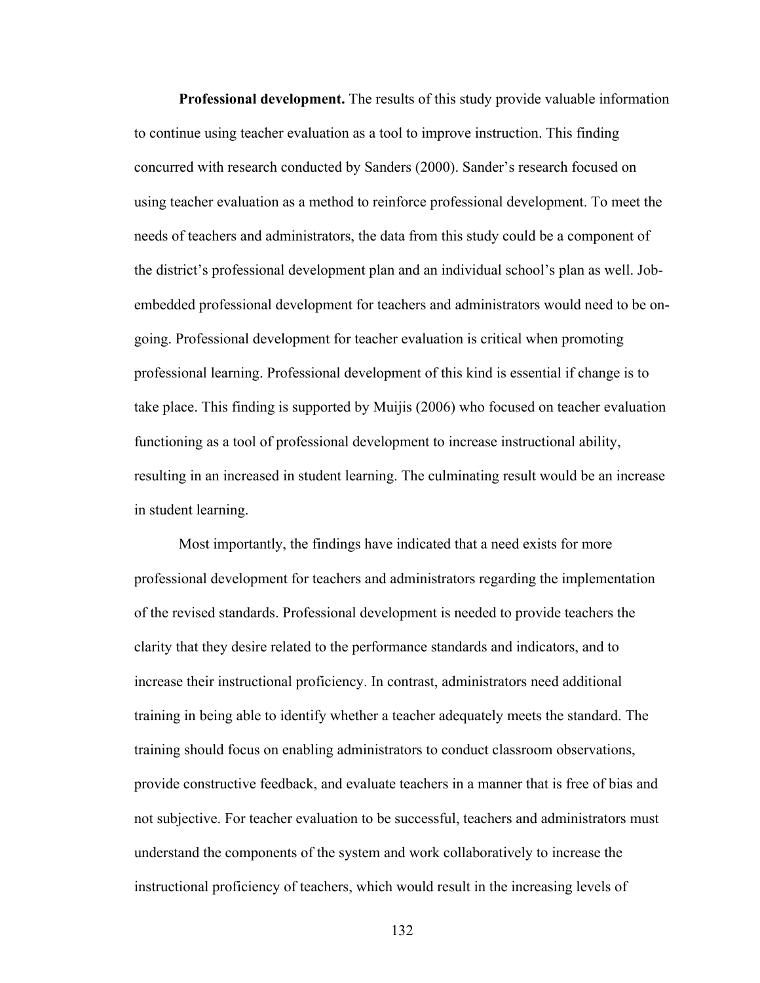**Professional development.** The results of this study provide valuable information to continue using teacher evaluation as a tool to improve instruction. This finding concurred with research conducted by Sanders (2000). Sander's research focused on using teacher evaluation as a method to reinforce professional development. To meet the needs of teachers and administrators, the data from this study could be a component of the district's professional development plan and an individual school's plan as well. Jobembedded professional development for teachers and administrators would need to be ongoing. Professional development for teacher evaluation is critical when promoting professional learning. Professional development of this kind is essential if change is to take place. This finding is supported by Muijis (2006) who focused on teacher evaluation functioning as a tool of professional development to increase instructional ability, resulting in an increased in student learning. The culminating result would be an increase in student learning.

Most importantly, the findings have indicated that a need exists for more professional development for teachers and administrators regarding the implementation of the revised standards. Professional development is needed to provide teachers the clarity that they desire related to the performance standards and indicators, and to increase their instructional proficiency. In contrast, administrators need additional training in being able to identify whether a teacher adequately meets the standard. The training should focus on enabling administrators to conduct classroom observations, provide constructive feedback, and evaluate teachers in a manner that is free of bias and not subjective. For teacher evaluation to be successful, teachers and administrators must understand the components of the system and work collaboratively to increase the instructional proficiency of teachers, which would result in the increasing levels of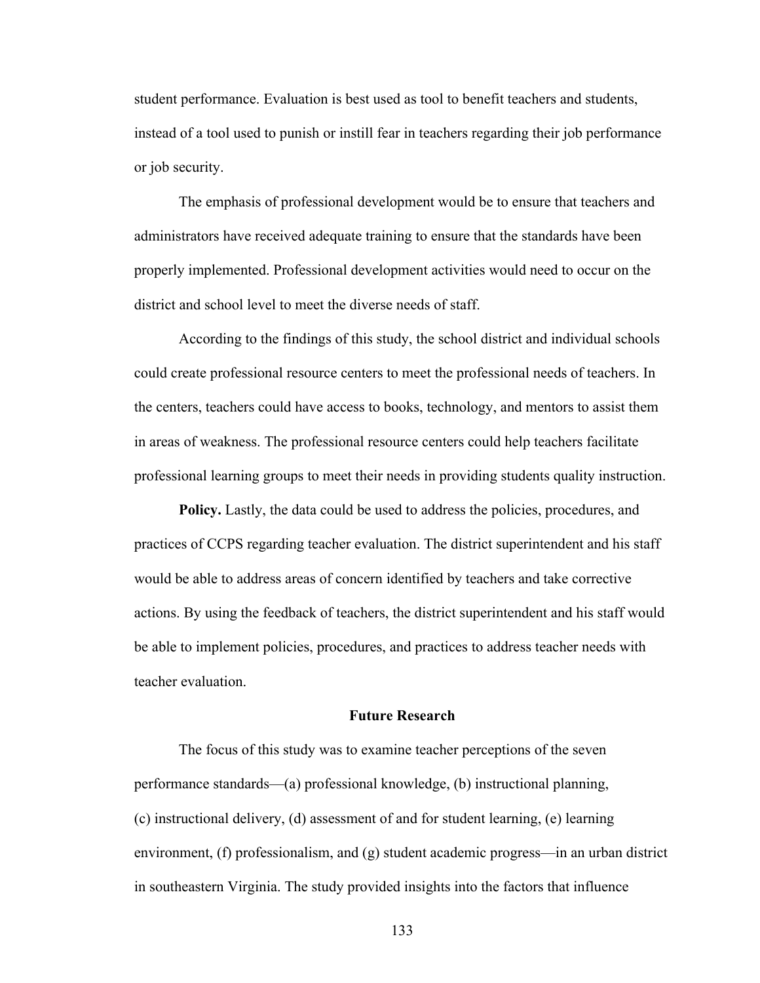student performance. Evaluation is best used as tool to benefit teachers and students, instead of a tool used to punish or instill fear in teachers regarding their job performance or job security.

The emphasis of professional development would be to ensure that teachers and administrators have received adequate training to ensure that the standards have been properly implemented. Professional development activities would need to occur on the district and school level to meet the diverse needs of staff.

According to the findings of this study, the school district and individual schools could create professional resource centers to meet the professional needs of teachers. In the centers, teachers could have access to books, technology, and mentors to assist them in areas of weakness. The professional resource centers could help teachers facilitate professional learning groups to meet their needs in providing students quality instruction.

**Policy.** Lastly, the data could be used to address the policies, procedures, and practices of CCPS regarding teacher evaluation. The district superintendent and his staff would be able to address areas of concern identified by teachers and take corrective actions. By using the feedback of teachers, the district superintendent and his staff would be able to implement policies, procedures, and practices to address teacher needs with teacher evaluation.

### **Future Research**

The focus of this study was to examine teacher perceptions of the seven performance standards—(a) professional knowledge, (b) instructional planning, (c) instructional delivery, (d) assessment of and for student learning, (e) learning environment, (f) professionalism, and (g) student academic progress—in an urban district in southeastern Virginia. The study provided insights into the factors that influence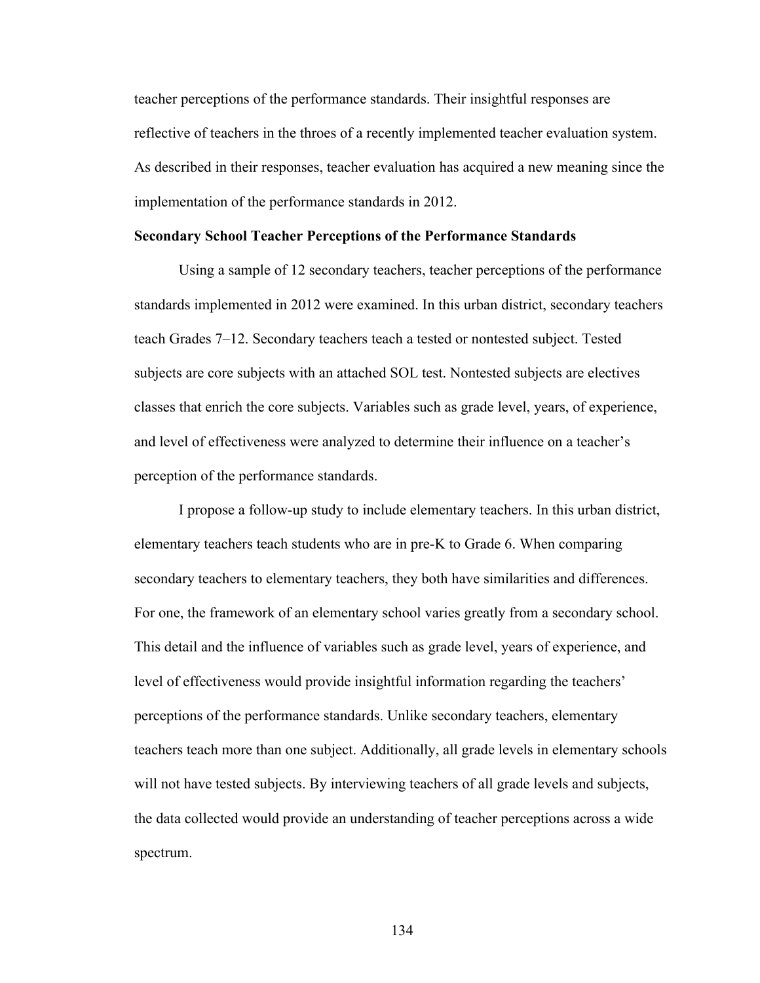teacher perceptions of the performance standards. Their insightful responses are reflective of teachers in the throes of a recently implemented teacher evaluation system. As described in their responses, teacher evaluation has acquired a new meaning since the implementation of the performance standards in 2012.

#### **Secondary School Teacher Perceptions of the Performance Standards**

Using a sample of 12 secondary teachers, teacher perceptions of the performance standards implemented in 2012 were examined. In this urban district, secondary teachers teach Grades 7–12. Secondary teachers teach a tested or nontested subject. Tested subjects are core subjects with an attached SOL test. Nontested subjects are electives classes that enrich the core subjects. Variables such as grade level, years, of experience, and level of effectiveness were analyzed to determine their influence on a teacher's perception of the performance standards.

I propose a follow-up study to include elementary teachers. In this urban district, elementary teachers teach students who are in pre-K to Grade 6. When comparing secondary teachers to elementary teachers, they both have similarities and differences. For one, the framework of an elementary school varies greatly from a secondary school. This detail and the influence of variables such as grade level, years of experience, and level of effectiveness would provide insightful information regarding the teachers' perceptions of the performance standards. Unlike secondary teachers, elementary teachers teach more than one subject. Additionally, all grade levels in elementary schools will not have tested subjects. By interviewing teachers of all grade levels and subjects, the data collected would provide an understanding of teacher perceptions across a wide spectrum.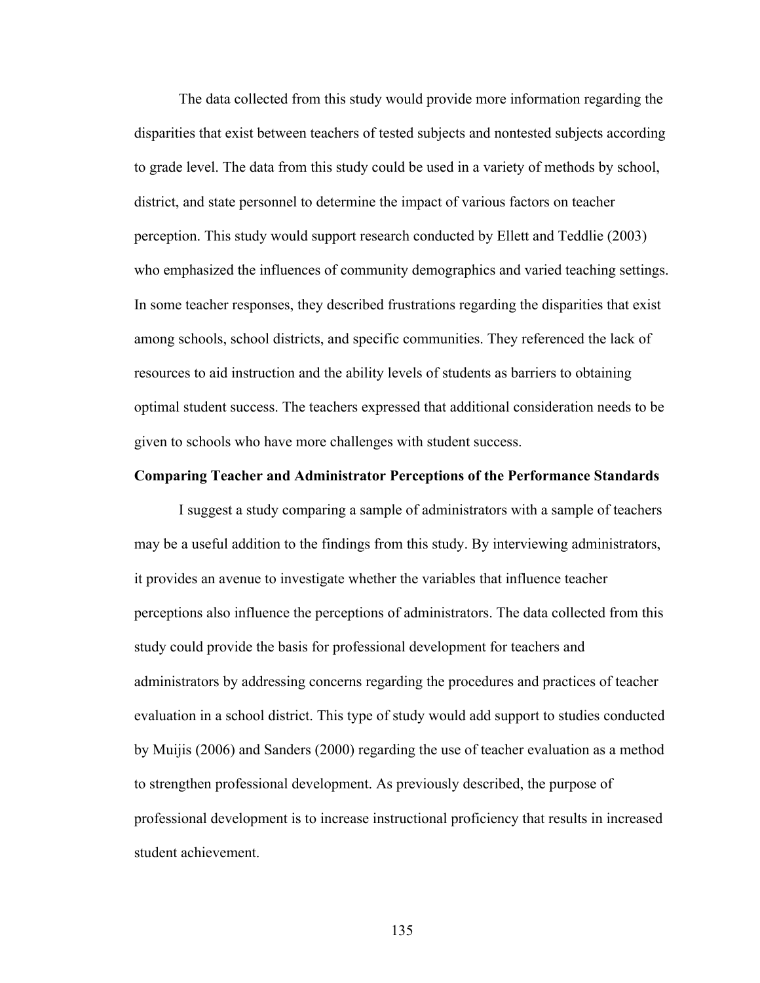The data collected from this study would provide more information regarding the disparities that exist between teachers of tested subjects and nontested subjects according to grade level. The data from this study could be used in a variety of methods by school, district, and state personnel to determine the impact of various factors on teacher perception. This study would support research conducted by Ellett and Teddlie (2003) who emphasized the influences of community demographics and varied teaching settings. In some teacher responses, they described frustrations regarding the disparities that exist among schools, school districts, and specific communities. They referenced the lack of resources to aid instruction and the ability levels of students as barriers to obtaining optimal student success. The teachers expressed that additional consideration needs to be given to schools who have more challenges with student success.

#### **Comparing Teacher and Administrator Perceptions of the Performance Standards**

I suggest a study comparing a sample of administrators with a sample of teachers may be a useful addition to the findings from this study. By interviewing administrators, it provides an avenue to investigate whether the variables that influence teacher perceptions also influence the perceptions of administrators. The data collected from this study could provide the basis for professional development for teachers and administrators by addressing concerns regarding the procedures and practices of teacher evaluation in a school district. This type of study would add support to studies conducted by Muijis (2006) and Sanders (2000) regarding the use of teacher evaluation as a method to strengthen professional development. As previously described, the purpose of professional development is to increase instructional proficiency that results in increased student achievement.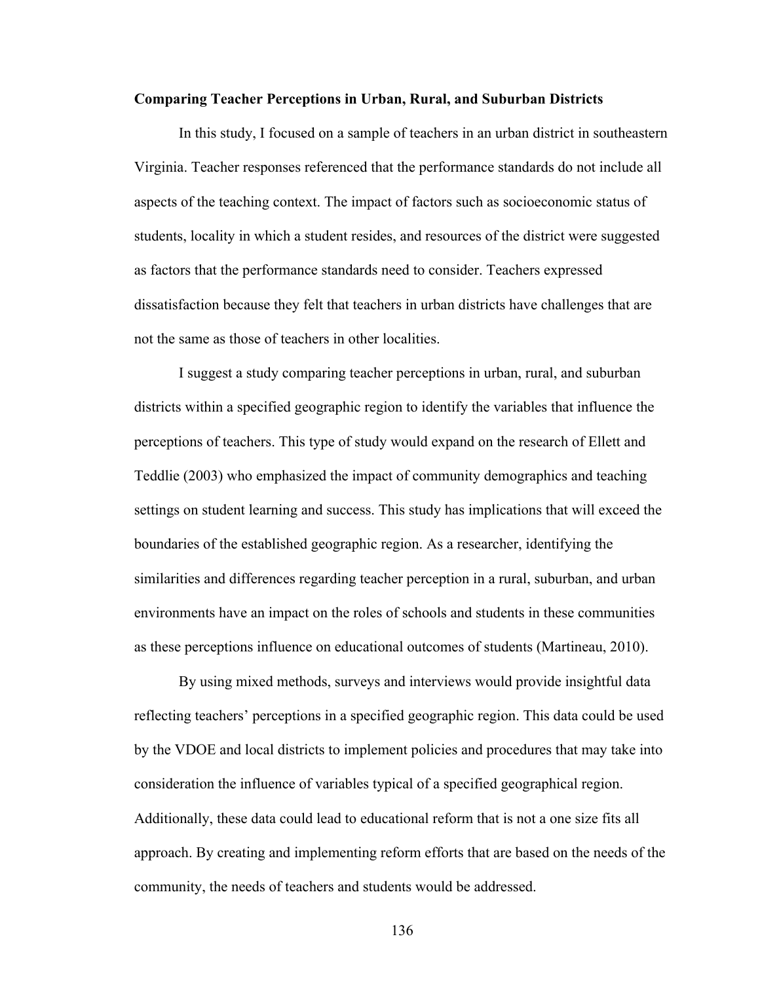#### **Comparing Teacher Perceptions in Urban, Rural, and Suburban Districts**

In this study, I focused on a sample of teachers in an urban district in southeastern Virginia. Teacher responses referenced that the performance standards do not include all aspects of the teaching context. The impact of factors such as socioeconomic status of students, locality in which a student resides, and resources of the district were suggested as factors that the performance standards need to consider. Teachers expressed dissatisfaction because they felt that teachers in urban districts have challenges that are not the same as those of teachers in other localities.

I suggest a study comparing teacher perceptions in urban, rural, and suburban districts within a specified geographic region to identify the variables that influence the perceptions of teachers. This type of study would expand on the research of Ellett and Teddlie (2003) who emphasized the impact of community demographics and teaching settings on student learning and success. This study has implications that will exceed the boundaries of the established geographic region. As a researcher, identifying the similarities and differences regarding teacher perception in a rural, suburban, and urban environments have an impact on the roles of schools and students in these communities as these perceptions influence on educational outcomes of students (Martineau, 2010).

By using mixed methods, surveys and interviews would provide insightful data reflecting teachers' perceptions in a specified geographic region. This data could be used by the VDOE and local districts to implement policies and procedures that may take into consideration the influence of variables typical of a specified geographical region. Additionally, these data could lead to educational reform that is not a one size fits all approach. By creating and implementing reform efforts that are based on the needs of the community, the needs of teachers and students would be addressed.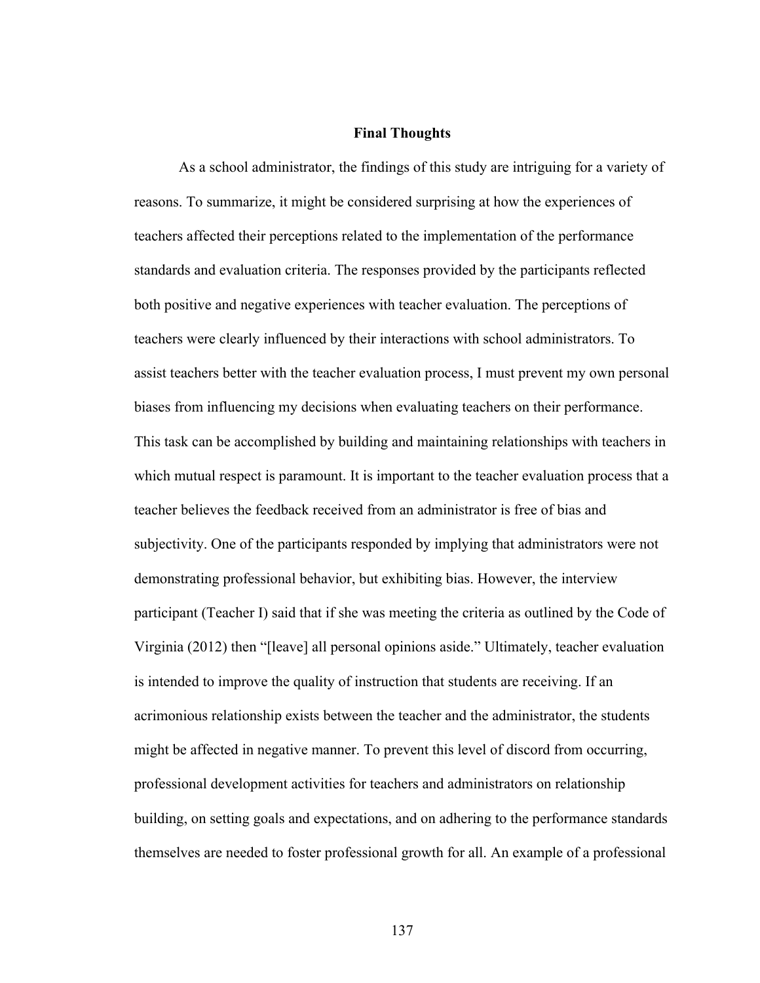### **Final Thoughts**

As a school administrator, the findings of this study are intriguing for a variety of reasons. To summarize, it might be considered surprising at how the experiences of teachers affected their perceptions related to the implementation of the performance standards and evaluation criteria. The responses provided by the participants reflected both positive and negative experiences with teacher evaluation. The perceptions of teachers were clearly influenced by their interactions with school administrators. To assist teachers better with the teacher evaluation process, I must prevent my own personal biases from influencing my decisions when evaluating teachers on their performance. This task can be accomplished by building and maintaining relationships with teachers in which mutual respect is paramount. It is important to the teacher evaluation process that a teacher believes the feedback received from an administrator is free of bias and subjectivity. One of the participants responded by implying that administrators were not demonstrating professional behavior, but exhibiting bias. However, the interview participant (Teacher I) said that if she was meeting the criteria as outlined by the Code of Virginia (2012) then "[leave] all personal opinions aside." Ultimately, teacher evaluation is intended to improve the quality of instruction that students are receiving. If an acrimonious relationship exists between the teacher and the administrator, the students might be affected in negative manner. To prevent this level of discord from occurring, professional development activities for teachers and administrators on relationship building, on setting goals and expectations, and on adhering to the performance standards themselves are needed to foster professional growth for all. An example of a professional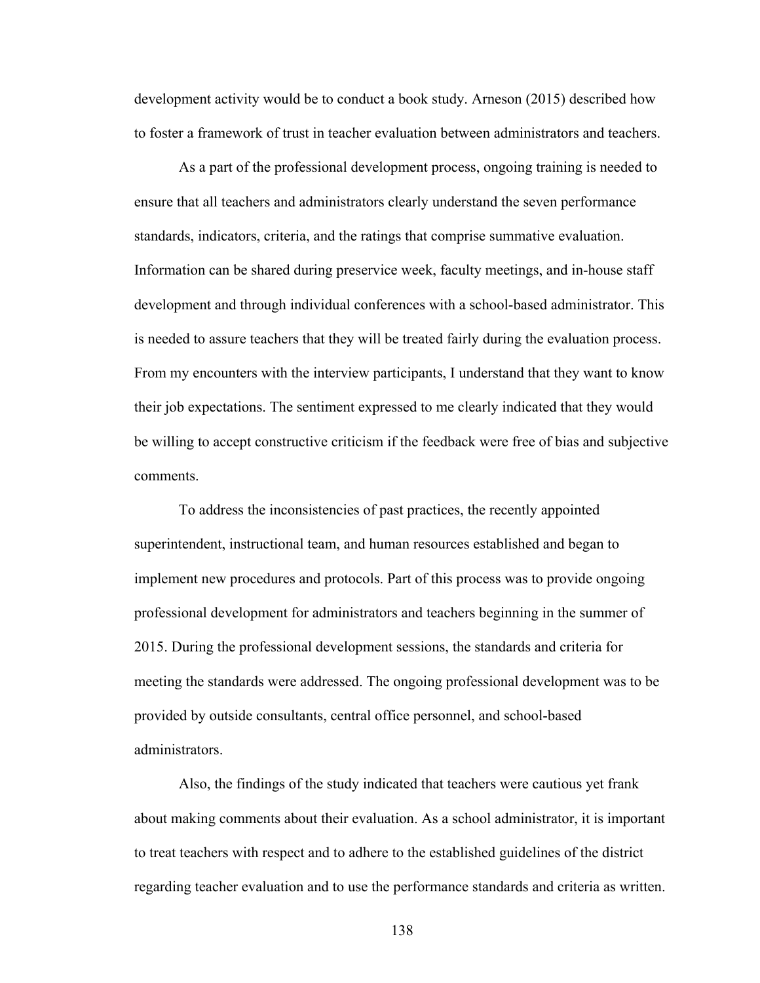development activity would be to conduct a book study. Arneson (2015) described how to foster a framework of trust in teacher evaluation between administrators and teachers.

As a part of the professional development process, ongoing training is needed to ensure that all teachers and administrators clearly understand the seven performance standards, indicators, criteria, and the ratings that comprise summative evaluation. Information can be shared during preservice week, faculty meetings, and in-house staff development and through individual conferences with a school-based administrator. This is needed to assure teachers that they will be treated fairly during the evaluation process. From my encounters with the interview participants, I understand that they want to know their job expectations. The sentiment expressed to me clearly indicated that they would be willing to accept constructive criticism if the feedback were free of bias and subjective comments.

To address the inconsistencies of past practices, the recently appointed superintendent, instructional team, and human resources established and began to implement new procedures and protocols. Part of this process was to provide ongoing professional development for administrators and teachers beginning in the summer of 2015. During the professional development sessions, the standards and criteria for meeting the standards were addressed. The ongoing professional development was to be provided by outside consultants, central office personnel, and school-based administrators.

Also, the findings of the study indicated that teachers were cautious yet frank about making comments about their evaluation. As a school administrator, it is important to treat teachers with respect and to adhere to the established guidelines of the district regarding teacher evaluation and to use the performance standards and criteria as written.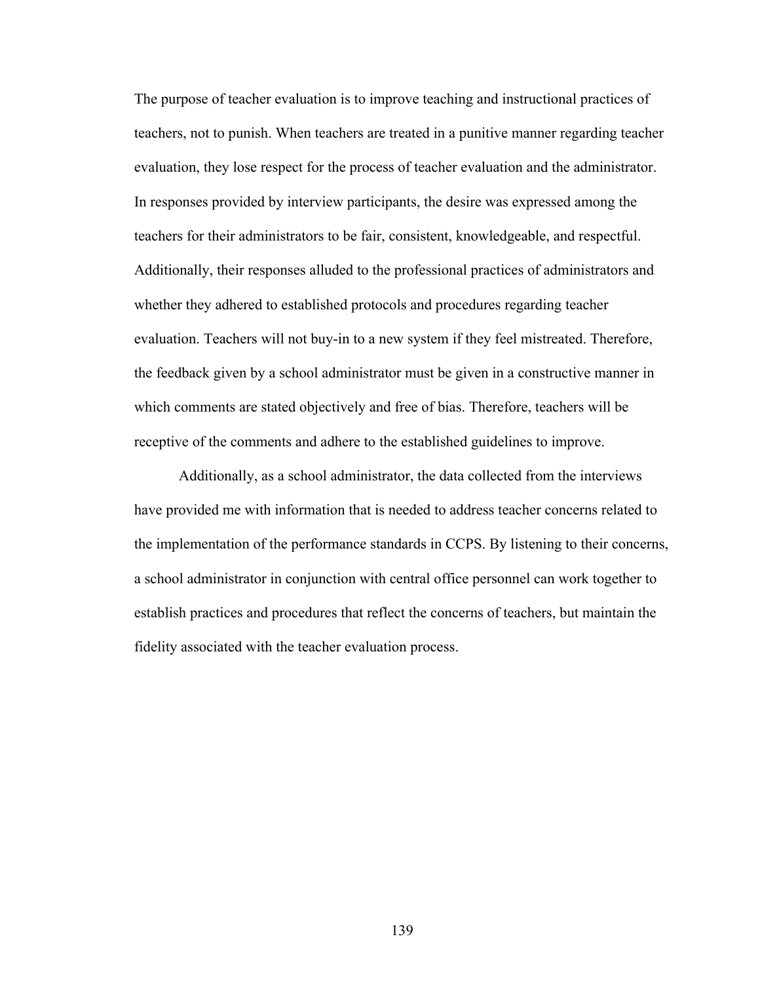The purpose of teacher evaluation is to improve teaching and instructional practices of teachers, not to punish. When teachers are treated in a punitive manner regarding teacher evaluation, they lose respect for the process of teacher evaluation and the administrator. In responses provided by interview participants, the desire was expressed among the teachers for their administrators to be fair, consistent, knowledgeable, and respectful. Additionally, their responses alluded to the professional practices of administrators and whether they adhered to established protocols and procedures regarding teacher evaluation. Teachers will not buy-in to a new system if they feel mistreated. Therefore, the feedback given by a school administrator must be given in a constructive manner in which comments are stated objectively and free of bias. Therefore, teachers will be receptive of the comments and adhere to the established guidelines to improve.

Additionally, as a school administrator, the data collected from the interviews have provided me with information that is needed to address teacher concerns related to the implementation of the performance standards in CCPS. By listening to their concerns, a school administrator in conjunction with central office personnel can work together to establish practices and procedures that reflect the concerns of teachers, but maintain the fidelity associated with the teacher evaluation process.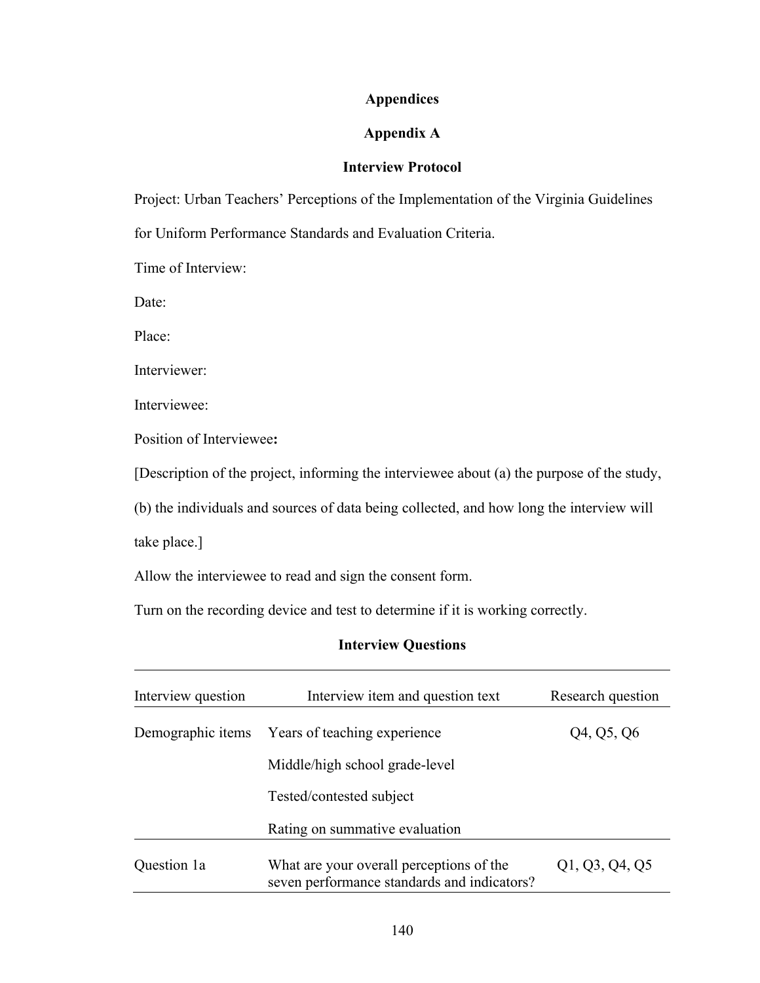## **Appendices**

## **Appendix A**

### **Interview Protocol**

Project: Urban Teachers' Perceptions of the Implementation of the Virginia Guidelines for Uniform Performance Standards and Evaluation Criteria.

Time of Interview:

Date:

Place:

Interviewer:

Interviewee:

Position of Interviewee**:**

[Description of the project, informing the interviewee about (a) the purpose of the study,

(b) the individuals and sources of data being collected, and how long the interview will

take place.]

Allow the interviewee to read and sign the consent form.

Turn on the recording device and test to determine if it is working correctly.

### **Interview Questions**

| Interview question | Interview item and question text                                                        | Research question |  |  |  |
|--------------------|-----------------------------------------------------------------------------------------|-------------------|--|--|--|
|                    | Demographic items Years of teaching experience                                          | Q4, Q5, Q6        |  |  |  |
|                    | Middle/high school grade-level                                                          |                   |  |  |  |
|                    | Tested/contested subject                                                                |                   |  |  |  |
|                    | Rating on summative evaluation                                                          |                   |  |  |  |
| Question 1a        | What are your overall perceptions of the<br>seven performance standards and indicators? | Q1, Q3, Q4, Q5    |  |  |  |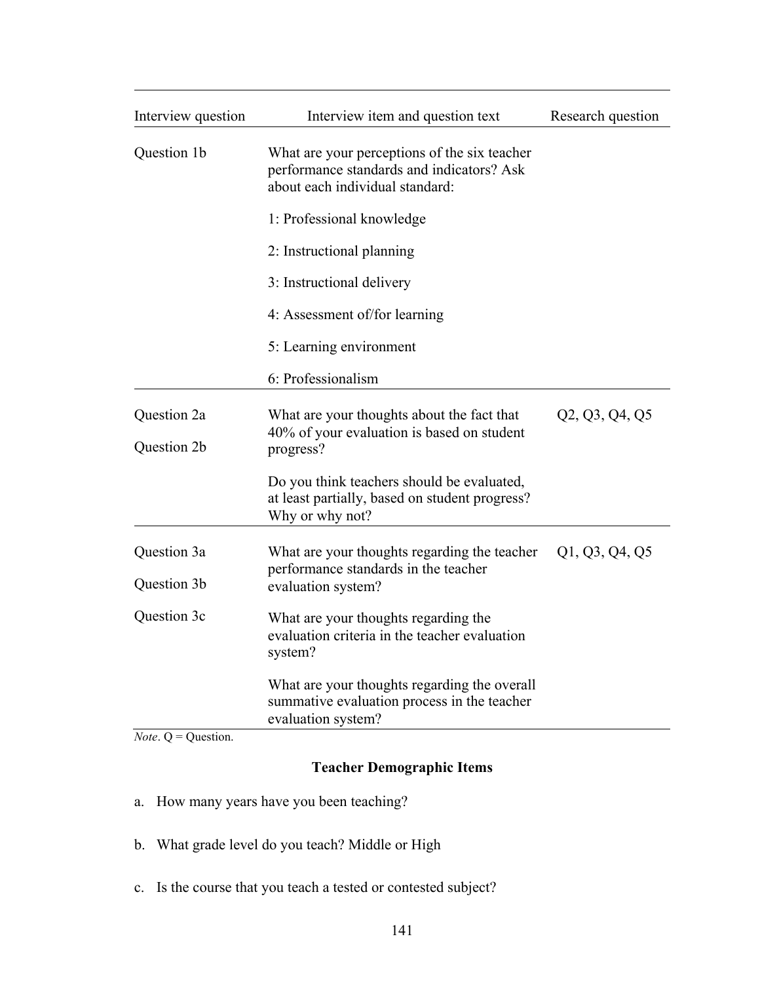| Interview question         | Interview item and question text                                                                                             | Research question |  |
|----------------------------|------------------------------------------------------------------------------------------------------------------------------|-------------------|--|
| Question 1b                | What are your perceptions of the six teacher<br>performance standards and indicators? Ask<br>about each individual standard: |                   |  |
|                            | 1: Professional knowledge                                                                                                    |                   |  |
|                            | 2: Instructional planning                                                                                                    |                   |  |
|                            | 3: Instructional delivery                                                                                                    |                   |  |
|                            | 4: Assessment of/for learning                                                                                                |                   |  |
|                            | 5: Learning environment                                                                                                      |                   |  |
|                            | 6: Professionalism                                                                                                           |                   |  |
| Question 2a<br>Question 2b | What are your thoughts about the fact that<br>40% of your evaluation is based on student<br>progress?                        | Q2, Q3, Q4, Q5    |  |
|                            | Do you think teachers should be evaluated,<br>at least partially, based on student progress?<br>Why or why not?              |                   |  |
| Question 3a                | What are your thoughts regarding the teacher<br>performance standards in the teacher                                         |                   |  |
| Question 3b                | evaluation system?                                                                                                           |                   |  |
| Question 3c                | What are your thoughts regarding the<br>evaluation criteria in the teacher evaluation<br>system?                             |                   |  |
|                            | What are your thoughts regarding the overall<br>summative evaluation process in the teacher<br>evaluation system?            |                   |  |

*Note*. Q = Question.

# **Teacher Demographic Items**

- a. How many years have you been teaching?
- b. What grade level do you teach? Middle or High
- c. Is the course that you teach a tested or contested subject?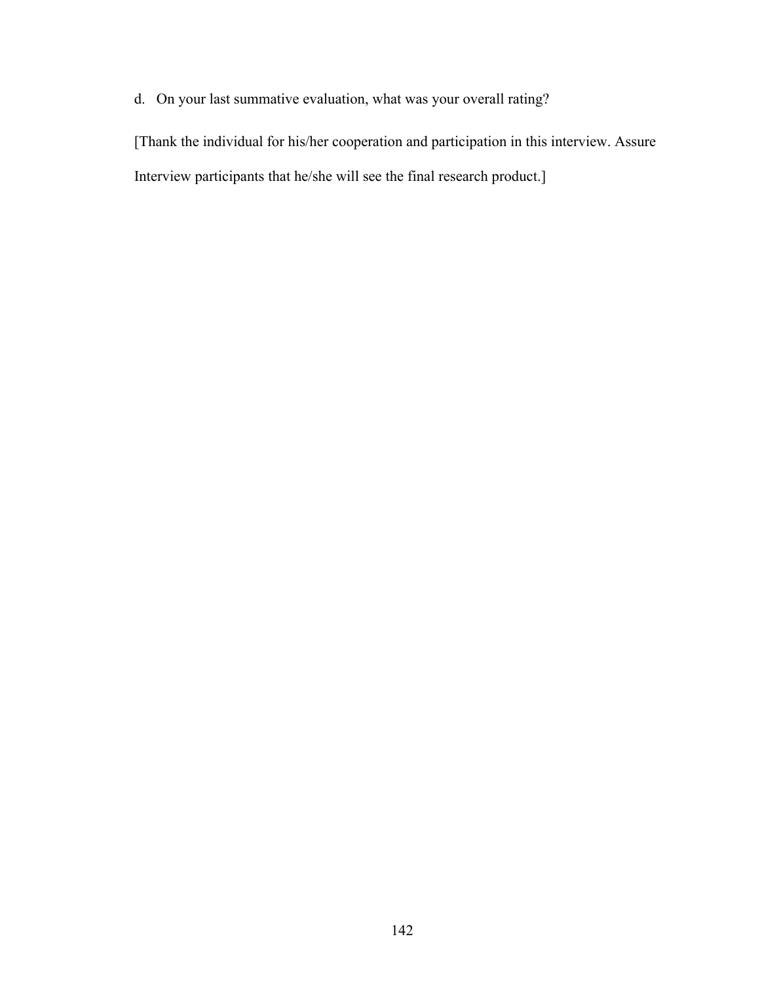d. On your last summative evaluation, what was your overall rating?

[Thank the individual for his/her cooperation and participation in this interview. Assure Interview participants that he/she will see the final research product.]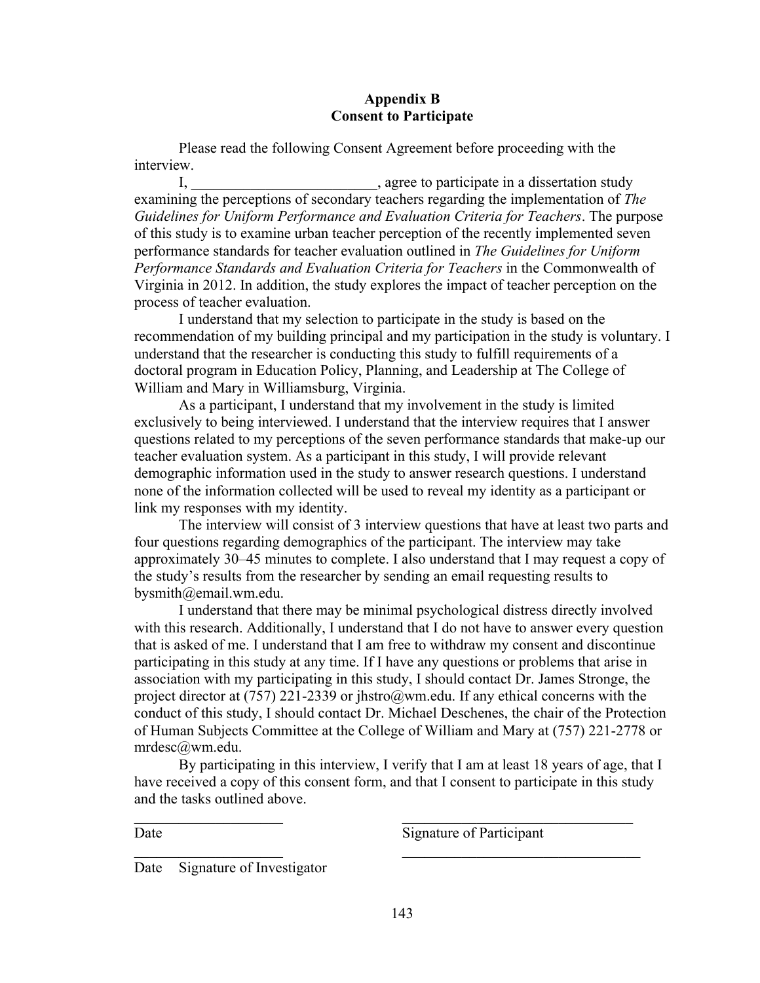## **Appendix B Consent to Participate**

Please read the following Consent Agreement before proceeding with the interview.

I, \_\_\_\_\_\_\_\_\_\_\_\_\_\_\_\_\_\_\_\_\_\_\_\_\_\_\_\_, agree to participate in a dissertation study examining the perceptions of secondary teachers regarding the implementation of *The Guidelines for Uniform Performance and Evaluation Criteria for Teachers*. The purpose of this study is to examine urban teacher perception of the recently implemented seven performance standards for teacher evaluation outlined in *The Guidelines for Uniform Performance Standards and Evaluation Criteria for Teachers* in the Commonwealth of Virginia in 2012. In addition, the study explores the impact of teacher perception on the process of teacher evaluation.

I understand that my selection to participate in the study is based on the recommendation of my building principal and my participation in the study is voluntary. I understand that the researcher is conducting this study to fulfill requirements of a doctoral program in Education Policy, Planning, and Leadership at The College of William and Mary in Williamsburg, Virginia.

As a participant, I understand that my involvement in the study is limited exclusively to being interviewed. I understand that the interview requires that I answer questions related to my perceptions of the seven performance standards that make-up our teacher evaluation system. As a participant in this study, I will provide relevant demographic information used in the study to answer research questions. I understand none of the information collected will be used to reveal my identity as a participant or link my responses with my identity.

The interview will consist of 3 interview questions that have at least two parts and four questions regarding demographics of the participant. The interview may take approximately 30–45 minutes to complete. I also understand that I may request a copy of the study's results from the researcher by sending an email requesting results to bysmith@email.wm.edu.

I understand that there may be minimal psychological distress directly involved with this research. Additionally, I understand that I do not have to answer every question that is asked of me. I understand that I am free to withdraw my consent and discontinue participating in this study at any time. If I have any questions or problems that arise in association with my participating in this study, I should contact Dr. James Stronge, the project director at (757) 221-2339 or jhstro@wm.edu. If any ethical concerns with the conduct of this study, I should contact Dr. Michael Deschenes, the chair of the Protection of Human Subjects Committee at the College of William and Mary at (757) 221-2778 or mrdesc@wm.edu.

By participating in this interview, I verify that I am at least 18 years of age, that I have received a copy of this consent form, and that I consent to participate in this study and the tasks outlined above.

 $\mathcal{L}_\text{max}$  , and the contract of the contract of the contract of the contract of the contract of the contract of

 $\mathcal{L}_\text{max}$  , and the contract of the contract of  $\mathcal{L}_\text{max}$  , and the contract of  $\mathcal{L}_\text{max}$ 

Date Signature of Participant

Date Signature of Investigator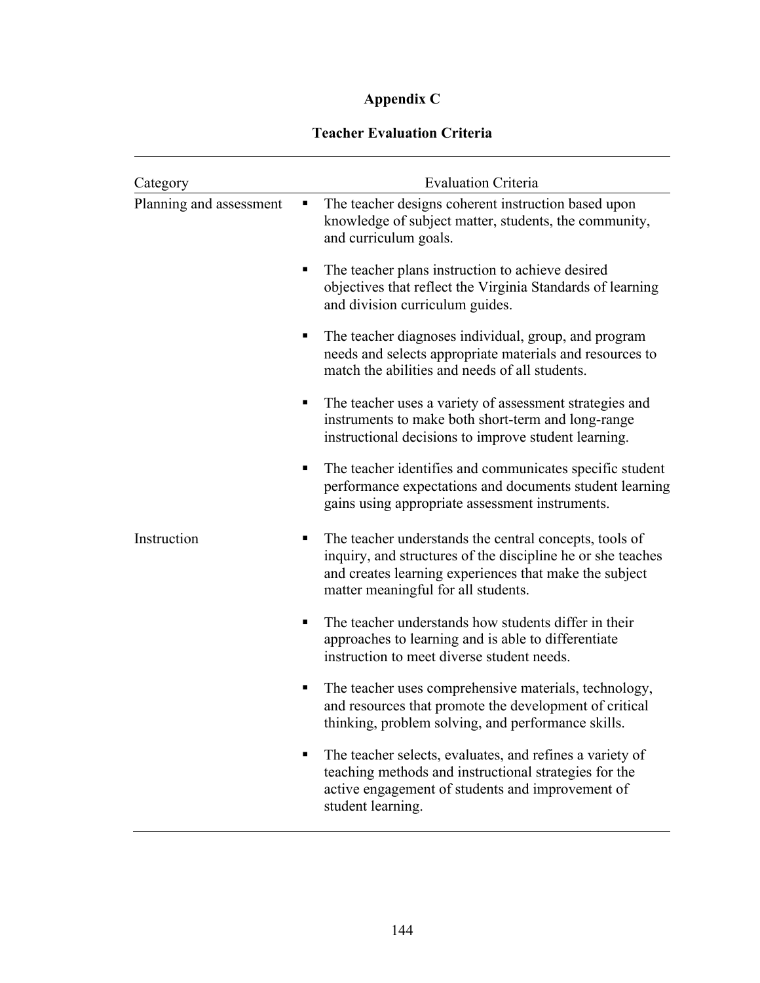# **Appendix C**

## **Teacher Evaluation Criteria**

| Category                | <b>Evaluation Criteria</b>                                                                                                                                                                                                  |  |  |
|-------------------------|-----------------------------------------------------------------------------------------------------------------------------------------------------------------------------------------------------------------------------|--|--|
| Planning and assessment | The teacher designs coherent instruction based upon<br>п<br>knowledge of subject matter, students, the community,<br>and curriculum goals.                                                                                  |  |  |
|                         | The teacher plans instruction to achieve desired<br>٠<br>objectives that reflect the Virginia Standards of learning<br>and division curriculum guides.                                                                      |  |  |
|                         | The teacher diagnoses individual, group, and program<br>п<br>needs and selects appropriate materials and resources to<br>match the abilities and needs of all students.                                                     |  |  |
|                         | The teacher uses a variety of assessment strategies and<br>instruments to make both short-term and long-range<br>instructional decisions to improve student learning.                                                       |  |  |
|                         | The teacher identifies and communicates specific student<br>٠<br>performance expectations and documents student learning<br>gains using appropriate assessment instruments.                                                 |  |  |
| Instruction             | The teacher understands the central concepts, tools of<br>ш<br>inquiry, and structures of the discipline he or she teaches<br>and creates learning experiences that make the subject<br>matter meaningful for all students. |  |  |
|                         | The teacher understands how students differ in their<br>٠<br>approaches to learning and is able to differentiate<br>instruction to meet diverse student needs.                                                              |  |  |
|                         | The teacher uses comprehensive materials, technology,<br>п<br>and resources that promote the development of critical<br>thinking, problem solving, and performance skills                                                   |  |  |
|                         | The teacher selects, evaluates, and refines a variety of<br>teaching methods and instructional strategies for the<br>active engagement of students and improvement of<br>student learning.                                  |  |  |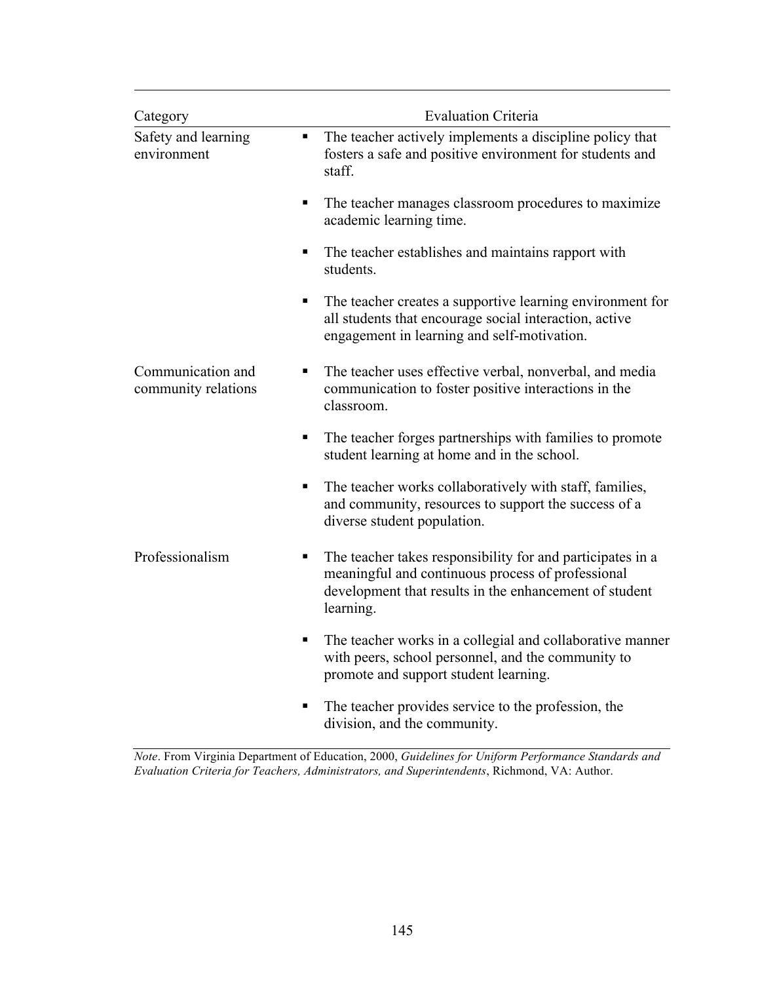| Category                                 | <b>Evaluation Criteria</b>                                                                                                                                                                  |
|------------------------------------------|---------------------------------------------------------------------------------------------------------------------------------------------------------------------------------------------|
| Safety and learning<br>environment       | The teacher actively implements a discipline policy that<br>$\blacksquare$<br>fosters a safe and positive environment for students and<br>staff.                                            |
|                                          | The teacher manages classroom procedures to maximize<br>٠<br>academic learning time.                                                                                                        |
|                                          | The teacher establishes and maintains rapport with<br>п<br>students.                                                                                                                        |
|                                          | The teacher creates a supportive learning environment for<br>п<br>all students that encourage social interaction, active<br>engagement in learning and self-motivation.                     |
| Communication and<br>community relations | The teacher uses effective verbal, nonverbal, and media<br>п<br>communication to foster positive interactions in the<br>classroom.                                                          |
|                                          | The teacher forges partnerships with families to promote<br>٠<br>student learning at home and in the school.                                                                                |
|                                          | The teacher works collaboratively with staff, families,<br>п<br>and community, resources to support the success of a<br>diverse student population.                                         |
| Professionalism                          | The teacher takes responsibility for and participates in a<br>п<br>meaningful and continuous process of professional<br>development that results in the enhancement of student<br>learning. |
|                                          | The teacher works in a collegial and collaborative manner<br>٠<br>with peers, school personnel, and the community to<br>promote and support student learning.                               |
|                                          | The teacher provides service to the profession, the<br>division, and the community.                                                                                                         |

*Note*. From Virginia Department of Education, 2000, *Guidelines for Uniform Performance Standards and Evaluation Criteria for Teachers, Administrators, and Superintendents*, Richmond, VA: Author.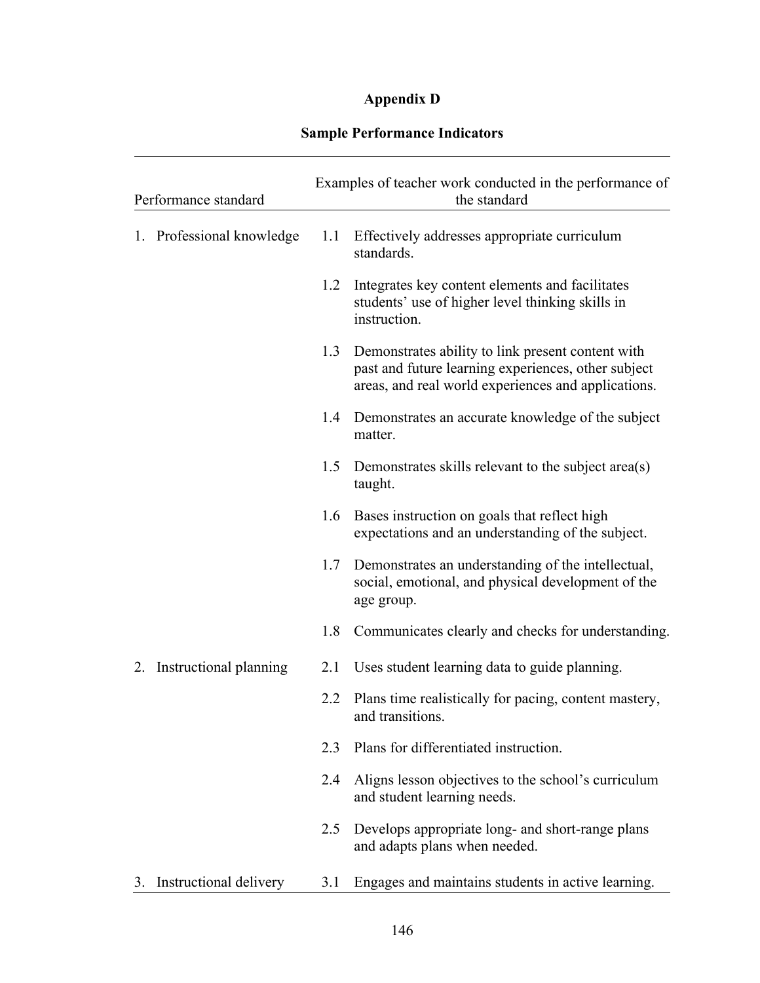# **Appendix D**

| Performance standard |                           | Examples of teacher work conducted in the performance of<br>the standard |                                                                                                                                                                 |
|----------------------|---------------------------|--------------------------------------------------------------------------|-----------------------------------------------------------------------------------------------------------------------------------------------------------------|
|                      | 1. Professional knowledge | 1.1                                                                      | Effectively addresses appropriate curriculum<br>standards.                                                                                                      |
|                      |                           | 1.2                                                                      | Integrates key content elements and facilitates<br>students' use of higher level thinking skills in<br>instruction.                                             |
|                      |                           | 1.3                                                                      | Demonstrates ability to link present content with<br>past and future learning experiences, other subject<br>areas, and real world experiences and applications. |
|                      |                           | 1.4                                                                      | Demonstrates an accurate knowledge of the subject<br>matter.                                                                                                    |
|                      |                           | 1.5                                                                      | Demonstrates skills relevant to the subject area(s)<br>taught.                                                                                                  |
|                      |                           | 1.6                                                                      | Bases instruction on goals that reflect high<br>expectations and an understanding of the subject.                                                               |
|                      |                           | 1.7                                                                      | Demonstrates an understanding of the intellectual,<br>social, emotional, and physical development of the<br>age group.                                          |
|                      |                           | 1.8                                                                      | Communicates clearly and checks for understanding.                                                                                                              |
|                      | 2. Instructional planning | 2.1                                                                      | Uses student learning data to guide planning.                                                                                                                   |
|                      |                           | 2.2                                                                      | Plans time realistically for pacing, content mastery,<br>and transitions.                                                                                       |
|                      |                           | 2.3                                                                      | Plans for differentiated instruction.                                                                                                                           |
|                      |                           | 2.4                                                                      | Aligns lesson objectives to the school's curriculum<br>and student learning needs.                                                                              |
|                      |                           | 2.5                                                                      | Develops appropriate long- and short-range plans<br>and adapts plans when needed.                                                                               |
| 3.                   | Instructional delivery    | 3.1                                                                      | Engages and maintains students in active learning.                                                                                                              |

# **Sample Performance Indicators**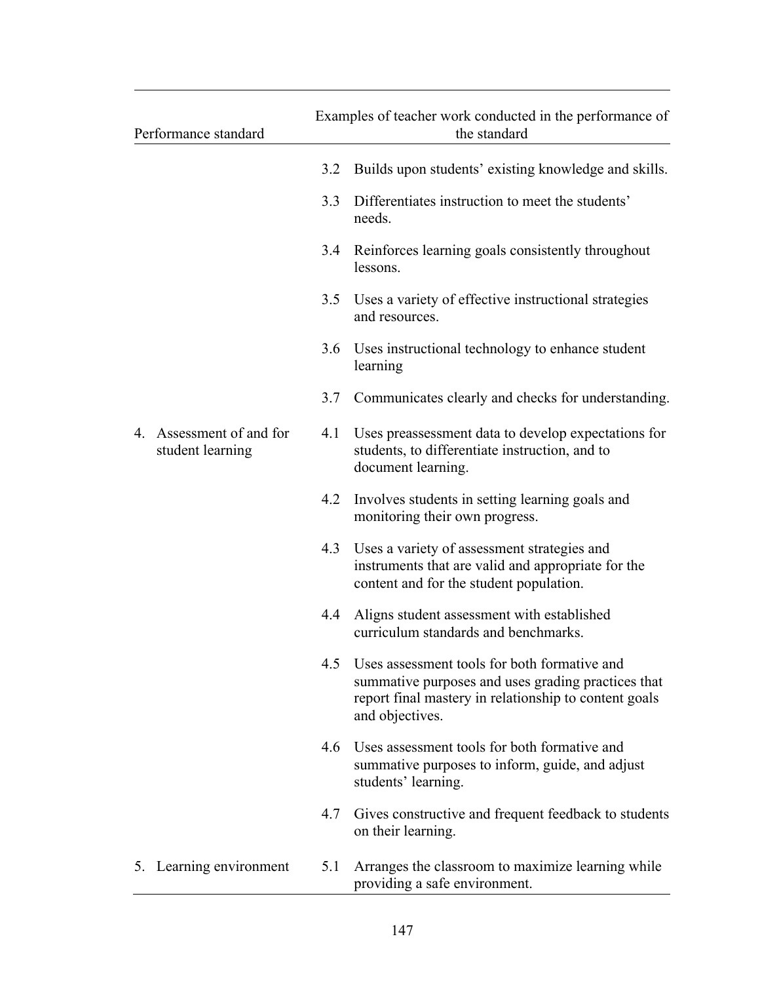| Performance standard |                                              | Examples of teacher work conducted in the performance of<br>the standard |                                                                                                                                                                                |
|----------------------|----------------------------------------------|--------------------------------------------------------------------------|--------------------------------------------------------------------------------------------------------------------------------------------------------------------------------|
|                      |                                              | 3.2                                                                      | Builds upon students' existing knowledge and skills.                                                                                                                           |
|                      |                                              | 3.3                                                                      | Differentiates instruction to meet the students'<br>needs.                                                                                                                     |
|                      |                                              | 3.4                                                                      | Reinforces learning goals consistently throughout<br>lessons.                                                                                                                  |
|                      |                                              | 3.5                                                                      | Uses a variety of effective instructional strategies<br>and resources.                                                                                                         |
|                      |                                              | 3.6                                                                      | Uses instructional technology to enhance student<br>learning                                                                                                                   |
|                      |                                              | 3.7                                                                      | Communicates clearly and checks for understanding.                                                                                                                             |
|                      | 4. Assessment of and for<br>student learning | 4.1                                                                      | Uses preases essment data to develop expectations for<br>students, to differentiate instruction, and to<br>document learning.                                                  |
|                      |                                              | 4.2                                                                      | Involves students in setting learning goals and<br>monitoring their own progress.                                                                                              |
|                      |                                              | 4.3                                                                      | Uses a variety of assessment strategies and<br>instruments that are valid and appropriate for the<br>content and for the student population.                                   |
|                      |                                              | 4.4                                                                      | Aligns student assessment with established<br>curriculum standards and benchmarks.                                                                                             |
|                      |                                              | 4.5                                                                      | Uses assessment tools for both formative and<br>summative purposes and uses grading practices that<br>report final mastery in relationship to content goals<br>and objectives. |
|                      |                                              | 4.6                                                                      | Uses assessment tools for both formative and<br>summative purposes to inform, guide, and adjust<br>students' learning.                                                         |
|                      |                                              | 4.7                                                                      | Gives constructive and frequent feedback to students<br>on their learning.                                                                                                     |
|                      | 5. Learning environment                      | 5.1                                                                      | Arranges the classroom to maximize learning while<br>providing a safe environment.                                                                                             |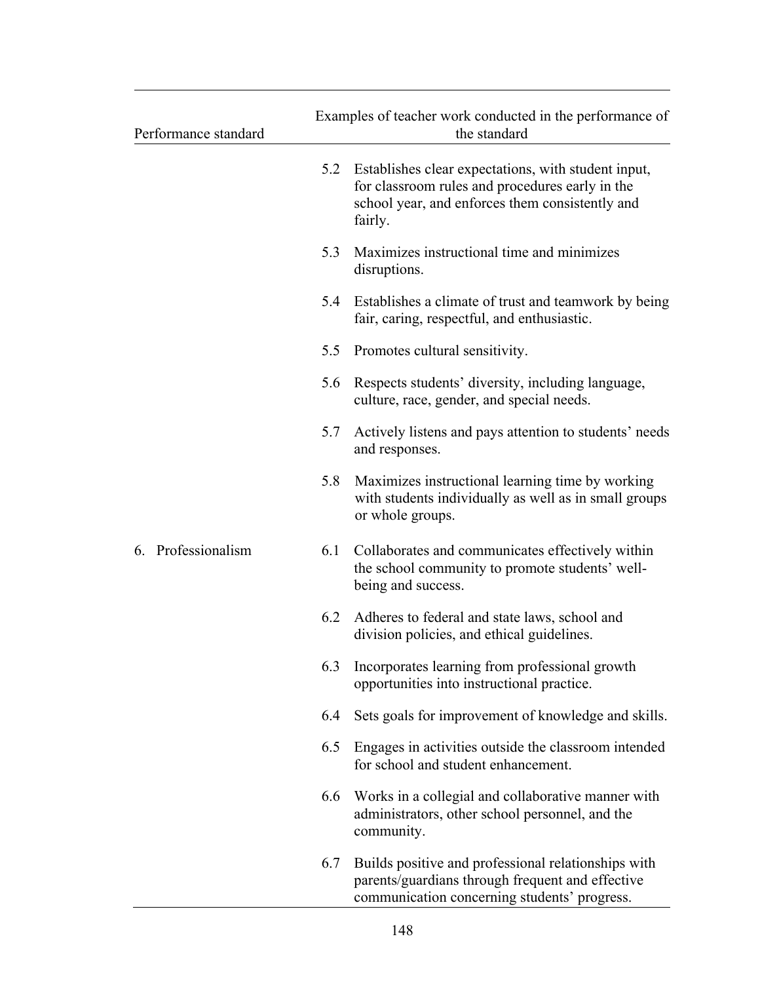| Performance standard | Examples of teacher work conducted in the performance of<br>the standard |                                                                                                                                                                      |
|----------------------|--------------------------------------------------------------------------|----------------------------------------------------------------------------------------------------------------------------------------------------------------------|
|                      | 5.2                                                                      | Establishes clear expectations, with student input,<br>for classroom rules and procedures early in the<br>school year, and enforces them consistently and<br>fairly. |
|                      | 5.3                                                                      | Maximizes instructional time and minimizes<br>disruptions.                                                                                                           |
|                      | 5.4                                                                      | Establishes a climate of trust and teamwork by being<br>fair, caring, respectful, and enthusiastic.                                                                  |
|                      | 5.5                                                                      | Promotes cultural sensitivity.                                                                                                                                       |
|                      | 5.6                                                                      | Respects students' diversity, including language,<br>culture, race, gender, and special needs.                                                                       |
|                      | 5.7                                                                      | Actively listens and pays attention to students' needs<br>and responses.                                                                                             |
|                      | 5.8                                                                      | Maximizes instructional learning time by working<br>with students individually as well as in small groups<br>or whole groups.                                        |
| 6. Professionalism   | 6.1                                                                      | Collaborates and communicates effectively within<br>the school community to promote students' well-<br>being and success.                                            |
|                      | 6.2                                                                      | Adheres to federal and state laws, school and<br>division policies, and ethical guidelines.                                                                          |
|                      | 6.3                                                                      | Incorporates learning from professional growth<br>opportunities into instructional practice.                                                                         |
|                      | 6.4                                                                      | Sets goals for improvement of knowledge and skills.                                                                                                                  |
|                      | 6.5                                                                      | Engages in activities outside the classroom intended<br>for school and student enhancement.                                                                          |
|                      | 6.6                                                                      | Works in a collegial and collaborative manner with<br>administrators, other school personnel, and the<br>community.                                                  |
|                      | 6.7                                                                      | Builds positive and professional relationships with<br>parents/guardians through frequent and effective<br>communication concerning students' progress.              |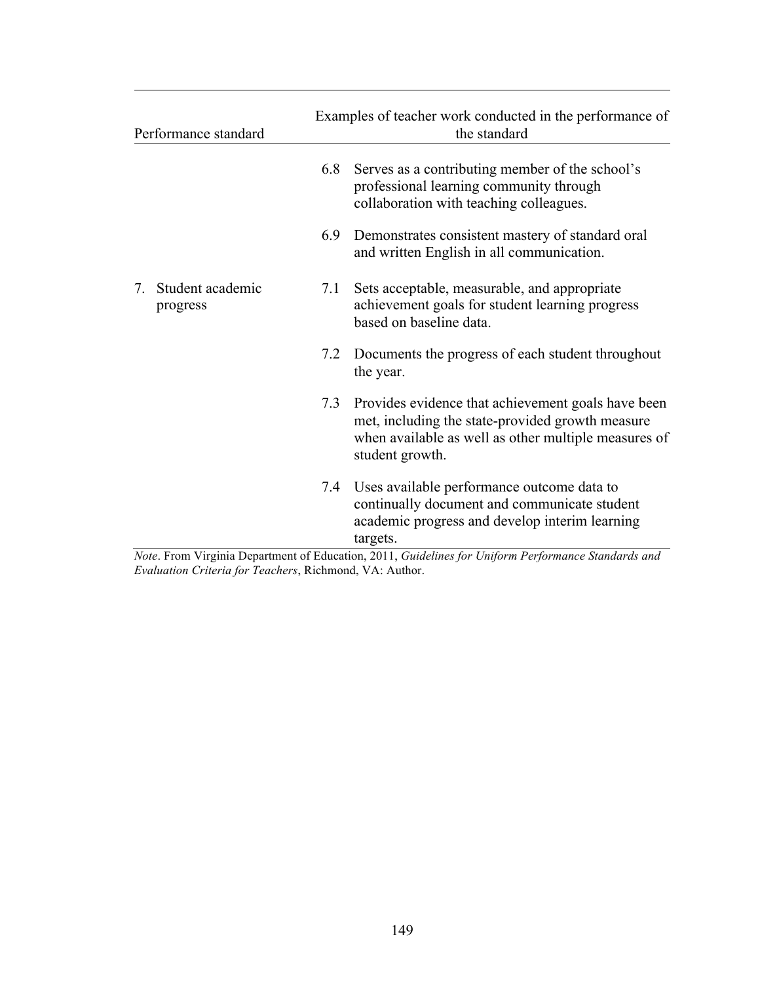| Performance standard              |     | Examples of teacher work conducted in the performance of<br>the standard                                                                                                            |  |  |
|-----------------------------------|-----|-------------------------------------------------------------------------------------------------------------------------------------------------------------------------------------|--|--|
|                                   | 6.8 | Serves as a contributing member of the school's<br>professional learning community through<br>collaboration with teaching colleagues.                                               |  |  |
|                                   | 6.9 | Demonstrates consistent mastery of standard oral<br>and written English in all communication.                                                                                       |  |  |
| Student academic<br>7<br>progress | 7.1 | Sets acceptable, measurable, and appropriate<br>achievement goals for student learning progress<br>based on baseline data.                                                          |  |  |
|                                   | 7.2 | Documents the progress of each student throughout<br>the year.                                                                                                                      |  |  |
|                                   | 7.3 | Provides evidence that achievement goals have been<br>met, including the state-provided growth measure<br>when available as well as other multiple measures of<br>student growth.   |  |  |
|                                   | 7.4 | Uses available performance outcome data to<br>continually document and communicate student<br>academic progress and develop interim learning<br>targets.<br>$\cdot$ $\cdot$ $\cdot$ |  |  |

*Note*. From Virginia Department of Education, 2011, *Guidelines for Uniform Performance Standards and Evaluation Criteria for Teachers*, Richmond, VA: Author.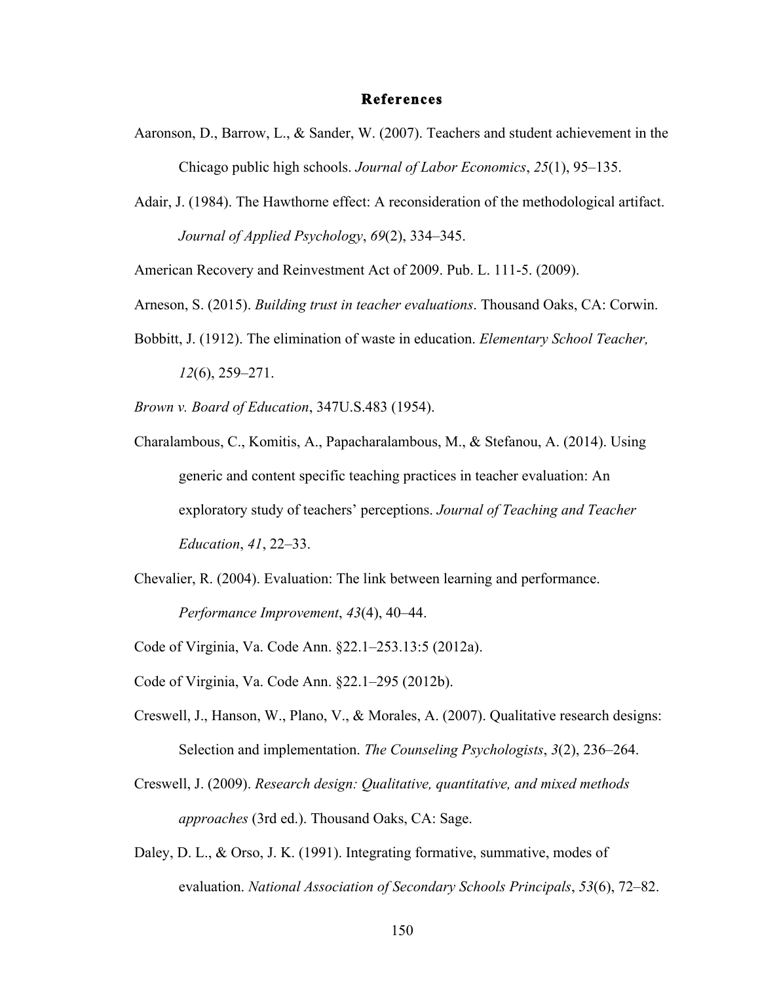#### **References**

- Aaronson, D., Barrow, L., & Sander, W. (2007). Teachers and student achievement in the Chicago public high schools. *Journal of Labor Economics*, *25*(1), 95–135.
- Adair, J. (1984). The Hawthorne effect: A reconsideration of the methodological artifact. *Journal of Applied Psychology*, *69*(2), 334–345.

American Recovery and Reinvestment Act of 2009. Pub. L. 111-5. (2009).

- Arneson, S. (2015). *Building trust in teacher evaluations*. Thousand Oaks, CA: Corwin.
- Bobbitt, J. (1912). The elimination of waste in education. *Elementary School Teacher, 12*(6), 259–271.

*Brown v. Board of Education*, 347U.S.483 (1954).

- Charalambous, C., Komitis, A., Papacharalambous, M., & Stefanou, A. (2014). Using generic and content specific teaching practices in teacher evaluation: An exploratory study of teachers' perceptions. *Journal of Teaching and Teacher Education*, *41*, 22–33.
- Chevalier, R. (2004). Evaluation: The link between learning and performance. *Performance Improvement*, *43*(4), 40–44.
- Code of Virginia, Va. Code Ann. §22.1–253.13:5 (2012a).
- Code of Virginia, Va. Code Ann. §22.1–295 (2012b).
- Creswell, J., Hanson, W., Plano, V., & Morales, A. (2007). Qualitative research designs: Selection and implementation. *The Counseling Psychologists*, *3*(2), 236–264.
- Creswell, J. (2009). *Research design: Qualitative, quantitative, and mixed methods approaches* (3rd ed.). Thousand Oaks, CA: Sage.
- Daley, D. L., & Orso, J. K. (1991). Integrating formative, summative, modes of evaluation. *National Association of Secondary Schools Principals*, *53*(6), 72–82.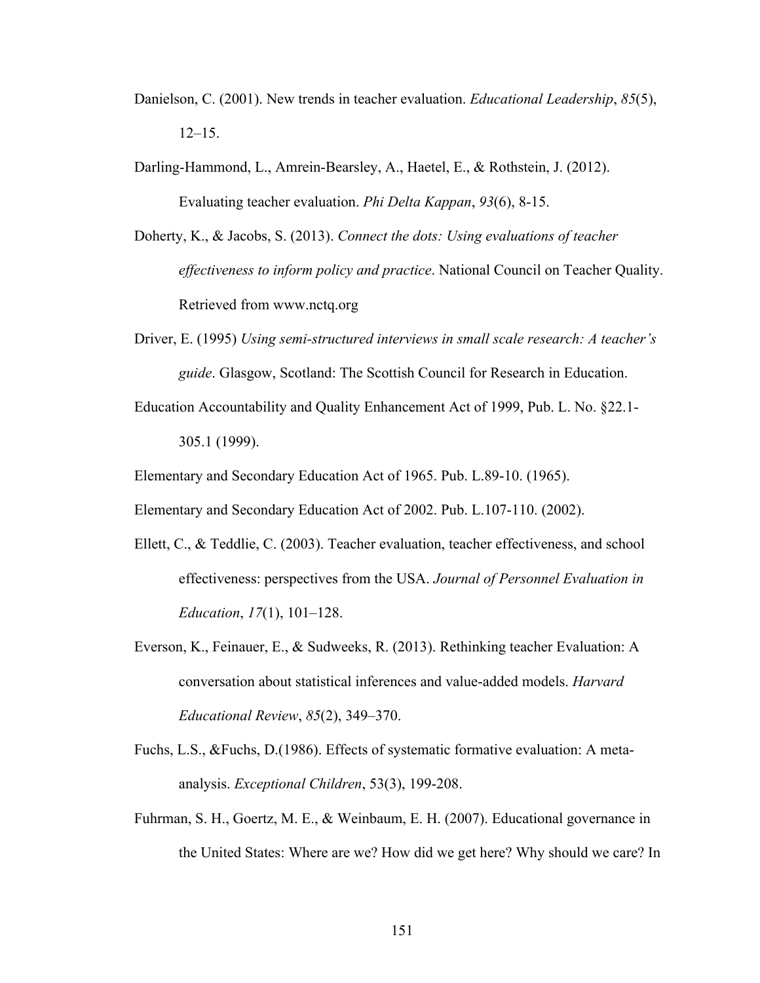- Danielson, C. (2001). New trends in teacher evaluation. *Educational Leadership*, *85*(5),  $12-15$ .
- Darling-Hammond, L., Amrein-Bearsley, A., Haetel, E., & Rothstein, J. (2012). Evaluating teacher evaluation. *Phi Delta Kappan*, *93*(6), 8-15.
- Doherty, K., & Jacobs, S. (2013). *Connect the dots: Using evaluations of teacher effectiveness to inform policy and practice*. National Council on Teacher Quality. Retrieved from www.nctq.org
- Driver, E. (1995) *Using semi-structured interviews in small scale research: A teacher's guide*. Glasgow, Scotland: The Scottish Council for Research in Education.
- Education Accountability and Quality Enhancement Act of 1999, Pub. L. No. §22.1- 305.1 (1999).

Elementary and Secondary Education Act of 1965. Pub. L.89-10. (1965).

Elementary and Secondary Education Act of 2002. Pub. L.107-110. (2002).

- Ellett, C., & Teddlie, C. (2003). Teacher evaluation, teacher effectiveness, and school effectiveness: perspectives from the USA. *Journal of Personnel Evaluation in Education*, *17*(1), 101–128.
- Everson, K., Feinauer, E., & Sudweeks, R. (2013). Rethinking teacher Evaluation: A conversation about statistical inferences and value-added models. *Harvard Educational Review*, *85*(2), 349–370.
- Fuchs, L.S., &Fuchs, D.(1986). Effects of systematic formative evaluation: A metaanalysis. *Exceptional Children*, 53(3), 199-208.
- Fuhrman, S. H., Goertz, M. E., & Weinbaum, E. H. (2007). Educational governance in the United States: Where are we? How did we get here? Why should we care? In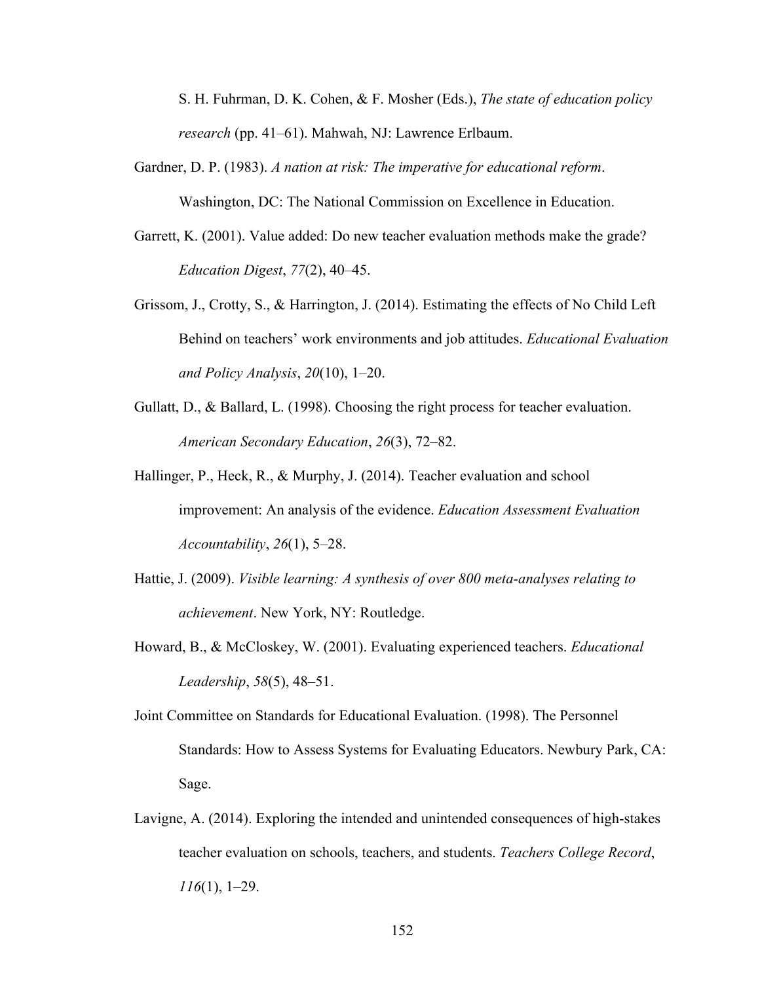S. H. Fuhrman, D. K. Cohen, & F. Mosher (Eds.), *The state of education policy research* (pp. 41–61). Mahwah, NJ: Lawrence Erlbaum.

- Gardner, D. P. (1983). *A nation at risk: The imperative for educational reform*. Washington, DC: The National Commission on Excellence in Education.
- Garrett, K. (2001). Value added: Do new teacher evaluation methods make the grade? *Education Digest*, *77*(2), 40–45.
- Grissom, J., Crotty, S., & Harrington, J. (2014). Estimating the effects of No Child Left Behind on teachers' work environments and job attitudes. *Educational Evaluation and Policy Analysis*, *20*(10), 1–20.
- Gullatt, D., & Ballard, L. (1998). Choosing the right process for teacher evaluation. *American Secondary Education*, *26*(3), 72–82.
- Hallinger, P., Heck, R., & Murphy, J. (2014). Teacher evaluation and school improvement: An analysis of the evidence. *Education Assessment Evaluation Accountability*, *26*(1), 5–28.
- Hattie, J. (2009). *Visible learning: A synthesis of over 800 meta-analyses relating to achievement*. New York, NY: Routledge.
- Howard, B., & McCloskey, W. (2001). Evaluating experienced teachers. *Educational Leadership*, *58*(5), 48–51.
- Joint Committee on Standards for Educational Evaluation. (1998). The Personnel Standards: How to Assess Systems for Evaluating Educators. Newbury Park, CA: Sage.
- Lavigne, A. (2014). Exploring the intended and unintended consequences of high-stakes teacher evaluation on schools, teachers, and students. *Teachers College Record*, *116*(1), 1–29.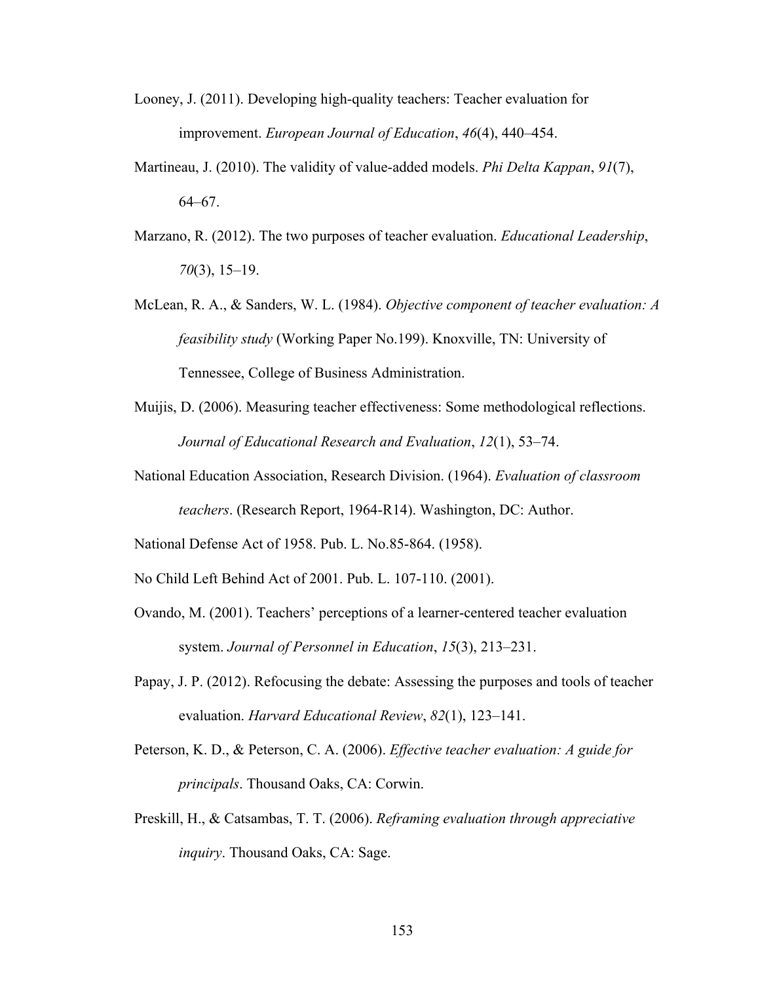- Looney, J. (2011). Developing high-quality teachers: Teacher evaluation for improvement. *European Journal of Education*, *46*(4), 440–454.
- Martineau, J. (2010). The validity of value-added models. *Phi Delta Kappan*, *91*(7), 64–67.
- Marzano, R. (2012). The two purposes of teacher evaluation. *Educational Leadership*, *70*(3), 15–19.
- McLean, R. A., & Sanders, W. L. (1984). *Objective component of teacher evaluation: A feasibility study* (Working Paper No.199). Knoxville, TN: University of Tennessee, College of Business Administration.
- Muijis, D. (2006). Measuring teacher effectiveness: Some methodological reflections. *Journal of Educational Research and Evaluation*, *12*(1), 53–74.
- National Education Association, Research Division. (1964). *Evaluation of classroom teachers*. (Research Report, 1964-R14). Washington, DC: Author.

National Defense Act of 1958. Pub. L. No.85-864. (1958).

No Child Left Behind Act of 2001. Pub. L. 107-110. (2001).

- Ovando, M. (2001). Teachers' perceptions of a learner-centered teacher evaluation system. *Journal of Personnel in Education*, *15*(3), 213–231.
- Papay, J. P. (2012). Refocusing the debate: Assessing the purposes and tools of teacher evaluation. *Harvard Educational Review*, *82*(1), 123–141.
- Peterson, K. D., & Peterson, C. A. (2006). *Effective teacher evaluation: A guide for principals*. Thousand Oaks, CA: Corwin.
- Preskill, H., & Catsambas, T. T. (2006). *Reframing evaluation through appreciative inquiry*. Thousand Oaks, CA: Sage.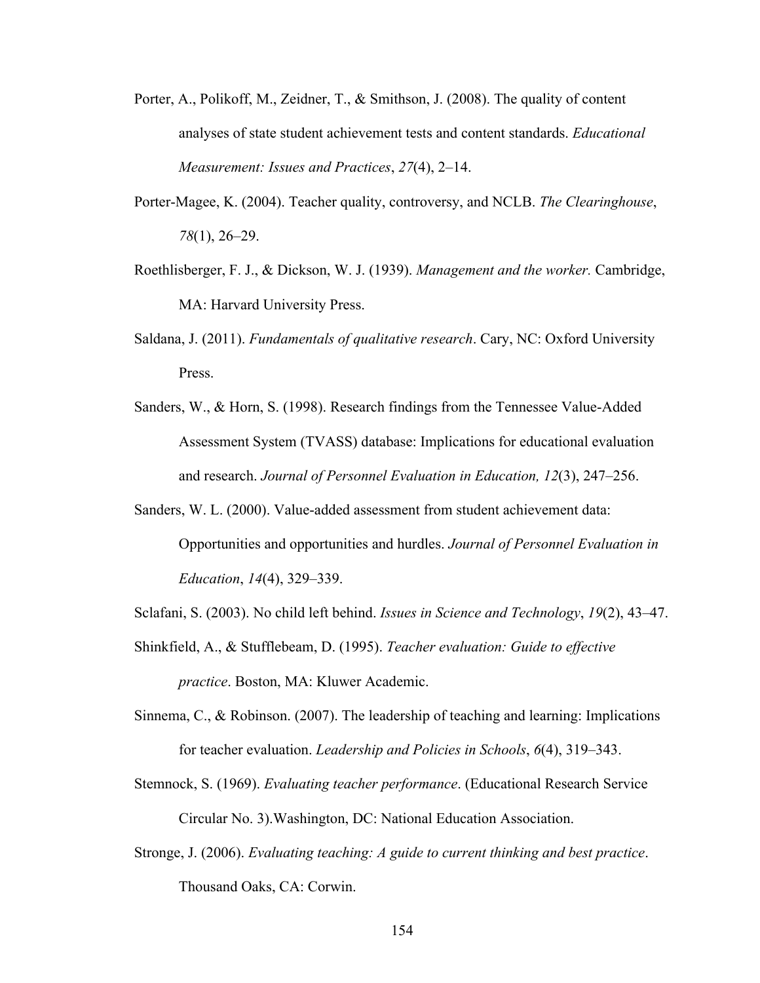- Porter, A., Polikoff, M., Zeidner, T., & Smithson, J. (2008). The quality of content analyses of state student achievement tests and content standards. *Educational Measurement: Issues and Practices*, *27*(4), 2–14.
- Porter-Magee, K. (2004). Teacher quality, controversy, and NCLB. *The Clearinghouse*, *78*(1), 26–29.
- Roethlisberger, F. J., & Dickson, W. J. (1939). *Management and the worker.* Cambridge, MA: Harvard University Press.
- Saldana, J. (2011). *Fundamentals of qualitative research*. Cary, NC: Oxford University Press.
- Sanders, W., & Horn, S. (1998). Research findings from the Tennessee Value-Added Assessment System (TVASS) database: Implications for educational evaluation and research. *Journal of Personnel Evaluation in Education, 12*(3), 247–256.
- Sanders, W. L. (2000). Value-added assessment from student achievement data: Opportunities and opportunities and hurdles. *Journal of Personnel Evaluation in Education*, *14*(4), 329–339.
- Sclafani, S. (2003). No child left behind. *Issues in Science and Technology*, *19*(2), 43–47.
- Shinkfield, A., & Stufflebeam, D. (1995). *Teacher evaluation: Guide to effective practice*. Boston, MA: Kluwer Academic.
- Sinnema, C., & Robinson. (2007). The leadership of teaching and learning: Implications for teacher evaluation. *Leadership and Policies in Schools*, *6*(4), 319–343.
- Stemnock, S. (1969). *Evaluating teacher performance*. (Educational Research Service Circular No. 3).Washington, DC: National Education Association.
- Stronge, J. (2006). *Evaluating teaching: A guide to current thinking and best practice*. Thousand Oaks, CA: Corwin.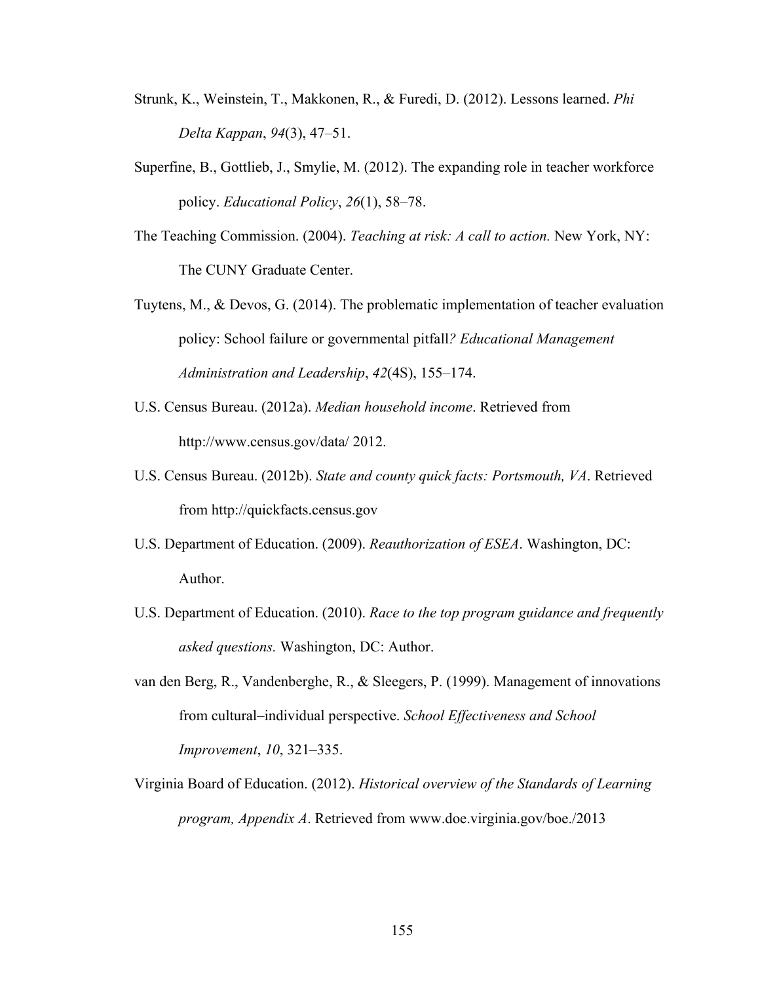- Strunk, K., Weinstein, T., Makkonen, R., & Furedi, D. (2012). Lessons learned. *Phi Delta Kappan*, *94*(3), 47–51.
- Superfine, B., Gottlieb, J., Smylie, M. (2012). The expanding role in teacher workforce policy. *Educational Policy*, *26*(1), 58–78.
- The Teaching Commission. (2004). *Teaching at risk: A call to action.* New York, NY: The CUNY Graduate Center.
- Tuytens, M., & Devos, G. (2014). The problematic implementation of teacher evaluation policy: School failure or governmental pitfall*? Educational Management Administration and Leadership*, *42*(4S), 155–174.
- U.S. Census Bureau. (2012a). *Median household income*. Retrieved from http://www.census.gov/data/ 2012.
- U.S. Census Bureau. (2012b). *State and county quick facts: Portsmouth, VA*. Retrieved from http://quickfacts.census.gov
- U.S. Department of Education. (2009). *Reauthorization of ESEA*. Washington, DC: Author.
- U.S. Department of Education. (2010). *Race to the top program guidance and frequently asked questions.* Washington, DC: Author.
- van den Berg, R., Vandenberghe, R., & Sleegers, P. (1999). Management of innovations from cultural–individual perspective. *School Effectiveness and School Improvement*, *10*, 321–335.
- Virginia Board of Education. (2012). *Historical overview of the Standards of Learning program, Appendix A*. Retrieved from www.doe.virginia.gov/boe./2013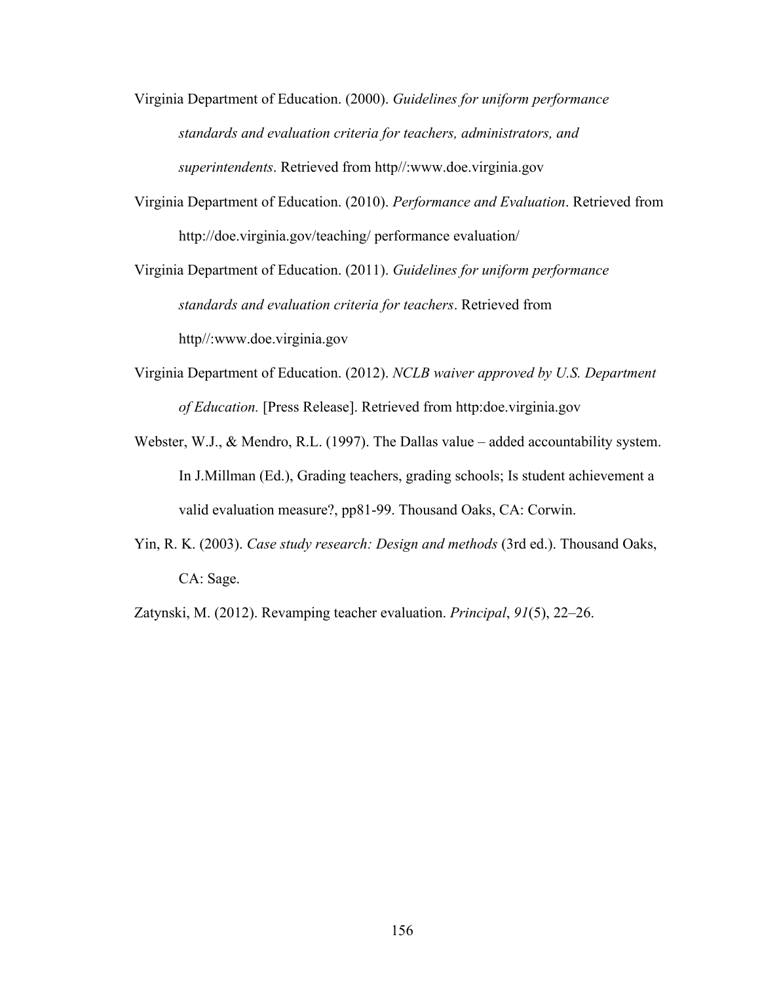- Virginia Department of Education. (2000). *Guidelines for uniform performance standards and evaluation criteria for teachers, administrators, and superintendents*. Retrieved from http//:www.doe.virginia.gov
- Virginia Department of Education. (2010). *Performance and Evaluation*. Retrieved from http://doe.virginia.gov/teaching/ performance evaluation/

Virginia Department of Education. (2011). *Guidelines for uniform performance standards and evaluation criteria for teachers*. Retrieved from http//:www.doe.virginia.gov

- Virginia Department of Education. (2012). *NCLB waiver approved by U.S. Department of Education.* [Press Release]. Retrieved from http:doe.virginia.gov
- Webster, W.J., & Mendro, R.L. (1997). The Dallas value added accountability system. In J.Millman (Ed.), Grading teachers, grading schools; Is student achievement a valid evaluation measure?, pp81-99. Thousand Oaks, CA: Corwin.
- Yin, R. K. (2003). *Case study research: Design and methods* (3rd ed.). Thousand Oaks, CA: Sage.

Zatynski, M. (2012). Revamping teacher evaluation. *Principal*, *91*(5), 22–26.